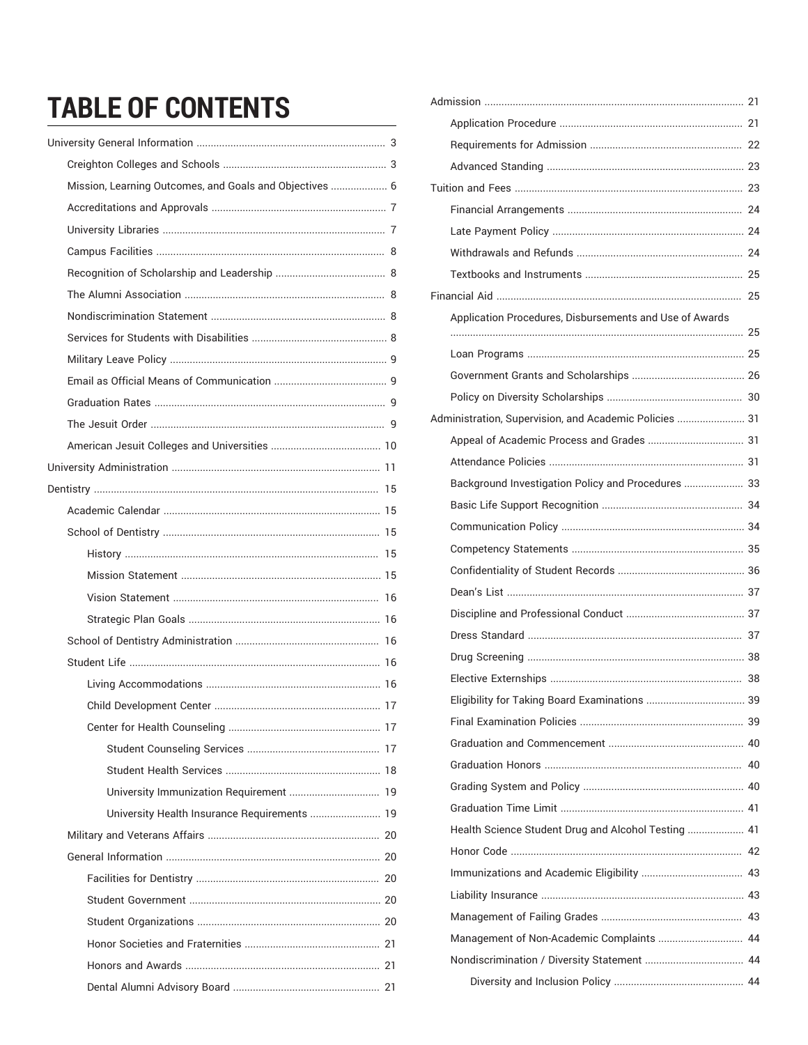# **TABLE OF CONTENTS**

| Mission, Learning Outcomes, and Goals and Objectives  6 |  |
|---------------------------------------------------------|--|
|                                                         |  |
|                                                         |  |
|                                                         |  |
|                                                         |  |
|                                                         |  |
|                                                         |  |
|                                                         |  |
|                                                         |  |
|                                                         |  |
|                                                         |  |
|                                                         |  |
|                                                         |  |
|                                                         |  |
|                                                         |  |
|                                                         |  |
|                                                         |  |
|                                                         |  |
|                                                         |  |
|                                                         |  |
|                                                         |  |
|                                                         |  |
|                                                         |  |
|                                                         |  |
|                                                         |  |
|                                                         |  |
|                                                         |  |
|                                                         |  |
| University Immunization Requirement  19                 |  |
| University Health Insurance Requirements  19            |  |
|                                                         |  |
|                                                         |  |
|                                                         |  |
|                                                         |  |
|                                                         |  |
|                                                         |  |
|                                                         |  |
|                                                         |  |

| Application Procedures, Disbursements and Use of Awards |  |
|---------------------------------------------------------|--|
|                                                         |  |
|                                                         |  |
|                                                         |  |
|                                                         |  |
| Administration, Supervision, and Academic Policies  31  |  |
|                                                         |  |
|                                                         |  |
| Background Investigation Policy and Procedures  33      |  |
|                                                         |  |
|                                                         |  |
|                                                         |  |
|                                                         |  |
|                                                         |  |
|                                                         |  |
|                                                         |  |
|                                                         |  |
|                                                         |  |
| Eligibility for Taking Board Examinations  39           |  |
|                                                         |  |
|                                                         |  |
|                                                         |  |
|                                                         |  |
|                                                         |  |
| Health Science Student Drug and Alcohol Testing  41     |  |
|                                                         |  |
|                                                         |  |
|                                                         |  |
|                                                         |  |
| Management of Non-Academic Complaints  44               |  |
|                                                         |  |
|                                                         |  |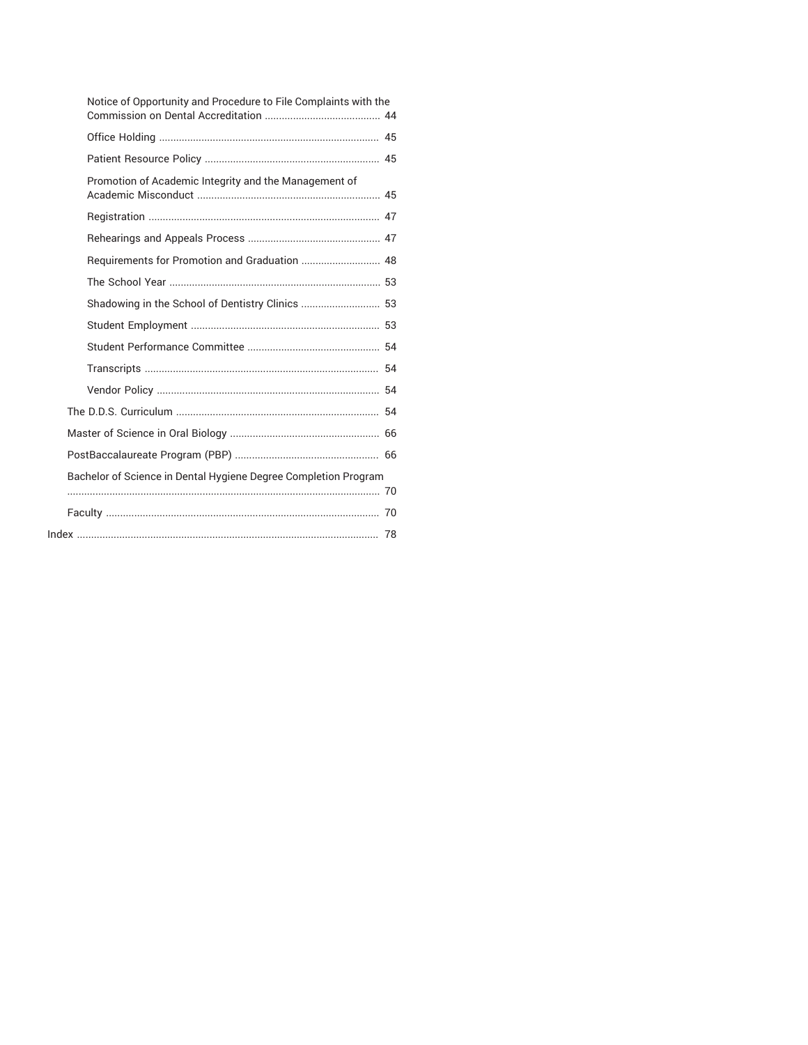| Notice of Opportunity and Procedure to File Complaints with the |  |
|-----------------------------------------------------------------|--|
|                                                                 |  |
|                                                                 |  |
| Promotion of Academic Integrity and the Management of           |  |
|                                                                 |  |
|                                                                 |  |
|                                                                 |  |
|                                                                 |  |
|                                                                 |  |
|                                                                 |  |
|                                                                 |  |
|                                                                 |  |
|                                                                 |  |
|                                                                 |  |
|                                                                 |  |
|                                                                 |  |
| Bachelor of Science in Dental Hygiene Degree Completion Program |  |
|                                                                 |  |
|                                                                 |  |
|                                                                 |  |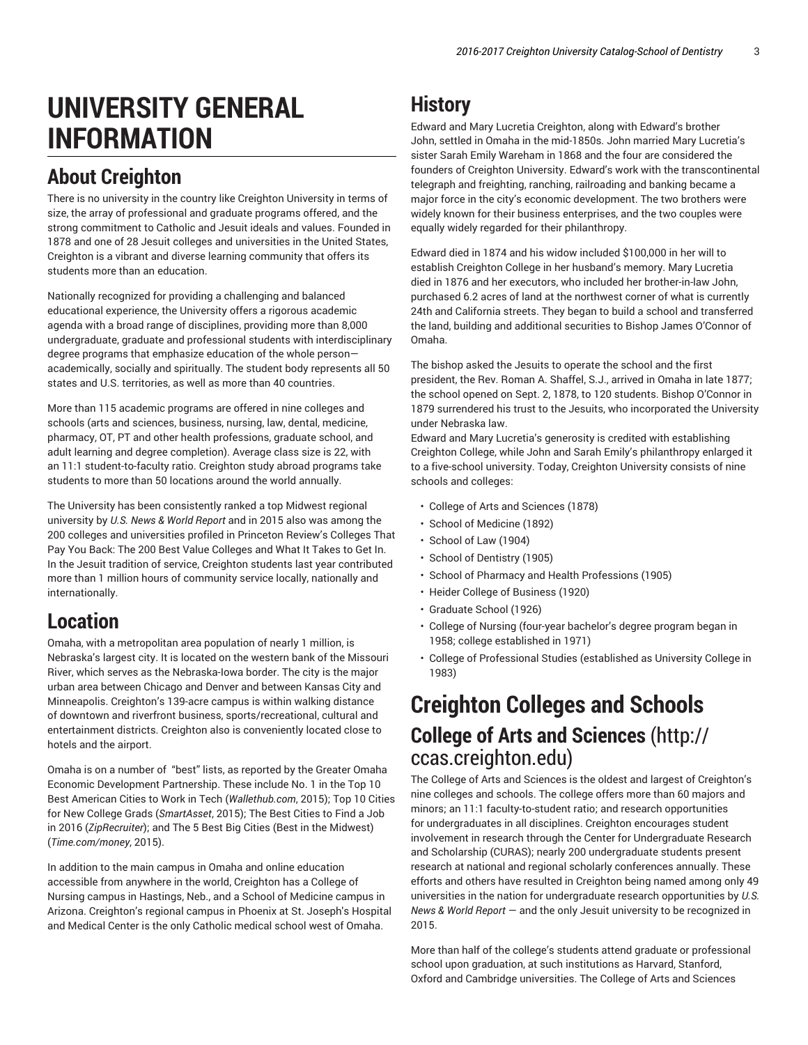# **UNIVERSITY GENERAL INFORMATION**

## **About Creighton**

There is no university in the country like Creighton University in terms of size, the array of professional and graduate programs offered, and the strong commitment to Catholic and Jesuit ideals and values. Founded in 1878 and one of 28 Jesuit colleges and universities in the United States, Creighton is a vibrant and diverse learning community that offers its students more than an education.

Nationally recognized for providing a challenging and balanced educational experience, the University offers a rigorous academic agenda with a broad range of disciplines, providing more than 8,000 undergraduate, graduate and professional students with interdisciplinary degree programs that emphasize education of the whole person academically, socially and spiritually. The student body represents all 50 states and U.S. territories, as well as more than 40 countries.

More than 115 academic programs are offered in nine colleges and schools (arts and sciences, business, nursing, law, dental, medicine, pharmacy, OT, PT and other health professions, graduate school, and adult learning and degree completion). Average class size is 22, with an 11:1 student-to-faculty ratio. Creighton study abroad programs take students to more than 50 locations around the world annually.

The University has been consistently ranked a top Midwest regional university by *U.S. News & World Report* and in 2015 also was among the 200 colleges and universities profiled in Princeton Review's Colleges That Pay You Back: The 200 Best Value Colleges and What It Takes to Get In. In the Jesuit tradition of service, Creighton students last year contributed more than 1 million hours of community service locally, nationally and internationally.

## **Location**

Omaha, with a metropolitan area population of nearly 1 million, is Nebraska's largest city. It is located on the western bank of the Missouri River, which serves as the Nebraska-Iowa border. The city is the major urban area between Chicago and Denver and between Kansas City and Minneapolis. Creighton's 139-acre campus is within walking distance of downtown and riverfront business, sports/recreational, cultural and entertainment districts. Creighton also is conveniently located close to hotels and the airport.

Omaha is on a number of "best" lists, as reported by the Greater Omaha Economic Development Partnership. These include No. 1 in the Top 10 Best American Cities to Work in Tech (*Wallethub.com*, 2015); Top 10 Cities for New College Grads (*SmartAsset*, 2015); The Best Cities to Find a Job in 2016 (*ZipRecruiter*); and The 5 Best Big Cities (Best in the Midwest) (*Time.com/money*, 2015).

In addition to the main campus in Omaha and online education accessible from anywhere in the world, Creighton has a College of Nursing campus in Hastings, Neb., and a School of Medicine campus in Arizona. Creighton's regional campus in Phoenix at St. Joseph's Hospital and Medical Center is the only Catholic medical school west of Omaha.

## **History**

Edward and Mary Lucretia Creighton, along with Edward's brother John, settled in Omaha in the mid-1850s. John married Mary Lucretia's sister Sarah Emily Wareham in 1868 and the four are considered the founders of Creighton University. Edward's work with the transcontinental telegraph and freighting, ranching, railroading and banking became a major force in the city's economic development. The two brothers were widely known for their business enterprises, and the two couples were equally widely regarded for their philanthropy.

Edward died in 1874 and his widow included \$100,000 in her will to establish Creighton College in her husband's memory. Mary Lucretia died in 1876 and her executors, who included her brother-in-law John, purchased 6.2 acres of land at the northwest corner of what is currently 24th and California streets. They began to build a school and transferred the land, building and additional securities to Bishop James O'Connor of Omaha.

The bishop asked the Jesuits to operate the school and the first president, the Rev. Roman A. Shaffel, S.J., arrived in Omaha in late 1877; the school opened on Sept. 2, 1878, to 120 students. Bishop O'Connor in 1879 surrendered his trust to the Jesuits, who incorporated the University under Nebraska law.

Edward and Mary Lucretia's generosity is credited with establishing Creighton College, while John and Sarah Emily's philanthropy enlarged it to a five-school university. Today, Creighton University consists of nine schools and colleges:

- College of Arts and Sciences (1878)
- School of Medicine (1892)
- School of Law (1904)
- School of Dentistry (1905)
- School of Pharmacy and Health Professions (1905)
- Heider College of Business (1920)
- Graduate School (1926)
- College of Nursing (four-year bachelor's degree program began in 1958; college established in 1971)
- College of Professional Studies (established as University College in 1983)

## **Creighton Colleges and Schools College of Arts and Sciences** (http:// ccas.creighton.edu)

The College of Arts and Sciences is the oldest and largest of Creighton's nine colleges and schools. The college offers more than 60 majors and minors; an 11:1 faculty-to-student ratio; and research opportunities for undergraduates in all disciplines. Creighton encourages student involvement in research through the Center for Undergraduate Research and Scholarship (CURAS); nearly 200 undergraduate students present research at national and regional scholarly conferences annually. These efforts and others have resulted in Creighton being named among only 49 universities in the nation for undergraduate research opportunities by *U.S. News & World Report* — and the only Jesuit university to be recognized in 2015.

More than half of the college's students attend graduate or professional school upon graduation, at such institutions as Harvard, Stanford, Oxford and Cambridge universities. The College of Arts and Sciences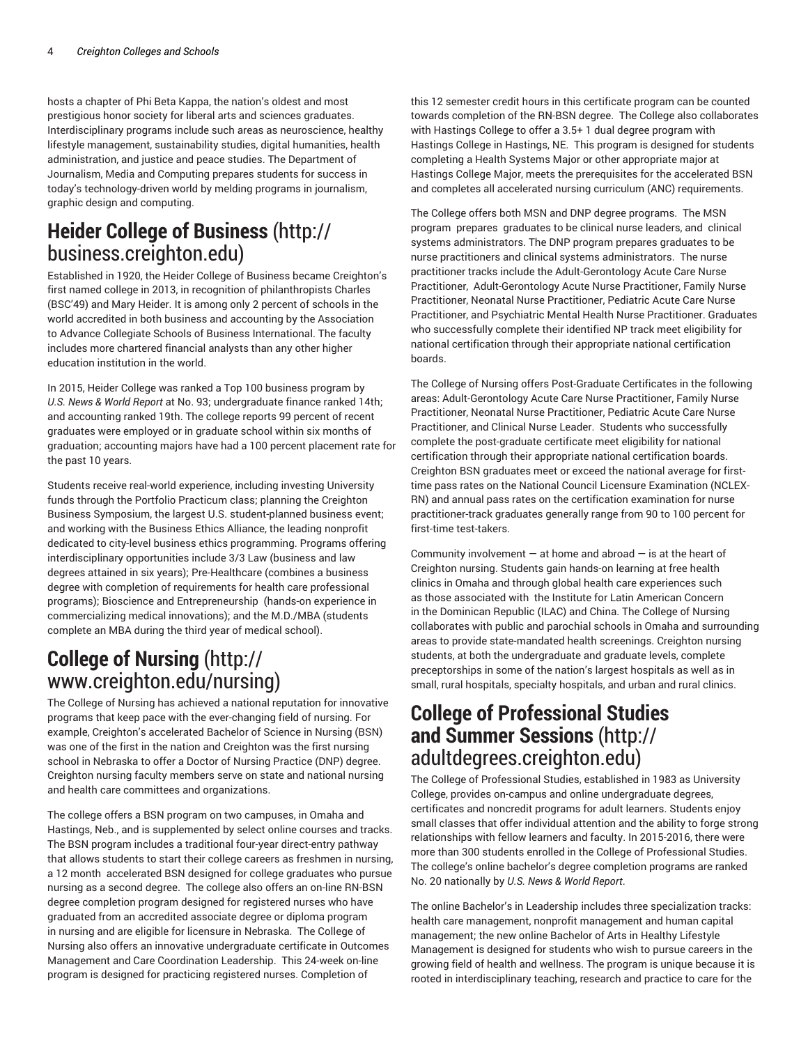hosts a chapter of Phi Beta Kappa, the nation's oldest and most prestigious honor society for liberal arts and sciences graduates. Interdisciplinary programs include such areas as neuroscience, healthy lifestyle management, sustainability studies, digital humanities, health administration, and justice and peace studies. The Department of Journalism, Media and Computing prepares students for success in today's technology-driven world by melding programs in journalism, graphic design and computing.

### **Heider College of Business** (http:// business.creighton.edu)

Established in 1920, the Heider College of Business became Creighton's first named college in 2013, in recognition of philanthropists Charles (BSC'49) and Mary Heider. It is among only 2 percent of schools in the world accredited in both business and accounting by the Association to Advance Collegiate Schools of Business International. The faculty includes more chartered financial analysts than any other higher education institution in the world.

In 2015, Heider College was ranked a Top 100 business program by *U.S. News & World Report* at No. 93; undergraduate finance ranked 14th; and accounting ranked 19th. The college reports 99 percent of recent graduates were employed or in graduate school within six months of graduation; accounting majors have had a 100 percent placement rate for the past 10 years.

Students receive real-world experience, including investing University funds through the Portfolio Practicum class; planning the Creighton Business Symposium, the largest U.S. student-planned business event; and working with the Business Ethics Alliance, the leading nonprofit dedicated to city-level business ethics programming. Programs offering interdisciplinary opportunities include 3/3 Law (business and law degrees attained in six years); Pre-Healthcare (combines a business degree with completion of requirements for health care professional programs); Bioscience and Entrepreneurship (hands-on experience in commercializing medical innovations); and the M.D./MBA (students complete an MBA during the third year of medical school).

## **College of Nursing** (http:// www.creighton.edu/nursing)

The College of Nursing has achieved a national reputation for innovative programs that keep pace with the ever-changing field of nursing. For example, Creighton's accelerated Bachelor of Science in Nursing (BSN) was one of the first in the nation and Creighton was the first nursing school in Nebraska to offer a Doctor of Nursing Practice (DNP) degree. Creighton nursing faculty members serve on state and national nursing and health care committees and organizations.

The college offers a BSN program on two campuses, in Omaha and Hastings, Neb., and is supplemented by select online courses and tracks. The BSN program includes a traditional four-year direct-entry pathway that allows students to start their college careers as freshmen in nursing, a 12 month accelerated BSN designed for college graduates who pursue nursing as a second degree. The college also offers an on-line RN-BSN degree completion program designed for registered nurses who have graduated from an accredited associate degree or diploma program in nursing and are eligible for licensure in Nebraska. The College of Nursing also offers an innovative undergraduate certificate in Outcomes Management and Care Coordination Leadership. This 24-week on-line program is designed for practicing registered nurses. Completion of

this 12 semester credit hours in this certificate program can be counted towards completion of the RN-BSN degree. The College also collaborates with Hastings College to offer a 3.5+ 1 dual degree program with Hastings College in Hastings, NE. This program is designed for students completing a Health Systems Major or other appropriate major at Hastings College Major, meets the prerequisites for the accelerated BSN and completes all accelerated nursing curriculum (ANC) requirements.

The College offers both MSN and DNP degree programs. The MSN program prepares graduates to be clinical nurse leaders, and clinical systems administrators. The DNP program prepares graduates to be nurse practitioners and clinical systems administrators. The nurse practitioner tracks include the Adult-Gerontology Acute Care Nurse Practitioner, Adult-Gerontology Acute Nurse Practitioner, Family Nurse Practitioner, Neonatal Nurse Practitioner, Pediatric Acute Care Nurse Practitioner, and Psychiatric Mental Health Nurse Practitioner. Graduates who successfully complete their identified NP track meet eligibility for national certification through their appropriate national certification boards.

The College of Nursing offers Post-Graduate Certificates in the following areas: Adult-Gerontology Acute Care Nurse Practitioner, Family Nurse Practitioner, Neonatal Nurse Practitioner, Pediatric Acute Care Nurse Practitioner, and Clinical Nurse Leader. Students who successfully complete the post-graduate certificate meet eligibility for national certification through their appropriate national certification boards. Creighton BSN graduates meet or exceed the national average for firsttime pass rates on the National Council Licensure Examination (NCLEX-RN) and annual pass rates on the certification examination for nurse practitioner-track graduates generally range from 90 to 100 percent for first-time test-takers.

Community involvement  $-$  at home and abroad  $-$  is at the heart of Creighton nursing. Students gain hands-on learning at free health clinics in Omaha and through global health care experiences such as those associated with the Institute for Latin American Concern in the Dominican Republic (ILAC) and China. The College of Nursing collaborates with public and parochial schools in Omaha and surrounding areas to provide state-mandated health screenings. Creighton nursing students, at both the undergraduate and graduate levels, complete preceptorships in some of the nation's largest hospitals as well as in small, rural hospitals, specialty hospitals, and urban and rural clinics.

### **College of Professional Studies and Summer Sessions** (http:// adultdegrees.creighton.edu)

The College of Professional Studies, established in 1983 as University College, provides on-campus and online undergraduate degrees, certificates and noncredit programs for adult learners. Students enjoy small classes that offer individual attention and the ability to forge strong relationships with fellow learners and faculty. In 2015-2016, there were more than 300 students enrolled in the College of Professional Studies. The college's online bachelor's degree completion programs are ranked No. 20 nationally by *U.S. News & World Report*.

The online Bachelor's in Leadership includes three specialization tracks: health care management, nonprofit management and human capital management; the new online Bachelor of Arts in Healthy Lifestyle Management is designed for students who wish to pursue careers in the growing field of health and wellness. The program is unique because it is rooted in interdisciplinary teaching, research and practice to care for the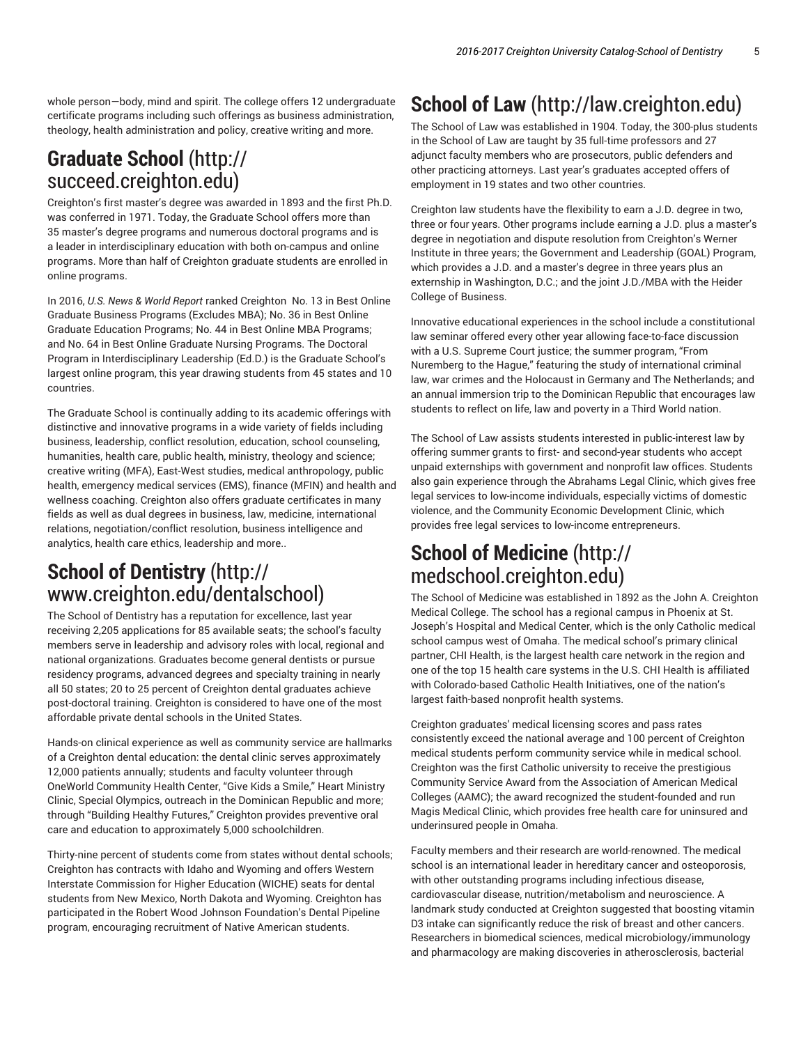whole person—body, mind and spirit. The college offers 12 undergraduate certificate programs including such offerings as business administration, theology, health administration and policy, creative writing and more.

### **Graduate School** (http:// succeed.creighton.edu)

Creighton's first master's degree was awarded in 1893 and the first Ph.D. was conferred in 1971. Today, the Graduate School offers more than 35 master's degree programs and numerous doctoral programs and is a leader in interdisciplinary education with both on-campus and online programs. More than half of Creighton graduate students are enrolled in online programs.

In 2016, *U.S. News & World Report* ranked Creighton No. 13 in Best Online Graduate Business Programs (Excludes MBA); No. 36 in Best Online Graduate Education Programs; No. 44 in Best Online MBA Programs; and No. 64 in Best Online Graduate Nursing Programs. The Doctoral Program in Interdisciplinary Leadership (Ed.D.) is the Graduate School's largest online program, this year drawing students from 45 states and 10 countries.

The Graduate School is continually adding to its academic offerings with distinctive and innovative programs in a wide variety of fields including business, leadership, conflict resolution, education, school counseling, humanities, health care, public health, ministry, theology and science; creative writing (MFA), East-West studies, medical anthropology, public health, emergency medical services (EMS), finance (MFIN) and health and wellness coaching. Creighton also offers graduate certificates in many fields as well as dual degrees in business, law, medicine, international relations, negotiation/conflict resolution, business intelligence and analytics, health care ethics, leadership and more..

### **School of Dentistry** (http:// www.creighton.edu/dentalschool)

The School of Dentistry has a reputation for excellence, last year receiving 2,205 applications for 85 available seats; the school's faculty members serve in leadership and advisory roles with local, regional and national organizations. Graduates become general dentists or pursue residency programs, advanced degrees and specialty training in nearly all 50 states; 20 to 25 percent of Creighton dental graduates achieve post-doctoral training. Creighton is considered to have one of the most affordable private dental schools in the United States.

Hands-on clinical experience as well as community service are hallmarks of a Creighton dental education: the dental clinic serves approximately 12,000 patients annually; students and faculty volunteer through OneWorld Community Health Center, "Give Kids a Smile," Heart Ministry Clinic, Special Olympics, outreach in the Dominican Republic and more; through "Building Healthy Futures," Creighton provides preventive oral care and education to approximately 5,000 schoolchildren.

Thirty-nine percent of students come from states without dental schools; Creighton has contracts with Idaho and Wyoming and offers Western Interstate Commission for Higher Education (WICHE) seats for dental students from New Mexico, North Dakota and Wyoming. Creighton has participated in the Robert Wood Johnson Foundation's Dental Pipeline program, encouraging recruitment of Native American students.

## **School of Law** (http://law.creighton.edu)

The School of Law was established in 1904. Today, the 300-plus students in the School of Law are taught by 35 full-time professors and 27 adjunct faculty members who are prosecutors, public defenders and other practicing attorneys. Last year's graduates accepted offers of employment in 19 states and two other countries.

Creighton law students have the flexibility to earn a J.D. degree in two, three or four years. Other programs include earning a J.D. plus a master's degree in negotiation and dispute resolution from Creighton's Werner Institute in three years; the Government and Leadership (GOAL) Program, which provides a J.D. and a master's degree in three years plus an externship in Washington, D.C.; and the joint J.D./MBA with the Heider College of Business.

Innovative educational experiences in the school include a constitutional law seminar offered every other year allowing face-to-face discussion with a U.S. Supreme Court justice; the summer program, "From Nuremberg to the Hague," featuring the study of international criminal law, war crimes and the Holocaust in Germany and The Netherlands; and an annual immersion trip to the Dominican Republic that encourages law students to reflect on life, law and poverty in a Third World nation.

The School of Law assists students interested in public-interest law by offering summer grants to first- and second-year students who accept unpaid externships with government and nonprofit law offices. Students also gain experience through the Abrahams Legal Clinic, which gives free legal services to low-income individuals, especially victims of domestic violence, and the Community Economic Development Clinic, which provides free legal services to low-income entrepreneurs.

### **School of Medicine** (http:// medschool.creighton.edu)

The School of Medicine was established in 1892 as the John A. Creighton Medical College. The school has a regional campus in Phoenix at St. Joseph's Hospital and Medical Center, which is the only Catholic medical school campus west of Omaha. The medical school's primary clinical partner, CHI Health, is the largest health care network in the region and one of the top 15 health care systems in the U.S. CHI Health is affiliated with Colorado-based Catholic Health Initiatives, one of the nation's largest faith-based nonprofit health systems.

Creighton graduates' medical licensing scores and pass rates consistently exceed the national average and 100 percent of Creighton medical students perform community service while in medical school. Creighton was the first Catholic university to receive the prestigious Community Service Award from the Association of American Medical Colleges (AAMC); the award recognized the student-founded and run Magis Medical Clinic, which provides free health care for uninsured and underinsured people in Omaha.

Faculty members and their research are world-renowned. The medical school is an international leader in hereditary cancer and osteoporosis, with other outstanding programs including infectious disease, cardiovascular disease, nutrition/metabolism and neuroscience. A landmark study conducted at Creighton suggested that boosting vitamin D3 intake can significantly reduce the risk of breast and other cancers. Researchers in biomedical sciences, medical microbiology/immunology and pharmacology are making discoveries in atherosclerosis, bacterial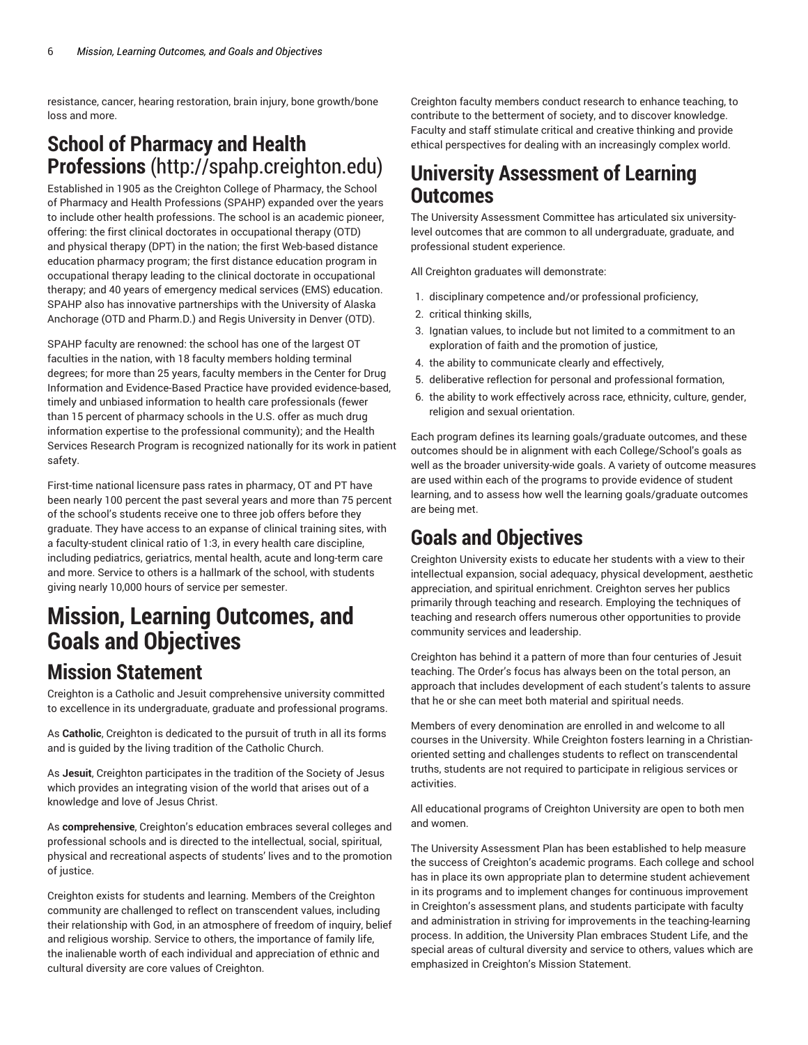resistance, cancer, hearing restoration, brain injury, bone growth/bone loss and more.

### **School of Pharmacy and Health Professions** (http://spahp.creighton.edu)

Established in 1905 as the Creighton College of Pharmacy, the School of Pharmacy and Health Professions (SPAHP) expanded over the years to include other health professions. The school is an academic pioneer, offering: the first clinical doctorates in occupational therapy (OTD) and physical therapy (DPT) in the nation; the first Web-based distance education pharmacy program; the first distance education program in occupational therapy leading to the clinical doctorate in occupational therapy; and 40 years of emergency medical services (EMS) education. SPAHP also has innovative partnerships with the University of Alaska Anchorage (OTD and Pharm.D.) and Regis University in Denver (OTD).

SPAHP faculty are renowned: the school has one of the largest OT faculties in the nation, with 18 faculty members holding terminal degrees; for more than 25 years, faculty members in the Center for Drug Information and Evidence-Based Practice have provided evidence-based, timely and unbiased information to health care professionals (fewer than 15 percent of pharmacy schools in the U.S. offer as much drug information expertise to the professional community); and the Health Services Research Program is recognized nationally for its work in patient safety.

First-time national licensure pass rates in pharmacy, OT and PT have been nearly 100 percent the past several years and more than 75 percent of the school's students receive one to three job offers before they graduate. They have access to an expanse of clinical training sites, with a faculty-student clinical ratio of 1:3, in every health care discipline, including pediatrics, geriatrics, mental health, acute and long-term care and more. Service to others is a hallmark of the school, with students giving nearly 10,000 hours of service per semester.

# **Mission, Learning Outcomes, and Goals and Objectives**

## **Mission Statement**

Creighton is a Catholic and Jesuit comprehensive university committed to excellence in its undergraduate, graduate and professional programs.

As **Catholic**, Creighton is dedicated to the pursuit of truth in all its forms and is guided by the living tradition of the Catholic Church.

As **Jesuit**, Creighton participates in the tradition of the Society of Jesus which provides an integrating vision of the world that arises out of a knowledge and love of Jesus Christ.

As **comprehensive**, Creighton's education embraces several colleges and professional schools and is directed to the intellectual, social, spiritual, physical and recreational aspects of students' lives and to the promotion of justice.

Creighton exists for students and learning. Members of the Creighton community are challenged to reflect on transcendent values, including their relationship with God, in an atmosphere of freedom of inquiry, belief and religious worship. Service to others, the importance of family life, the inalienable worth of each individual and appreciation of ethnic and cultural diversity are core values of Creighton.

Creighton faculty members conduct research to enhance teaching, to contribute to the betterment of society, and to discover knowledge. Faculty and staff stimulate critical and creative thinking and provide ethical perspectives for dealing with an increasingly complex world.

### **University Assessment of Learning Outcomes**

The University Assessment Committee has articulated six universitylevel outcomes that are common to all undergraduate, graduate, and professional student experience.

All Creighton graduates will demonstrate:

- 1. disciplinary competence and/or professional proficiency,
- 2. critical thinking skills,
- 3. Ignatian values, to include but not limited to a commitment to an exploration of faith and the promotion of justice,
- 4. the ability to communicate clearly and effectively,
- 5. deliberative reflection for personal and professional formation,
- 6. the ability to work effectively across race, ethnicity, culture, gender, religion and sexual orientation.

Each program defines its learning goals/graduate outcomes, and these outcomes should be in alignment with each College/School's goals as well as the broader university-wide goals. A variety of outcome measures are used within each of the programs to provide evidence of student learning, and to assess how well the learning goals/graduate outcomes are being met.

## **Goals and Objectives**

Creighton University exists to educate her students with a view to their intellectual expansion, social adequacy, physical development, aesthetic appreciation, and spiritual enrichment. Creighton serves her publics primarily through teaching and research. Employing the techniques of teaching and research offers numerous other opportunities to provide community services and leadership.

Creighton has behind it a pattern of more than four centuries of Jesuit teaching. The Order's focus has always been on the total person, an approach that includes development of each student's talents to assure that he or she can meet both material and spiritual needs.

Members of every denomination are enrolled in and welcome to all courses in the University. While Creighton fosters learning in a Christianoriented setting and challenges students to reflect on transcendental truths, students are not required to participate in religious services or activities.

All educational programs of Creighton University are open to both men and women.

The University Assessment Plan has been established to help measure the success of Creighton's academic programs. Each college and school has in place its own appropriate plan to determine student achievement in its programs and to implement changes for continuous improvement in Creighton's assessment plans, and students participate with faculty and administration in striving for improvements in the teaching-learning process. In addition, the University Plan embraces Student Life, and the special areas of cultural diversity and service to others, values which are emphasized in Creighton's Mission Statement.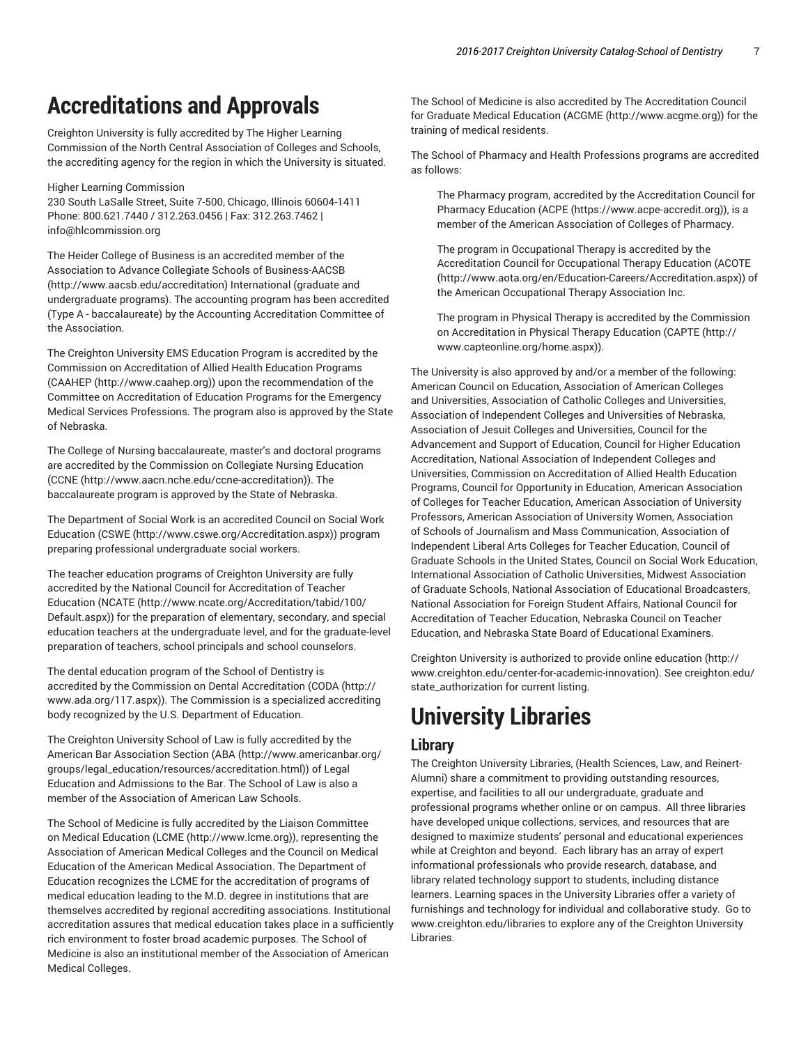## **Accreditations and Approvals**

Creighton University is fully accredited by The Higher Learning Commission of the North Central Association of Colleges and Schools, the accrediting agency for the region in which the University is situated.

Higher Learning Commission

230 South LaSalle Street, Suite 7-500, Chicago, Illinois 60604-1411 Phone: 800.621.7440 / 312.263.0456 | Fax: 312.263.7462 | info@hlcommission.org

The Heider College of Business is an accredited member of the Association to Advance Collegiate Schools of Business-AACSB (http://www.aacsb.edu/accreditation) International (graduate and undergraduate programs). The accounting program has been accredited (Type A - baccalaureate) by the Accounting Accreditation Committee of the Association.

The Creighton University EMS Education Program is accredited by the Commission on Accreditation of Allied Health Education Programs (CAAHEP (http://www.caahep.org)) upon the recommendation of the Committee on Accreditation of Education Programs for the Emergency Medical Services Professions. The program also is approved by the State of Nebraska.

The College of Nursing baccalaureate, master's and doctoral programs are accredited by the Commission on Collegiate Nursing Education (CCNE (http://www.aacn.nche.edu/ccne-accreditation)). The baccalaureate program is approved by the State of Nebraska.

The Department of Social Work is an accredited Council on Social Work Education (CSWE (http://www.cswe.org/Accreditation.aspx)) program preparing professional undergraduate social workers.

The teacher education programs of Creighton University are fully accredited by the National Council for Accreditation of Teacher Education (NCATE (http://www.ncate.org/Accreditation/tabid/100/ Default.aspx)) for the preparation of elementary, secondary, and special education teachers at the undergraduate level, and for the graduate-level preparation of teachers, school principals and school counselors.

The dental education program of the School of Dentistry is accredited by the Commission on Dental Accreditation (CODA (http:// www.ada.org/117.aspx)). The Commission is a specialized accrediting body recognized by the U.S. Department of Education.

The Creighton University School of Law is fully accredited by the American Bar Association Section (ABA (http://www.americanbar.org/ groups/legal\_education/resources/accreditation.html)) of Legal Education and Admissions to the Bar. The School of Law is also a member of the Association of American Law Schools.

The School of Medicine is fully accredited by the Liaison Committee on Medical Education (LCME (http://www.lcme.org)), representing the Association of American Medical Colleges and the Council on Medical Education of the American Medical Association. The Department of Education recognizes the LCME for the accreditation of programs of medical education leading to the M.D. degree in institutions that are themselves accredited by regional accrediting associations. Institutional accreditation assures that medical education takes place in a sufficiently rich environment to foster broad academic purposes. The School of Medicine is also an institutional member of the Association of American Medical Colleges.

The School of Medicine is also accredited by The Accreditation Council for Graduate Medical Education (ACGME (http://www.acgme.org)) for the training of medical residents.

The School of Pharmacy and Health Professions programs are accredited as follows:

The Pharmacy program, accredited by the Accreditation Council for Pharmacy Education (ACPE (https://www.acpe-accredit.org)), is a member of the American Association of Colleges of Pharmacy.

The program in Occupational Therapy is accredited by the Accreditation Council for Occupational Therapy Education (ACOTE (http://www.aota.org/en/Education-Careers/Accreditation.aspx)) of the American Occupational Therapy Association Inc.

The program in Physical Therapy is accredited by the Commission on Accreditation in Physical Therapy Education (CAPTE (http:// www.capteonline.org/home.aspx)).

The University is also approved by and/or a member of the following: American Council on Education, Association of American Colleges and Universities, Association of Catholic Colleges and Universities, Association of Independent Colleges and Universities of Nebraska, Association of Jesuit Colleges and Universities, Council for the Advancement and Support of Education, Council for Higher Education Accreditation, National Association of Independent Colleges and Universities, Commission on Accreditation of Allied Health Education Programs, Council for Opportunity in Education, American Association of Colleges for Teacher Education, American Association of University Professors, American Association of University Women, Association of Schools of Journalism and Mass Communication, Association of Independent Liberal Arts Colleges for Teacher Education, Council of Graduate Schools in the United States, Council on Social Work Education, International Association of Catholic Universities, Midwest Association of Graduate Schools, National Association of Educational Broadcasters, National Association for Foreign Student Affairs, National Council for Accreditation of Teacher Education, Nebraska Council on Teacher Education, and Nebraska State Board of Educational Examiners.

Creighton University is authorized to provide online education (http:// www.creighton.edu/center-for-academic-innovation). See creighton.edu/ state\_authorization for current listing.

# **University Libraries**

### **Library**

The Creighton University Libraries, (Health Sciences, Law, and Reinert-Alumni) share a commitment to providing outstanding resources, expertise, and facilities to all our undergraduate, graduate and professional programs whether online or on campus. All three libraries have developed unique collections, services, and resources that are designed to maximize students' personal and educational experiences while at Creighton and beyond. Each library has an array of expert informational professionals who provide research, database, and library related technology support to students, including distance learners. Learning spaces in the University Libraries offer a variety of furnishings and technology for individual and collaborative study. Go to www.creighton.edu/libraries to explore any of the Creighton University Libraries.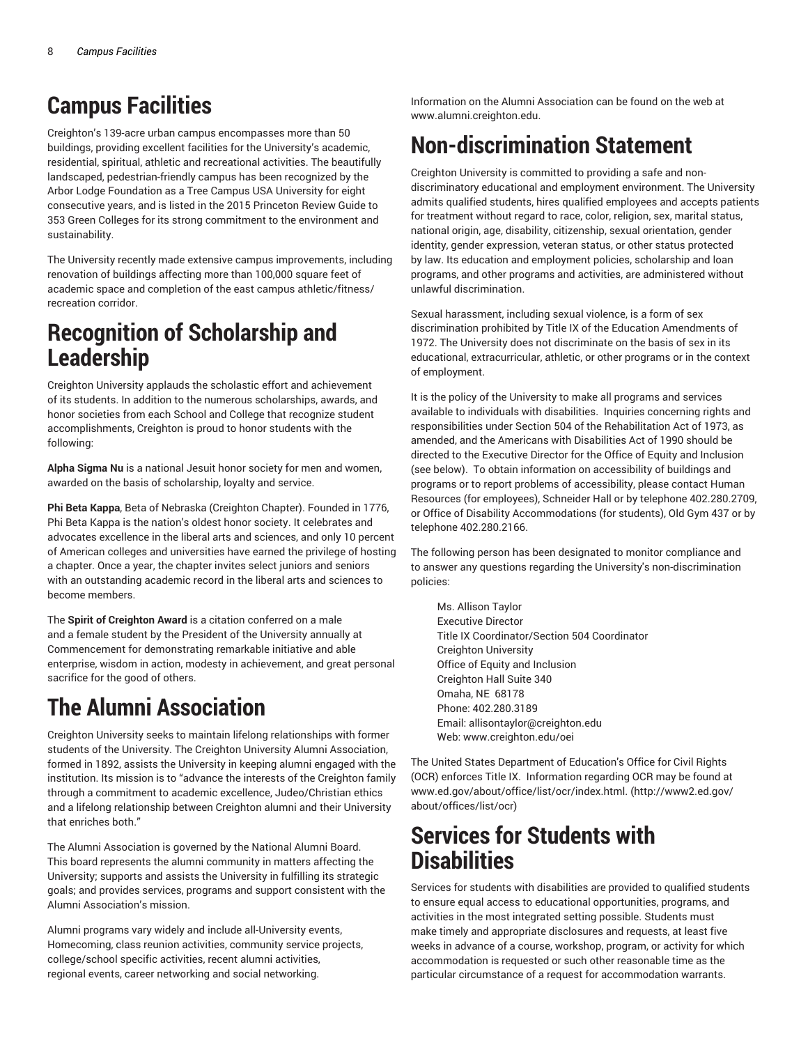## **Campus Facilities**

Creighton's 139-acre urban campus encompasses more than 50 buildings, providing excellent facilities for the University's academic, residential, spiritual, athletic and recreational activities. The beautifully landscaped, pedestrian-friendly campus has been recognized by the Arbor Lodge Foundation as a Tree Campus USA University for eight consecutive years, and is listed in the 2015 Princeton Review Guide to 353 Green Colleges for its strong commitment to the environment and sustainability.

The University recently made extensive campus improvements, including renovation of buildings affecting more than 100,000 square feet of academic space and completion of the east campus athletic/fitness/ recreation corridor.

## **Recognition of Scholarship and Leadership**

Creighton University applauds the scholastic effort and achievement of its students. In addition to the numerous scholarships, awards, and honor societies from each School and College that recognize student accomplishments, Creighton is proud to honor students with the following:

**Alpha Sigma Nu** is a national Jesuit honor society for men and women, awarded on the basis of scholarship, loyalty and service.

**Phi Beta Kappa**, Beta of Nebraska (Creighton Chapter). Founded in 1776, Phi Beta Kappa is the nation's oldest honor society. It celebrates and advocates excellence in the liberal arts and sciences, and only 10 percent of American colleges and universities have earned the privilege of hosting a chapter. Once a year, the chapter invites select juniors and seniors with an outstanding academic record in the liberal arts and sciences to become members.

The **Spirit of Creighton Award** is a citation conferred on a male and a female student by the President of the University annually at Commencement for demonstrating remarkable initiative and able enterprise, wisdom in action, modesty in achievement, and great personal sacrifice for the good of others.

# **The Alumni Association**

Creighton University seeks to maintain lifelong relationships with former students of the University. The Creighton University Alumni Association, formed in 1892, assists the University in keeping alumni engaged with the institution. Its mission is to "advance the interests of the Creighton family through a commitment to academic excellence, Judeo/Christian ethics and a lifelong relationship between Creighton alumni and their University that enriches both."

The Alumni Association is governed by the National Alumni Board. This board represents the alumni community in matters affecting the University; supports and assists the University in fulfilling its strategic goals; and provides services, programs and support consistent with the Alumni Association's mission.

Alumni programs vary widely and include all-University events, Homecoming, class reunion activities, community service projects, college/school specific activities, recent alumni activities, regional events, career networking and social networking.

Information on the Alumni Association can be found on the web at www.alumni.creighton.edu.

# **Non-discrimination Statement**

Creighton University is committed to providing a safe and nondiscriminatory educational and employment environment. The University admits qualified students, hires qualified employees and accepts patients for treatment without regard to race, color, religion, sex, marital status, national origin, age, disability, citizenship, sexual orientation, gender identity, gender expression, veteran status, or other status protected by law. Its education and employment policies, scholarship and loan programs, and other programs and activities, are administered without unlawful discrimination.

Sexual harassment, including sexual violence, is a form of sex discrimination prohibited by Title IX of the Education Amendments of 1972. The University does not discriminate on the basis of sex in its educational, extracurricular, athletic, or other programs or in the context of employment.

It is the policy of the University to make all programs and services available to individuals with disabilities. Inquiries concerning rights and responsibilities under Section 504 of the Rehabilitation Act of 1973, as amended, and the Americans with Disabilities Act of 1990 should be directed to the Executive Director for the Office of Equity and Inclusion (see below). To obtain information on accessibility of buildings and programs or to report problems of accessibility, please contact Human Resources (for employees), Schneider Hall or by telephone 402.280.2709, or Office of Disability Accommodations (for students), Old Gym 437 or by telephone 402.280.2166.

The following person has been designated to monitor compliance and to answer any questions regarding the University's non-discrimination policies:

Ms. Allison Taylor Executive Director Title IX Coordinator/Section 504 Coordinator Creighton University Office of Equity and Inclusion Creighton Hall Suite 340 Omaha, NE 68178 Phone: 402.280.3189 Email: allisontaylor@creighton.edu Web: www.creighton.edu/oei

The United States Department of Education's Office for Civil Rights (OCR) enforces Title IX. Information regarding OCR may be found at www.ed.gov/about/office/list/ocr/index.html. (http://www2.ed.gov/ about/offices/list/ocr)

## **Services for Students with Disabilities**

Services for students with disabilities are provided to qualified students to ensure equal access to educational opportunities, programs, and activities in the most integrated setting possible. Students must make timely and appropriate disclosures and requests, at least five weeks in advance of a course, workshop, program, or activity for which accommodation is requested or such other reasonable time as the particular circumstance of a request for accommodation warrants.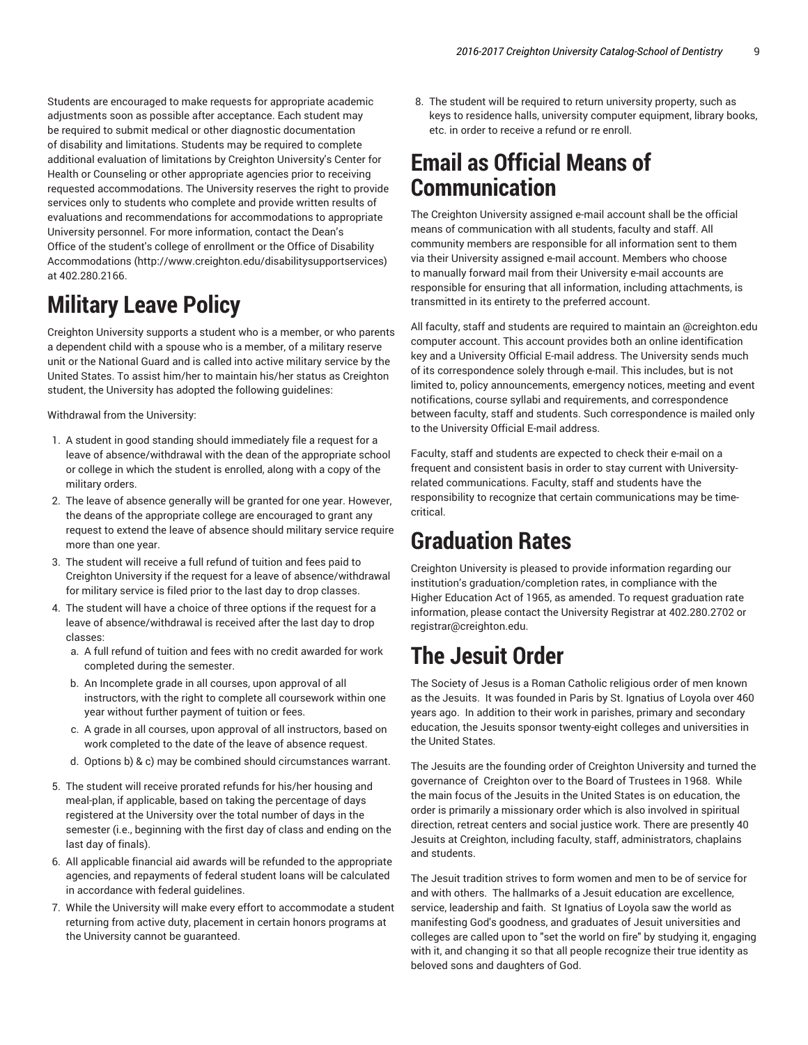Students are encouraged to make requests for appropriate academic adjustments soon as possible after acceptance. Each student may be required to submit medical or other diagnostic documentation of disability and limitations. Students may be required to complete additional evaluation of limitations by Creighton University's Center for Health or Counseling or other appropriate agencies prior to receiving requested accommodations. The University reserves the right to provide services only to students who complete and provide written results of evaluations and recommendations for accommodations to appropriate University personnel. For more information, contact the Dean's Office of the student's college of enrollment or the Office of Disability Accommodations (http://www.creighton.edu/disabilitysupportservices) at 402.280.2166.

# **Military Leave Policy**

Creighton University supports a student who is a member, or who parents a dependent child with a spouse who is a member, of a military reserve unit or the National Guard and is called into active military service by the United States. To assist him/her to maintain his/her status as Creighton student, the University has adopted the following guidelines:

Withdrawal from the University:

- 1. A student in good standing should immediately file a request for a leave of absence/withdrawal with the dean of the appropriate school or college in which the student is enrolled, along with a copy of the military orders.
- 2. The leave of absence generally will be granted for one year. However, the deans of the appropriate college are encouraged to grant any request to extend the leave of absence should military service require more than one year.
- 3. The student will receive a full refund of tuition and fees paid to Creighton University if the request for a leave of absence/withdrawal for military service is filed prior to the last day to drop classes.
- 4. The student will have a choice of three options if the request for a leave of absence/withdrawal is received after the last day to drop classes:
	- a. A full refund of tuition and fees with no credit awarded for work completed during the semester.
	- b. An Incomplete grade in all courses, upon approval of all instructors, with the right to complete all coursework within one year without further payment of tuition or fees.
	- c. A grade in all courses, upon approval of all instructors, based on work completed to the date of the leave of absence request.
	- d. Options b) & c) may be combined should circumstances warrant.
- 5. The student will receive prorated refunds for his/her housing and meal-plan, if applicable, based on taking the percentage of days registered at the University over the total number of days in the semester (i.e., beginning with the first day of class and ending on the last day of finals).
- 6. All applicable financial aid awards will be refunded to the appropriate agencies, and repayments of federal student loans will be calculated in accordance with federal guidelines.
- 7. While the University will make every effort to accommodate a student returning from active duty, placement in certain honors programs at the University cannot be guaranteed.

8. The student will be required to return university property, such as keys to residence halls, university computer equipment, library books, etc. in order to receive a refund or re enroll.

## **Email as Official Means of Communication**

The Creighton University assigned e-mail account shall be the official means of communication with all students, faculty and staff. All community members are responsible for all information sent to them via their University assigned e-mail account. Members who choose to manually forward mail from their University e-mail accounts are responsible for ensuring that all information, including attachments, is transmitted in its entirety to the preferred account.

All faculty, staff and students are required to maintain an @creighton.edu computer account. This account provides both an online identification key and a University Official E-mail address. The University sends much of its correspondence solely through e-mail. This includes, but is not limited to, policy announcements, emergency notices, meeting and event notifications, course syllabi and requirements, and correspondence between faculty, staff and students. Such correspondence is mailed only to the University Official E-mail address.

Faculty, staff and students are expected to check their e-mail on a frequent and consistent basis in order to stay current with Universityrelated communications. Faculty, staff and students have the responsibility to recognize that certain communications may be timecritical.

## **Graduation Rates**

Creighton University is pleased to provide information regarding our institution's graduation/completion rates, in compliance with the Higher Education Act of 1965, as amended. To request graduation rate information, please contact the University Registrar at 402.280.2702 or registrar@creighton.edu.

# **The Jesuit Order**

The Society of Jesus is a Roman Catholic religious order of men known as the Jesuits. It was founded in Paris by St. Ignatius of Loyola over 460 years ago. In addition to their work in parishes, primary and secondary education, the Jesuits sponsor twenty-eight colleges and universities in the United States.

The Jesuits are the founding order of Creighton University and turned the governance of Creighton over to the Board of Trustees in 1968. While the main focus of the Jesuits in the United States is on education, the order is primarily a missionary order which is also involved in spiritual direction, retreat centers and social justice work. There are presently 40 Jesuits at Creighton, including faculty, staff, administrators, chaplains and students.

The Jesuit tradition strives to form women and men to be of service for and with others. The hallmarks of a Jesuit education are excellence, service, leadership and faith. St Ignatius of Loyola saw the world as manifesting God's goodness, and graduates of Jesuit universities and colleges are called upon to "set the world on fire" by studying it, engaging with it, and changing it so that all people recognize their true identity as beloved sons and daughters of God.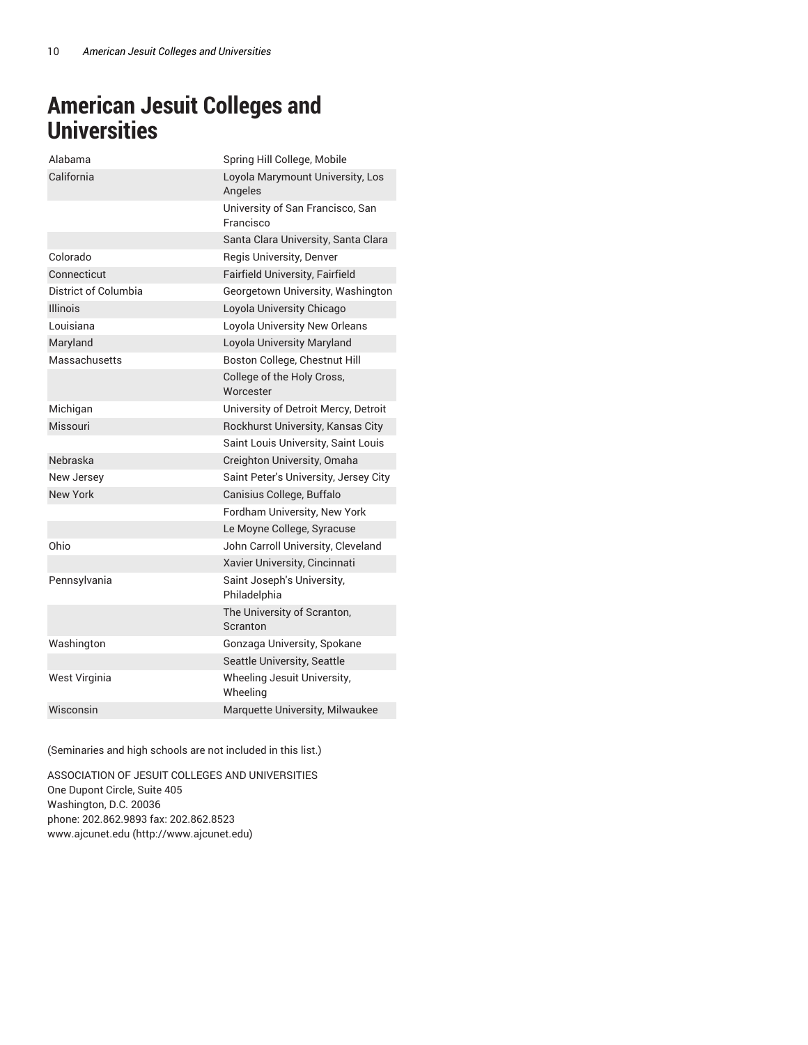## **American Jesuit Colleges and Universities**

| Alahama              | Spring Hill College, Mobile                   |
|----------------------|-----------------------------------------------|
| California           | Loyola Marymount University, Los<br>Angeles   |
|                      | University of San Francisco, San<br>Francisco |
|                      | Santa Clara University, Santa Clara           |
| Colorado             | Regis University, Denver                      |
| Connecticut          | Fairfield University, Fairfield               |
| District of Columbia | Georgetown University, Washington             |
| <b>Illinois</b>      | Loyola University Chicago                     |
| Louisiana            | Loyola University New Orleans                 |
| Maryland             | Loyola University Maryland                    |
| Massachusetts        | Boston College, Chestnut Hill                 |
|                      | College of the Holy Cross,<br>Worcester       |
| Michigan             | University of Detroit Mercy, Detroit          |
| Missouri             | Rockhurst University, Kansas City             |
|                      | Saint Louis University, Saint Louis           |
| Nebraska             | Creighton University, Omaha                   |
| New Jersey           | Saint Peter's University, Jersey City         |
| New York             | Canisius College, Buffalo                     |
|                      | Fordham University, New York                  |
|                      | Le Moyne College, Syracuse                    |
| Ohio                 | John Carroll University, Cleveland            |
|                      | Xavier University, Cincinnati                 |
| Pennsylvania         | Saint Joseph's University,<br>Philadelphia    |
|                      | The University of Scranton,<br>Scranton       |
| Washington           | Gonzaga University, Spokane                   |
|                      | Seattle University, Seattle                   |
| West Virginia        | Wheeling Jesuit University,<br>Wheeling       |
| Wisconsin            | Marquette University, Milwaukee               |

(Seminaries and high schools are not included in this list.)

ASSOCIATION OF JESUIT COLLEGES AND UNIVERSITIES One Dupont Circle, Suite 405 Washington, D.C. 20036 phone: 202.862.9893 fax: 202.862.8523 www.ajcunet.edu (http://www.ajcunet.edu)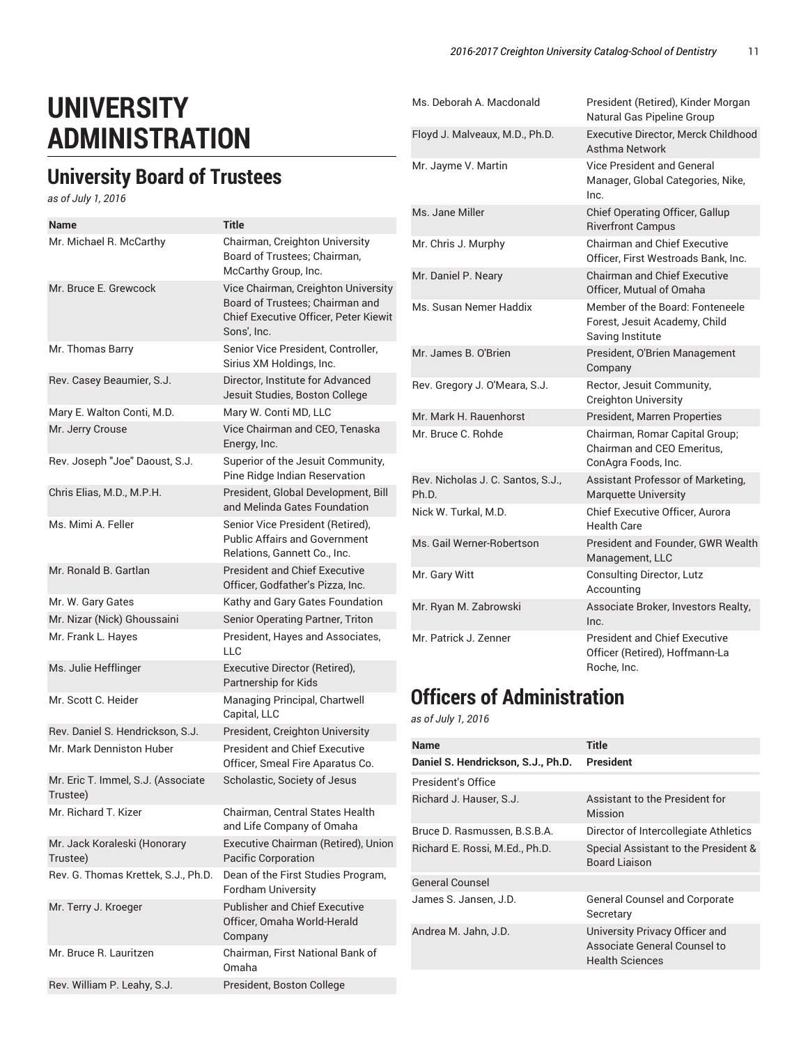# **UNIVERSITY ADMINISTRATION**

## **University Board of Trustees**

*as of July 1, 2016*

| Name                                           | <b>Title</b>                                                                                                                   |
|------------------------------------------------|--------------------------------------------------------------------------------------------------------------------------------|
| Mr. Michael R. McCarthy                        | Chairman, Creighton University<br>Board of Trustees; Chairman,<br>McCarthy Group, Inc.                                         |
| Mr. Bruce E. Grewcock                          | Vice Chairman, Creighton University<br>Board of Trustees; Chairman and<br>Chief Executive Officer, Peter Kiewit<br>Sons', Inc. |
| Mr. Thomas Barry                               | Senior Vice President, Controller,<br>Sirius XM Holdings, Inc.                                                                 |
| Rev. Casey Beaumier, S.J.                      | Director, Institute for Advanced<br>Jesuit Studies, Boston College                                                             |
| Mary E. Walton Conti, M.D.                     | Mary W. Conti MD, LLC                                                                                                          |
| Mr. Jerry Crouse                               | Vice Chairman and CEO, Tenaska<br>Energy, Inc.                                                                                 |
| Rev. Joseph "Joe" Daoust, S.J.                 | Superior of the Jesuit Community,<br>Pine Ridge Indian Reservation                                                             |
| Chris Elias, M.D., M.P.H.                      | President, Global Development, Bill<br>and Melinda Gates Foundation                                                            |
| Ms. Mimi A. Feller                             | Senior Vice President (Retired),<br><b>Public Affairs and Government</b><br>Relations, Gannett Co., Inc.                       |
| Mr. Bonald B. Gartlan                          | <b>President and Chief Executive</b><br>Officer, Godfather's Pizza, Inc.                                                       |
| Mr. W. Gary Gates                              | Kathy and Gary Gates Foundation                                                                                                |
| Mr. Nizar (Nick) Ghoussaini                    | Senior Operating Partner, Triton                                                                                               |
| Mr. Frank L. Hayes                             | President, Hayes and Associates,<br><b>LLC</b>                                                                                 |
| Ms. Julie Hefflinger                           | Executive Director (Retired),<br>Partnership for Kids                                                                          |
| Mr. Scott C. Heider                            | Managing Principal, Chartwell<br>Capital, LLC                                                                                  |
| Rev. Daniel S. Hendrickson, S.J.               | President, Creighton University                                                                                                |
| Mr. Mark Denniston Huber                       | <b>President and Chief Executive</b><br>Officer, Smeal Fire Aparatus Co.                                                       |
| Mr. Eric T. Immel, S.J. (Associate<br>Trustee) | Scholastic, Society of Jesus                                                                                                   |
| Mr. Richard T. Kizer                           | Chairman, Central States Health<br>and Life Company of Omaha                                                                   |
| Mr. Jack Koraleski (Honorary<br>Trustee)       | Executive Chairman (Retired), Union<br>Pacific Corporation                                                                     |
| Rev. G. Thomas Krettek, S.J., Ph.D.            | Dean of the First Studies Program,<br><b>Fordham University</b>                                                                |
| Mr. Terry J. Kroeger                           | <b>Publisher and Chief Executive</b><br>Officer, Omaha World-Herald<br>Company                                                 |
| Mr. Bruce R. Lauritzen                         | Chairman, First National Bank of<br>Omaha                                                                                      |
| Rev. William P. Leahy, S.J.                    | President, Boston College                                                                                                      |

| Ms. Deborah A. Macdonald                   | President (Retired), Kinder Morgan<br>Natural Gas Pipeline Group                      |
|--------------------------------------------|---------------------------------------------------------------------------------------|
| Floyd J. Malveaux, M.D., Ph.D.             | <b>Executive Director, Merck Childhood</b><br>Asthma Network                          |
| Mr. Jayme V. Martin                        | <b>Vice President and General</b><br>Manager, Global Categories, Nike,<br>Inc.        |
| Ms. Jane Miller                            | Chief Operating Officer, Gallup<br><b>Riverfront Campus</b>                           |
| Mr. Chris J. Murphy                        | <b>Chairman and Chief Executive</b><br>Officer. First Westroads Bank, Inc.            |
| Mr. Daniel P. Neary                        | <b>Chairman and Chief Executive</b><br>Officer. Mutual of Omaha                       |
| Ms. Susan Nemer Haddix                     | Member of the Board: Fonteneele<br>Forest, Jesuit Academy, Child<br>Saving Institute  |
| Mr. James B. O'Brien                       | President, O'Brien Management<br>Company                                              |
| Rev. Gregory J. O'Meara, S.J.              | Rector, Jesuit Community,<br><b>Creighton University</b>                              |
| Mr. Mark H. Rauenhorst                     | <b>President, Marren Properties</b>                                                   |
| Mr. Bruce C. Rohde                         | Chairman, Romar Capital Group;<br>Chairman and CEO Emeritus.<br>ConAgra Foods, Inc.   |
| Rev. Nicholas J. C. Santos, S.J.,<br>Ph.D. | Assistant Professor of Marketing,<br><b>Marquette University</b>                      |
| Nick W. Turkal, M.D.                       | <b>Chief Executive Officer, Aurora</b><br>Health Care                                 |
| Ms. Gail Werner-Robertson                  | President and Founder, GWR Wealth<br>Management, LLC                                  |
| Mr. Gary Witt                              | <b>Consulting Director, Lutz</b><br>Accounting                                        |
| Mr. Ryan M. Zabrowski                      | Associate Broker, Investors Realty,<br>Inc.                                           |
| Mr. Patrick J. Zenner                      | <b>President and Chief Executive</b><br>Officer (Retired), Hoffmann-La<br>Roche, Inc. |

## **Officers of Administration**

*as of July 1, 2016*

| <b>Name</b>                        | Title                                                                                    |
|------------------------------------|------------------------------------------------------------------------------------------|
| Daniel S. Hendrickson, S.J., Ph.D. | President                                                                                |
| President's Office                 |                                                                                          |
| Richard J. Hauser, S.J.            | Assistant to the President for<br>Mission                                                |
| Bruce D. Rasmussen, B.S.B.A.       | Director of Intercollegiate Athletics                                                    |
| Richard E. Rossi, M.Ed., Ph.D.     | Special Assistant to the President &<br><b>Board Liaison</b>                             |
| <b>General Counsel</b>             |                                                                                          |
| James S. Jansen, J.D.              | <b>General Counsel and Corporate</b><br>Secretary                                        |
| Andrea M. Jahn, J.D.               | University Privacy Officer and<br>Associate General Counsel to<br><b>Health Sciences</b> |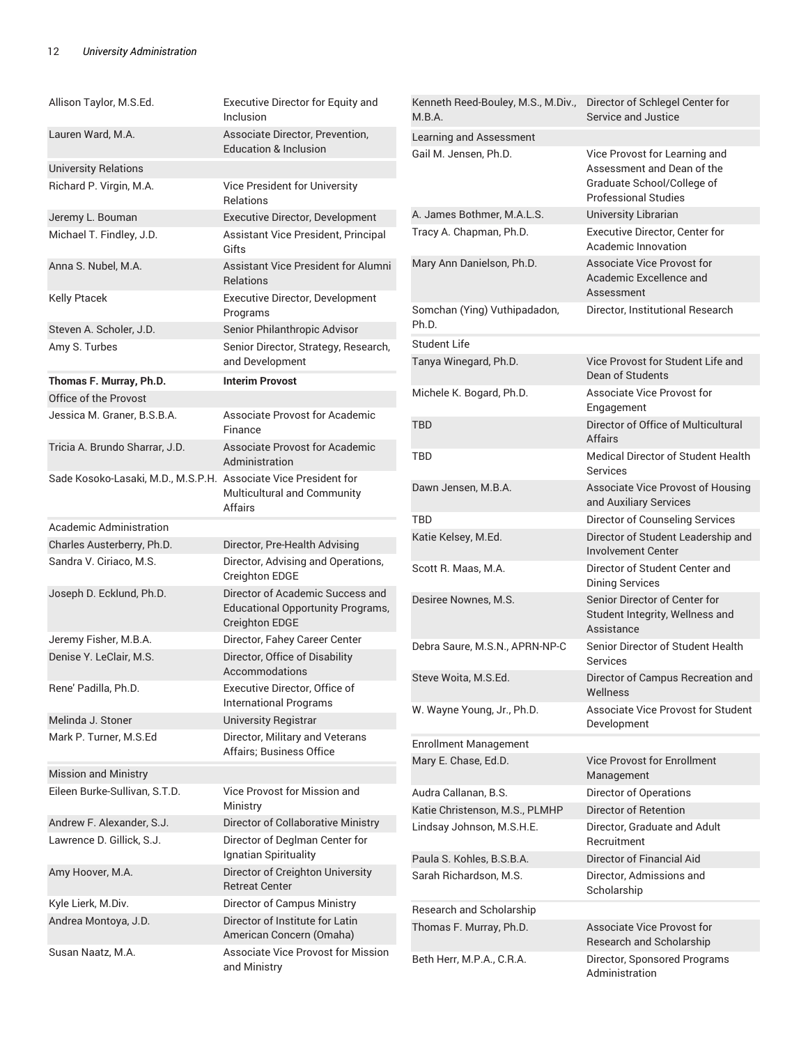| Allison Taylor, M.S.Ed.                                         | Executive Director for Equity and<br>Inclusion                                                        | Kenneth Reed-Bouley, M.S., M.Div.,<br>M.B.A.        | Director of Schlegel Center for<br>Service and Justice                                                   |  |
|-----------------------------------------------------------------|-------------------------------------------------------------------------------------------------------|-----------------------------------------------------|----------------------------------------------------------------------------------------------------------|--|
| Lauren Ward, M.A.                                               | Associate Director, Prevention,                                                                       | Learning and Assessment                             |                                                                                                          |  |
|                                                                 | <b>Education &amp; Inclusion</b>                                                                      | Gail M. Jensen, Ph.D.                               | Vice Provost for Learning and                                                                            |  |
| <b>University Relations</b>                                     |                                                                                                       |                                                     | Assessment and Dean of the<br>Graduate School/College of                                                 |  |
| Richard P. Virgin, M.A.                                         | Vice President for University<br><b>Relations</b>                                                     |                                                     | <b>Professional Studies</b>                                                                              |  |
| Jeremy L. Bouman                                                | Executive Director, Development                                                                       | A. James Bothmer, M.A.L.S.                          | University Librarian                                                                                     |  |
| Michael T. Findley, J.D.                                        | Assistant Vice President, Principal<br>Gifts                                                          | Tracy A. Chapman, Ph.D.                             | Executive Director, Center for<br>Academic Innovation                                                    |  |
| Anna S. Nubel, M.A.                                             | Assistant Vice President for Alumni<br><b>Relations</b>                                               | Mary Ann Danielson, Ph.D.                           | Associate Vice Provost for<br>Academic Excellence and<br>Assessment                                      |  |
| Kelly Ptacek                                                    | <b>Executive Director, Development</b><br>Programs                                                    | Somchan (Ying) Vuthipadadon,<br>Ph.D.               | Director, Institutional Research                                                                         |  |
| Steven A. Scholer, J.D.                                         | Senior Philanthropic Advisor                                                                          |                                                     |                                                                                                          |  |
| Amy S. Turbes                                                   | Senior Director, Strategy, Research,                                                                  | <b>Student Life</b>                                 |                                                                                                          |  |
|                                                                 | and Development                                                                                       | Tanya Winegard, Ph.D.                               | Vice Provost for Student Life and<br>Dean of Students                                                    |  |
| Thomas F. Murray, Ph.D.<br>Office of the Provost                | <b>Interim Provost</b>                                                                                | Michele K. Bogard, Ph.D.                            | Associate Vice Provost for                                                                               |  |
| Jessica M. Graner, B.S.B.A.                                     | Associate Provost for Academic                                                                        |                                                     | Engagement                                                                                               |  |
|                                                                 | Finance                                                                                               | <b>TBD</b>                                          | Director of Office of Multicultural<br><b>Affairs</b>                                                    |  |
| Tricia A. Brundo Sharrar, J.D.                                  | Associate Provost for Academic<br>Administration                                                      | <b>TBD</b>                                          | <b>Medical Director of Student Health</b><br>Services                                                    |  |
| Sade Kosoko-Lasaki, M.D., M.S.P.H. Associate Vice President for | Multicultural and Community<br>Affairs                                                                | Dawn Jensen, M.B.A.                                 | Associate Vice Provost of Housing<br>and Auxiliary Services                                              |  |
| Academic Administration                                         |                                                                                                       | <b>TBD</b>                                          | Director of Counseling Services                                                                          |  |
| Charles Austerberry, Ph.D.                                      | Director, Pre-Health Advising                                                                         | Katie Kelsey, M.Ed.                                 | Director of Student Leadership and<br><b>Involvement Center</b>                                          |  |
| Sandra V. Ciriaco, M.S.                                         | Director, Advising and Operations,<br>Creighton EDGE                                                  | Scott R. Maas, M.A.                                 | Director of Student Center and                                                                           |  |
| Joseph D. Ecklund, Ph.D.                                        | Director of Academic Success and<br><b>Educational Opportunity Programs,</b><br><b>Creighton EDGE</b> | Desiree Nownes, M.S.                                | <b>Dining Services</b><br>Senior Director of Center for<br>Student Integrity, Wellness and<br>Assistance |  |
| Jeremy Fisher, M.B.A.                                           | Director, Fahey Career Center                                                                         | Debra Saure, M.S.N., APRN-NP-C                      | Senior Director of Student Health                                                                        |  |
| Denise Y. LeClair, M.S.                                         | Director, Office of Disability<br>Accommodations                                                      |                                                     | Services<br>Director of Campus Recreation and                                                            |  |
| Rene' Padilla, Ph.D.                                            | Executive Director, Office of<br><b>International Programs</b>                                        | Steve Woita, M.S.Ed.                                | Wellness                                                                                                 |  |
| Melinda J. Stoner                                               | University Registrar                                                                                  | W. Wayne Young, Jr., Ph.D.                          | Associate Vice Provost for Student<br>Development                                                        |  |
| Mark P. Turner, M.S.Ed                                          | Director, Military and Veterans                                                                       | <b>Enrollment Management</b>                        |                                                                                                          |  |
|                                                                 | Affairs: Business Office                                                                              | Mary E. Chase, Ed.D.                                | <b>Vice Provost for Enrollment</b>                                                                       |  |
| <b>Mission and Ministry</b>                                     |                                                                                                       |                                                     | Management                                                                                               |  |
| Eileen Burke-Sullivan, S.T.D.                                   | Vice Provost for Mission and                                                                          | Audra Callanan, B.S.                                | Director of Operations                                                                                   |  |
|                                                                 | Ministry                                                                                              | Katie Christenson, M.S., PLMHP                      | Director of Retention                                                                                    |  |
| Andrew F. Alexander, S.J.                                       | Director of Collaborative Ministry                                                                    | Lindsay Johnson, M.S.H.E.                           | Director, Graduate and Adult                                                                             |  |
| Lawrence D. Gillick, S.J.                                       | Director of Deglman Center for<br>Ignatian Spirituality                                               |                                                     | Recruitment                                                                                              |  |
| Amy Hoover, M.A.                                                | Director of Creighton University                                                                      | Paula S. Kohles, B.S.B.A.<br>Sarah Richardson, M.S. | Director of Financial Aid                                                                                |  |
|                                                                 | <b>Retreat Center</b>                                                                                 |                                                     | Director, Admissions and<br>Scholarship                                                                  |  |
| Kyle Lierk, M.Div.                                              | Director of Campus Ministry<br>Director of Institute for Latin                                        | Research and Scholarship                            |                                                                                                          |  |
| Andrea Montoya, J.D.                                            | American Concern (Omaha)                                                                              | Thomas F. Murray, Ph.D.                             | Associate Vice Provost for<br>Research and Scholarship                                                   |  |
| Susan Naatz, M.A.                                               | <b>Associate Vice Provost for Mission</b><br>and Ministry                                             | Beth Herr, M.P.A., C.R.A.                           | Director, Sponsored Programs<br>Administration                                                           |  |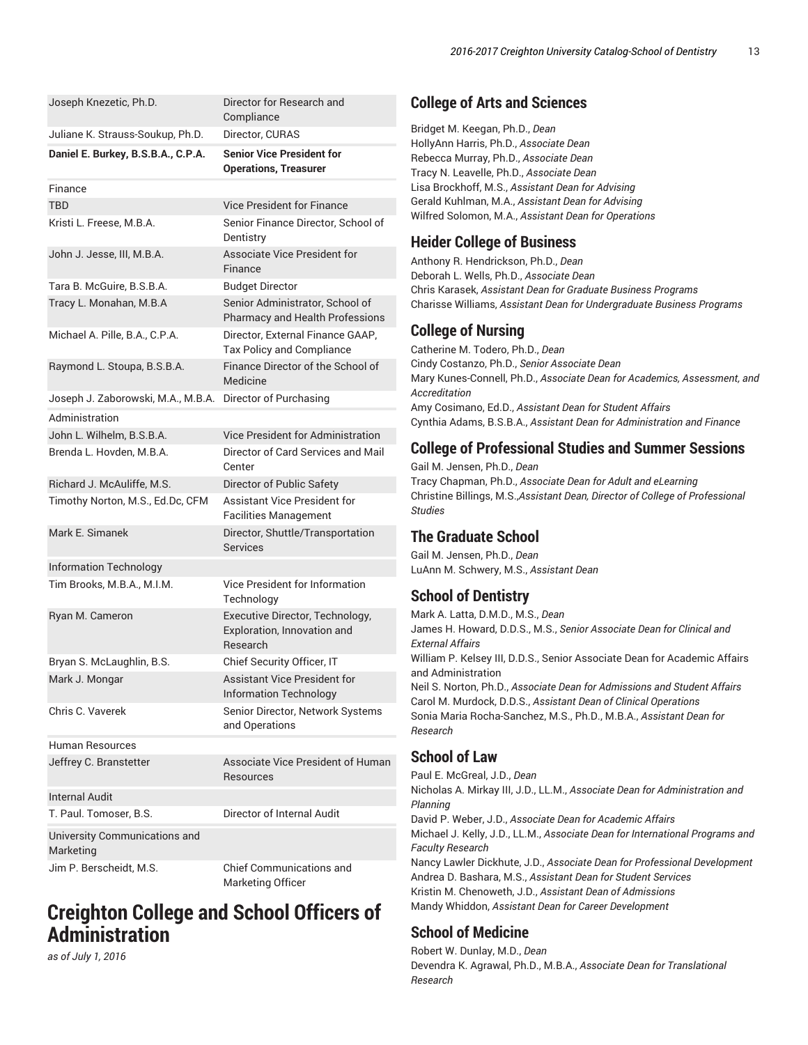| Joseph Knezetic, Ph.D.                                    | Director for Research and<br>Compliance                                    |
|-----------------------------------------------------------|----------------------------------------------------------------------------|
| Juliane K. Strauss-Soukup, Ph.D.                          | Director, CURAS                                                            |
| Daniel E. Burkey, B.S.B.A., C.P.A.                        | <b>Senior Vice President for</b><br><b>Operations, Treasurer</b>           |
| Finance                                                   |                                                                            |
| <b>TBD</b>                                                | <b>Vice President for Finance</b>                                          |
| Kristi L. Freese, M.B.A.                                  | Senior Finance Director, School of<br>Dentistry                            |
| John J. Jesse, III, M.B.A.                                | <b>Associate Vice President for</b><br>Finance                             |
| Tara B. McGuire, B.S.B.A.                                 | <b>Budget Director</b>                                                     |
| Tracy L. Monahan, M.B.A                                   | Senior Administrator, School of<br>Pharmacy and Health Professions         |
| Michael A. Pille, B.A., C.P.A.                            | Director, External Finance GAAP,<br><b>Tax Policy and Compliance</b>       |
| Raymond L. Stoupa, B.S.B.A.                               | Finance Director of the School of<br>Medicine                              |
| Joseph J. Zaborowski, M.A., M.B.A. Director of Purchasing |                                                                            |
| Administration                                            |                                                                            |
| John L. Wilhelm, B.S.B.A.                                 | Vice President for Administration                                          |
| Brenda L. Hovden, M.B.A.                                  | Director of Card Services and Mail<br>Center                               |
| Richard J. McAuliffe, M.S.                                | Director of Public Safety                                                  |
| Timothy Norton, M.S., Ed.Dc, CFM                          | Assistant Vice President for<br><b>Facilities Management</b>               |
| Mark E. Simanek                                           | Director, Shuttle/Transportation<br><b>Services</b>                        |
| <b>Information Technology</b>                             |                                                                            |
| Tim Brooks, M.B.A., M.I.M.                                | Vice President for Information<br>Technology                               |
| Ryan M. Cameron                                           | Executive Director, Technology,<br>Exploration, Innovation and<br>Research |
| Bryan S. McLaughlin, B.S.                                 | Chief Security Officer, IT                                                 |
| Mark J. Mongar                                            | <b>Assistant Vice President for</b><br><b>Information Technology</b>       |
| Chris C. Vaverek                                          | Senior Director, Network Systems<br>and Operations                         |
| Human Resources                                           |                                                                            |
| Jeffrey C. Branstetter                                    | Associate Vice President of Human<br>Resources                             |
| <b>Internal Audit</b>                                     |                                                                            |
| T. Paul. Tomoser, B.S.                                    | Director of Internal Audit                                                 |
| University Communications and<br>Marketing                |                                                                            |
| Jim P. Berscheidt, M.S.                                   | <b>Chief Communications and</b>                                            |

Marketing Officer

## **Creighton College and School Officers of Administration**

*as of July 1, 2016*

### **College of Arts and Sciences**

Bridget M. Keegan, Ph.D., *Dean* HollyAnn Harris, Ph.D., *Associate Dean* Rebecca Murray, Ph.D., *Associate Dean* Tracy N. Leavelle, Ph.D., *Associate Dean* Lisa Brockhoff, M.S., *Assistant Dean for Advising* Gerald Kuhlman, M.A., *Assistant Dean for Advising* Wilfred Solomon, M.A., *Assistant Dean for Operations*

### **Heider College of Business**

Anthony R. Hendrickson, Ph.D., *Dean* Deborah L. Wells, Ph.D., *Associate Dean* Chris Karasek, *Assistant Dean for Graduate Business Programs* Charisse Williams, *Assistant Dean for Undergraduate Business Programs*

### **College of Nursing**

Catherine M. Todero, Ph.D., *Dean* Cindy Costanzo, Ph.D., *Senior Associate Dean* Mary Kunes-Connell, Ph.D., *Associate Dean for Academics, Assessment, and Accreditation* Amy Cosimano, Ed.D., *Assistant Dean for Student Affairs* Cynthia Adams, B.S.B.A., *Assistant Dean for Administration and Finance*

### **College of Professional Studies and Summer Sessions**

Gail M. Jensen, Ph.D., *Dean* Tracy Chapman, Ph.D., *Associate Dean for Adult and eLearning* Christine Billings, M.S.,*Assistant Dean, Director of College of Professional Studies*

### **The Graduate School**

Gail M. Jensen, Ph.D., *Dean* LuAnn M. Schwery, M.S., *Assistant Dean*

### **School of Dentistry**

Mark A. Latta, D.M.D., M.S., *Dean* James H. Howard, D.D.S., M.S., *Senior Associate Dean for Clinical and External Affairs* William P. Kelsey III, D.D.S., Senior Associate Dean for Academic Affairs and Administration Neil S. Norton, Ph.D., *Associate Dean for Admissions and Student Affairs* Carol M. Murdock, D.D.S., *Assistant Dean of Clinical Operations* Sonia Maria Rocha-Sanchez, M.S., Ph.D., M.B.A., *Assistant Dean for Research*

### **School of Law**

Paul E. McGreal, J.D., *Dean* Nicholas A. Mirkay III, J.D., LL.M., *Associate Dean for Administration and Planning* David P. Weber, J.D., *Associate Dean for Academic Affairs* Michael J. Kelly, J.D., LL.M., *Associate Dean for International Programs and Faculty Research* Nancy Lawler Dickhute, J.D., *Associate Dean for Professional Development* Andrea D. Bashara, M.S., *Assistant Dean for Student Services* Kristin M. Chenoweth, J.D., *Assistant Dean of Admissions* Mandy Whiddon, *Assistant Dean for Career Development*

### **School of Medicine**

Robert W. Dunlay, M.D., *Dean* Devendra K. Agrawal, Ph.D., M.B.A., *Associate Dean for Translational Research*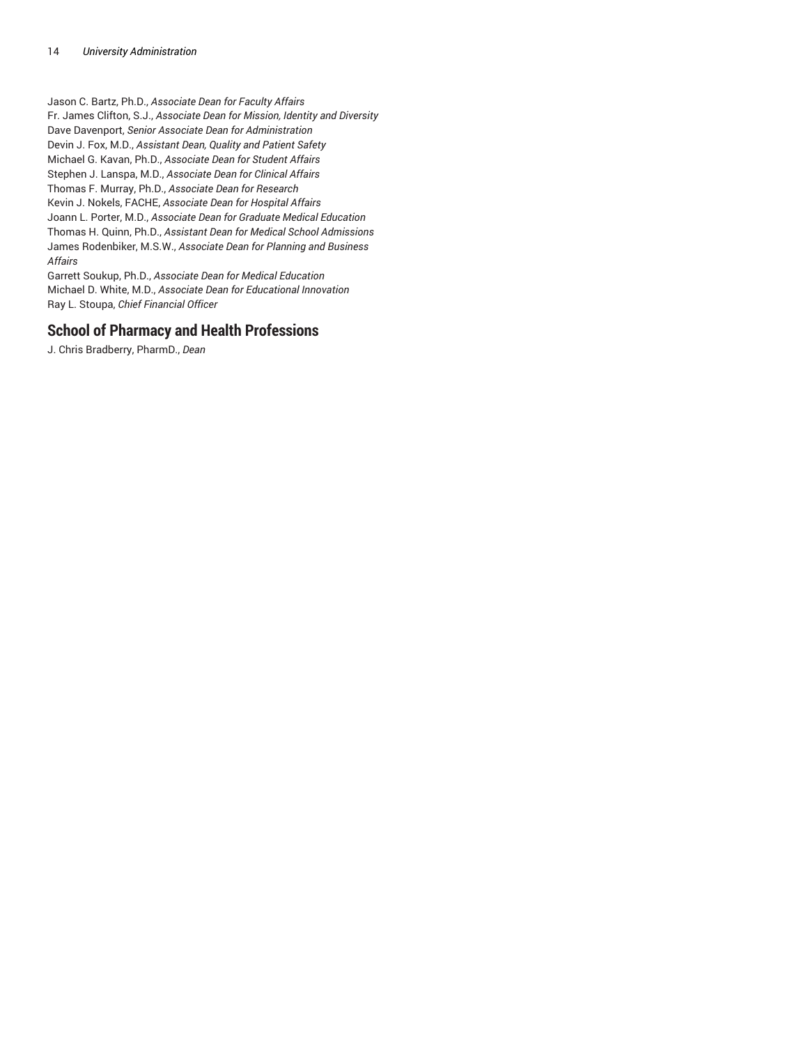Jason C. Bartz, Ph.D., *Associate Dean for Faculty Affairs* Fr. James Clifton, S.J., *Associate Dean for Mission, Identity and Diversity* Dave Davenport, *Senior Associate Dean for Administration* Devin J. Fox, M.D., *Assistant Dean, Quality and Patient Safety* Michael G. Kavan, Ph.D., *Associate Dean for Student Affairs* Stephen J. Lanspa, M.D., *Associate Dean for Clinical Affairs* Thomas F. Murray, Ph.D., *Associate Dean for Research* Kevin J. Nokels, FACHE, *Associate Dean for Hospital Affairs* Joann L. Porter, M.D., *Associate Dean for Graduate Medical Education* Thomas H. Quinn, Ph.D., *Assistant Dean for Medical School Admissions* James Rodenbiker, M.S.W., *Associate Dean for Planning and Business Affairs*

Garrett Soukup, Ph.D., *Associate Dean for Medical Education* Michael D. White, M.D., *Associate Dean for Educational Innovation* Ray L. Stoupa, *Chief Financial Officer*

### **School of Pharmacy and Health Professions**

J. Chris Bradberry, PharmD., *Dean*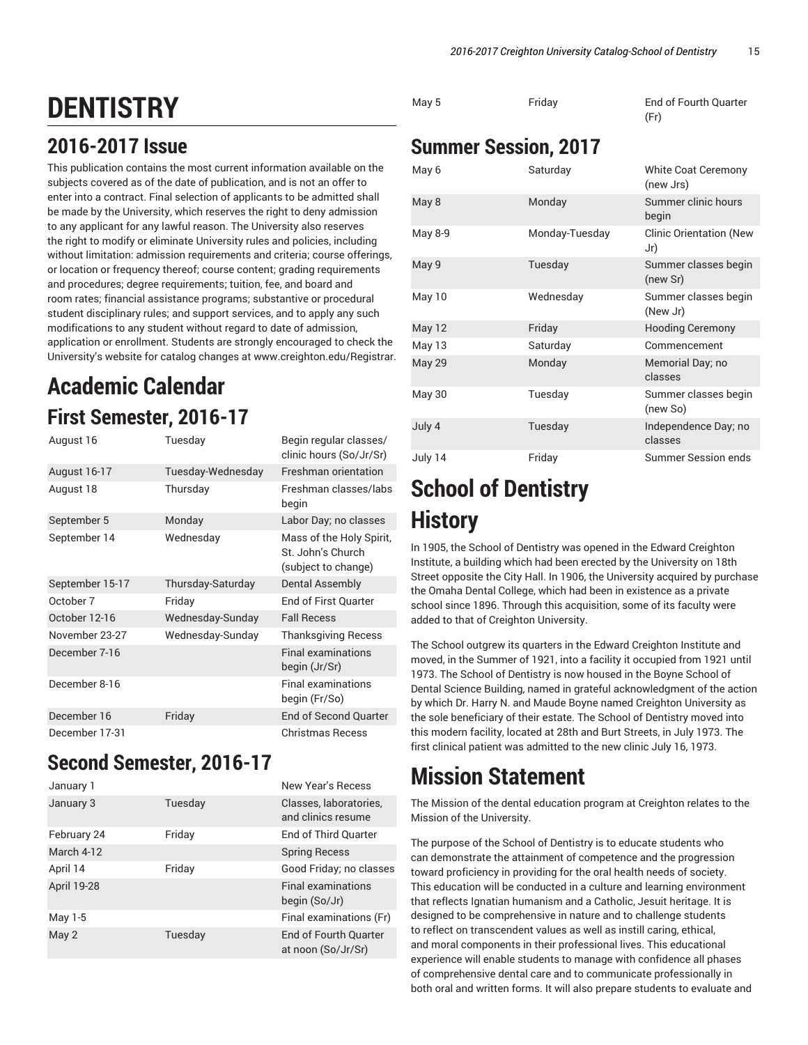May 5 Friday End of Fourth Quarter

# **DENTISTRY**

## **2016-2017 Issue**

This publication contains the most current information available on the subjects covered as of the date of publication, and is not an offer to enter into a contract. Final selection of applicants to be admitted shall be made by the University, which reserves the right to deny admission to any applicant for any lawful reason. The University also reserves the right to modify or eliminate University rules and policies, including without limitation: admission requirements and criteria; course offerings, or location or frequency thereof; course content; grading requirements and procedures; degree requirements; tuition, fee, and board and room rates; financial assistance programs; substantive or procedural student disciplinary rules; and support services, and to apply any such modifications to any student without regard to date of admission, application or enrollment. Students are strongly encouraged to check the University's website for catalog changes at www.creighton.edu/Registrar.

## **Academic Calendar First Semester, 2016-17**

| August 16       | Tuesday           | Begin regular classes/<br>clinic hours (So/Jr/Sr)                    |
|-----------------|-------------------|----------------------------------------------------------------------|
| August 16-17    | Tuesday-Wednesday | <b>Freshman orientation</b>                                          |
| August 18       | Thursday          | Freshman classes/labs<br>begin                                       |
| September 5     | Monday            | Labor Day; no classes                                                |
| September 14    | Wednesday         | Mass of the Holy Spirit,<br>St. John's Church<br>(subject to change) |
| September 15-17 | Thursday-Saturday | <b>Dental Assembly</b>                                               |
| October 7       | Friday            | End of First Quarter                                                 |
| October 12-16   | Wednesday-Sunday  | <b>Fall Recess</b>                                                   |
| November 23-27  | Wednesday-Sunday  | <b>Thanksgiving Recess</b>                                           |
| December 7-16   |                   | <b>Final examinations</b><br>begin (Jr/Sr)                           |
| December 8-16   |                   | <b>Final examinations</b><br>begin (Fr/So)                           |
| December 16     | Friday            | <b>End of Second Quarter</b>                                         |
| December 17-31  |                   | Christmas Recess                                                     |

## **Second Semester, 2016-17**

| January 1   |         | New Year's Recess                            |
|-------------|---------|----------------------------------------------|
| January 3   | Tuesday | Classes, laboratories,<br>and clinics resume |
| February 24 | Friday  | End of Third Quarter                         |
| March 4-12  |         | <b>Spring Recess</b>                         |
| April 14    | Friday  | Good Friday; no classes                      |
| April 19-28 |         | <b>Final examinations</b><br>begin (So/Jr)   |
| May 1-5     |         | Final examinations (Fr)                      |
| May 2       | Tuesday | End of Fourth Quarter<br>at noon (So/Jr/Sr)  |

|               |                             | (Fr)                                  |
|---------------|-----------------------------|---------------------------------------|
|               | <b>Summer Session, 2017</b> |                                       |
| May 6         | Saturday                    | White Coat Ceremony<br>(new Jrs)      |
| May 8         | Monday                      | Summer clinic hours<br>begin          |
| May 8-9       | Monday-Tuesday              | <b>Clinic Orientation (New</b><br>Jr) |
| May 9         | Tuesday                     | Summer classes begin<br>(new Sr)      |
| May 10        | Wednesday                   | Summer classes begin<br>(New Jr)      |
| May 12        | Friday                      | <b>Hooding Ceremony</b>               |
| May 13        | Saturday                    | Commencement                          |
| <b>May 29</b> | Monday                      | Memorial Day; no<br>classes           |
| May 30        | Tuesday                     | Summer classes begin<br>(new So)      |
| July 4        | Tuesday                     | Independence Day; no<br>classes       |
| July 14       | Friday                      | Summer Session ends                   |

# **School of Dentistry History**

In 1905, the School of Dentistry was opened in the Edward Creighton Institute, a building which had been erected by the University on 18th Street opposite the City Hall. In 1906, the University acquired by purchase the Omaha Dental College, which had been in existence as a private school since 1896. Through this acquisition, some of its faculty were added to that of Creighton University.

The School outgrew its quarters in the Edward Creighton Institute and moved, in the Summer of 1921, into a facility it occupied from 1921 until 1973. The School of Dentistry is now housed in the Boyne School of Dental Science Building, named in grateful acknowledgment of the action by which Dr. Harry N. and Maude Boyne named Creighton University as the sole beneficiary of their estate. The School of Dentistry moved into this modern facility, located at 28th and Burt Streets, in July 1973. The first clinical patient was admitted to the new clinic July 16, 1973.

# **Mission Statement**

The Mission of the dental education program at Creighton relates to the Mission of the University.

The purpose of the School of Dentistry is to educate students who can demonstrate the attainment of competence and the progression toward proficiency in providing for the oral health needs of society. This education will be conducted in a culture and learning environment that reflects Ignatian humanism and a Catholic, Jesuit heritage. It is designed to be comprehensive in nature and to challenge students to reflect on transcendent values as well as instill caring, ethical, and moral components in their professional lives. This educational experience will enable students to manage with confidence all phases of comprehensive dental care and to communicate professionally in both oral and written forms. It will also prepare students to evaluate and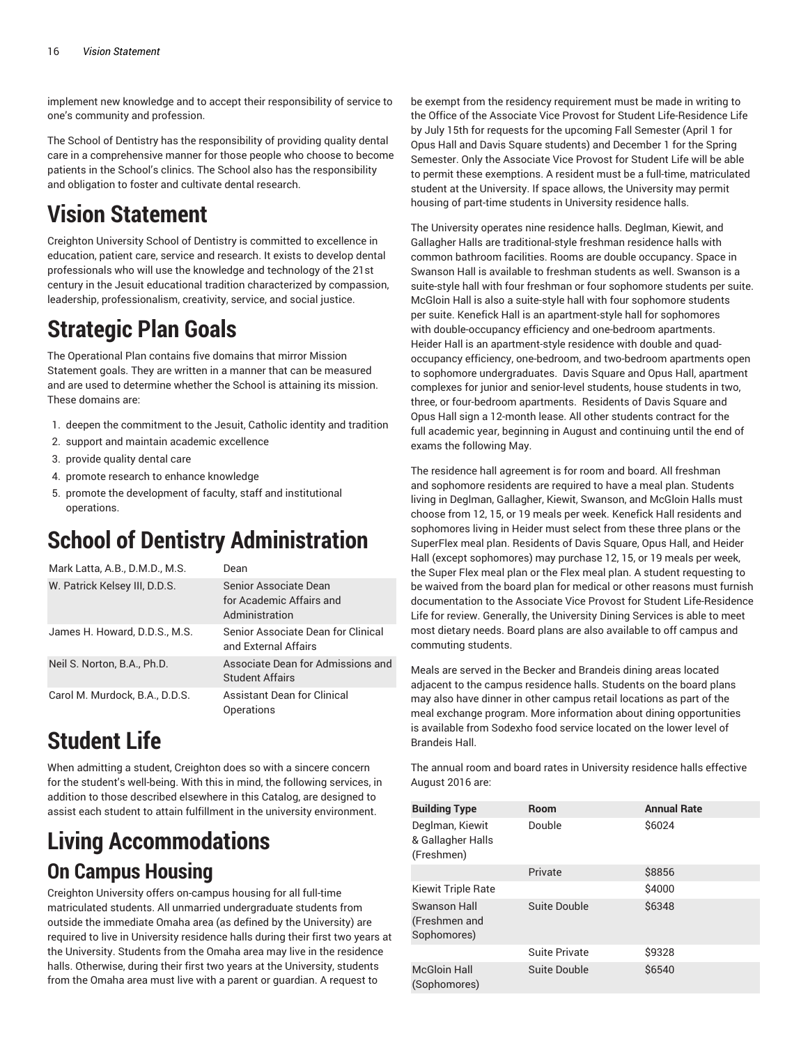implement new knowledge and to accept their responsibility of service to one's community and profession.

The School of Dentistry has the responsibility of providing quality dental care in a comprehensive manner for those people who choose to become patients in the School's clinics. The School also has the responsibility and obligation to foster and cultivate dental research.

## **Vision Statement**

Creighton University School of Dentistry is committed to excellence in education, patient care, service and research. It exists to develop dental professionals who will use the knowledge and technology of the 21st century in the Jesuit educational tradition characterized by compassion, leadership, professionalism, creativity, service, and social justice.

# **Strategic Plan Goals**

The Operational Plan contains five domains that mirror Mission Statement goals. They are written in a manner that can be measured and are used to determine whether the School is attaining its mission. These domains are:

- 1. deepen the commitment to the Jesuit, Catholic identity and tradition
- 2. support and maintain academic excellence
- 3. provide quality dental care
- 4. promote research to enhance knowledge
- 5. promote the development of faculty, staff and institutional operations.

# **School of Dentistry Administration**

| Mark Latta, A.B., D.M.D., M.S. | Dean                                                                |
|--------------------------------|---------------------------------------------------------------------|
| W. Patrick Kelsey III, D.D.S.  | Senior Associate Dean<br>for Academic Affairs and<br>Administration |
| James H. Howard, D.D.S., M.S.  | Senior Associate Dean for Clinical<br>and External Affairs          |
| Neil S. Norton, B.A., Ph.D.    | Associate Dean for Admissions and<br><b>Student Affairs</b>         |
| Carol M. Murdock, B.A., D.D.S. | <b>Assistant Dean for Clinical</b><br>Operations                    |

# **Student Life**

When admitting a student, Creighton does so with a sincere concern for the student's well-being. With this in mind, the following services, in addition to those described elsewhere in this Catalog, are designed to assist each student to attain fulfillment in the university environment.

## **Living Accommodations On Campus Housing**

Creighton University offers on-campus housing for all full-time matriculated students. All unmarried undergraduate students from outside the immediate Omaha area (as defined by the University) are required to live in University residence halls during their first two years at the University. Students from the Omaha area may live in the residence halls. Otherwise, during their first two years at the University, students from the Omaha area must live with a parent or guardian. A request to

be exempt from the residency requirement must be made in writing to the Office of the Associate Vice Provost for Student Life-Residence Life by July 15th for requests for the upcoming Fall Semester (April 1 for Opus Hall and Davis Square students) and December 1 for the Spring Semester. Only the Associate Vice Provost for Student Life will be able to permit these exemptions. A resident must be a full-time, matriculated student at the University. If space allows, the University may permit housing of part-time students in University residence halls.

The University operates nine residence halls. Deglman, Kiewit, and Gallagher Halls are traditional-style freshman residence halls with common bathroom facilities. Rooms are double occupancy. Space in Swanson Hall is available to freshman students as well. Swanson is a suite-style hall with four freshman or four sophomore students per suite. McGloin Hall is also a suite-style hall with four sophomore students per suite. Kenefick Hall is an apartment-style hall for sophomores with double-occupancy efficiency and one-bedroom apartments. Heider Hall is an apartment-style residence with double and quadoccupancy efficiency, one-bedroom, and two-bedroom apartments open to sophomore undergraduates. Davis Square and Opus Hall, apartment complexes for junior and senior-level students, house students in two, three, or four-bedroom apartments. Residents of Davis Square and Opus Hall sign a 12-month lease. All other students contract for the full academic year, beginning in August and continuing until the end of exams the following May.

The residence hall agreement is for room and board. All freshman and sophomore residents are required to have a meal plan. Students living in Deglman, Gallagher, Kiewit, Swanson, and McGloin Halls must choose from 12, 15, or 19 meals per week. Kenefick Hall residents and sophomores living in Heider must select from these three plans or the SuperFlex meal plan. Residents of Davis Square, Opus Hall, and Heider Hall (except sophomores) may purchase 12, 15, or 19 meals per week, the Super Flex meal plan or the Flex meal plan. A student requesting to be waived from the board plan for medical or other reasons must furnish documentation to the Associate Vice Provost for Student Life-Residence Life for review. Generally, the University Dining Services is able to meet most dietary needs. Board plans are also available to off campus and commuting students.

Meals are served in the Becker and Brandeis dining areas located adjacent to the campus residence halls. Students on the board plans may also have dinner in other campus retail locations as part of the meal exchange program. More information about dining opportunities is available from Sodexho food service located on the lower level of Brandeis Hall.

The annual room and board rates in University residence halls effective August 2016 are:

| <b>Building Type</b>                               | <b>Room</b>   | <b>Annual Rate</b> |
|----------------------------------------------------|---------------|--------------------|
| Deglman, Kiewit<br>& Gallagher Halls<br>(Freshmen) | Double        | \$6024             |
|                                                    | Private       | \$8856             |
| <b>Kiewit Triple Rate</b>                          |               | \$4000             |
| Swanson Hall<br>(Freshmen and<br>Sophomores)       | Suite Double  | \$6348             |
|                                                    | Suite Private | \$9328             |
| <b>McGloin Hall</b><br>(Sophomores)                | Suite Double  | \$6540             |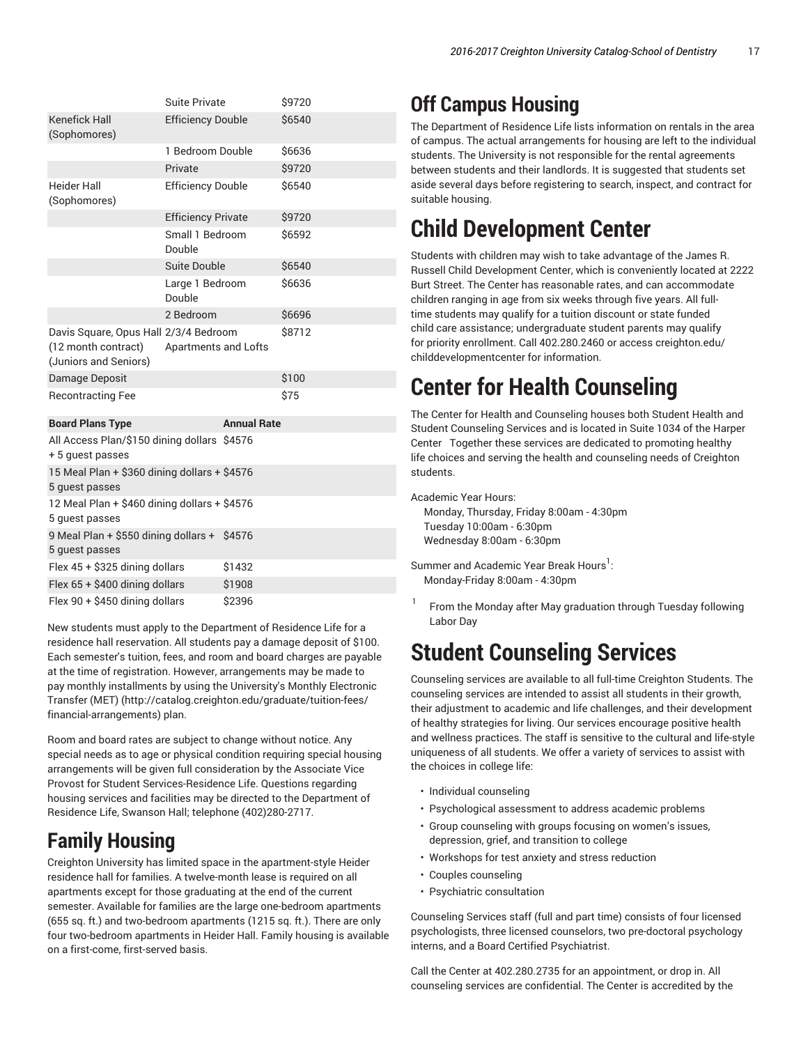|                                                                                                                                | <b>Suite Private</b>      | \$9720 |  |
|--------------------------------------------------------------------------------------------------------------------------------|---------------------------|--------|--|
| <b>Kenefick Hall</b><br>(Sophomores)                                                                                           | <b>Efficiency Double</b>  | \$6540 |  |
|                                                                                                                                | 1 Bedroom Double          | \$6636 |  |
|                                                                                                                                | Private                   | \$9720 |  |
| <b>Heider Hall</b><br>(Sophomores)                                                                                             | <b>Efficiency Double</b>  | \$6540 |  |
|                                                                                                                                | <b>Efficiency Private</b> | \$9720 |  |
|                                                                                                                                | Small 1 Bedroom<br>Double | \$6592 |  |
|                                                                                                                                | Suite Double              | \$6540 |  |
|                                                                                                                                | Large 1 Bedroom<br>Double | \$6636 |  |
|                                                                                                                                | 2 Bedroom                 | \$6696 |  |
| \$8712<br>Davis Square, Opus Hall 2/3/4 Bedroom<br>(12 month contract)<br><b>Apartments and Lofts</b><br>(Juniors and Seniors) |                           |        |  |
| Damage Deposit                                                                                                                 |                           | \$100  |  |
| <b>Recontracting Fee</b>                                                                                                       |                           | \$75   |  |
| <b>Board Plans Type</b>                                                                                                        | <b>Annual Rate</b>        |        |  |
| All Access Plan/\$150 dining dollars \$4576<br>+ 5 quest passes                                                                |                           |        |  |
| 15 Meal Plan + \$360 dining dollars + \$4576                                                                                   |                           |        |  |

| 5 quest passes                                                  |        |
|-----------------------------------------------------------------|--------|
| 12 Meal Plan + \$460 dining dollars + \$4576<br>5 quest passes  |        |
| 9 Meal Plan + \$550 dining dollars + \$4576<br>5 quest passes   |        |
| Flex 45 + \$325 dining dollars                                  | \$1432 |
| Flex 65 + \$400 dining dollars                                  | \$1908 |
| Flex 90 + \$450 dining dollars                                  | \$2396 |
| New students must annly to the Denartment of Residence Life for |        |

New students must apply to the Department of Residence Life for a residence hall reservation. All students pay a damage deposit of \$100. Each semester's tuition, fees, and room and board charges are payable at the time of registration. However, arrangements may be made to pay monthly installments by using the University's Monthly Electronic Transfer (MET) (http://catalog.creighton.edu/graduate/tuition-fees/ financial-arrangements) plan.

Room and board rates are subject to change without notice. Any special needs as to age or physical condition requiring special housing arrangements will be given full consideration by the Associate Vice Provost for Student Services-Residence Life. Questions regarding housing services and facilities may be directed to the Department of Residence Life, Swanson Hall; telephone (402)280-2717.

## **Family Housing**

Creighton University has limited space in the apartment-style Heider residence hall for families. A twelve-month lease is required on all apartments except for those graduating at the end of the current semester. Available for families are the large one-bedroom apartments (655 sq. ft.) and two-bedroom apartments (1215 sq. ft.). There are only four two-bedroom apartments in Heider Hall. Family housing is available on a first-come, first-served basis.

## **Off Campus Housing**

The Department of Residence Life lists information on rentals in the area of campus. The actual arrangements for housing are left to the individual students. The University is not responsible for the rental agreements between students and their landlords. It is suggested that students set aside several days before registering to search, inspect, and contract for suitable housing.

# **Child Development Center**

Students with children may wish to take advantage of the James R. Russell Child Development Center, which is conveniently located at 2222 Burt Street. The Center has reasonable rates, and can accommodate children ranging in age from six weeks through five years. All fulltime students may qualify for a tuition discount or state funded child care assistance; undergraduate student parents may qualify for priority enrollment. Call 402.280.2460 or access creighton.edu/ childdevelopmentcenter for information.

# **Center for Health Counseling**

The Center for Health and Counseling houses both Student Health and Student Counseling Services and is located in Suite 1034 of the Harper Center Together these services are dedicated to promoting healthy life choices and serving the health and counseling needs of Creighton students.

Academic Year Hours:

 Monday, Thursday, Friday 8:00am - 4:30pm Tuesday 10:00am - 6:30pm Wednesday 8:00am - 6:30pm

Summer and Academic Year Break Hours $^{\rm l}$ : Monday-Friday 8:00am - 4:30pm

1 From the Monday after May graduation through Tuesday following Labor Day

# **Student Counseling Services**

Counseling services are available to all full-time Creighton Students. The counseling services are intended to assist all students in their growth, their adjustment to academic and life challenges, and their development of healthy strategies for living. Our services encourage positive health and wellness practices. The staff is sensitive to the cultural and life-style uniqueness of all students. We offer a variety of services to assist with the choices in college life:

- Individual counseling
- Psychological assessment to address academic problems
- Group counseling with groups focusing on women's issues, depression, grief, and transition to college
- Workshops for test anxiety and stress reduction
- Couples counseling
- Psychiatric consultation

Counseling Services staff (full and part time) consists of four licensed psychologists, three licensed counselors, two pre-doctoral psychology interns, and a Board Certified Psychiatrist.

Call the Center at 402.280.2735 for an appointment, or drop in. All counseling services are confidential. The Center is accredited by the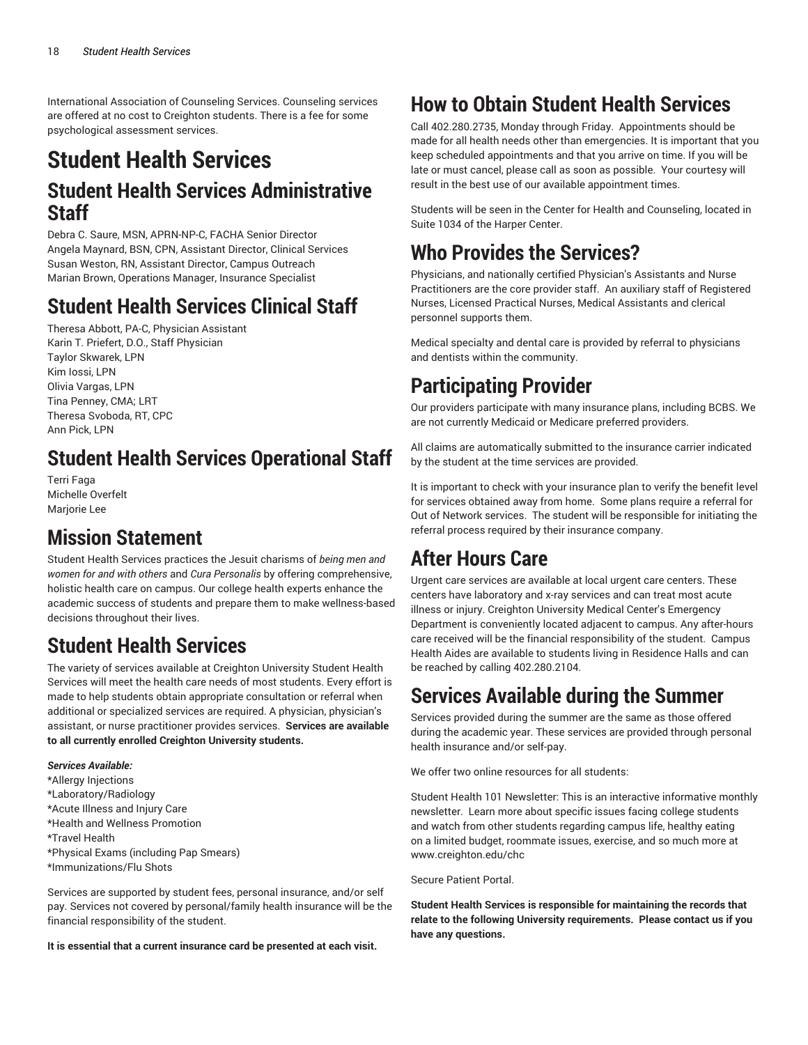International Association of Counseling Services. Counseling services are offered at no cost to Creighton students. There is a fee for some psychological assessment services.

## **Student Health Services Student Health Services Administrative Staff**

Debra C. Saure, MSN, APRN-NP-C, FACHA Senior Director Angela Maynard, BSN, CPN, Assistant Director, Clinical Services Susan Weston, RN, Assistant Director, Campus Outreach Marian Brown, Operations Manager, Insurance Specialist

## **Student Health Services Clinical Staff**

Theresa Abbott, PA-C, Physician Assistant Karin T. Priefert, D.O., Staff Physician Taylor Skwarek, LPN Kim Iossi, LPN Olivia Vargas, LPN Tina Penney, CMA; LRT Theresa Svoboda, RT, CPC Ann Pick, LPN

## **Student Health Services Operational Staff**

Terri Faga Michelle Overfelt Marjorie Lee

## **Mission Statement**

Student Health Services practices the Jesuit charisms of *being men and women for and with others* and *Cura Personalis* by offering comprehensive, holistic health care on campus. Our college health experts enhance the academic success of students and prepare them to make wellness-based decisions throughout their lives.

## **Student Health Services**

The variety of services available at Creighton University Student Health Services will meet the health care needs of most students. Every effort is made to help students obtain appropriate consultation or referral when additional or specialized services are required. A physician, physician's assistant, or nurse practitioner provides services. **Services are available to all currently enrolled Creighton University students.**

*Services Available:*

\*Allergy Injections \*Laboratory/Radiology \*Acute Illness and Injury Care \*Health and Wellness Promotion \*Travel Health \*Physical Exams (including Pap Smears) \*Immunizations/Flu Shots

Services are supported by student fees, personal insurance, and/or self pay. Services not covered by personal/family health insurance will be the financial responsibility of the student.

**It is essential that a current insurance card be presented at each visit.**

## **How to Obtain Student Health Services**

Call 402.280.2735, Monday through Friday. Appointments should be made for all health needs other than emergencies. It is important that you keep scheduled appointments and that you arrive on time. If you will be late or must cancel, please call as soon as possible. Your courtesy will result in the best use of our available appointment times.

Students will be seen in the Center for Health and Counseling, located in Suite 1034 of the Harper Center.

## **Who Provides the Services?**

Physicians, and nationally certified Physician's Assistants and Nurse Practitioners are the core provider staff. An auxiliary staff of Registered Nurses, Licensed Practical Nurses, Medical Assistants and clerical personnel supports them.

Medical specialty and dental care is provided by referral to physicians and dentists within the community.

## **Participating Provider**

Our providers participate with many insurance plans, including BCBS. We are not currently Medicaid or Medicare preferred providers.

All claims are automatically submitted to the insurance carrier indicated by the student at the time services are provided.

It is important to check with your insurance plan to verify the benefit level for services obtained away from home. Some plans require a referral for Out of Network services. The student will be responsible for initiating the referral process required by their insurance company.

## **After Hours Care**

Urgent care services are available at local urgent care centers. These centers have laboratory and x-ray services and can treat most acute illness or injury. Creighton University Medical Center's Emergency Department is conveniently located adjacent to campus. Any after-hours care received will be the financial responsibility of the student. Campus Health Aides are available to students living in Residence Halls and can be reached by calling 402.280.2104.

## **Services Available during the Summer**

Services provided during the summer are the same as those offered during the academic year. These services are provided through personal health insurance and/or self-pay.

We offer two online resources for all students:

Student Health 101 Newsletter: This is an interactive informative monthly newsletter. Learn more about specific issues facing college students and watch from other students regarding campus life, healthy eating on a limited budget, roommate issues, exercise, and so much more at www.creighton.edu/chc

Secure Patient Portal.

**Student Health Services is responsible for maintaining the records that relate to the following University requirements. Please contact us if you have any questions.**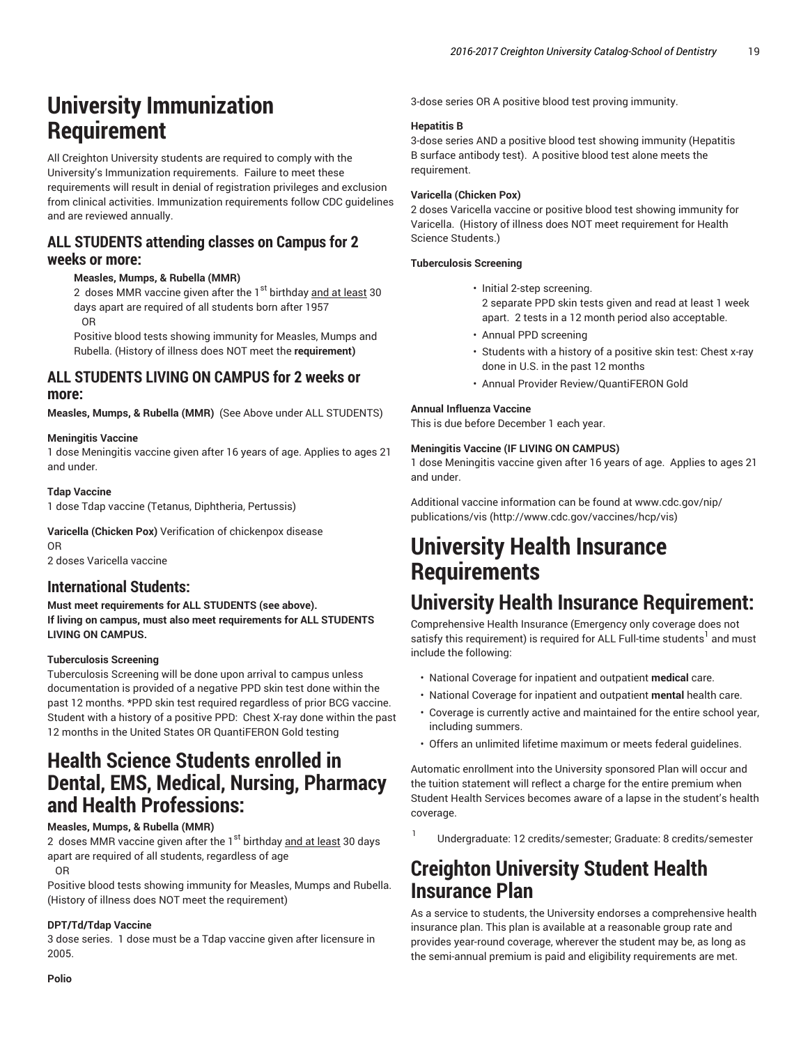## **University Immunization Requirement**

All Creighton University students are required to comply with the University's Immunization requirements. Failure to meet these requirements will result in denial of registration privileges and exclusion from clinical activities. Immunization requirements follow CDC guidelines and are reviewed annually.

### **ALL STUDENTS attending classes on Campus for 2 weeks or more:**

#### **Measles, Mumps, & Rubella (MMR)**

2 doses MMR vaccine given after the  $1<sup>st</sup>$  birthday and at least 30 days apart are required of all students born after 1957 OR

Positive blood tests showing immunity for Measles, Mumps and Rubella. (History of illness does NOT meet the **requirement)**

#### **ALL STUDENTS LIVING ON CAMPUS for 2 weeks or more:**

**Measles, Mumps, & Rubella (MMR)** (See Above under ALL STUDENTS)

#### **Meningitis Vaccine**

1 dose Meningitis vaccine given after 16 years of age. Applies to ages 21 and under.

#### **Tdap Vaccine**

1 dose Tdap vaccine (Tetanus, Diphtheria, Pertussis)

**Varicella (Chicken Pox)** Verification of chickenpox disease OR

2 doses Varicella vaccine

#### **International Students:**

**Must meet requirements for ALL STUDENTS (see above). If living on campus, must also meet requirements for ALL STUDENTS LIVING ON CAMPUS.**

#### **Tuberculosis Screening**

Tuberculosis Screening will be done upon arrival to campus unless documentation is provided of a negative PPD skin test done within the past 12 months. \*PPD skin test required regardless of prior BCG vaccine. Student with a history of a positive PPD: Chest X-ray done within the past 12 months in the United States OR QuantiFERON Gold testing

### **Health Science Students enrolled in Dental, EMS, Medical, Nursing, Pharmacy and Health Professions:**

#### **Measles, Mumps, & Rubella (MMR)**

2 doses MMR vaccine given after the  $1<sup>st</sup>$  birthday and at least 30 days apart are required of all students, regardless of age OR

Positive blood tests showing immunity for Measles, Mumps and Rubella. (History of illness does NOT meet the requirement)

#### **DPT/Td/Tdap Vaccine**

3 dose series. 1 dose must be a Tdap vaccine given after licensure in 2005.

3-dose series OR A positive blood test proving immunity.

#### **Hepatitis B**

3-dose series AND a positive blood test showing immunity (Hepatitis B surface antibody test). A positive blood test alone meets the requirement.

#### **Varicella (Chicken Pox)**

2 doses Varicella vaccine or positive blood test showing immunity for Varicella. (History of illness does NOT meet requirement for Health Science Students.)

#### **Tuberculosis Screening**

- Initial 2-step screening. 2 separate PPD skin tests given and read at least 1 week apart. 2 tests in a 12 month period also acceptable.
- Annual PPD screening
- Students with a history of a positive skin test: Chest x-ray done in U.S. in the past 12 months
- Annual Provider Review/QuantiFERON Gold

#### **Annual Influenza Vaccine**

1

This is due before December 1 each year.

#### **Meningitis Vaccine (IF LIVING ON CAMPUS)**

1 dose Meningitis vaccine given after 16 years of age. Applies to ages 21 and under.

Additional vaccine information can be found at www.cdc.gov/nip/ publications/vis (http://www.cdc.gov/vaccines/hcp/vis)

## **University Health Insurance Requirements**

### **University Health Insurance Requirement:**

Comprehensive Health Insurance (Emergency only coverage does not satisfy this requirement) is required for ALL Full-time students $^{\rm l}$  and must include the following:

- National Coverage for inpatient and outpatient **medical** care.
- National Coverage for inpatient and outpatient **mental** health care.
- Coverage is currently active and maintained for the entire school year, including summers.
- Offers an unlimited lifetime maximum or meets federal guidelines.

Automatic enrollment into the University sponsored Plan will occur and the tuition statement will reflect a charge for the entire premium when Student Health Services becomes aware of a lapse in the student's health coverage.

Undergraduate: 12 credits/semester; Graduate: 8 credits/semester

### **Creighton University Student Health Insurance Plan**

As a service to students, the University endorses a comprehensive health insurance plan. This plan is available at a reasonable group rate and provides year-round coverage, wherever the student may be, as long as the semi-annual premium is paid and eligibility requirements are met.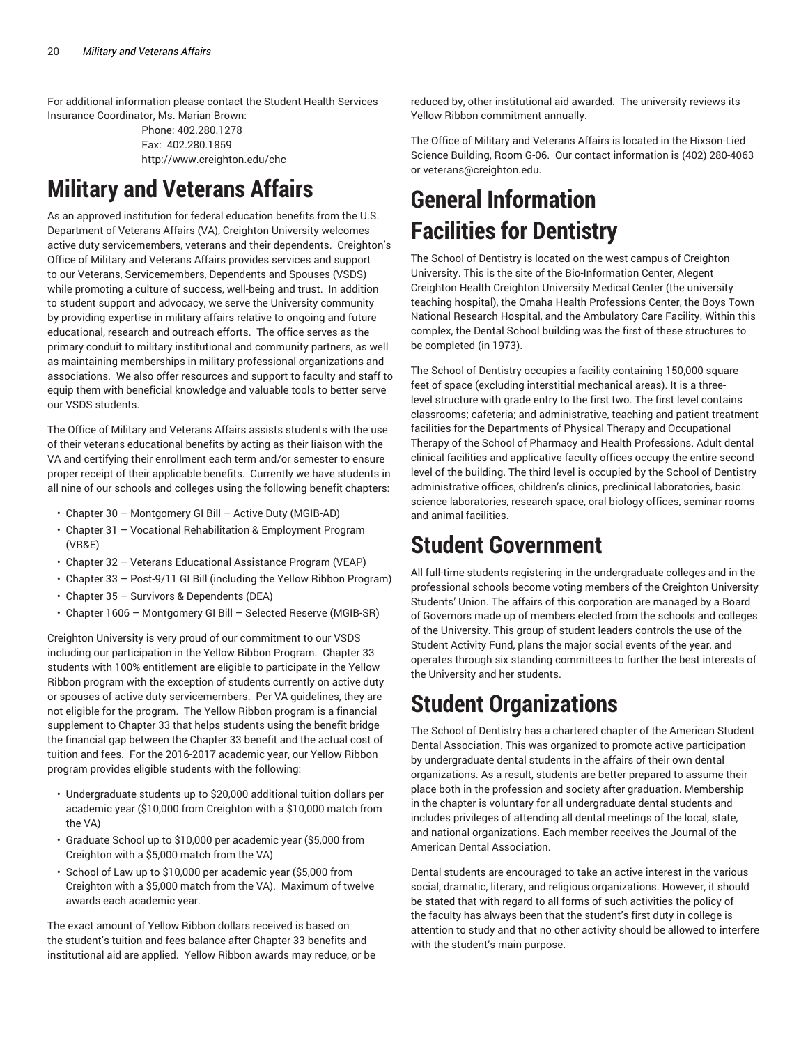For additional information please contact the Student Health Services Insurance Coordinator, Ms. Marian Brown:

> Phone: 402.280.1278 Fax: 402.280.1859 http://www.creighton.edu/chc

# **Military and Veterans Affairs**

As an approved institution for federal education benefits from the U.S. Department of Veterans Affairs (VA), Creighton University welcomes active duty servicemembers, veterans and their dependents. Creighton's Office of Military and Veterans Affairs provides services and support to our Veterans, Servicemembers, Dependents and Spouses (VSDS) while promoting a culture of success, well-being and trust. In addition to student support and advocacy, we serve the University community by providing expertise in military affairs relative to ongoing and future educational, research and outreach efforts. The office serves as the primary conduit to military institutional and community partners, as well as maintaining memberships in military professional organizations and associations. We also offer resources and support to faculty and staff to equip them with beneficial knowledge and valuable tools to better serve our VSDS students.

The Office of Military and Veterans Affairs assists students with the use of their veterans educational benefits by acting as their liaison with the VA and certifying their enrollment each term and/or semester to ensure proper receipt of their applicable benefits. Currently we have students in all nine of our schools and colleges using the following benefit chapters:

- Chapter 30 Montgomery GI Bill Active Duty (MGIB-AD)
- Chapter 31 Vocational Rehabilitation & Employment Program (VR&E)
- Chapter 32 Veterans Educational Assistance Program (VEAP)
- Chapter 33 Post-9/11 GI Bill (including the Yellow Ribbon Program)
- Chapter 35 Survivors & Dependents (DEA)
- Chapter 1606 Montgomery GI Bill Selected Reserve (MGIB-SR)

Creighton University is very proud of our commitment to our VSDS including our participation in the Yellow Ribbon Program. Chapter 33 students with 100% entitlement are eligible to participate in the Yellow Ribbon program with the exception of students currently on active duty or spouses of active duty servicemembers. Per VA guidelines, they are not eligible for the program. The Yellow Ribbon program is a financial supplement to Chapter 33 that helps students using the benefit bridge the financial gap between the Chapter 33 benefit and the actual cost of tuition and fees. For the 2016-2017 academic year, our Yellow Ribbon program provides eligible students with the following:

- Undergraduate students up to \$20,000 additional tuition dollars per academic year (\$10,000 from Creighton with a \$10,000 match from the VA)
- Graduate School up to \$10,000 per academic year (\$5,000 from Creighton with a \$5,000 match from the VA)
- School of Law up to \$10,000 per academic year (\$5,000 from Creighton with a \$5,000 match from the VA). Maximum of twelve awards each academic year.

The exact amount of Yellow Ribbon dollars received is based on the student's tuition and fees balance after Chapter 33 benefits and institutional aid are applied. Yellow Ribbon awards may reduce, or be

reduced by, other institutional aid awarded. The university reviews its Yellow Ribbon commitment annually.

The Office of Military and Veterans Affairs is located in the Hixson-Lied Science Building, Room G-06. Our contact information is (402) 280-4063 or veterans@creighton.edu.

# **General Information Facilities for Dentistry**

The School of Dentistry is located on the west campus of Creighton University. This is the site of the Bio-Information Center, Alegent Creighton Health Creighton University Medical Center (the university teaching hospital), the Omaha Health Professions Center, the Boys Town National Research Hospital, and the Ambulatory Care Facility. Within this complex, the Dental School building was the first of these structures to be completed (in 1973).

The School of Dentistry occupies a facility containing 150,000 square feet of space (excluding interstitial mechanical areas). It is a threelevel structure with grade entry to the first two. The first level contains classrooms; cafeteria; and administrative, teaching and patient treatment facilities for the Departments of Physical Therapy and Occupational Therapy of the School of Pharmacy and Health Professions. Adult dental clinical facilities and applicative faculty offices occupy the entire second level of the building. The third level is occupied by the School of Dentistry administrative offices, children's clinics, preclinical laboratories, basic science laboratories, research space, oral biology offices, seminar rooms and animal facilities.

## **Student Government**

All full-time students registering in the undergraduate colleges and in the professional schools become voting members of the Creighton University Students' Union. The affairs of this corporation are managed by a Board of Governors made up of members elected from the schools and colleges of the University. This group of student leaders controls the use of the Student Activity Fund, plans the major social events of the year, and operates through six standing committees to further the best interests of the University and her students.

# **Student Organizations**

The School of Dentistry has a chartered chapter of the American Student Dental Association. This was organized to promote active participation by undergraduate dental students in the affairs of their own dental organizations. As a result, students are better prepared to assume their place both in the profession and society after graduation. Membership in the chapter is voluntary for all undergraduate dental students and includes privileges of attending all dental meetings of the local, state, and national organizations. Each member receives the Journal of the American Dental Association.

Dental students are encouraged to take an active interest in the various social, dramatic, literary, and religious organizations. However, it should be stated that with regard to all forms of such activities the policy of the faculty has always been that the student's first duty in college is attention to study and that no other activity should be allowed to interfere with the student's main purpose.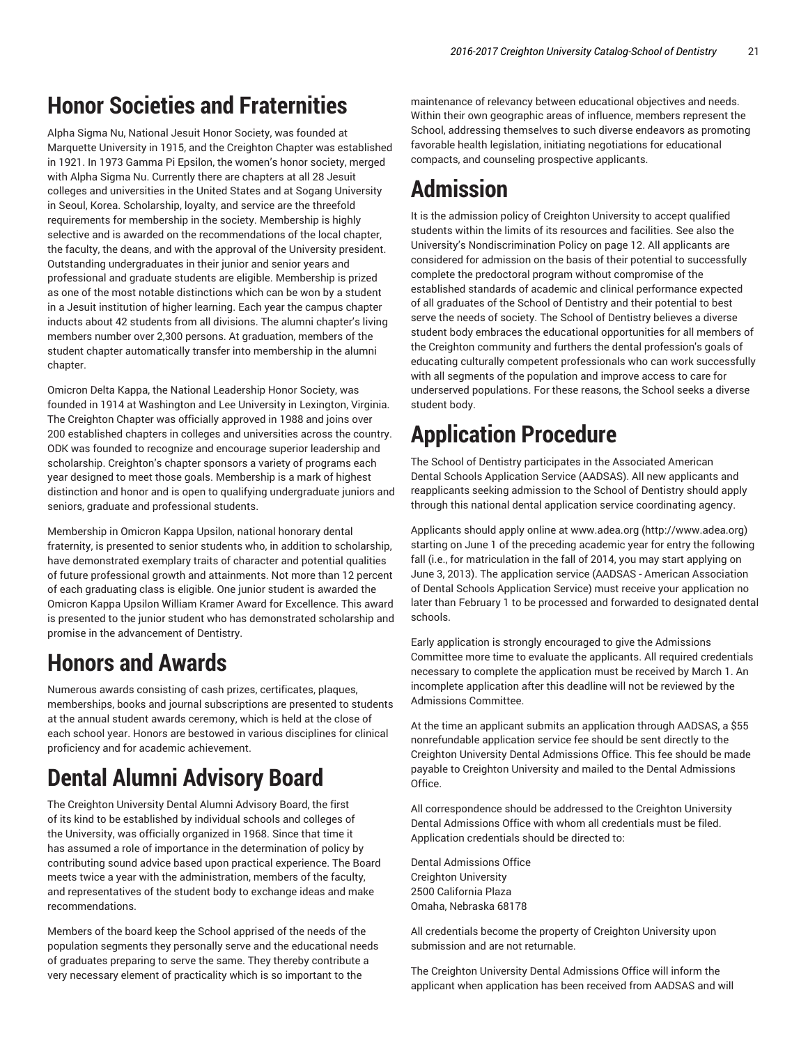## **Honor Societies and Fraternities**

Alpha Sigma Nu, National Jesuit Honor Society, was founded at Marquette University in 1915, and the Creighton Chapter was established in 1921. In 1973 Gamma Pi Epsilon, the women's honor society, merged with Alpha Sigma Nu. Currently there are chapters at all 28 Jesuit colleges and universities in the United States and at Sogang University in Seoul, Korea. Scholarship, loyalty, and service are the threefold requirements for membership in the society. Membership is highly selective and is awarded on the recommendations of the local chapter, the faculty, the deans, and with the approval of the University president. Outstanding undergraduates in their junior and senior years and professional and graduate students are eligible. Membership is prized as one of the most notable distinctions which can be won by a student in a Jesuit institution of higher learning. Each year the campus chapter inducts about 42 students from all divisions. The alumni chapter's living members number over 2,300 persons. At graduation, members of the student chapter automatically transfer into membership in the alumni chapter.

Omicron Delta Kappa, the National Leadership Honor Society, was founded in 1914 at Washington and Lee University in Lexington, Virginia. The Creighton Chapter was officially approved in 1988 and joins over 200 established chapters in colleges and universities across the country. ODK was founded to recognize and encourage superior leadership and scholarship. Creighton's chapter sponsors a variety of programs each year designed to meet those goals. Membership is a mark of highest distinction and honor and is open to qualifying undergraduate juniors and seniors, graduate and professional students.

Membership in Omicron Kappa Upsilon, national honorary dental fraternity, is presented to senior students who, in addition to scholarship, have demonstrated exemplary traits of character and potential qualities of future professional growth and attainments. Not more than 12 percent of each graduating class is eligible. One junior student is awarded the Omicron Kappa Upsilon William Kramer Award for Excellence. This award is presented to the junior student who has demonstrated scholarship and promise in the advancement of Dentistry.

## **Honors and Awards**

Numerous awards consisting of cash prizes, certificates, plaques, memberships, books and journal subscriptions are presented to students at the annual student awards ceremony, which is held at the close of each school year. Honors are bestowed in various disciplines for clinical proficiency and for academic achievement.

# **Dental Alumni Advisory Board**

The Creighton University Dental Alumni Advisory Board, the first of its kind to be established by individual schools and colleges of the University, was officially organized in 1968. Since that time it has assumed a role of importance in the determination of policy by contributing sound advice based upon practical experience. The Board meets twice a year with the administration, members of the faculty, and representatives of the student body to exchange ideas and make recommendations.

Members of the board keep the School apprised of the needs of the population segments they personally serve and the educational needs of graduates preparing to serve the same. They thereby contribute a very necessary element of practicality which is so important to the

maintenance of relevancy between educational objectives and needs. Within their own geographic areas of influence, members represent the School, addressing themselves to such diverse endeavors as promoting favorable health legislation, initiating negotiations for educational compacts, and counseling prospective applicants.

# **Admission**

It is the admission policy of Creighton University to accept qualified students within the limits of its resources and facilities. See also the University's Nondiscrimination Policy on page 12. All applicants are considered for admission on the basis of their potential to successfully complete the predoctoral program without compromise of the established standards of academic and clinical performance expected of all graduates of the School of Dentistry and their potential to best serve the needs of society. The School of Dentistry believes a diverse student body embraces the educational opportunities for all members of the Creighton community and furthers the dental profession's goals of educating culturally competent professionals who can work successfully with all segments of the population and improve access to care for underserved populations. For these reasons, the School seeks a diverse student body.

# **Application Procedure**

The School of Dentistry participates in the Associated American Dental Schools Application Service (AADSAS). All new applicants and reapplicants seeking admission to the School of Dentistry should apply through this national dental application service coordinating agency.

Applicants should apply online at www.adea.org (http://www.adea.org) starting on June 1 of the preceding academic year for entry the following fall (i.e., for matriculation in the fall of 2014, you may start applying on June 3, 2013). The application service (AADSAS - American Association of Dental Schools Application Service) must receive your application no later than February 1 to be processed and forwarded to designated dental schools.

Early application is strongly encouraged to give the Admissions Committee more time to evaluate the applicants. All required credentials necessary to complete the application must be received by March 1. An incomplete application after this deadline will not be reviewed by the Admissions Committee.

At the time an applicant submits an application through AADSAS, a \$55 nonrefundable application service fee should be sent directly to the Creighton University Dental Admissions Office. This fee should be made payable to Creighton University and mailed to the Dental Admissions Office.

All correspondence should be addressed to the Creighton University Dental Admissions Office with whom all credentials must be filed. Application credentials should be directed to:

Dental Admissions Office Creighton University 2500 California Plaza Omaha, Nebraska 68178

All credentials become the property of Creighton University upon submission and are not returnable.

The Creighton University Dental Admissions Office will inform the applicant when application has been received from AADSAS and will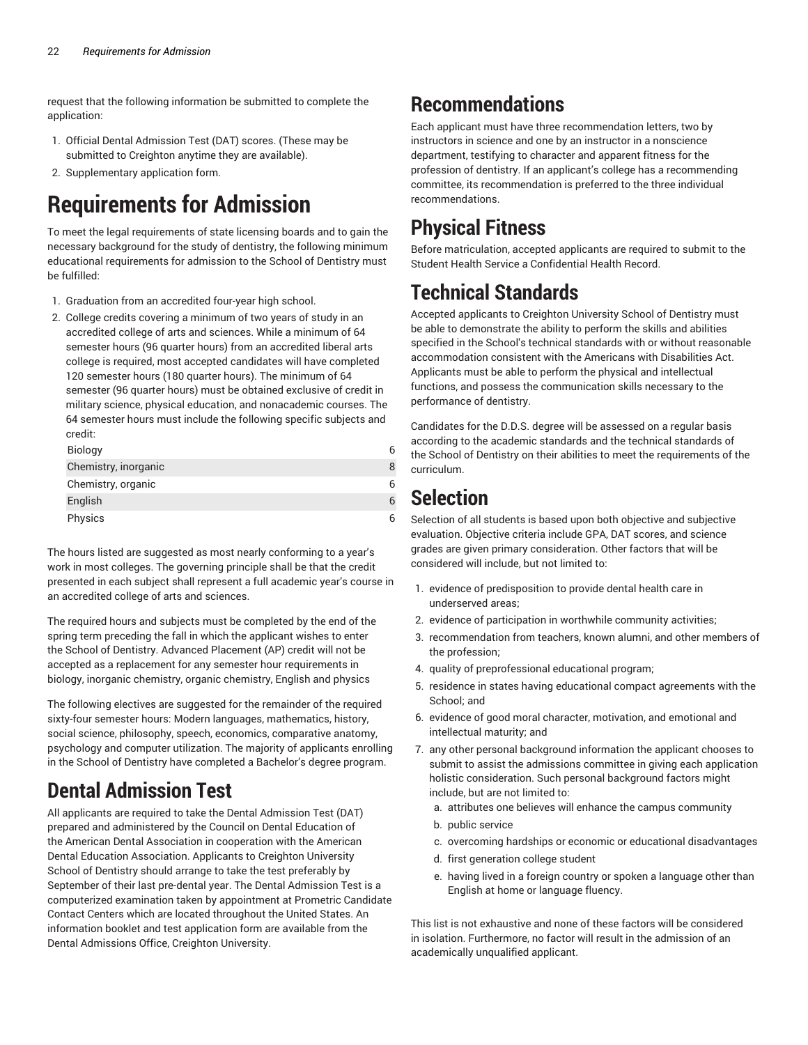request that the following information be submitted to complete the application:

- 1. Official Dental Admission Test (DAT) scores. (These may be submitted to Creighton anytime they are available).
- 2. Supplementary application form.

# **Requirements for Admission**

To meet the legal requirements of state licensing boards and to gain the necessary background for the study of dentistry, the following minimum educational requirements for admission to the School of Dentistry must be fulfilled:

- 1. Graduation from an accredited four-year high school.
- 2. College credits covering a minimum of two years of study in an accredited college of arts and sciences. While a minimum of 64 semester hours (96 quarter hours) from an accredited liberal arts college is required, most accepted candidates will have completed 120 semester hours (180 quarter hours). The minimum of 64 semester (96 quarter hours) must be obtained exclusive of credit in military science, physical education, and nonacademic courses. The 64 semester hours must include the following specific subjects and credit:

| <b>Biology</b>       | 6 |
|----------------------|---|
| Chemistry, inorganic | 8 |
| Chemistry, organic   | 6 |
| English              | 6 |
| Physics              | 6 |

The hours listed are suggested as most nearly conforming to a year's work in most colleges. The governing principle shall be that the credit presented in each subject shall represent a full academic year's course in an accredited college of arts and sciences.

The required hours and subjects must be completed by the end of the spring term preceding the fall in which the applicant wishes to enter the School of Dentistry. Advanced Placement (AP) credit will not be accepted as a replacement for any semester hour requirements in biology, inorganic chemistry, organic chemistry, English and physics

The following electives are suggested for the remainder of the required sixty-four semester hours: Modern languages, mathematics, history, social science, philosophy, speech, economics, comparative anatomy, psychology and computer utilization. The majority of applicants enrolling in the School of Dentistry have completed a Bachelor's degree program.

## **Dental Admission Test**

All applicants are required to take the Dental Admission Test (DAT) prepared and administered by the Council on Dental Education of the American Dental Association in cooperation with the American Dental Education Association. Applicants to Creighton University School of Dentistry should arrange to take the test preferably by September of their last pre-dental year. The Dental Admission Test is a computerized examination taken by appointment at Prometric Candidate Contact Centers which are located throughout the United States. An information booklet and test application form are available from the Dental Admissions Office, Creighton University.

## **Recommendations**

Each applicant must have three recommendation letters, two by instructors in science and one by an instructor in a nonscience department, testifying to character and apparent fitness for the profession of dentistry. If an applicant's college has a recommending committee, its recommendation is preferred to the three individual recommendations.

## **Physical Fitness**

Before matriculation, accepted applicants are required to submit to the Student Health Service a Confidential Health Record.

## **Technical Standards**

Accepted applicants to Creighton University School of Dentistry must be able to demonstrate the ability to perform the skills and abilities specified in the School's technical standards with or without reasonable accommodation consistent with the Americans with Disabilities Act. Applicants must be able to perform the physical and intellectual functions, and possess the communication skills necessary to the performance of dentistry.

Candidates for the D.D.S. degree will be assessed on a regular basis according to the academic standards and the technical standards of the School of Dentistry on their abilities to meet the requirements of the curriculum.

## **Selection**

Selection of all students is based upon both objective and subjective evaluation. Objective criteria include GPA, DAT scores, and science grades are given primary consideration. Other factors that will be considered will include, but not limited to:

- 1. evidence of predisposition to provide dental health care in underserved areas;
- 2. evidence of participation in worthwhile community activities;
- 3. recommendation from teachers, known alumni, and other members of the profession;
- 4. quality of preprofessional educational program;
- 5. residence in states having educational compact agreements with the School; and
- 6. evidence of good moral character, motivation, and emotional and intellectual maturity; and
- 7. any other personal background information the applicant chooses to submit to assist the admissions committee in giving each application holistic consideration. Such personal background factors might include, but are not limited to:
	- a. attributes one believes will enhance the campus community
	- b. public service
	- c. overcoming hardships or economic or educational disadvantages
	- d. first generation college student
	- e. having lived in a foreign country or spoken a language other than English at home or language fluency.

This list is not exhaustive and none of these factors will be considered in isolation. Furthermore, no factor will result in the admission of an academically unqualified applicant.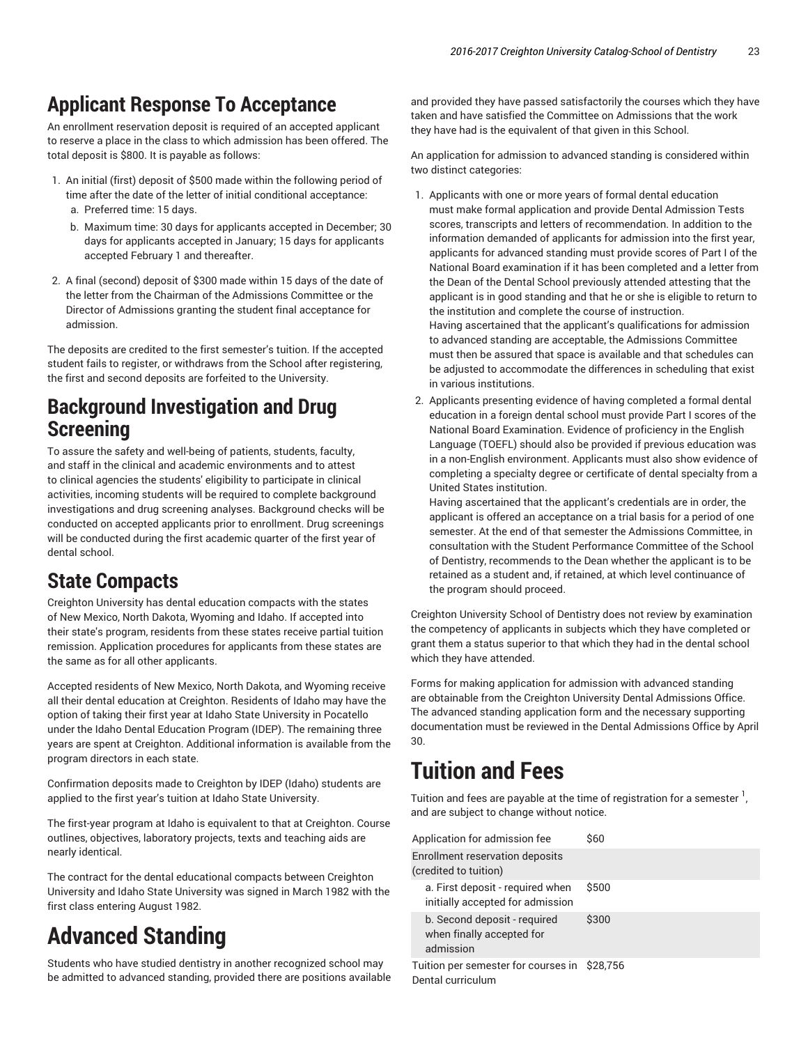### **Applicant Response To Acceptance**

An enrollment reservation deposit is required of an accepted applicant to reserve a place in the class to which admission has been offered. The total deposit is \$800. It is payable as follows:

- 1. An initial (first) deposit of \$500 made within the following period of time after the date of the letter of initial conditional acceptance:
	- a. Preferred time: 15 days.
	- b. Maximum time: 30 days for applicants accepted in December; 30 days for applicants accepted in January; 15 days for applicants accepted February 1 and thereafter.
- 2. A final (second) deposit of \$300 made within 15 days of the date of the letter from the Chairman of the Admissions Committee or the Director of Admissions granting the student final acceptance for admission.

The deposits are credited to the first semester's tuition. If the accepted student fails to register, or withdraws from the School after registering, the first and second deposits are forfeited to the University.

### **Background Investigation and Drug Screening**

To assure the safety and well-being of patients, students, faculty, and staff in the clinical and academic environments and to attest to clinical agencies the students' eligibility to participate in clinical activities, incoming students will be required to complete background investigations and drug screening analyses. Background checks will be conducted on accepted applicants prior to enrollment. Drug screenings will be conducted during the first academic quarter of the first year of dental school.

### **State Compacts**

Creighton University has dental education compacts with the states of New Mexico, North Dakota, Wyoming and Idaho. If accepted into their state's program, residents from these states receive partial tuition remission. Application procedures for applicants from these states are the same as for all other applicants.

Accepted residents of New Mexico, North Dakota, and Wyoming receive all their dental education at Creighton. Residents of Idaho may have the option of taking their first year at Idaho State University in Pocatello under the Idaho Dental Education Program (IDEP). The remaining three years are spent at Creighton. Additional information is available from the program directors in each state.

Confirmation deposits made to Creighton by IDEP (Idaho) students are applied to the first year's tuition at Idaho State University.

The first-year program at Idaho is equivalent to that at Creighton. Course outlines, objectives, laboratory projects, texts and teaching aids are nearly identical.

The contract for the dental educational compacts between Creighton University and Idaho State University was signed in March 1982 with the first class entering August 1982.

# **Advanced Standing**

Students who have studied dentistry in another recognized school may be admitted to advanced standing, provided there are positions available

and provided they have passed satisfactorily the courses which they have taken and have satisfied the Committee on Admissions that the work they have had is the equivalent of that given in this School.

An application for admission to advanced standing is considered within two distinct categories:

- 1. Applicants with one or more years of formal dental education must make formal application and provide Dental Admission Tests scores, transcripts and letters of recommendation. In addition to the information demanded of applicants for admission into the first year, applicants for advanced standing must provide scores of Part I of the National Board examination if it has been completed and a letter from the Dean of the Dental School previously attended attesting that the applicant is in good standing and that he or she is eligible to return to the institution and complete the course of instruction. Having ascertained that the applicant's qualifications for admission to advanced standing are acceptable, the Admissions Committee must then be assured that space is available and that schedules can be adjusted to accommodate the differences in scheduling that exist in various institutions.
- 2. Applicants presenting evidence of having completed a formal dental education in a foreign dental school must provide Part I scores of the National Board Examination. Evidence of proficiency in the English Language (TOEFL) should also be provided if previous education was in a non-English environment. Applicants must also show evidence of completing a specialty degree or certificate of dental specialty from a United States institution.

Having ascertained that the applicant's credentials are in order, the applicant is offered an acceptance on a trial basis for a period of one semester. At the end of that semester the Admissions Committee, in consultation with the Student Performance Committee of the School of Dentistry, recommends to the Dean whether the applicant is to be retained as a student and, if retained, at which level continuance of the program should proceed.

Creighton University School of Dentistry does not review by examination the competency of applicants in subjects which they have completed or grant them a status superior to that which they had in the dental school which they have attended.

Forms for making application for admission with advanced standing are obtainable from the Creighton University Dental Admissions Office. The advanced standing application form and the necessary supporting documentation must be reviewed in the Dental Admissions Office by April 30.

# **Tuition and Fees**

Tuition and fees are payable at the time of registration for a semester  $\frac{1}{1}$ , , and are subject to change without notice.

| Application for admission fee                                          | \$60  |
|------------------------------------------------------------------------|-------|
| Enrollment reservation deposits<br>(credited to tuition)               |       |
| a. First deposit - required when<br>initially accepted for admission   | \$500 |
| b. Second deposit - required<br>when finally accepted for<br>admission | \$300 |
| Tuition per semester for courses in \$28,756<br>Dental curriculum      |       |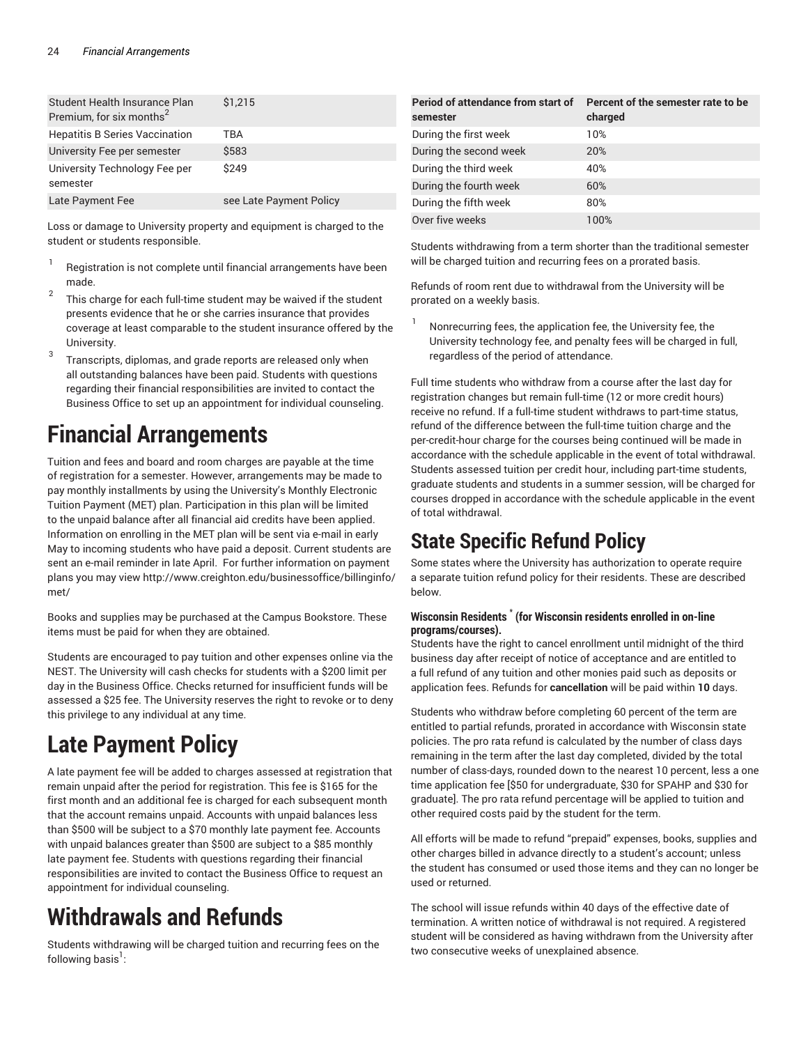| Student Health Insurance Plan<br>Premium, for six months <sup>2</sup> | \$1.215                 |
|-----------------------------------------------------------------------|-------------------------|
| <b>Hepatitis B Series Vaccination</b>                                 | TBA                     |
| University Fee per semester                                           | \$583                   |
| University Technology Fee per<br>semester                             | \$249                   |
| Late Payment Fee                                                      | see Late Payment Policy |

Loss or damage to University property and equipment is charged to the student or students responsible.

- 1 Registration is not complete until financial arrangements have been made.
- 2 This charge for each full-time student may be waived if the student presents evidence that he or she carries insurance that provides coverage at least comparable to the student insurance offered by the University.
- 3 Transcripts, diplomas, and grade reports are released only when all outstanding balances have been paid. Students with questions regarding their financial responsibilities are invited to contact the Business Office to set up an appointment for individual counseling.

## **Financial Arrangements**

Tuition and fees and board and room charges are payable at the time of registration for a semester. However, arrangements may be made to pay monthly installments by using the University's Monthly Electronic Tuition Payment (MET) plan. Participation in this plan will be limited to the unpaid balance after all financial aid credits have been applied. Information on enrolling in the MET plan will be sent via e-mail in early May to incoming students who have paid a deposit. Current students are sent an e-mail reminder in late April. For further information on payment plans you may view http://www.creighton.edu/businessoffice/billinginfo/ met/

Books and supplies may be purchased at the Campus Bookstore. These items must be paid for when they are obtained.

Students are encouraged to pay tuition and other expenses online via the NEST. The University will cash checks for students with a \$200 limit per day in the Business Office. Checks returned for insufficient funds will be assessed a \$25 fee. The University reserves the right to revoke or to deny this privilege to any individual at any time.

# **Late Payment Policy**

A late payment fee will be added to charges assessed at registration that remain unpaid after the period for registration. This fee is \$165 for the first month and an additional fee is charged for each subsequent month that the account remains unpaid. Accounts with unpaid balances less than \$500 will be subject to a \$70 monthly late payment fee. Accounts with unpaid balances greater than \$500 are subject to a \$85 monthly late payment fee. Students with questions regarding their financial responsibilities are invited to contact the Business Office to request an appointment for individual counseling.

# **Withdrawals and Refunds**

Students withdrawing will be charged tuition and recurring fees on the following basis $^{\rm l}$  :

| Period of attendance from start of<br>semester | Percent of the semester rate to be<br>charged |
|------------------------------------------------|-----------------------------------------------|
| During the first week                          | 10%                                           |
| During the second week                         | <b>20%</b>                                    |
| During the third week                          | 40%                                           |
| During the fourth week                         | 60%                                           |
| During the fifth week                          | 80%                                           |
| Over five weeks                                | 100%                                          |

Students withdrawing from a term shorter than the traditional semester will be charged tuition and recurring fees on a prorated basis.

Refunds of room rent due to withdrawal from the University will be prorated on a weekly basis.

1 Nonrecurring fees, the application fee, the University fee, the University technology fee, and penalty fees will be charged in full, regardless of the period of attendance.

Full time students who withdraw from a course after the last day for registration changes but remain full-time (12 or more credit hours) receive no refund. If a full-time student withdraws to part-time status, refund of the difference between the full-time tuition charge and the per-credit-hour charge for the courses being continued will be made in accordance with the schedule applicable in the event of total withdrawal. Students assessed tuition per credit hour, including part-time students, graduate students and students in a summer session, will be charged for courses dropped in accordance with the schedule applicable in the event of total withdrawal.

## **State Specific Refund Policy**

Some states where the University has authorization to operate require a separate tuition refund policy for their residents. These are described below.

#### **Wisconsin Residents \* (for Wisconsin residents enrolled in on-line programs/courses).**

Students have the right to cancel enrollment until midnight of the third business day after receipt of notice of acceptance and are entitled to a full refund of any tuition and other monies paid such as deposits or application fees. Refunds for **cancellation** will be paid within **10** days.

Students who withdraw before completing 60 percent of the term are entitled to partial refunds, prorated in accordance with Wisconsin state policies. The pro rata refund is calculated by the number of class days remaining in the term after the last day completed, divided by the total number of class-days, rounded down to the nearest 10 percent, less a one time application fee [\$50 for undergraduate, \$30 for SPAHP and \$30 for graduate]. The pro rata refund percentage will be applied to tuition and other required costs paid by the student for the term.

All efforts will be made to refund "prepaid" expenses, books, supplies and other charges billed in advance directly to a student's account; unless the student has consumed or used those items and they can no longer be used or returned.

The school will issue refunds within 40 days of the effective date of termination. A written notice of withdrawal is not required. A registered student will be considered as having withdrawn from the University after two consecutive weeks of unexplained absence.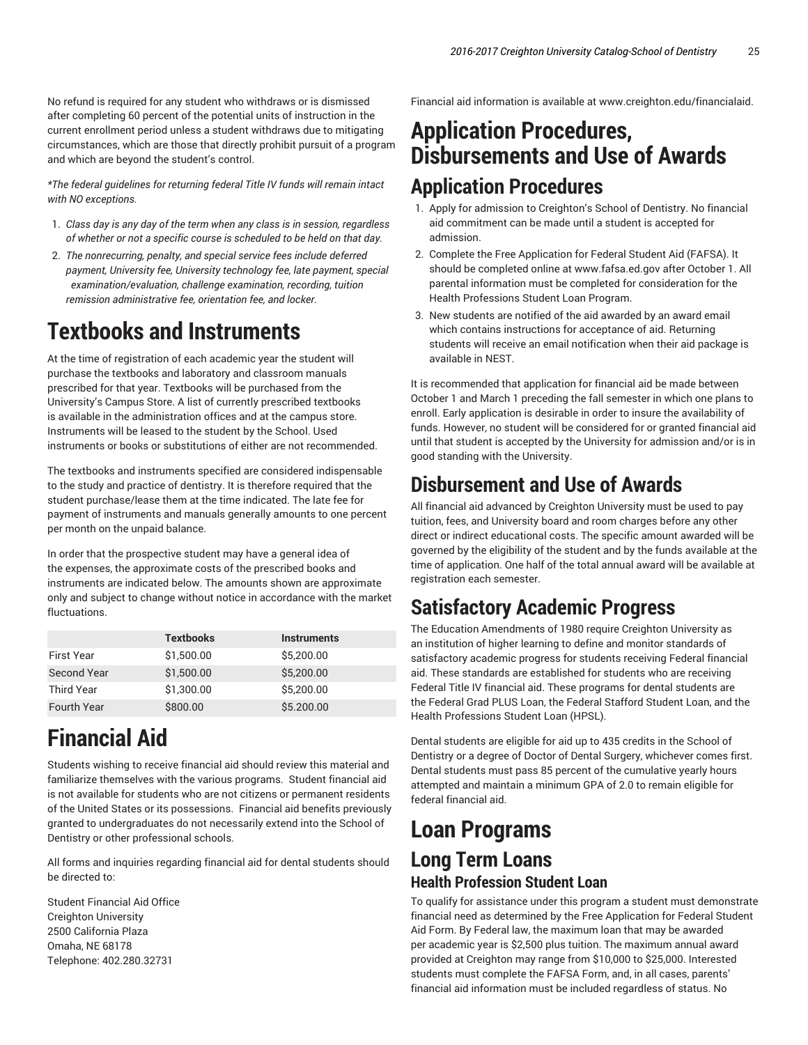No refund is required for any student who withdraws or is dismissed after completing 60 percent of the potential units of instruction in the current enrollment period unless a student withdraws due to mitigating circumstances, which are those that directly prohibit pursuit of a program and which are beyond the student's control.

*\*The federal guidelines for returning federal Title IV funds will remain intact with NO exceptions.*

- 1. *Class day is any day of the term when any class is in session, regardless of whether or not a specific course is scheduled to be held on that day.*
- 2. *The nonrecurring, penalty, and special service fees include deferred payment, University fee, University technology fee, late payment, special examination/evaluation, challenge examination, recording, tuition remission administrative fee, orientation fee, and locker.*

# **Textbooks and Instruments**

At the time of registration of each academic year the student will purchase the textbooks and laboratory and classroom manuals prescribed for that year. Textbooks will be purchased from the University's Campus Store. A list of currently prescribed textbooks is available in the administration offices and at the campus store. Instruments will be leased to the student by the School. Used instruments or books or substitutions of either are not recommended.

The textbooks and instruments specified are considered indispensable to the study and practice of dentistry. It is therefore required that the student purchase/lease them at the time indicated. The late fee for payment of instruments and manuals generally amounts to one percent per month on the unpaid balance.

In order that the prospective student may have a general idea of the expenses, the approximate costs of the prescribed books and instruments are indicated below. The amounts shown are approximate only and subject to change without notice in accordance with the market fluctuations.

|                    | <b>Textbooks</b> | <b>Instruments</b> |
|--------------------|------------------|--------------------|
| <b>First Year</b>  | \$1,500.00       | \$5,200.00         |
| <b>Second Year</b> | \$1,500.00       | \$5,200.00         |
| <b>Third Year</b>  | \$1,300.00       | \$5,200.00         |
| <b>Fourth Year</b> | \$800.00         | \$5,200.00         |

# **Financial Aid**

Students wishing to receive financial aid should review this material and familiarize themselves with the various programs. Student financial aid is not available for students who are not citizens or permanent residents of the United States or its possessions. Financial aid benefits previously granted to undergraduates do not necessarily extend into the School of Dentistry or other professional schools.

All forms and inquiries regarding financial aid for dental students should be directed to:

Student Financial Aid Office Creighton University 2500 California Plaza Omaha, NE 68178 Telephone: 402.280.32731

Financial aid information is available at www.creighton.edu/financialaid.

## **Application Procedures, Disbursements and Use of Awards Application Procedures**

- 1. Apply for admission to Creighton's School of Dentistry. No financial aid commitment can be made until a student is accepted for admission.
- 2. Complete the Free Application for Federal Student Aid (FAFSA). It should be completed online at www.fafsa.ed.gov after October 1. All parental information must be completed for consideration for the Health Professions Student Loan Program.
- 3. New students are notified of the aid awarded by an award email which contains instructions for acceptance of aid. Returning students will receive an email notification when their aid package is available in NEST.

It is recommended that application for financial aid be made between October 1 and March 1 preceding the fall semester in which one plans to enroll. Early application is desirable in order to insure the availability of funds. However, no student will be considered for or granted financial aid until that student is accepted by the University for admission and/or is in good standing with the University.

## **Disbursement and Use of Awards**

All financial aid advanced by Creighton University must be used to pay tuition, fees, and University board and room charges before any other direct or indirect educational costs. The specific amount awarded will be governed by the eligibility of the student and by the funds available at the time of application. One half of the total annual award will be available at registration each semester.

## **Satisfactory Academic Progress**

The Education Amendments of 1980 require Creighton University as an institution of higher learning to define and monitor standards of satisfactory academic progress for students receiving Federal financial aid. These standards are established for students who are receiving Federal Title IV financial aid. These programs for dental students are the Federal Grad PLUS Loan, the Federal Stafford Student Loan, and the Health Professions Student Loan (HPSL).

Dental students are eligible for aid up to 435 credits in the School of Dentistry or a degree of Doctor of Dental Surgery, whichever comes first. Dental students must pass 85 percent of the cumulative yearly hours attempted and maintain a minimum GPA of 2.0 to remain eligible for federal financial aid.

## **Loan Programs Long Term Loans Health Profession Student Loan**

To qualify for assistance under this program a student must demonstrate financial need as determined by the Free Application for Federal Student Aid Form. By Federal law, the maximum loan that may be awarded per academic year is \$2,500 plus tuition. The maximum annual award provided at Creighton may range from \$10,000 to \$25,000. Interested students must complete the FAFSA Form, and, in all cases, parents' financial aid information must be included regardless of status. No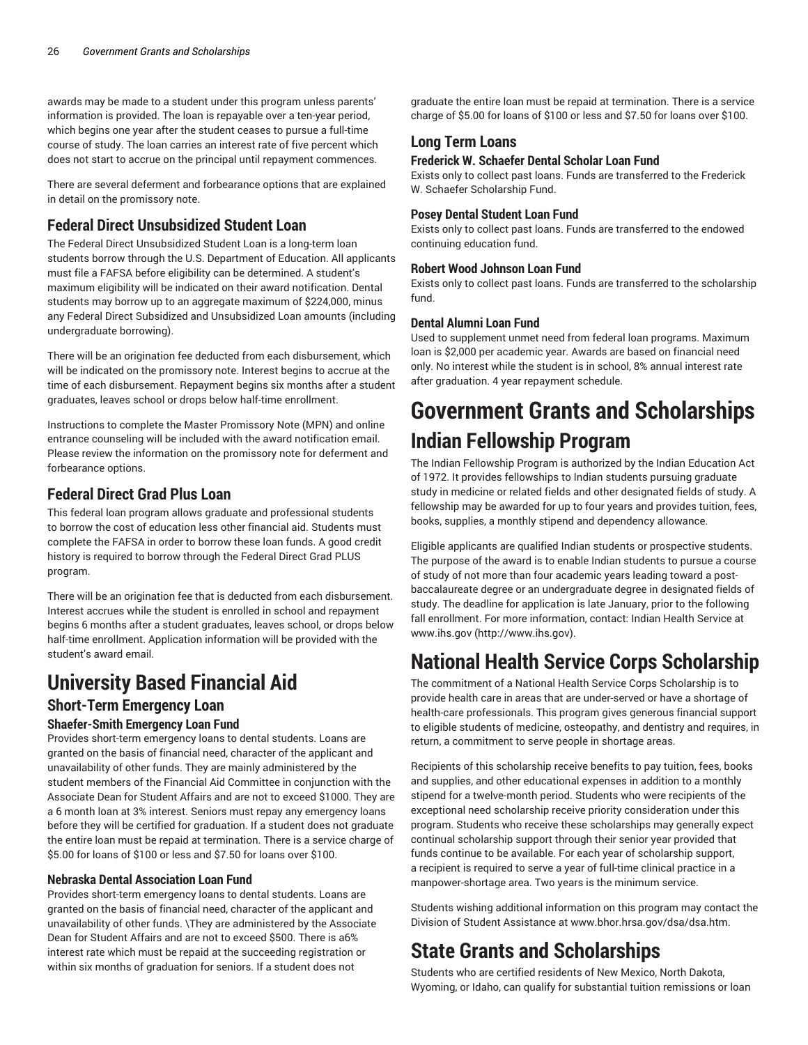awards may be made to a student under this program unless parents' information is provided. The loan is repayable over a ten-year period, which begins one year after the student ceases to pursue a full-time course of study. The loan carries an interest rate of five percent which does not start to accrue on the principal until repayment commences.

There are several deferment and forbearance options that are explained in detail on the promissory note.

### **Federal Direct Unsubsidized Student Loan**

The Federal Direct Unsubsidized Student Loan is a long-term loan students borrow through the U.S. Department of Education. All applicants must file a FAFSA before eligibility can be determined. A student's maximum eligibility will be indicated on their award notification. Dental students may borrow up to an aggregate maximum of \$224,000, minus any Federal Direct Subsidized and Unsubsidized Loan amounts (including undergraduate borrowing).

There will be an origination fee deducted from each disbursement, which will be indicated on the promissory note. Interest begins to accrue at the time of each disbursement. Repayment begins six months after a student graduates, leaves school or drops below half-time enrollment.

Instructions to complete the Master Promissory Note (MPN) and online entrance counseling will be included with the award notification email. Please review the information on the promissory note for deferment and forbearance options.

### **Federal Direct Grad Plus Loan**

This federal loan program allows graduate and professional students to borrow the cost of education less other financial aid. Students must complete the FAFSA in order to borrow these loan funds. A good credit history is required to borrow through the Federal Direct Grad PLUS program.

There will be an origination fee that is deducted from each disbursement. Interest accrues while the student is enrolled in school and repayment begins 6 months after a student graduates, leaves school, or drops below half-time enrollment. Application information will be provided with the student's award email.

## **University Based Financial Aid**

#### **Short-Term Emergency Loan Shaefer-Smith Emergency Loan Fund**

Provides short-term emergency loans to dental students. Loans are granted on the basis of financial need, character of the applicant and unavailability of other funds. They are mainly administered by the student members of the Financial Aid Committee in conjunction with the Associate Dean for Student Affairs and are not to exceed \$1000. They are a 6 month loan at 3% interest. Seniors must repay any emergency loans before they will be certified for graduation. If a student does not graduate the entire loan must be repaid at termination. There is a service charge of \$5.00 for loans of \$100 or less and \$7.50 for loans over \$100.

#### **Nebraska Dental Association Loan Fund**

Provides short-term emergency loans to dental students. Loans are granted on the basis of financial need, character of the applicant and unavailability of other funds. \They are administered by the Associate Dean for Student Affairs and are not to exceed \$500. There is a6% interest rate which must be repaid at the succeeding registration or within six months of graduation for seniors. If a student does not

graduate the entire loan must be repaid at termination. There is a service charge of \$5.00 for loans of \$100 or less and \$7.50 for loans over \$100.

### **Long Term Loans**

### **Frederick W. Schaefer Dental Scholar Loan Fund**

Exists only to collect past loans. Funds are transferred to the Frederick W. Schaefer Scholarship Fund.

#### **Posey Dental Student Loan Fund**

Exists only to collect past loans. Funds are transferred to the endowed continuing education fund.

#### **Robert Wood Johnson Loan Fund**

Exists only to collect past loans. Funds are transferred to the scholarship fund.

#### **Dental Alumni Loan Fund**

Used to supplement unmet need from federal loan programs. Maximum loan is \$2,000 per academic year. Awards are based on financial need only. No interest while the student is in school, 8% annual interest rate after graduation. 4 year repayment schedule.

# **Government Grants and Scholarships Indian Fellowship Program**

The Indian Fellowship Program is authorized by the Indian Education Act of 1972. It provides fellowships to Indian students pursuing graduate study in medicine or related fields and other designated fields of study. A fellowship may be awarded for up to four years and provides tuition, fees, books, supplies, a monthly stipend and dependency allowance.

Eligible applicants are qualified Indian students or prospective students. The purpose of the award is to enable Indian students to pursue a course of study of not more than four academic years leading toward a postbaccalaureate degree or an undergraduate degree in designated fields of study. The deadline for application is late January, prior to the following fall enrollment. For more information, contact: Indian Health Service at www.ihs.gov (http://www.ihs.gov).

## **National Health Service Corps Scholarship**

The commitment of a National Health Service Corps Scholarship is to provide health care in areas that are under-served or have a shortage of health-care professionals. This program gives generous financial support to eligible students of medicine, osteopathy, and dentistry and requires, in return, a commitment to serve people in shortage areas.

Recipients of this scholarship receive benefits to pay tuition, fees, books and supplies, and other educational expenses in addition to a monthly stipend for a twelve-month period. Students who were recipients of the exceptional need scholarship receive priority consideration under this program. Students who receive these scholarships may generally expect continual scholarship support through their senior year provided that funds continue to be available. For each year of scholarship support, a recipient is required to serve a year of full-time clinical practice in a manpower-shortage area. Two years is the minimum service.

Students wishing additional information on this program may contact the Division of Student Assistance at www.bhor.hrsa.gov/dsa/dsa.htm.

## **State Grants and Scholarships**

Students who are certified residents of New Mexico, North Dakota, Wyoming, or Idaho, can qualify for substantial tuition remissions or loan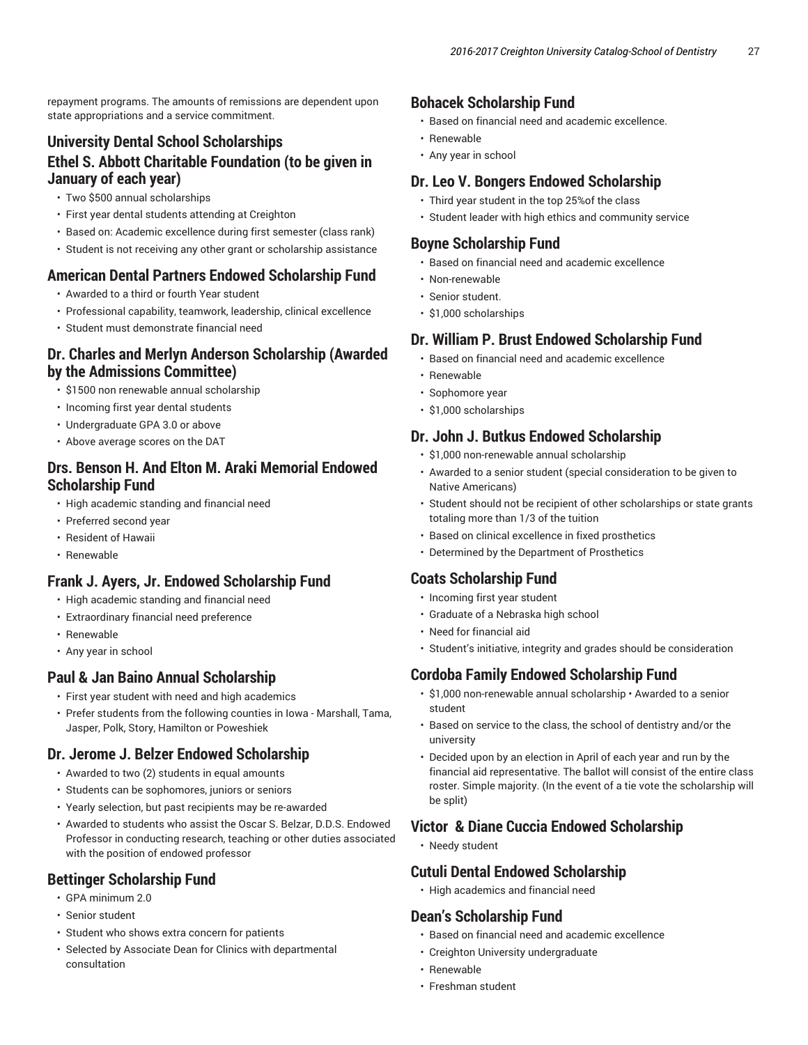repayment programs. The amounts of remissions are dependent upon state appropriations and a service commitment.

### **University Dental School Scholarships Ethel S. Abbott Charitable Foundation (to be given in January of each year)**

- Two \$500 annual scholarships
- First year dental students attending at Creighton
- Based on: Academic excellence during first semester (class rank)
- Student is not receiving any other grant or scholarship assistance

### **American Dental Partners Endowed Scholarship Fund**

- Awarded to a third or fourth Year student
- Professional capability, teamwork, leadership, clinical excellence
- Student must demonstrate financial need

### **Dr. Charles and Merlyn Anderson Scholarship (Awarded by the Admissions Committee)**

- \$1500 non renewable annual scholarship
- Incoming first year dental students
- Undergraduate GPA 3.0 or above
- Above average scores on the DAT

### **Drs. Benson H. And Elton M. Araki Memorial Endowed Scholarship Fund**

- High academic standing and financial need
- Preferred second year
- Resident of Hawaii
- Renewable

### **Frank J. Ayers, Jr. Endowed Scholarship Fund**

- High academic standing and financial need
- Extraordinary financial need preference
- Renewable
- Any year in school

#### **Paul & Jan Baino Annual Scholarship**

- First year student with need and high academics
- Prefer students from the following counties in Iowa Marshall, Tama, Jasper, Polk, Story, Hamilton or Poweshiek

### **Dr. Jerome J. Belzer Endowed Scholarship**

- Awarded to two (2) students in equal amounts
- Students can be sophomores, juniors or seniors
- Yearly selection, but past recipients may be re-awarded
- Awarded to students who assist the Oscar S. Belzar, D.D.S. Endowed Professor in conducting research, teaching or other duties associated with the position of endowed professor

### **Bettinger Scholarship Fund**

- GPA minimum 2.0
- Senior student
- Student who shows extra concern for patients
- Selected by Associate Dean for Clinics with departmental consultation

### **Bohacek Scholarship Fund**

- Based on financial need and academic excellence.
- Renewable
- Any year in school

### **Dr. Leo V. Bongers Endowed Scholarship**

- Third year student in the top 25%of the class
- Student leader with high ethics and community service

#### **Boyne Scholarship Fund**

- Based on financial need and academic excellence
- Non-renewable
- Senior student.
- \$1,000 scholarships

#### **Dr. William P. Brust Endowed Scholarship Fund**

- Based on financial need and academic excellence
- Renewable
- Sophomore year
- \$1,000 scholarships

#### **Dr. John J. Butkus Endowed Scholarship**

- \$1,000 non-renewable annual scholarship
- Awarded to a senior student (special consideration to be given to Native Americans)
- Student should not be recipient of other scholarships or state grants totaling more than 1/3 of the tuition
- Based on clinical excellence in fixed prosthetics
- Determined by the Department of Prosthetics

### **Coats Scholarship Fund**

- Incoming first year student
- Graduate of a Nebraska high school
- Need for financial aid
- Student's initiative, integrity and grades should be consideration

#### **Cordoba Family Endowed Scholarship Fund**

- \$1,000 non-renewable annual scholarship Awarded to a senior student
- Based on service to the class, the school of dentistry and/or the university
- Decided upon by an election in April of each year and run by the financial aid representative. The ballot will consist of the entire class roster. Simple majority. (In the event of a tie vote the scholarship will be split)

#### **Victor & Diane Cuccia Endowed Scholarship**

• Needy student

#### **Cutuli Dental Endowed Scholarship**

• High academics and financial need

#### **Dean's Scholarship Fund**

- Based on financial need and academic excellence
- Creighton University undergraduate
- Renewable
- Freshman student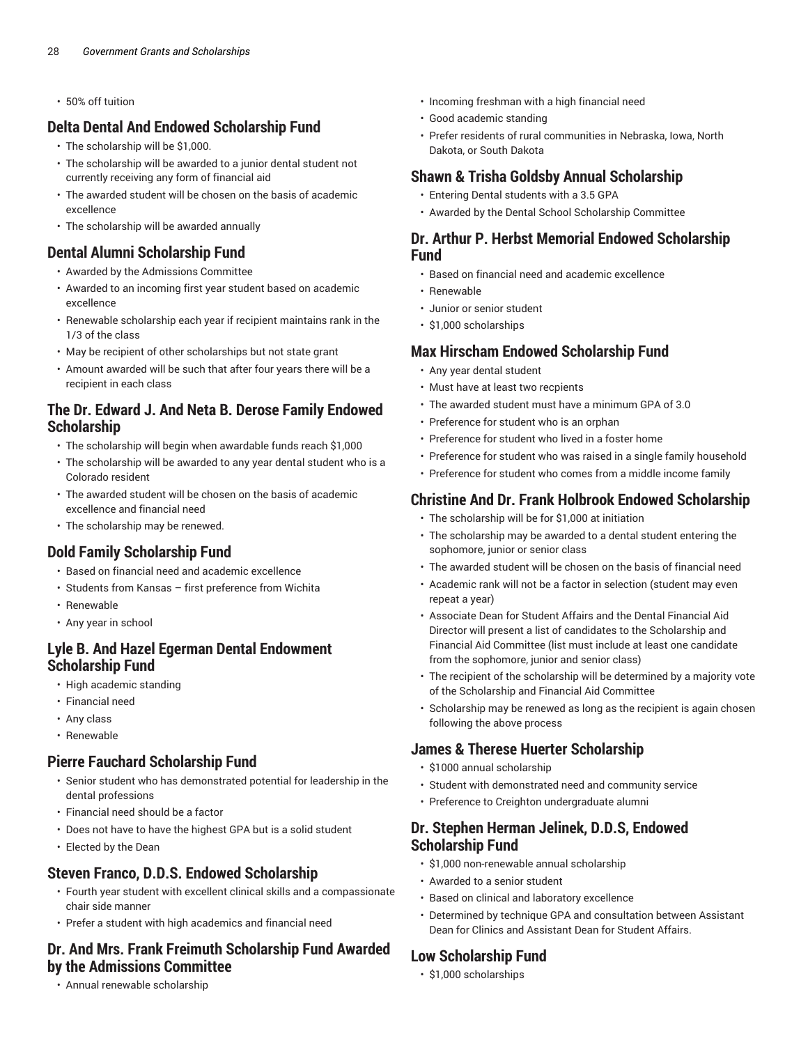• 50% off tuition

### **Delta Dental And Endowed Scholarship Fund**

- The scholarship will be \$1,000.
- The scholarship will be awarded to a junior dental student not currently receiving any form of financial aid
- The awarded student will be chosen on the basis of academic excellence
- The scholarship will be awarded annually

### **Dental Alumni Scholarship Fund**

- Awarded by the Admissions Committee
- Awarded to an incoming first year student based on academic excellence
- Renewable scholarship each year if recipient maintains rank in the 1/3 of the class
- May be recipient of other scholarships but not state grant
- Amount awarded will be such that after four years there will be a recipient in each class

### **The Dr. Edward J. And Neta B. Derose Family Endowed Scholarship**

- The scholarship will begin when awardable funds reach \$1,000
- The scholarship will be awarded to any year dental student who is a Colorado resident
- The awarded student will be chosen on the basis of academic excellence and financial need
- The scholarship may be renewed.

### **Dold Family Scholarship Fund**

- Based on financial need and academic excellence
- Students from Kansas first preference from Wichita
- Renewable
- Any year in school

### **Lyle B. And Hazel Egerman Dental Endowment Scholarship Fund**

- High academic standing
- Financial need
- Any class
- Renewable

#### **Pierre Fauchard Scholarship Fund**

- Senior student who has demonstrated potential for leadership in the dental professions
- Financial need should be a factor
- Does not have to have the highest GPA but is a solid student
- Elected by the Dean

### **Steven Franco, D.D.S. Endowed Scholarship**

- Fourth year student with excellent clinical skills and a compassionate chair side manner
- Prefer a student with high academics and financial need

#### **Dr. And Mrs. Frank Freimuth Scholarship Fund Awarded by the Admissions Committee**

• Annual renewable scholarship

- Incoming freshman with a high financial need
- Good academic standing
- Prefer residents of rural communities in Nebraska, Iowa, North Dakota, or South Dakota

### **Shawn & Trisha Goldsby Annual Scholarship**

- Entering Dental students with a 3.5 GPA
- Awarded by the Dental School Scholarship Committee

#### **Dr. Arthur P. Herbst Memorial Endowed Scholarship Fund**

- Based on financial need and academic excellence
- Renewable
- Junior or senior student
- \$1,000 scholarships

### **Max Hirscham Endowed Scholarship Fund**

- Any year dental student
- Must have at least two recpients
- The awarded student must have a minimum GPA of 3.0
- Preference for student who is an orphan
- Preference for student who lived in a foster home
- Preference for student who was raised in a single family household
- Preference for student who comes from a middle income family

### **Christine And Dr. Frank Holbrook Endowed Scholarship**

- The scholarship will be for \$1,000 at initiation
- The scholarship may be awarded to a dental student entering the sophomore, junior or senior class
- The awarded student will be chosen on the basis of financial need
- Academic rank will not be a factor in selection (student may even repeat a year)
- Associate Dean for Student Affairs and the Dental Financial Aid Director will present a list of candidates to the Scholarship and Financial Aid Committee (list must include at least one candidate from the sophomore, junior and senior class)
- The recipient of the scholarship will be determined by a majority vote of the Scholarship and Financial Aid Committee
- Scholarship may be renewed as long as the recipient is again chosen following the above process

### **James & Therese Huerter Scholarship**

- \$1000 annual scholarship
- Student with demonstrated need and community service
- Preference to Creighton undergraduate alumni

#### **Dr. Stephen Herman Jelinek, D.D.S, Endowed Scholarship Fund**

- \$1,000 non-renewable annual scholarship
- Awarded to a senior student
- Based on clinical and laboratory excellence
- Determined by technique GPA and consultation between Assistant Dean for Clinics and Assistant Dean for Student Affairs.

#### **Low Scholarship Fund**

• \$1,000 scholarships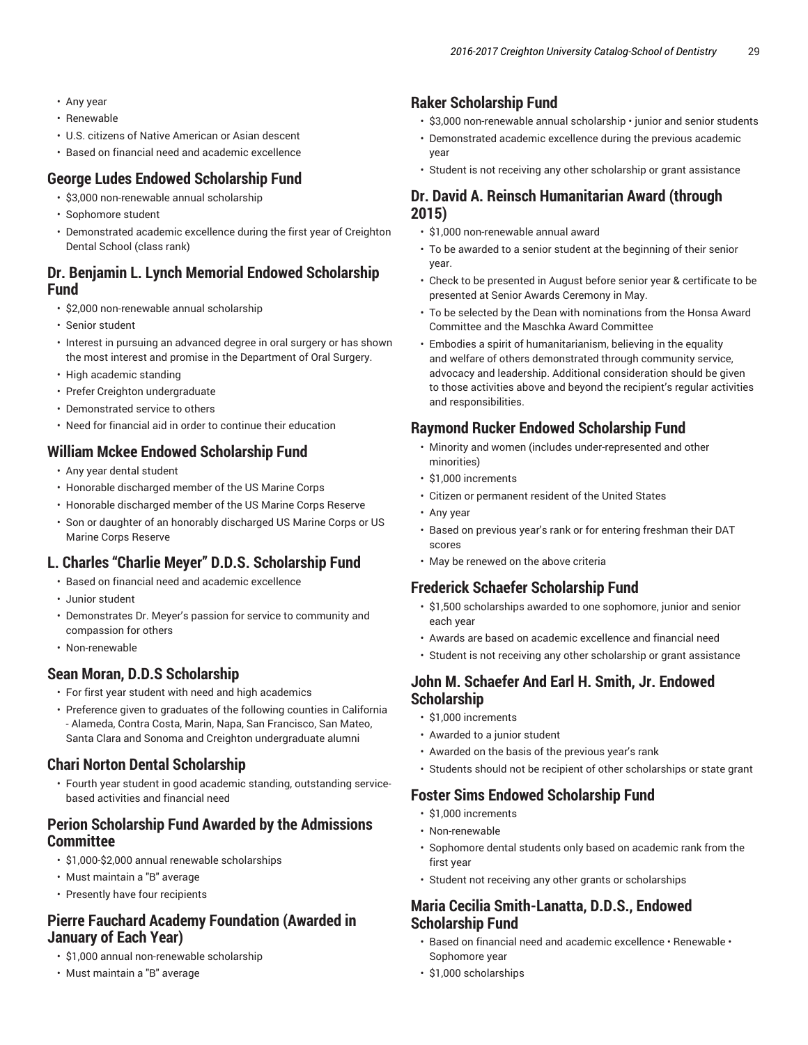- Any year
- Renewable
- U.S. citizens of Native American or Asian descent
- Based on financial need and academic excellence

### **George Ludes Endowed Scholarship Fund**

- \$3,000 non-renewable annual scholarship
- Sophomore student
- Demonstrated academic excellence during the first year of Creighton Dental School (class rank)

### **Dr. Benjamin L. Lynch Memorial Endowed Scholarship Fund**

- \$2,000 non-renewable annual scholarship
- Senior student
- Interest in pursuing an advanced degree in oral surgery or has shown the most interest and promise in the Department of Oral Surgery.
- High academic standing
- Prefer Creighton undergraduate
- Demonstrated service to others
- Need for financial aid in order to continue their education

### **William Mckee Endowed Scholarship Fund**

- Any year dental student
- Honorable discharged member of the US Marine Corps
- Honorable discharged member of the US Marine Corps Reserve
- Son or daughter of an honorably discharged US Marine Corps or US Marine Corps Reserve

### **L. Charles "Charlie Meyer" D.D.S. Scholarship Fund**

- Based on financial need and academic excellence
- Junior student
- Demonstrates Dr. Meyer's passion for service to community and compassion for others
- Non-renewable

### **Sean Moran, D.D.S Scholarship**

- For first year student with need and high academics
- Preference given to graduates of the following counties in California - Alameda, Contra Costa, Marin, Napa, San Francisco, San Mateo, Santa Clara and Sonoma and Creighton undergraduate alumni

### **Chari Norton Dental Scholarship**

• Fourth year student in good academic standing, outstanding servicebased activities and financial need

### **Perion Scholarship Fund Awarded by the Admissions Committee**

- \$1,000-\$2,000 annual renewable scholarships
- Must maintain a "B" average
- Presently have four recipients

### **Pierre Fauchard Academy Foundation (Awarded in January of Each Year)**

- \$1,000 annual non-renewable scholarship
- Must maintain a "B" average

### **Raker Scholarship Fund**

- \$3,000 non-renewable annual scholarship junior and senior students
- Demonstrated academic excellence during the previous academic year
- Student is not receiving any other scholarship or grant assistance

### **Dr. David A. Reinsch Humanitarian Award (through 2015)**

- \$1,000 non-renewable annual award
- To be awarded to a senior student at the beginning of their senior year.
- Check to be presented in August before senior year & certificate to be presented at Senior Awards Ceremony in May.
- To be selected by the Dean with nominations from the Honsa Award Committee and the Maschka Award Committee
- Embodies a spirit of humanitarianism, believing in the equality and welfare of others demonstrated through community service, advocacy and leadership. Additional consideration should be given to those activities above and beyond the recipient's regular activities and responsibilities.

### **Raymond Rucker Endowed Scholarship Fund**

- Minority and women (includes under-represented and other minorities)
- \$1,000 increments
- Citizen or permanent resident of the United States
- Any year
- Based on previous year's rank or for entering freshman their DAT scores
- May be renewed on the above criteria

### **Frederick Schaefer Scholarship Fund**

- \$1,500 scholarships awarded to one sophomore, junior and senior each year
- Awards are based on academic excellence and financial need
- Student is not receiving any other scholarship or grant assistance

### **John M. Schaefer And Earl H. Smith, Jr. Endowed Scholarship**

- \$1,000 increments
- Awarded to a junior student
- Awarded on the basis of the previous year's rank
- Students should not be recipient of other scholarships or state grant

### **Foster Sims Endowed Scholarship Fund**

- \$1,000 increments
- Non-renewable
- Sophomore dental students only based on academic rank from the first year
- Student not receiving any other grants or scholarships

### **Maria Cecilia Smith-Lanatta, D.D.S., Endowed Scholarship Fund**

- Based on financial need and academic excellence Renewable Sophomore year
- \$1,000 scholarships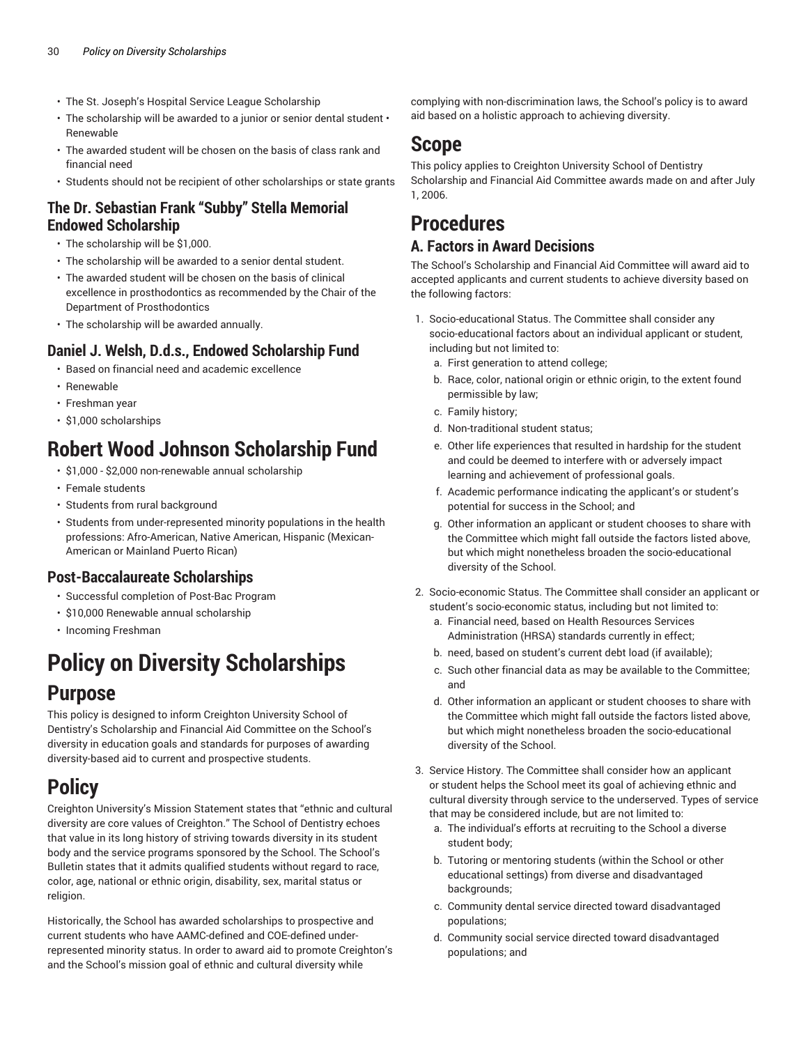- The St. Joseph's Hospital Service League Scholarship
- The scholarship will be awarded to a junior or senior dental student Renewable
- The awarded student will be chosen on the basis of class rank and financial need
- Students should not be recipient of other scholarships or state grants

### **The Dr. Sebastian Frank "Subby" Stella Memorial Endowed Scholarship**

- The scholarship will be \$1,000.
- The scholarship will be awarded to a senior dental student.
- The awarded student will be chosen on the basis of clinical excellence in prosthodontics as recommended by the Chair of the Department of Prosthodontics
- The scholarship will be awarded annually.

### **Daniel J. Welsh, D.d.s., Endowed Scholarship Fund**

- Based on financial need and academic excellence
- Renewable
- Freshman year
- \$1,000 scholarships

## **Robert Wood Johnson Scholarship Fund**

- \$1,000 \$2,000 non-renewable annual scholarship
- Female students
- Students from rural background
- Students from under-represented minority populations in the health professions: Afro-American, Native American, Hispanic (Mexican-American or Mainland Puerto Rican)

### **Post-Baccalaureate Scholarships**

- Successful completion of Post-Bac Program
- \$10,000 Renewable annual scholarship
- Incoming Freshman

# **Policy on Diversity Scholarships Purpose**

This policy is designed to inform Creighton University School of Dentistry's Scholarship and Financial Aid Committee on the School's diversity in education goals and standards for purposes of awarding diversity-based aid to current and prospective students.

## **Policy**

Creighton University's Mission Statement states that "ethnic and cultural diversity are core values of Creighton." The School of Dentistry echoes that value in its long history of striving towards diversity in its student body and the service programs sponsored by the School. The School's Bulletin states that it admits qualified students without regard to race, color, age, national or ethnic origin, disability, sex, marital status or religion.

Historically, the School has awarded scholarships to prospective and current students who have AAMC-defined and COE-defined underrepresented minority status. In order to award aid to promote Creighton's and the School's mission goal of ethnic and cultural diversity while

complying with non-discrimination laws, the School's policy is to award aid based on a holistic approach to achieving diversity.

## **Scope**

This policy applies to Creighton University School of Dentistry Scholarship and Financial Aid Committee awards made on and after July 1, 2006.

## **Procedures**

### **A. Factors in Award Decisions**

The School's Scholarship and Financial Aid Committee will award aid to accepted applicants and current students to achieve diversity based on the following factors:

- 1. Socio-educational Status. The Committee shall consider any socio-educational factors about an individual applicant or student, including but not limited to:
	- a. First generation to attend college;
	- b. Race, color, national origin or ethnic origin, to the extent found permissible by law;
	- c. Family history;
	- d. Non-traditional student status;
	- e. Other life experiences that resulted in hardship for the student and could be deemed to interfere with or adversely impact learning and achievement of professional goals.
	- f. Academic performance indicating the applicant's or student's potential for success in the School; and
	- g. Other information an applicant or student chooses to share with the Committee which might fall outside the factors listed above, but which might nonetheless broaden the socio-educational diversity of the School.
- 2. Socio-economic Status. The Committee shall consider an applicant or student's socio-economic status, including but not limited to:
	- a. Financial need, based on Health Resources Services Administration (HRSA) standards currently in effect;
	- b. need, based on student's current debt load (if available);
	- c. Such other financial data as may be available to the Committee; and
	- d. Other information an applicant or student chooses to share with the Committee which might fall outside the factors listed above, but which might nonetheless broaden the socio-educational diversity of the School.
- 3. Service History. The Committee shall consider how an applicant or student helps the School meet its goal of achieving ethnic and cultural diversity through service to the underserved. Types of service that may be considered include, but are not limited to:
	- a. The individual's efforts at recruiting to the School a diverse student body;
	- b. Tutoring or mentoring students (within the School or other educational settings) from diverse and disadvantaged backgrounds:
	- c. Community dental service directed toward disadvantaged populations;
	- d. Community social service directed toward disadvantaged populations; and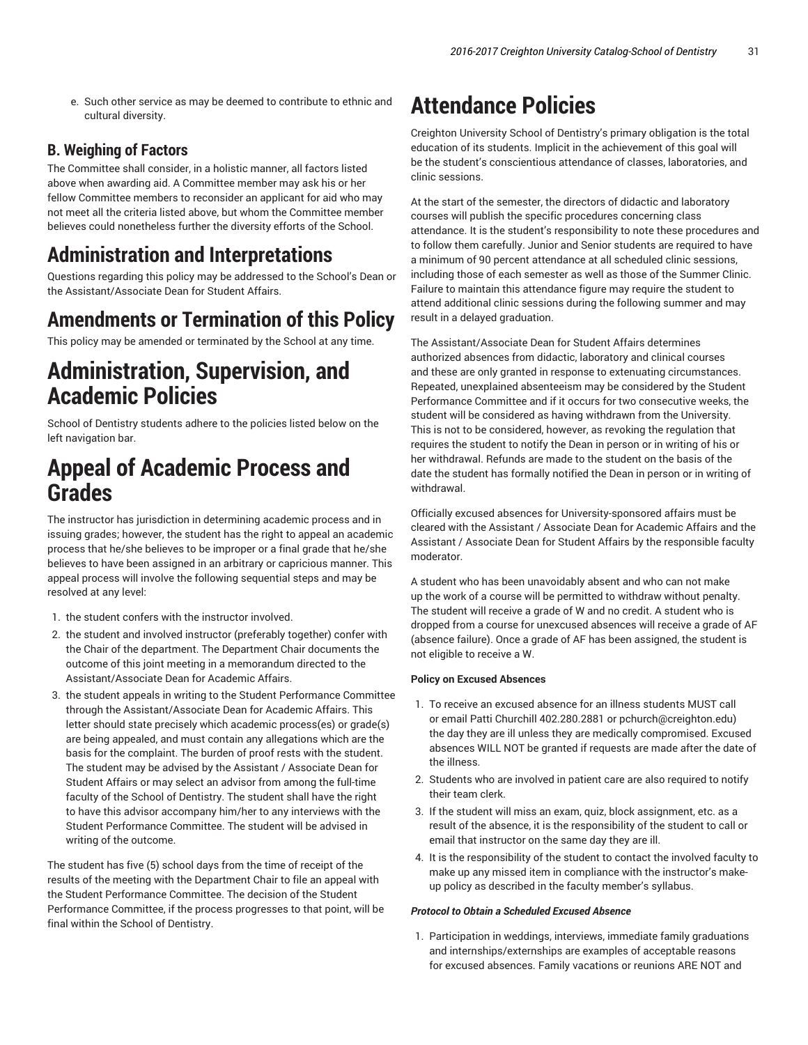e. Such other service as may be deemed to contribute to ethnic and cultural diversity.

#### **B. Weighing of Factors**

The Committee shall consider, in a holistic manner, all factors listed above when awarding aid. A Committee member may ask his or her fellow Committee members to reconsider an applicant for aid who may not meet all the criteria listed above, but whom the Committee member believes could nonetheless further the diversity efforts of the School.

## **Administration and Interpretations**

Questions regarding this policy may be addressed to the School's Dean or the Assistant/Associate Dean for Student Affairs.

### **Amendments or Termination of this Policy**

This policy may be amended or terminated by the School at any time.

## **Administration, Supervision, and Academic Policies**

School of Dentistry students adhere to the policies listed below on the left navigation bar.

## **Appeal of Academic Process and Grades**

The instructor has jurisdiction in determining academic process and in issuing grades; however, the student has the right to appeal an academic process that he/she believes to be improper or a final grade that he/she believes to have been assigned in an arbitrary or capricious manner. This appeal process will involve the following sequential steps and may be resolved at any level:

- 1. the student confers with the instructor involved.
- 2. the student and involved instructor (preferably together) confer with the Chair of the department. The Department Chair documents the outcome of this joint meeting in a memorandum directed to the Assistant/Associate Dean for Academic Affairs.
- 3. the student appeals in writing to the Student Performance Committee through the Assistant/Associate Dean for Academic Affairs. This letter should state precisely which academic process(es) or grade(s) are being appealed, and must contain any allegations which are the basis for the complaint. The burden of proof rests with the student. The student may be advised by the Assistant / Associate Dean for Student Affairs or may select an advisor from among the full-time faculty of the School of Dentistry. The student shall have the right to have this advisor accompany him/her to any interviews with the Student Performance Committee. The student will be advised in writing of the outcome.

The student has five (5) school days from the time of receipt of the results of the meeting with the Department Chair to file an appeal with the Student Performance Committee. The decision of the Student Performance Committee, if the process progresses to that point, will be final within the School of Dentistry.

## **Attendance Policies**

Creighton University School of Dentistry's primary obligation is the total education of its students. Implicit in the achievement of this goal will be the student's conscientious attendance of classes, laboratories, and clinic sessions.

At the start of the semester, the directors of didactic and laboratory courses will publish the specific procedures concerning class attendance. It is the student's responsibility to note these procedures and to follow them carefully. Junior and Senior students are required to have a minimum of 90 percent attendance at all scheduled clinic sessions, including those of each semester as well as those of the Summer Clinic. Failure to maintain this attendance figure may require the student to attend additional clinic sessions during the following summer and may result in a delayed graduation.

The Assistant/Associate Dean for Student Affairs determines authorized absences from didactic, laboratory and clinical courses and these are only granted in response to extenuating circumstances. Repeated, unexplained absenteeism may be considered by the Student Performance Committee and if it occurs for two consecutive weeks, the student will be considered as having withdrawn from the University. This is not to be considered, however, as revoking the regulation that requires the student to notify the Dean in person or in writing of his or her withdrawal. Refunds are made to the student on the basis of the date the student has formally notified the Dean in person or in writing of withdrawal.

Officially excused absences for University-sponsored affairs must be cleared with the Assistant / Associate Dean for Academic Affairs and the Assistant / Associate Dean for Student Affairs by the responsible faculty moderator.

A student who has been unavoidably absent and who can not make up the work of a course will be permitted to withdraw without penalty. The student will receive a grade of W and no credit. A student who is dropped from a course for unexcused absences will receive a grade of AF (absence failure). Once a grade of AF has been assigned, the student is not eligible to receive a W.

#### **Policy on Excused Absences**

- 1. To receive an excused absence for an illness students MUST call or email Patti Churchill 402.280.2881 or pchurch@creighton.edu) the day they are ill unless they are medically compromised. Excused absences WILL NOT be granted if requests are made after the date of the illness.
- 2. Students who are involved in patient care are also required to notify their team clerk.
- 3. If the student will miss an exam, quiz, block assignment, etc. as a result of the absence, it is the responsibility of the student to call or email that instructor on the same day they are ill.
- 4. It is the responsibility of the student to contact the involved faculty to make up any missed item in compliance with the instructor's makeup policy as described in the faculty member's syllabus.

#### *Protocol to Obtain a Scheduled Excused Absence*

1. Participation in weddings, interviews, immediate family graduations and internships/externships are examples of acceptable reasons for excused absences. Family vacations or reunions ARE NOT and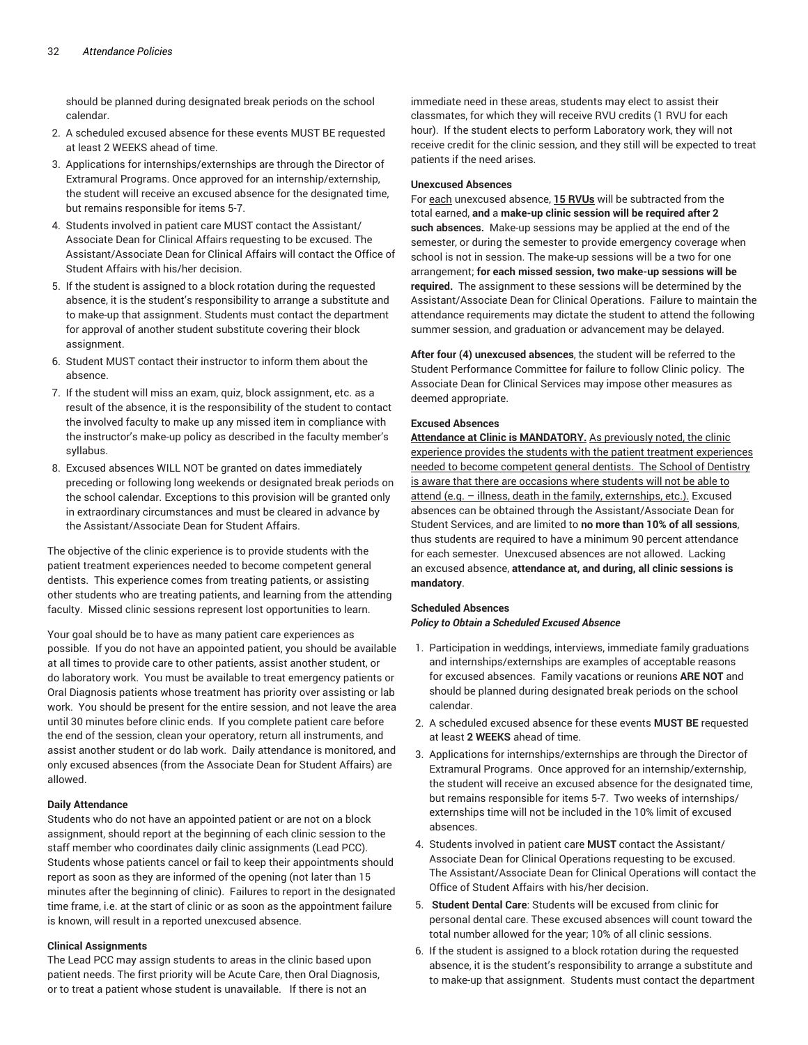should be planned during designated break periods on the school calendar.

- 2. A scheduled excused absence for these events MUST BE requested at least 2 WEEKS ahead of time.
- 3. Applications for internships/externships are through the Director of Extramural Programs. Once approved for an internship/externship, the student will receive an excused absence for the designated time, but remains responsible for items 5-7.
- 4. Students involved in patient care MUST contact the Assistant/ Associate Dean for Clinical Affairs requesting to be excused. The Assistant/Associate Dean for Clinical Affairs will contact the Office of Student Affairs with his/her decision.
- 5. If the student is assigned to a block rotation during the requested absence, it is the student's responsibility to arrange a substitute and to make-up that assignment. Students must contact the department for approval of another student substitute covering their block assignment.
- 6. Student MUST contact their instructor to inform them about the absence.
- 7. If the student will miss an exam, quiz, block assignment, etc. as a result of the absence, it is the responsibility of the student to contact the involved faculty to make up any missed item in compliance with the instructor's make-up policy as described in the faculty member's syllabus.
- 8. Excused absences WILL NOT be granted on dates immediately preceding or following long weekends or designated break periods on the school calendar. Exceptions to this provision will be granted only in extraordinary circumstances and must be cleared in advance by the Assistant/Associate Dean for Student Affairs.

The objective of the clinic experience is to provide students with the patient treatment experiences needed to become competent general dentists. This experience comes from treating patients, or assisting other students who are treating patients, and learning from the attending faculty. Missed clinic sessions represent lost opportunities to learn.

Your goal should be to have as many patient care experiences as possible. If you do not have an appointed patient, you should be available at all times to provide care to other patients, assist another student, or do laboratory work. You must be available to treat emergency patients or Oral Diagnosis patients whose treatment has priority over assisting or lab work. You should be present for the entire session, and not leave the area until 30 minutes before clinic ends. If you complete patient care before the end of the session, clean your operatory, return all instruments, and assist another student or do lab work. Daily attendance is monitored, and only excused absences (from the Associate Dean for Student Affairs) are allowed.

#### **Daily Attendance**

Students who do not have an appointed patient or are not on a block assignment, should report at the beginning of each clinic session to the staff member who coordinates daily clinic assignments (Lead PCC). Students whose patients cancel or fail to keep their appointments should report as soon as they are informed of the opening (not later than 15 minutes after the beginning of clinic). Failures to report in the designated time frame, i.e. at the start of clinic or as soon as the appointment failure is known, will result in a reported unexcused absence.

#### **Clinical Assignments**

The Lead PCC may assign students to areas in the clinic based upon patient needs. The first priority will be Acute Care, then Oral Diagnosis, or to treat a patient whose student is unavailable. If there is not an

immediate need in these areas, students may elect to assist their classmates, for which they will receive RVU credits (1 RVU for each hour). If the student elects to perform Laboratory work, they will not receive credit for the clinic session, and they still will be expected to treat patients if the need arises.

#### **Unexcused Absences**

For each unexcused absence, **15 RVUs** will be subtracted from the total earned, **and** a **make-up clinic session will be required after 2 such absences.** Make-up sessions may be applied at the end of the semester, or during the semester to provide emergency coverage when school is not in session. The make-up sessions will be a two for one arrangement; **for each missed session, two make-up sessions will be required.** The assignment to these sessions will be determined by the Assistant/Associate Dean for Clinical Operations. Failure to maintain the attendance requirements may dictate the student to attend the following summer session, and graduation or advancement may be delayed.

**After four (4) unexcused absences**, the student will be referred to the Student Performance Committee for failure to follow Clinic policy. The Associate Dean for Clinical Services may impose other measures as deemed appropriate.

#### **Excused Absences**

**Attendance at Clinic is MANDATORY.** As previously noted, the clinic experience provides the students with the patient treatment experiences needed to become competent general dentists. The School of Dentistry is aware that there are occasions where students will not be able to attend (e.g. – illness, death in the family, externships, etc.). Excused absences can be obtained through the Assistant/Associate Dean for Student Services, and are limited to **no more than 10% of all sessions**, thus students are required to have a minimum 90 percent attendance for each semester. Unexcused absences are not allowed. Lacking an excused absence, **attendance at, and during, all clinic sessions is mandatory**.

#### **Scheduled Absences** *Policy to Obtain a Scheduled Excused Absence*

- 1. Participation in weddings, interviews, immediate family graduations and internships/externships are examples of acceptable reasons for excused absences. Family vacations or reunions **ARE NOT** and should be planned during designated break periods on the school calendar.
- 2. A scheduled excused absence for these events **MUST BE** requested at least **2 WEEKS** ahead of time.
- 3. Applications for internships/externships are through the Director of Extramural Programs. Once approved for an internship/externship, the student will receive an excused absence for the designated time, but remains responsible for items 5-7. Two weeks of internships/ externships time will not be included in the 10% limit of excused absences.
- 4. Students involved in patient care **MUST** contact the Assistant/ Associate Dean for Clinical Operations requesting to be excused. The Assistant/Associate Dean for Clinical Operations will contact the Office of Student Affairs with his/her decision.
- 5. **Student Dental Care**: Students will be excused from clinic for personal dental care. These excused absences will count toward the total number allowed for the year; 10% of all clinic sessions.
- 6. If the student is assigned to a block rotation during the requested absence, it is the student's responsibility to arrange a substitute and to make-up that assignment. Students must contact the department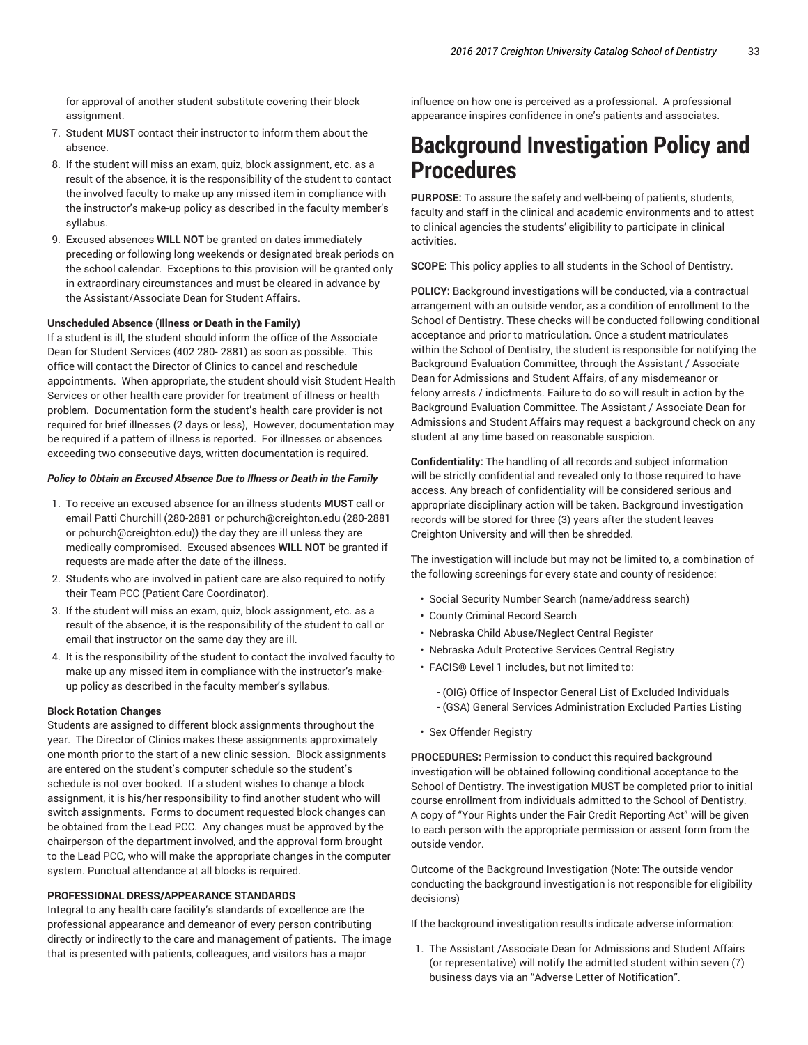for approval of another student substitute covering their block assignment.

- 7. Student **MUST** contact their instructor to inform them about the absence.
- 8. If the student will miss an exam, quiz, block assignment, etc. as a result of the absence, it is the responsibility of the student to contact the involved faculty to make up any missed item in compliance with the instructor's make-up policy as described in the faculty member's syllabus.
- 9. Excused absences **WILL NOT** be granted on dates immediately preceding or following long weekends or designated break periods on the school calendar. Exceptions to this provision will be granted only in extraordinary circumstances and must be cleared in advance by the Assistant/Associate Dean for Student Affairs.

#### **Unscheduled Absence (Illness or Death in the Family)**

If a student is ill, the student should inform the office of the Associate Dean for Student Services (402 280- 2881) as soon as possible. This office will contact the Director of Clinics to cancel and reschedule appointments. When appropriate, the student should visit Student Health Services or other health care provider for treatment of illness or health problem. Documentation form the student's health care provider is not required for brief illnesses (2 days or less), However, documentation may be required if a pattern of illness is reported. For illnesses or absences exceeding two consecutive days, written documentation is required.

#### *Policy to Obtain an Excused Absence Due to Illness or Death in the Family*

- 1. To receive an excused absence for an illness students **MUST** call or email Patti Churchill (280-2881 or pchurch@creighton.edu (280-2881 or pchurch@creighton.edu)) the day they are ill unless they are medically compromised. Excused absences **WILL NOT** be granted if requests are made after the date of the illness.
- 2. Students who are involved in patient care are also required to notify their Team PCC (Patient Care Coordinator).
- 3. If the student will miss an exam, quiz, block assignment, etc. as a result of the absence, it is the responsibility of the student to call or email that instructor on the same day they are ill.
- 4. It is the responsibility of the student to contact the involved faculty to make up any missed item in compliance with the instructor's makeup policy as described in the faculty member's syllabus.

#### **Block Rotation Changes**

Students are assigned to different block assignments throughout the year. The Director of Clinics makes these assignments approximately one month prior to the start of a new clinic session. Block assignments are entered on the student's computer schedule so the student's schedule is not over booked. If a student wishes to change a block assignment, it is his/her responsibility to find another student who will switch assignments. Forms to document requested block changes can be obtained from the Lead PCC. Any changes must be approved by the chairperson of the department involved, and the approval form brought to the Lead PCC, who will make the appropriate changes in the computer system. Punctual attendance at all blocks is required.

#### **PROFESSIONAL DRESS/APPEARANCE STANDARDS**

Integral to any health care facility's standards of excellence are the professional appearance and demeanor of every person contributing directly or indirectly to the care and management of patients. The image that is presented with patients, colleagues, and visitors has a major

influence on how one is perceived as a professional. A professional appearance inspires confidence in one's patients and associates.

## **Background Investigation Policy and Procedures**

**PURPOSE:** To assure the safety and well-being of patients, students, faculty and staff in the clinical and academic environments and to attest to clinical agencies the students' eligibility to participate in clinical activities.

**SCOPE:** This policy applies to all students in the School of Dentistry.

**POLICY:** Background investigations will be conducted, via a contractual arrangement with an outside vendor, as a condition of enrollment to the School of Dentistry. These checks will be conducted following conditional acceptance and prior to matriculation. Once a student matriculates within the School of Dentistry, the student is responsible for notifying the Background Evaluation Committee, through the Assistant / Associate Dean for Admissions and Student Affairs, of any misdemeanor or felony arrests / indictments. Failure to do so will result in action by the Background Evaluation Committee. The Assistant / Associate Dean for Admissions and Student Affairs may request a background check on any student at any time based on reasonable suspicion.

**Confidentiality:** The handling of all records and subject information will be strictly confidential and revealed only to those required to have access. Any breach of confidentiality will be considered serious and appropriate disciplinary action will be taken. Background investigation records will be stored for three (3) years after the student leaves Creighton University and will then be shredded.

The investigation will include but may not be limited to, a combination of the following screenings for every state and county of residence:

- Social Security Number Search (name/address search)
- County Criminal Record Search
- Nebraska Child Abuse/Neglect Central Register
- Nebraska Adult Protective Services Central Registry
- FACIS® Level 1 includes, but not limited to:
	- (OIG) Office of Inspector General List of Excluded Individuals - (GSA) General Services Administration Excluded Parties Listing
- Sex Offender Registry

**PROCEDURES:** Permission to conduct this required background investigation will be obtained following conditional acceptance to the School of Dentistry. The investigation MUST be completed prior to initial course enrollment from individuals admitted to the School of Dentistry. A copy of "Your Rights under the Fair Credit Reporting Act" will be given to each person with the appropriate permission or assent form from the outside vendor.

Outcome of the Background Investigation (Note: The outside vendor conducting the background investigation is not responsible for eligibility decisions)

If the background investigation results indicate adverse information:

1. The Assistant /Associate Dean for Admissions and Student Affairs (or representative) will notify the admitted student within seven (7) business days via an "Adverse Letter of Notification".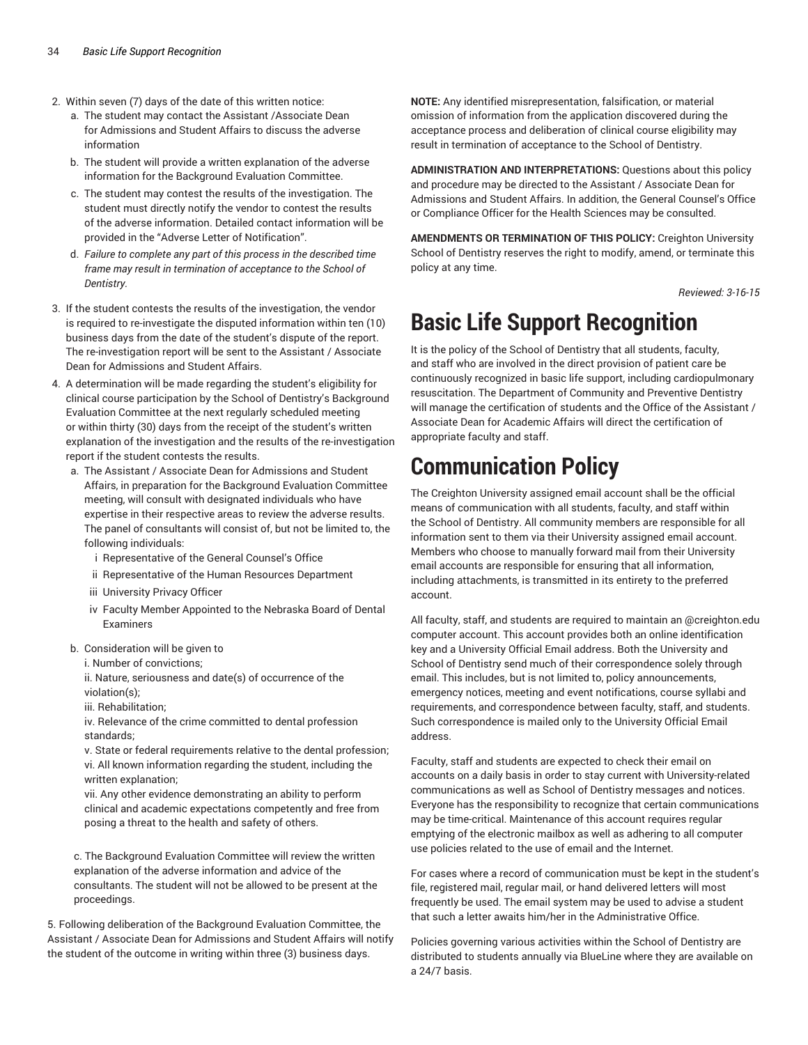- 2. Within seven (7) days of the date of this written notice:
	- a. The student may contact the Assistant /Associate Dean for Admissions and Student Affairs to discuss the adverse information
	- b. The student will provide a written explanation of the adverse information for the Background Evaluation Committee.
	- c. The student may contest the results of the investigation. The student must directly notify the vendor to contest the results of the adverse information. Detailed contact information will be provided in the "Adverse Letter of Notification".
	- d. *Failure to complete any part of this process in the described time frame may result in termination of acceptance to the School of Dentistry.*
- 3. If the student contests the results of the investigation, the vendor is required to re-investigate the disputed information within ten (10) business days from the date of the student's dispute of the report. The re-investigation report will be sent to the Assistant / Associate Dean for Admissions and Student Affairs.
- 4. A determination will be made regarding the student's eligibility for clinical course participation by the School of Dentistry's Background Evaluation Committee at the next regularly scheduled meeting or within thirty (30) days from the receipt of the student's written explanation of the investigation and the results of the re-investigation report if the student contests the results.
	- a. The Assistant / Associate Dean for Admissions and Student Affairs, in preparation for the Background Evaluation Committee meeting, will consult with designated individuals who have expertise in their respective areas to review the adverse results. The panel of consultants will consist of, but not be limited to, the following individuals:
		- i Representative of the General Counsel's Office
		- ii Representative of the Human Resources Department
		- iii University Privacy Officer
		- iv Faculty Member Appointed to the Nebraska Board of Dental Examiners
	- b. Consideration will be given to
		- i. Number of convictions;
		- ii. Nature, seriousness and date(s) of occurrence of the violation(s);
		- iii. Rehabilitation;

iv. Relevance of the crime committed to dental profession standards;

v. State or federal requirements relative to the dental profession; vi. All known information regarding the student, including the written explanation;

vii. Any other evidence demonstrating an ability to perform clinical and academic expectations competently and free from posing a threat to the health and safety of others.

c. The Background Evaluation Committee will review the written explanation of the adverse information and advice of the consultants. The student will not be allowed to be present at the proceedings.

5. Following deliberation of the Background Evaluation Committee, the Assistant / Associate Dean for Admissions and Student Affairs will notify the student of the outcome in writing within three (3) business days.

**NOTE:** Any identified misrepresentation, falsification, or material omission of information from the application discovered during the acceptance process and deliberation of clinical course eligibility may result in termination of acceptance to the School of Dentistry.

**ADMINISTRATION AND INTERPRETATIONS:** Questions about this policy and procedure may be directed to the Assistant / Associate Dean for Admissions and Student Affairs. In addition, the General Counsel's Office or Compliance Officer for the Health Sciences may be consulted.

**AMENDMENTS OR TERMINATION OF THIS POLICY:** Creighton University School of Dentistry reserves the right to modify, amend, or terminate this policy at any time.

*Reviewed: 3-16-15*

## **Basic Life Support Recognition**

It is the policy of the School of Dentistry that all students, faculty, and staff who are involved in the direct provision of patient care be continuously recognized in basic life support, including cardiopulmonary resuscitation. The Department of Community and Preventive Dentistry will manage the certification of students and the Office of the Assistant / Associate Dean for Academic Affairs will direct the certification of appropriate faculty and staff.

## **Communication Policy**

The Creighton University assigned email account shall be the official means of communication with all students, faculty, and staff within the School of Dentistry. All community members are responsible for all information sent to them via their University assigned email account. Members who choose to manually forward mail from their University email accounts are responsible for ensuring that all information, including attachments, is transmitted in its entirety to the preferred account.

All faculty, staff, and students are required to maintain an @creighton.edu computer account. This account provides both an online identification key and a University Official Email address. Both the University and School of Dentistry send much of their correspondence solely through email. This includes, but is not limited to, policy announcements, emergency notices, meeting and event notifications, course syllabi and requirements, and correspondence between faculty, staff, and students. Such correspondence is mailed only to the University Official Email address.

Faculty, staff and students are expected to check their email on accounts on a daily basis in order to stay current with University-related communications as well as School of Dentistry messages and notices. Everyone has the responsibility to recognize that certain communications may be time-critical. Maintenance of this account requires regular emptying of the electronic mailbox as well as adhering to all computer use policies related to the use of email and the Internet.

For cases where a record of communication must be kept in the student's file, registered mail, regular mail, or hand delivered letters will most frequently be used. The email system may be used to advise a student that such a letter awaits him/her in the Administrative Office.

Policies governing various activities within the School of Dentistry are distributed to students annually via BlueLine where they are available on a 24/7 basis.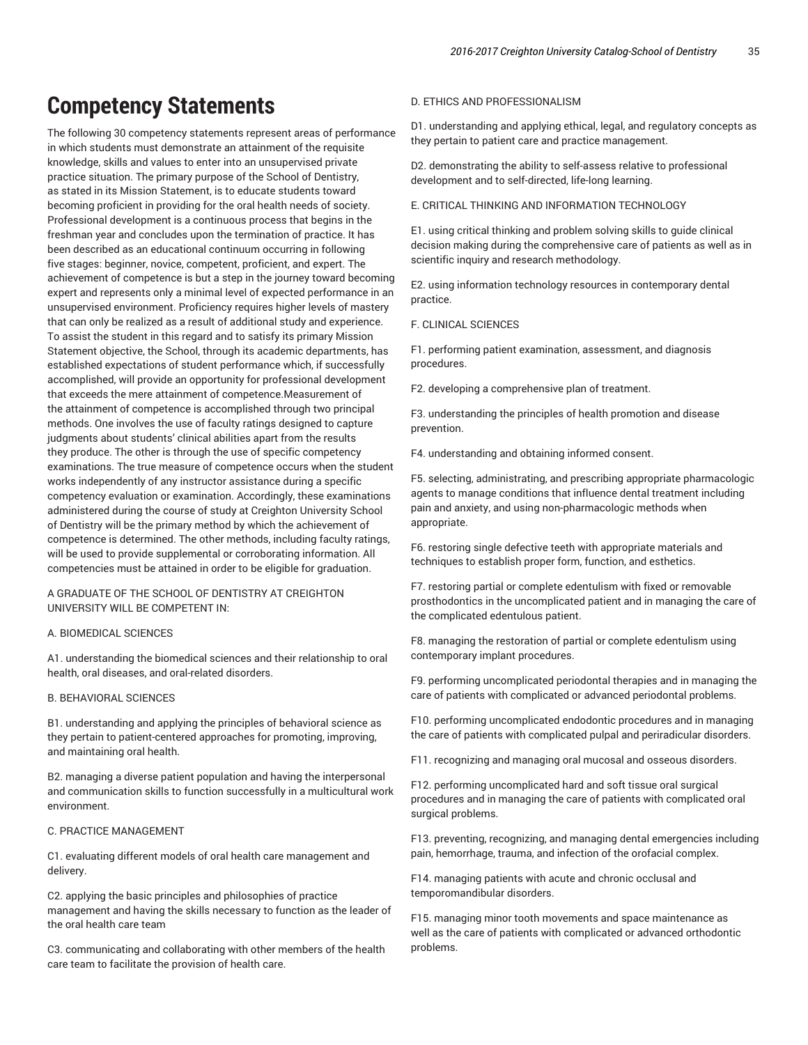## **Competency Statements**

The following 30 competency statements represent areas of performance in which students must demonstrate an attainment of the requisite knowledge, skills and values to enter into an unsupervised private practice situation. The primary purpose of the School of Dentistry, as stated in its Mission Statement, is to educate students toward becoming proficient in providing for the oral health needs of society. Professional development is a continuous process that begins in the freshman year and concludes upon the termination of practice. It has been described as an educational continuum occurring in following five stages: beginner, novice, competent, proficient, and expert. The achievement of competence is but a step in the journey toward becoming expert and represents only a minimal level of expected performance in an unsupervised environment. Proficiency requires higher levels of mastery that can only be realized as a result of additional study and experience. To assist the student in this regard and to satisfy its primary Mission Statement objective, the School, through its academic departments, has established expectations of student performance which, if successfully accomplished, will provide an opportunity for professional development that exceeds the mere attainment of competence.Measurement of the attainment of competence is accomplished through two principal methods. One involves the use of faculty ratings designed to capture judgments about students' clinical abilities apart from the results they produce. The other is through the use of specific competency examinations. The true measure of competence occurs when the student works independently of any instructor assistance during a specific competency evaluation or examination. Accordingly, these examinations administered during the course of study at Creighton University School of Dentistry will be the primary method by which the achievement of competence is determined. The other methods, including faculty ratings, will be used to provide supplemental or corroborating information. All competencies must be attained in order to be eligible for graduation.

A GRADUATE OF THE SCHOOL OF DENTISTRY AT CREIGHTON UNIVERSITY WILL BE COMPETENT IN:

#### A. BIOMEDICAL SCIENCES

A1. understanding the biomedical sciences and their relationship to oral health, oral diseases, and oral-related disorders.

#### B. BEHAVIORAL SCIENCES

B1. understanding and applying the principles of behavioral science as they pertain to patient-centered approaches for promoting, improving, and maintaining oral health.

B2. managing a diverse patient population and having the interpersonal and communication skills to function successfully in a multicultural work environment.

#### C. PRACTICE MANAGEMENT

C1. evaluating different models of oral health care management and delivery.

C2. applying the basic principles and philosophies of practice management and having the skills necessary to function as the leader of the oral health care team

C3. communicating and collaborating with other members of the health care team to facilitate the provision of health care.

#### D. ETHICS AND PROFESSIONALISM

D1. understanding and applying ethical, legal, and regulatory concepts as they pertain to patient care and practice management.

D2. demonstrating the ability to self-assess relative to professional development and to self-directed, life-long learning.

E. CRITICAL THINKING AND INFORMATION TECHNOLOGY

E1. using critical thinking and problem solving skills to guide clinical decision making during the comprehensive care of patients as well as in scientific inquiry and research methodology.

E2. using information technology resources in contemporary dental practice.

F. CLINICAL SCIENCES

F1. performing patient examination, assessment, and diagnosis procedures.

F2. developing a comprehensive plan of treatment.

F3. understanding the principles of health promotion and disease prevention.

F4. understanding and obtaining informed consent.

F5. selecting, administrating, and prescribing appropriate pharmacologic agents to manage conditions that influence dental treatment including pain and anxiety, and using non-pharmacologic methods when appropriate.

F6. restoring single defective teeth with appropriate materials and techniques to establish proper form, function, and esthetics.

F7. restoring partial or complete edentulism with fixed or removable prosthodontics in the uncomplicated patient and in managing the care of the complicated edentulous patient.

F8. managing the restoration of partial or complete edentulism using contemporary implant procedures.

F9. performing uncomplicated periodontal therapies and in managing the care of patients with complicated or advanced periodontal problems.

F10. performing uncomplicated endodontic procedures and in managing the care of patients with complicated pulpal and periradicular disorders.

F11. recognizing and managing oral mucosal and osseous disorders.

F12. performing uncomplicated hard and soft tissue oral surgical procedures and in managing the care of patients with complicated oral surgical problems.

F13. preventing, recognizing, and managing dental emergencies including pain, hemorrhage, trauma, and infection of the orofacial complex.

F14. managing patients with acute and chronic occlusal and temporomandibular disorders.

F15. managing minor tooth movements and space maintenance as well as the care of patients with complicated or advanced orthodontic problems.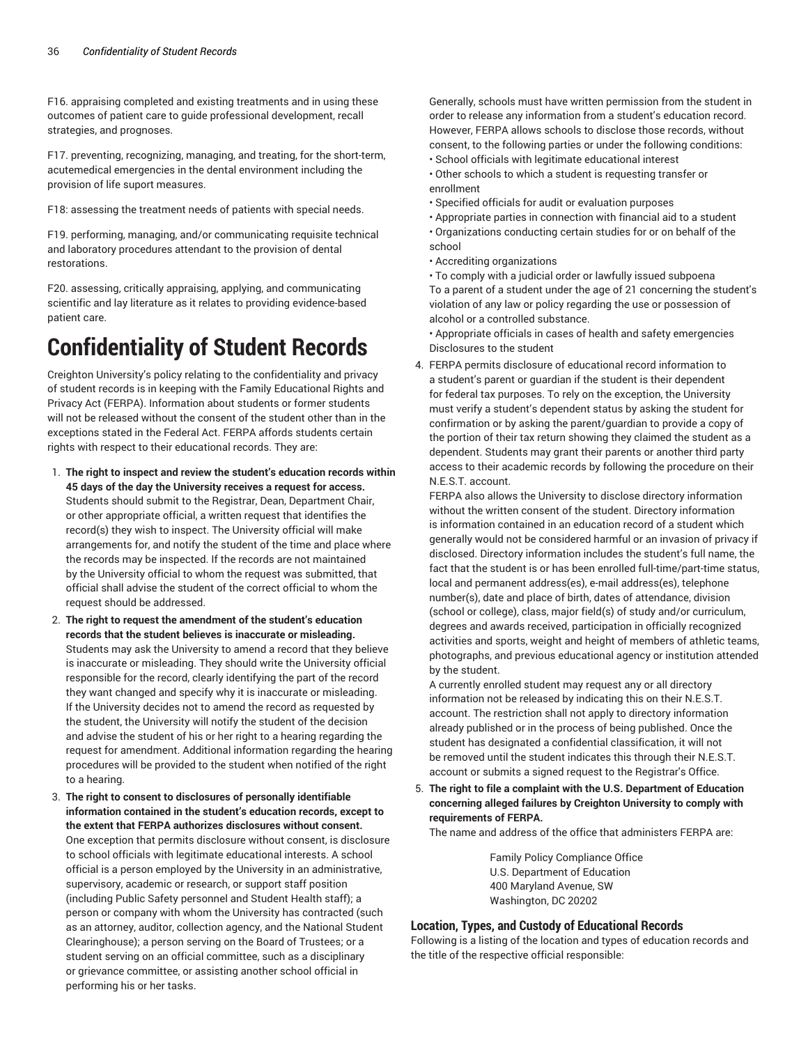F16. appraising completed and existing treatments and in using these outcomes of patient care to guide professional development, recall strategies, and prognoses.

F17. preventing, recognizing, managing, and treating, for the short-term, acutemedical emergencies in the dental environment including the provision of life suport measures.

F18: assessing the treatment needs of patients with special needs.

F19. performing, managing, and/or communicating requisite technical and laboratory procedures attendant to the provision of dental restorations.

F20. assessing, critically appraising, applying, and communicating scientific and lay literature as it relates to providing evidence-based patient care.

# **Confidentiality of Student Records**

Creighton University's policy relating to the confidentiality and privacy of student records is in keeping with the Family Educational Rights and Privacy Act (FERPA). Information about students or former students will not be released without the consent of the student other than in the exceptions stated in the Federal Act. FERPA affords students certain rights with respect to their educational records. They are:

- 1. **The right to inspect and review the student's education records within 45 days of the day the University receives a request for access.** Students should submit to the Registrar, Dean, Department Chair, or other appropriate official, a written request that identifies the record(s) they wish to inspect. The University official will make arrangements for, and notify the student of the time and place where the records may be inspected. If the records are not maintained by the University official to whom the request was submitted, that official shall advise the student of the correct official to whom the request should be addressed.
- 2. **The right to request the amendment of the student's education records that the student believes is inaccurate or misleading.** Students may ask the University to amend a record that they believe is inaccurate or misleading. They should write the University official responsible for the record, clearly identifying the part of the record they want changed and specify why it is inaccurate or misleading. If the University decides not to amend the record as requested by the student, the University will notify the student of the decision and advise the student of his or her right to a hearing regarding the request for amendment. Additional information regarding the hearing procedures will be provided to the student when notified of the right to a hearing.
- 3. **The right to consent to disclosures of personally identifiable information contained in the student's education records, except to the extent that FERPA authorizes disclosures without consent.** One exception that permits disclosure without consent, is disclosure to school officials with legitimate educational interests. A school official is a person employed by the University in an administrative, supervisory, academic or research, or support staff position (including Public Safety personnel and Student Health staff); a person or company with whom the University has contracted (such as an attorney, auditor, collection agency, and the National Student Clearinghouse); a person serving on the Board of Trustees; or a student serving on an official committee, such as a disciplinary or grievance committee, or assisting another school official in performing his or her tasks.

Generally, schools must have written permission from the student in order to release any information from a student's education record. However, FERPA allows schools to disclose those records, without consent, to the following parties or under the following conditions:

- School officials with legitimate educational interest
- Other schools to which a student is requesting transfer or enrollment
- Specified officials for audit or evaluation purposes
- Appropriate parties in connection with financial aid to a student
- Organizations conducting certain studies for or on behalf of the school
- Accrediting organizations
- To comply with a judicial order or lawfully issued subpoena To a parent of a student under the age of 21 concerning the student's violation of any law or policy regarding the use or possession of alcohol or a controlled substance.
- Appropriate officials in cases of health and safety emergencies Disclosures to the student
- 4. FERPA permits disclosure of educational record information to a student's parent or guardian if the student is their dependent for federal tax purposes. To rely on the exception, the University must verify a student's dependent status by asking the student for confirmation or by asking the parent/guardian to provide a copy of the portion of their tax return showing they claimed the student as a dependent. Students may grant their parents or another third party access to their academic records by following the procedure on their N.E.S.T. account.

FERPA also allows the University to disclose directory information without the written consent of the student. Directory information is information contained in an education record of a student which generally would not be considered harmful or an invasion of privacy if disclosed. Directory information includes the student's full name, the fact that the student is or has been enrolled full-time/part-time status, local and permanent address(es), e-mail address(es), telephone number(s), date and place of birth, dates of attendance, division (school or college), class, major field(s) of study and/or curriculum, degrees and awards received, participation in officially recognized activities and sports, weight and height of members of athletic teams, photographs, and previous educational agency or institution attended by the student.

A currently enrolled student may request any or all directory information not be released by indicating this on their N.E.S.T. account. The restriction shall not apply to directory information already published or in the process of being published. Once the student has designated a confidential classification, it will not be removed until the student indicates this through their N.E.S.T. account or submits a signed request to the Registrar's Office.

5. **The right to file a complaint with the U.S. Department of Education concerning alleged failures by Creighton University to comply with requirements of FERPA.**

The name and address of the office that administers FERPA are:

Family Policy Compliance Office U.S. Department of Education 400 Maryland Avenue, SW Washington, DC 20202

#### **Location, Types, and Custody of Educational Records**

Following is a listing of the location and types of education records and the title of the respective official responsible: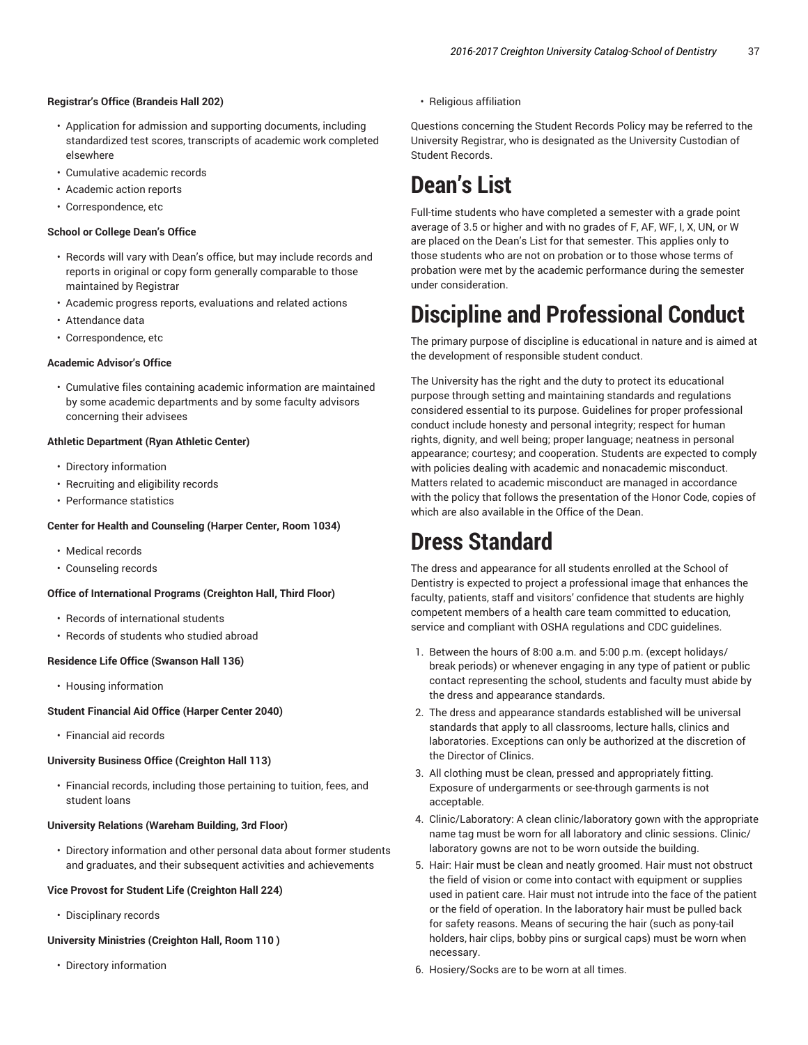#### **Registrar's Office (Brandeis Hall 202)**

- Application for admission and supporting documents, including standardized test scores, transcripts of academic work completed elsewhere
- Cumulative academic records
- Academic action reports
- Correspondence, etc

#### **School or College Dean's Office**

- Records will vary with Dean's office, but may include records and reports in original or copy form generally comparable to those maintained by Registrar
- Academic progress reports, evaluations and related actions
- Attendance data
- Correspondence, etc

#### **Academic Advisor's Office**

• Cumulative files containing academic information are maintained by some academic departments and by some faculty advisors concerning their advisees

#### **Athletic Department (Ryan Athletic Center)**

- Directory information
- Recruiting and eligibility records
- Performance statistics

#### **Center for Health and Counseling (Harper Center, Room 1034)**

- Medical records
- Counseling records

#### **Office of International Programs (Creighton Hall, Third Floor)**

- Records of international students
- Records of students who studied abroad

#### **Residence Life Office (Swanson Hall 136)**

• Housing information

#### **Student Financial Aid Office (Harper Center 2040)**

• Financial aid records

### **University Business Office (Creighton Hall 113)**

• Financial records, including those pertaining to tuition, fees, and student loans

#### **University Relations (Wareham Building, 3rd Floor)**

• Directory information and other personal data about former students and graduates, and their subsequent activities and achievements

#### **Vice Provost for Student Life (Creighton Hall 224)**

• Disciplinary records

#### **University Ministries (Creighton Hall, Room 110 )**

• Directory information

• Religious affiliation

Questions concerning the Student Records Policy may be referred to the University Registrar, who is designated as the University Custodian of Student Records.

# **Dean's List**

Full-time students who have completed a semester with a grade point average of 3.5 or higher and with no grades of F, AF, WF, I, X, UN, or W are placed on the Dean's List for that semester. This applies only to those students who are not on probation or to those whose terms of probation were met by the academic performance during the semester under consideration.

# **Discipline and Professional Conduct**

The primary purpose of discipline is educational in nature and is aimed at the development of responsible student conduct.

The University has the right and the duty to protect its educational purpose through setting and maintaining standards and regulations considered essential to its purpose. Guidelines for proper professional conduct include honesty and personal integrity; respect for human rights, dignity, and well being; proper language; neatness in personal appearance; courtesy; and cooperation. Students are expected to comply with policies dealing with academic and nonacademic misconduct. Matters related to academic misconduct are managed in accordance with the policy that follows the presentation of the Honor Code, copies of which are also available in the Office of the Dean.

# **Dress Standard**

The dress and appearance for all students enrolled at the School of Dentistry is expected to project a professional image that enhances the faculty, patients, staff and visitors' confidence that students are highly competent members of a health care team committed to education, service and compliant with OSHA regulations and CDC guidelines.

- 1. Between the hours of 8:00 a.m. and 5:00 p.m. (except holidays/ break periods) or whenever engaging in any type of patient or public contact representing the school, students and faculty must abide by the dress and appearance standards.
- 2. The dress and appearance standards established will be universal standards that apply to all classrooms, lecture halls, clinics and laboratories. Exceptions can only be authorized at the discretion of the Director of Clinics.
- 3. All clothing must be clean, pressed and appropriately fitting. Exposure of undergarments or see-through garments is not acceptable.
- 4. Clinic/Laboratory: A clean clinic/laboratory gown with the appropriate name tag must be worn for all laboratory and clinic sessions. Clinic/ laboratory gowns are not to be worn outside the building.
- 5. Hair: Hair must be clean and neatly groomed. Hair must not obstruct the field of vision or come into contact with equipment or supplies used in patient care. Hair must not intrude into the face of the patient or the field of operation. In the laboratory hair must be pulled back for safety reasons. Means of securing the hair (such as pony-tail holders, hair clips, bobby pins or surgical caps) must be worn when necessary.
- 6. Hosiery/Socks are to be worn at all times.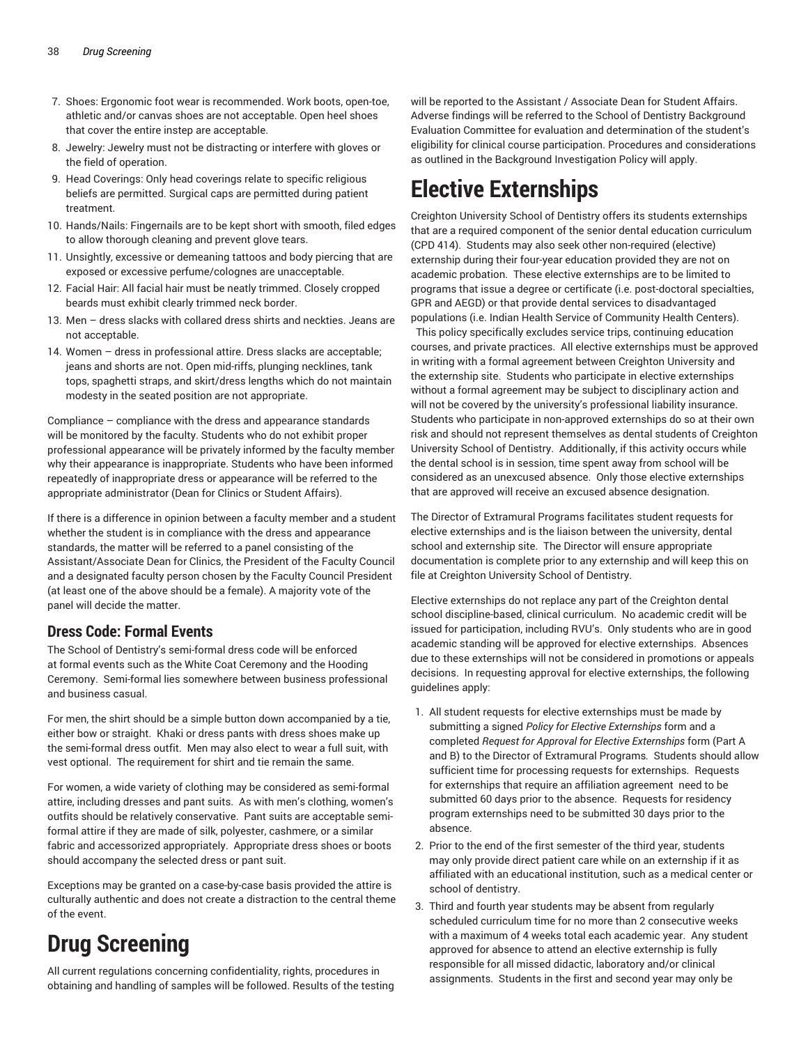- 7. Shoes: Ergonomic foot wear is recommended. Work boots, open-toe, athletic and/or canvas shoes are not acceptable. Open heel shoes that cover the entire instep are acceptable.
- 8. Jewelry: Jewelry must not be distracting or interfere with gloves or the field of operation.
- 9. Head Coverings: Only head coverings relate to specific religious beliefs are permitted. Surgical caps are permitted during patient treatment.
- 10. Hands/Nails: Fingernails are to be kept short with smooth, filed edges to allow thorough cleaning and prevent glove tears.
- 11. Unsightly, excessive or demeaning tattoos and body piercing that are exposed or excessive perfume/colognes are unacceptable.
- 12. Facial Hair: All facial hair must be neatly trimmed. Closely cropped beards must exhibit clearly trimmed neck border.
- 13. Men dress slacks with collared dress shirts and neckties. Jeans are not acceptable.
- 14. Women dress in professional attire. Dress slacks are acceptable; jeans and shorts are not. Open mid-riffs, plunging necklines, tank tops, spaghetti straps, and skirt/dress lengths which do not maintain modesty in the seated position are not appropriate.

Compliance – compliance with the dress and appearance standards will be monitored by the faculty. Students who do not exhibit proper professional appearance will be privately informed by the faculty member why their appearance is inappropriate. Students who have been informed repeatedly of inappropriate dress or appearance will be referred to the appropriate administrator (Dean for Clinics or Student Affairs).

If there is a difference in opinion between a faculty member and a student whether the student is in compliance with the dress and appearance standards, the matter will be referred to a panel consisting of the Assistant/Associate Dean for Clinics, the President of the Faculty Council and a designated faculty person chosen by the Faculty Council President (at least one of the above should be a female). A majority vote of the panel will decide the matter.

## **Dress Code: Formal Events**

The School of Dentistry's semi-formal dress code will be enforced at formal events such as the White Coat Ceremony and the Hooding Ceremony. Semi-formal lies somewhere between business professional and business casual.

For men, the shirt should be a simple button down accompanied by a tie, either bow or straight. Khaki or dress pants with dress shoes make up the semi-formal dress outfit. Men may also elect to wear a full suit, with vest optional. The requirement for shirt and tie remain the same.

For women, a wide variety of clothing may be considered as semi-formal attire, including dresses and pant suits. As with men's clothing, women's outfits should be relatively conservative. Pant suits are acceptable semiformal attire if they are made of silk, polyester, cashmere, or a similar fabric and accessorized appropriately. Appropriate dress shoes or boots should accompany the selected dress or pant suit.

Exceptions may be granted on a case-by-case basis provided the attire is culturally authentic and does not create a distraction to the central theme of the event.

# **Drug Screening**

All current regulations concerning confidentiality, rights, procedures in obtaining and handling of samples will be followed. Results of the testing

will be reported to the Assistant / Associate Dean for Student Affairs. Adverse findings will be referred to the School of Dentistry Background Evaluation Committee for evaluation and determination of the student's eligibility for clinical course participation. Procedures and considerations as outlined in the Background Investigation Policy will apply.

# **Elective Externships**

Creighton University School of Dentistry offers its students externships that are a required component of the senior dental education curriculum (CPD 414). Students may also seek other non-required (elective) externship during their four-year education provided they are not on academic probation. These elective externships are to be limited to programs that issue a degree or certificate (i.e. post-doctoral specialties, GPR and AEGD) or that provide dental services to disadvantaged populations (i.e. Indian Health Service of Community Health Centers).

 This policy specifically excludes service trips, continuing education courses, and private practices. All elective externships must be approved in writing with a formal agreement between Creighton University and the externship site. Students who participate in elective externships without a formal agreement may be subject to disciplinary action and will not be covered by the university's professional liability insurance. Students who participate in non-approved externships do so at their own risk and should not represent themselves as dental students of Creighton University School of Dentistry. Additionally, if this activity occurs while the dental school is in session, time spent away from school will be considered as an unexcused absence. Only those elective externships that are approved will receive an excused absence designation.

The Director of Extramural Programs facilitates student requests for elective externships and is the liaison between the university, dental school and externship site. The Director will ensure appropriate documentation is complete prior to any externship and will keep this on file at Creighton University School of Dentistry.

Elective externships do not replace any part of the Creighton dental school discipline-based, clinical curriculum. No academic credit will be issued for participation, including RVU's. Only students who are in good academic standing will be approved for elective externships. Absences due to these externships will not be considered in promotions or appeals decisions. In requesting approval for elective externships, the following guidelines apply:

- 1. All student requests for elective externships must be made by submitting a signed *Policy for Elective Externships* form and a completed *Request for Approval for Elective Externships* form (Part A and B) to the Director of Extramural Programs*.*  Students should allow sufficient time for processing requests for externships. Requests for externships that require an affiliation agreement need to be submitted 60 days prior to the absence. Requests for residency program externships need to be submitted 30 days prior to the absence.
- 2. Prior to the end of the first semester of the third year, students may only provide direct patient care while on an externship if it as affiliated with an educational institution, such as a medical center or school of dentistry.
- 3. Third and fourth year students may be absent from regularly scheduled curriculum time for no more than 2 consecutive weeks with a maximum of 4 weeks total each academic year. Any student approved for absence to attend an elective externship is fully responsible for all missed didactic, laboratory and/or clinical assignments. Students in the first and second year may only be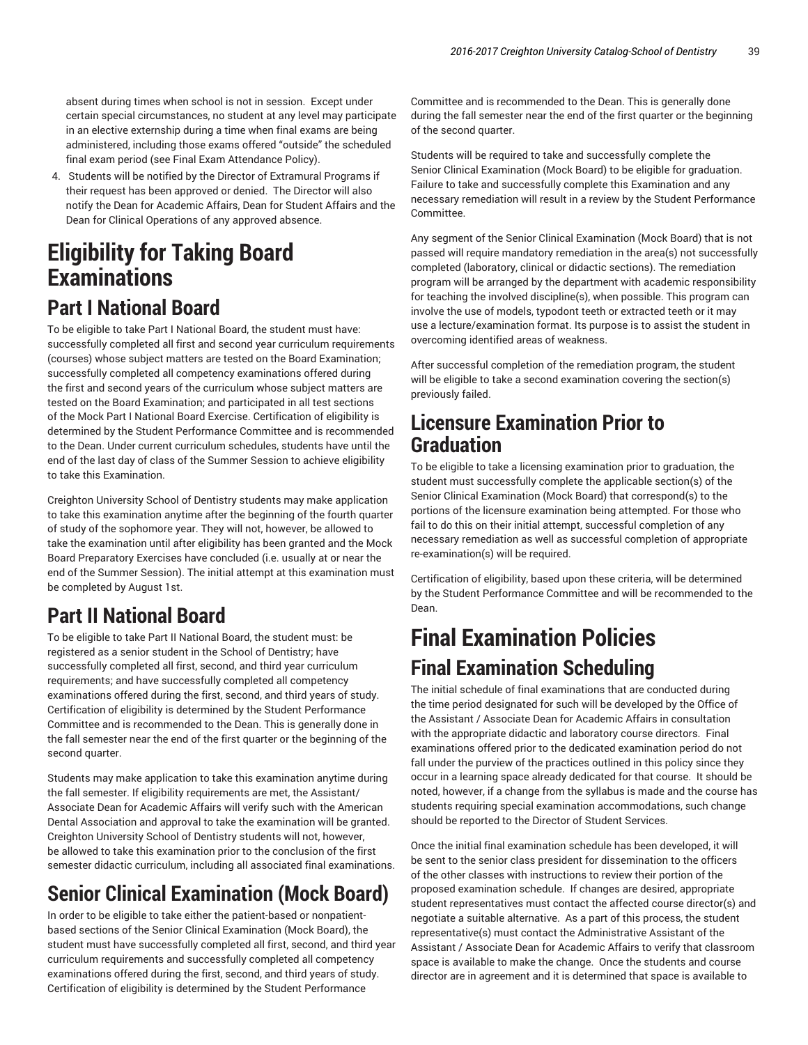absent during times when school is not in session. Except under certain special circumstances, no student at any level may participate in an elective externship during a time when final exams are being administered, including those exams offered "outside" the scheduled final exam period (see Final Exam Attendance Policy).

4. Students will be notified by the Director of Extramural Programs if their request has been approved or denied. The Director will also notify the Dean for Academic Affairs, Dean for Student Affairs and the Dean for Clinical Operations of any approved absence.

# **Eligibility for Taking Board Examinations Part I National Board**

To be eligible to take Part I National Board, the student must have: successfully completed all first and second year curriculum requirements (courses) whose subject matters are tested on the Board Examination; successfully completed all competency examinations offered during the first and second years of the curriculum whose subject matters are tested on the Board Examination; and participated in all test sections of the Mock Part I National Board Exercise. Certification of eligibility is determined by the Student Performance Committee and is recommended to the Dean. Under current curriculum schedules, students have until the end of the last day of class of the Summer Session to achieve eligibility to take this Examination.

Creighton University School of Dentistry students may make application to take this examination anytime after the beginning of the fourth quarter of study of the sophomore year. They will not, however, be allowed to take the examination until after eligibility has been granted and the Mock Board Preparatory Exercises have concluded (i.e. usually at or near the end of the Summer Session). The initial attempt at this examination must be completed by August 1st.

## **Part II National Board**

To be eligible to take Part II National Board, the student must: be registered as a senior student in the School of Dentistry; have successfully completed all first, second, and third year curriculum requirements; and have successfully completed all competency examinations offered during the first, second, and third years of study. Certification of eligibility is determined by the Student Performance Committee and is recommended to the Dean. This is generally done in the fall semester near the end of the first quarter or the beginning of the second quarter.

Students may make application to take this examination anytime during the fall semester. If eligibility requirements are met, the Assistant/ Associate Dean for Academic Affairs will verify such with the American Dental Association and approval to take the examination will be granted. Creighton University School of Dentistry students will not, however, be allowed to take this examination prior to the conclusion of the first semester didactic curriculum, including all associated final examinations.

# **Senior Clinical Examination (Mock Board)**

In order to be eligible to take either the patient-based or nonpatientbased sections of the Senior Clinical Examination (Mock Board), the student must have successfully completed all first, second, and third year curriculum requirements and successfully completed all competency examinations offered during the first, second, and third years of study. Certification of eligibility is determined by the Student Performance

Committee and is recommended to the Dean. This is generally done during the fall semester near the end of the first quarter or the beginning of the second quarter.

Students will be required to take and successfully complete the Senior Clinical Examination (Mock Board) to be eligible for graduation. Failure to take and successfully complete this Examination and any necessary remediation will result in a review by the Student Performance Committee.

Any segment of the Senior Clinical Examination (Mock Board) that is not passed will require mandatory remediation in the area(s) not successfully completed (laboratory, clinical or didactic sections). The remediation program will be arranged by the department with academic responsibility for teaching the involved discipline(s), when possible. This program can involve the use of models, typodont teeth or extracted teeth or it may use a lecture/examination format. Its purpose is to assist the student in overcoming identified areas of weakness.

After successful completion of the remediation program, the student will be eligible to take a second examination covering the section(s) previously failed.

## **Licensure Examination Prior to Graduation**

To be eligible to take a licensing examination prior to graduation, the student must successfully complete the applicable section(s) of the Senior Clinical Examination (Mock Board) that correspond(s) to the portions of the licensure examination being attempted. For those who fail to do this on their initial attempt, successful completion of any necessary remediation as well as successful completion of appropriate re-examination(s) will be required.

Certification of eligibility, based upon these criteria, will be determined by the Student Performance Committee and will be recommended to the Dean.

# **Final Examination Policies Final Examination Scheduling**

The initial schedule of final examinations that are conducted during the time period designated for such will be developed by the Office of the Assistant / Associate Dean for Academic Affairs in consultation with the appropriate didactic and laboratory course directors. Final examinations offered prior to the dedicated examination period do not fall under the purview of the practices outlined in this policy since they occur in a learning space already dedicated for that course. It should be noted, however, if a change from the syllabus is made and the course has students requiring special examination accommodations, such change should be reported to the Director of Student Services.

Once the initial final examination schedule has been developed, it will be sent to the senior class president for dissemination to the officers of the other classes with instructions to review their portion of the proposed examination schedule. If changes are desired, appropriate student representatives must contact the affected course director(s) and negotiate a suitable alternative. As a part of this process, the student representative(s) must contact the Administrative Assistant of the Assistant / Associate Dean for Academic Affairs to verify that classroom space is available to make the change. Once the students and course director are in agreement and it is determined that space is available to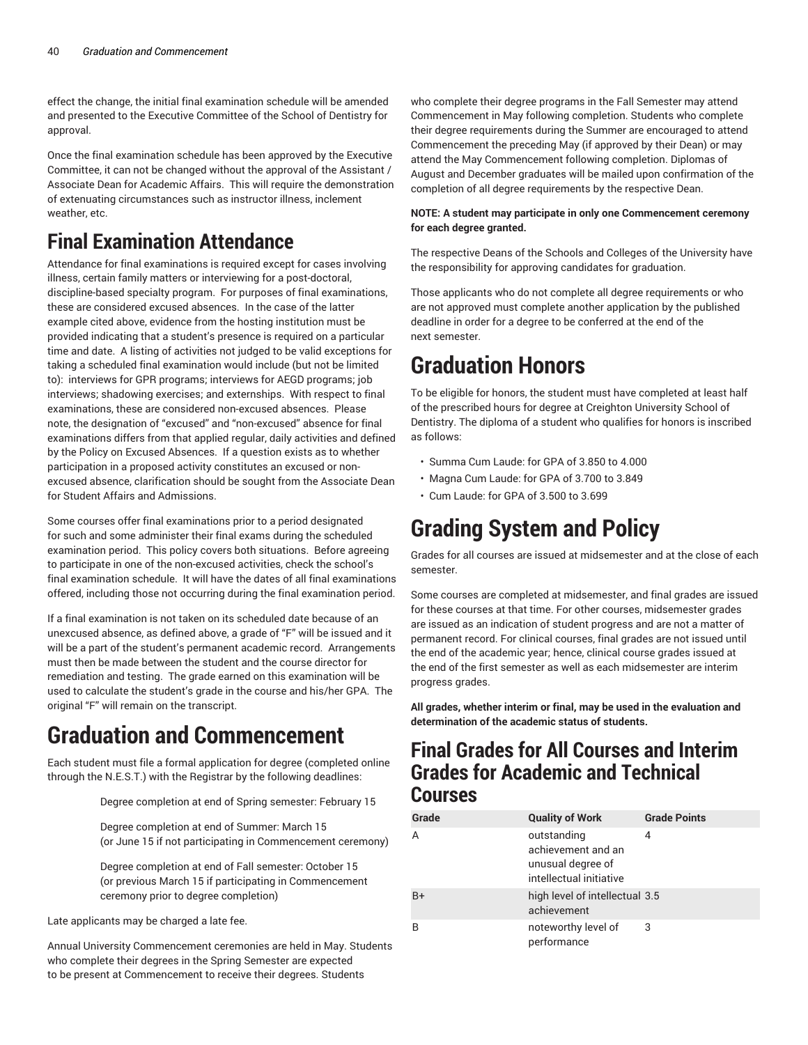effect the change, the initial final examination schedule will be amended and presented to the Executive Committee of the School of Dentistry for approval.

Once the final examination schedule has been approved by the Executive Committee, it can not be changed without the approval of the Assistant / Associate Dean for Academic Affairs. This will require the demonstration of extenuating circumstances such as instructor illness, inclement weather, etc.

# **Final Examination Attendance**

Attendance for final examinations is required except for cases involving illness, certain family matters or interviewing for a post-doctoral, discipline-based specialty program. For purposes of final examinations, these are considered excused absences. In the case of the latter example cited above, evidence from the hosting institution must be provided indicating that a student's presence is required on a particular time and date. A listing of activities not judged to be valid exceptions for taking a scheduled final examination would include (but not be limited to): interviews for GPR programs; interviews for AEGD programs; job interviews; shadowing exercises; and externships. With respect to final examinations, these are considered non-excused absences. Please note, the designation of "excused" and "non-excused" absence for final examinations differs from that applied regular, daily activities and defined by the Policy on Excused Absences. If a question exists as to whether participation in a proposed activity constitutes an excused or nonexcused absence, clarification should be sought from the Associate Dean for Student Affairs and Admissions.

Some courses offer final examinations prior to a period designated for such and some administer their final exams during the scheduled examination period. This policy covers both situations. Before agreeing to participate in one of the non-excused activities, check the school's final examination schedule. It will have the dates of all final examinations offered, including those not occurring during the final examination period.

If a final examination is not taken on its scheduled date because of an unexcused absence, as defined above, a grade of "F" will be issued and it will be a part of the student's permanent academic record. Arrangements must then be made between the student and the course director for remediation and testing. The grade earned on this examination will be used to calculate the student's grade in the course and his/her GPA. The original "F" will remain on the transcript.

# **Graduation and Commencement**

Each student must file a formal application for degree (completed online through the N.E.S.T.) with the Registrar by the following deadlines:

Degree completion at end of Spring semester: February 15

Degree completion at end of Summer: March 15 (or June 15 if not participating in Commencement ceremony)

Degree completion at end of Fall semester: October 15 (or previous March 15 if participating in Commencement ceremony prior to degree completion)

Late applicants may be charged a late fee.

Annual University Commencement ceremonies are held in May. Students who complete their degrees in the Spring Semester are expected to be present at Commencement to receive their degrees. Students

who complete their degree programs in the Fall Semester may attend Commencement in May following completion. Students who complete their degree requirements during the Summer are encouraged to attend Commencement the preceding May (if approved by their Dean) or may attend the May Commencement following completion. Diplomas of August and December graduates will be mailed upon confirmation of the completion of all degree requirements by the respective Dean.

#### **NOTE: A student may participate in only one Commencement ceremony for each degree granted.**

The respective Deans of the Schools and Colleges of the University have the responsibility for approving candidates for graduation.

Those applicants who do not complete all degree requirements or who are not approved must complete another application by the published deadline in order for a degree to be conferred at the end of the next semester.

# **Graduation Honors**

To be eligible for honors, the student must have completed at least half of the prescribed hours for degree at Creighton University School of Dentistry. The diploma of a student who qualifies for honors is inscribed as follows:

- Summa Cum Laude: for GPA of 3.850 to 4.000
- Magna Cum Laude: for GPA of 3.700 to 3.849
- Cum Laude: for GPA of 3.500 to 3.699

# **Grading System and Policy**

Grades for all courses are issued at midsemester and at the close of each semester.

Some courses are completed at midsemester, and final grades are issued for these courses at that time. For other courses, midsemester grades are issued as an indication of student progress and are not a matter of permanent record. For clinical courses, final grades are not issued until the end of the academic year; hence, clinical course grades issued at the end of the first semester as well as each midsemester are interim progress grades.

**All grades, whether interim or final, may be used in the evaluation and determination of the academic status of students.**

## **Final Grades for All Courses and Interim Grades for Academic and Technical Courses**

| Grade | <b>Quality of Work</b>                                                            | <b>Grade Points</b> |
|-------|-----------------------------------------------------------------------------------|---------------------|
| A     | outstanding<br>achievement and an<br>unusual degree of<br>intellectual initiative | 4                   |
| $B+$  | high level of intellectual 3.5<br>achievement                                     |                     |
| B     | noteworthy level of<br>performance                                                | 3                   |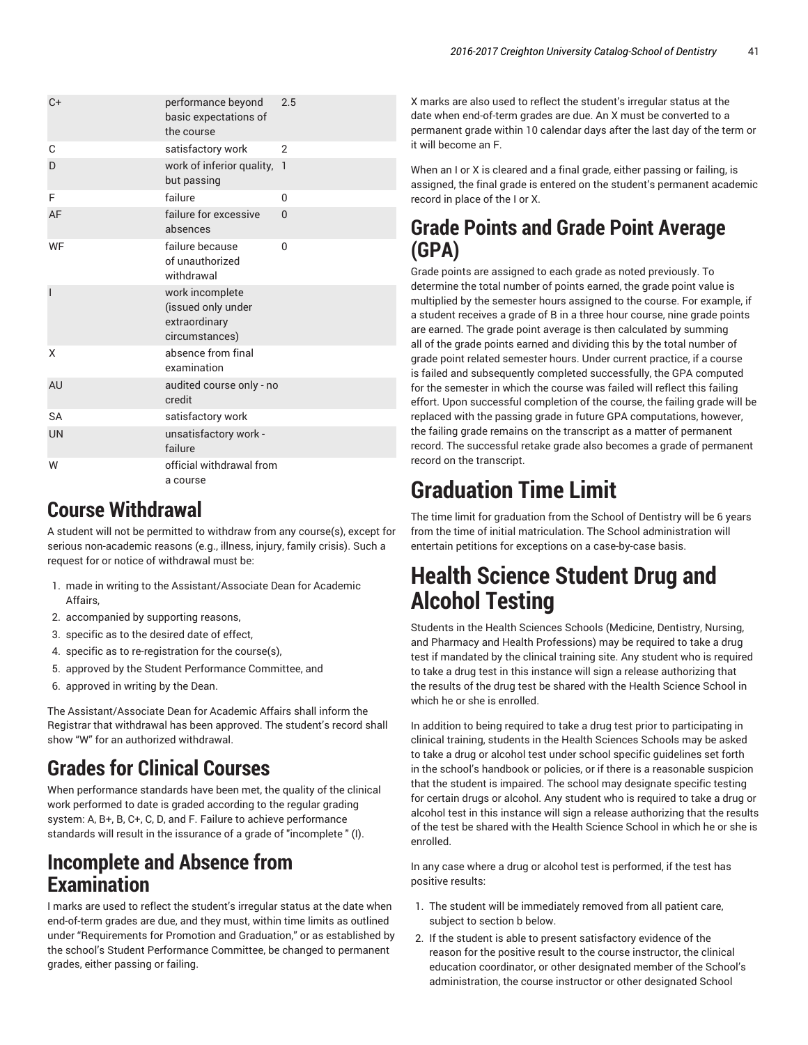| $C+$           | performance beyond<br>basic expectations of<br>the course                | 2.5          |
|----------------|--------------------------------------------------------------------------|--------------|
| C              | satisfactory work                                                        | 2            |
| D              | work of inferior quality,<br>but passing                                 | $\mathbf{1}$ |
| F              | failure                                                                  | $\Omega$     |
| AF             | failure for excessive<br>absences                                        | $\mathbf{0}$ |
| WF             | failure because<br>of unauthorized<br>withdrawal                         | 0            |
| $\overline{1}$ | work incomplete<br>(issued only under<br>extraordinary<br>circumstances) |              |
| X              | absence from final<br>examination                                        |              |
| AU             | audited course only - no<br>credit                                       |              |
| <b>SA</b>      | satisfactory work                                                        |              |
| <b>UN</b>      | unsatisfactory work -<br>failure                                         |              |
| W              | official withdrawal from<br>a course                                     |              |

## **Course Withdrawal**

A student will not be permitted to withdraw from any course(s), except for serious non-academic reasons (e.g., illness, injury, family crisis). Such a request for or notice of withdrawal must be:

- 1. made in writing to the Assistant/Associate Dean for Academic Affairs,
- 2. accompanied by supporting reasons,
- 3. specific as to the desired date of effect,
- 4. specific as to re-registration for the course(s),
- 5. approved by the Student Performance Committee, and
- 6. approved in writing by the Dean.

The Assistant/Associate Dean for Academic Affairs shall inform the Registrar that withdrawal has been approved. The student's record shall show "W" for an authorized withdrawal.

# **Grades for Clinical Courses**

When performance standards have been met, the quality of the clinical work performed to date is graded according to the regular grading system: A, B+, B, C+, C, D, and F. Failure to achieve performance standards will result in the issurance of a grade of "incomplete " (I).

## **Incomplete and Absence from Examination**

I marks are used to reflect the student's irregular status at the date when end-of-term grades are due, and they must, within time limits as outlined under "Requirements for Promotion and Graduation," or as established by the school's Student Performance Committee, be changed to permanent grades, either passing or failing.

X marks are also used to reflect the student's irregular status at the date when end-of-term grades are due. An X must be converted to a permanent grade within 10 calendar days after the last day of the term or it will become an F.

When an I or X is cleared and a final grade, either passing or failing, is assigned, the final grade is entered on the student's permanent academic record in place of the I or X.

## **Grade Points and Grade Point Average (GPA)**

Grade points are assigned to each grade as noted previously. To determine the total number of points earned, the grade point value is multiplied by the semester hours assigned to the course. For example, if a student receives a grade of B in a three hour course, nine grade points are earned. The grade point average is then calculated by summing all of the grade points earned and dividing this by the total number of grade point related semester hours. Under current practice, if a course is failed and subsequently completed successfully, the GPA computed for the semester in which the course was failed will reflect this failing effort. Upon successful completion of the course, the failing grade will be replaced with the passing grade in future GPA computations, however, the failing grade remains on the transcript as a matter of permanent record. The successful retake grade also becomes a grade of permanent record on the transcript.

# **Graduation Time Limit**

The time limit for graduation from the School of Dentistry will be 6 years from the time of initial matriculation. The School administration will entertain petitions for exceptions on a case-by-case basis.

# **Health Science Student Drug and Alcohol Testing**

Students in the Health Sciences Schools (Medicine, Dentistry, Nursing, and Pharmacy and Health Professions) may be required to take a drug test if mandated by the clinical training site. Any student who is required to take a drug test in this instance will sign a release authorizing that the results of the drug test be shared with the Health Science School in which he or she is enrolled.

In addition to being required to take a drug test prior to participating in clinical training, students in the Health Sciences Schools may be asked to take a drug or alcohol test under school specific guidelines set forth in the school's handbook or policies, or if there is a reasonable suspicion that the student is impaired. The school may designate specific testing for certain drugs or alcohol. Any student who is required to take a drug or alcohol test in this instance will sign a release authorizing that the results of the test be shared with the Health Science School in which he or she is enrolled.

In any case where a drug or alcohol test is performed, if the test has positive results:

- 1. The student will be immediately removed from all patient care, subject to section b below.
- 2. If the student is able to present satisfactory evidence of the reason for the positive result to the course instructor, the clinical education coordinator, or other designated member of the School's administration, the course instructor or other designated School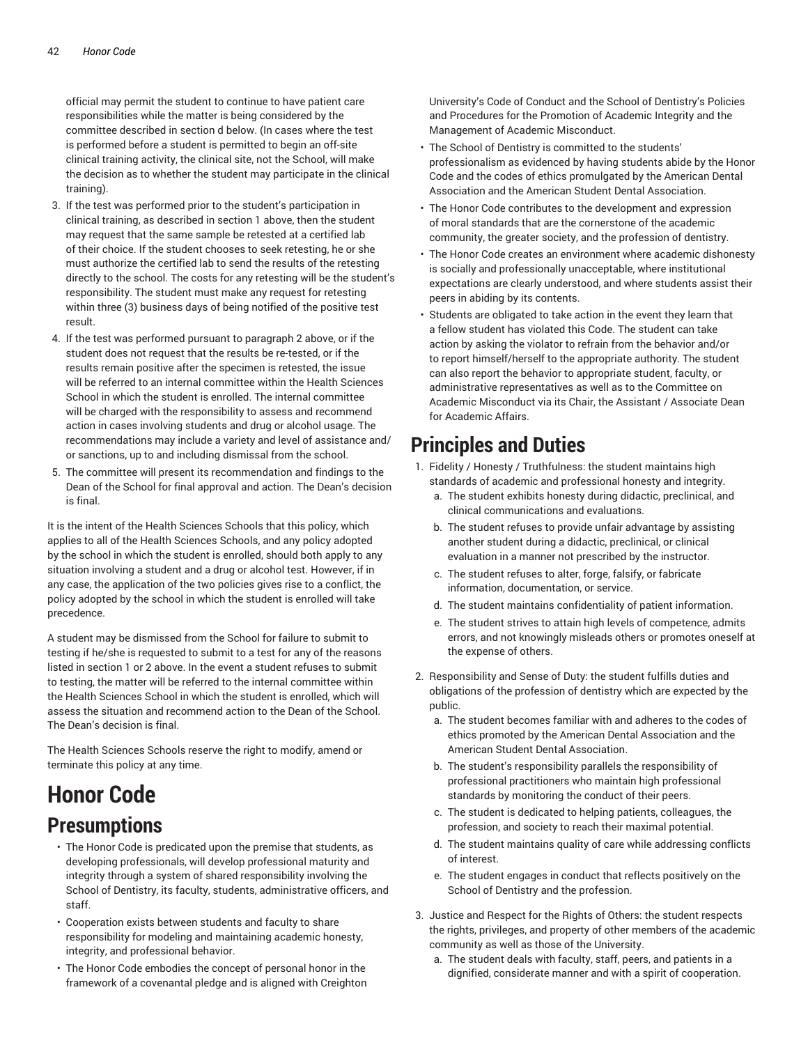official may permit the student to continue to have patient care responsibilities while the matter is being considered by the committee described in section d below. (In cases where the test is performed before a student is permitted to begin an off-site clinical training activity, the clinical site, not the School, will make the decision as to whether the student may participate in the clinical training).

- 3. If the test was performed prior to the student's participation in clinical training, as described in section 1 above, then the student may request that the same sample be retested at a certified lab of their choice. If the student chooses to seek retesting, he or she must authorize the certified lab to send the results of the retesting directly to the school. The costs for any retesting will be the student's responsibility. The student must make any request for retesting within three (3) business days of being notified of the positive test result.
- 4. If the test was performed pursuant to paragraph 2 above, or if the student does not request that the results be re-tested, or if the results remain positive after the specimen is retested, the issue will be referred to an internal committee within the Health Sciences School in which the student is enrolled. The internal committee will be charged with the responsibility to assess and recommend action in cases involving students and drug or alcohol usage. The recommendations may include a variety and level of assistance and/ or sanctions, up to and including dismissal from the school.
- 5. The committee will present its recommendation and findings to the Dean of the School for final approval and action. The Dean's decision is final.

It is the intent of the Health Sciences Schools that this policy, which applies to all of the Health Sciences Schools, and any policy adopted by the school in which the student is enrolled, should both apply to any situation involving a student and a drug or alcohol test. However, if in any case, the application of the two policies gives rise to a conflict, the policy adopted by the school in which the student is enrolled will take precedence.

A student may be dismissed from the School for failure to submit to testing if he/she is requested to submit to a test for any of the reasons listed in section 1 or 2 above. In the event a student refuses to submit to testing, the matter will be referred to the internal committee within the Health Sciences School in which the student is enrolled, which will assess the situation and recommend action to the Dean of the School. The Dean's decision is final.

The Health Sciences Schools reserve the right to modify, amend or terminate this policy at any time.

# **Honor Code Presumptions**

- The Honor Code is predicated upon the premise that students, as developing professionals, will develop professional maturity and integrity through a system of shared responsibility involving the School of Dentistry, its faculty, students, administrative officers, and staff.
- Cooperation exists between students and faculty to share responsibility for modeling and maintaining academic honesty, integrity, and professional behavior.
- The Honor Code embodies the concept of personal honor in the framework of a covenantal pledge and is aligned with Creighton

University's Code of Conduct and the School of Dentistry's Policies and Procedures for the Promotion of Academic Integrity and the Management of Academic Misconduct.

- The School of Dentistry is committed to the students' professionalism as evidenced by having students abide by the Honor Code and the codes of ethics promulgated by the American Dental Association and the American Student Dental Association.
- The Honor Code contributes to the development and expression of moral standards that are the cornerstone of the academic community, the greater society, and the profession of dentistry.
- The Honor Code creates an environment where academic dishonesty is socially and professionally unacceptable, where institutional expectations are clearly understood, and where students assist their peers in abiding by its contents.
- Students are obligated to take action in the event they learn that a fellow student has violated this Code. The student can take action by asking the violator to refrain from the behavior and/or to report himself/herself to the appropriate authority. The student can also report the behavior to appropriate student, faculty, or administrative representatives as well as to the Committee on Academic Misconduct via its Chair, the Assistant / Associate Dean for Academic Affairs.

## **Principles and Duties**

- 1. Fidelity / Honesty / Truthfulness: the student maintains high standards of academic and professional honesty and integrity.
	- a. The student exhibits honesty during didactic, preclinical, and clinical communications and evaluations.
	- b. The student refuses to provide unfair advantage by assisting another student during a didactic, preclinical, or clinical evaluation in a manner not prescribed by the instructor.
	- c. The student refuses to alter, forge, falsify, or fabricate information, documentation, or service.
	- d. The student maintains confidentiality of patient information.
	- e. The student strives to attain high levels of competence, admits errors, and not knowingly misleads others or promotes oneself at the expense of others.
- 2. Responsibility and Sense of Duty: the student fulfills duties and obligations of the profession of dentistry which are expected by the public.
	- a. The student becomes familiar with and adheres to the codes of ethics promoted by the American Dental Association and the American Student Dental Association.
	- b. The student's responsibility parallels the responsibility of professional practitioners who maintain high professional standards by monitoring the conduct of their peers.
	- c. The student is dedicated to helping patients, colleagues, the profession, and society to reach their maximal potential.
	- d. The student maintains quality of care while addressing conflicts of interest.
	- e. The student engages in conduct that reflects positively on the School of Dentistry and the profession.
- 3. Justice and Respect for the Rights of Others: the student respects the rights, privileges, and property of other members of the academic community as well as those of the University.
	- a. The student deals with faculty, staff, peers, and patients in a dignified, considerate manner and with a spirit of cooperation.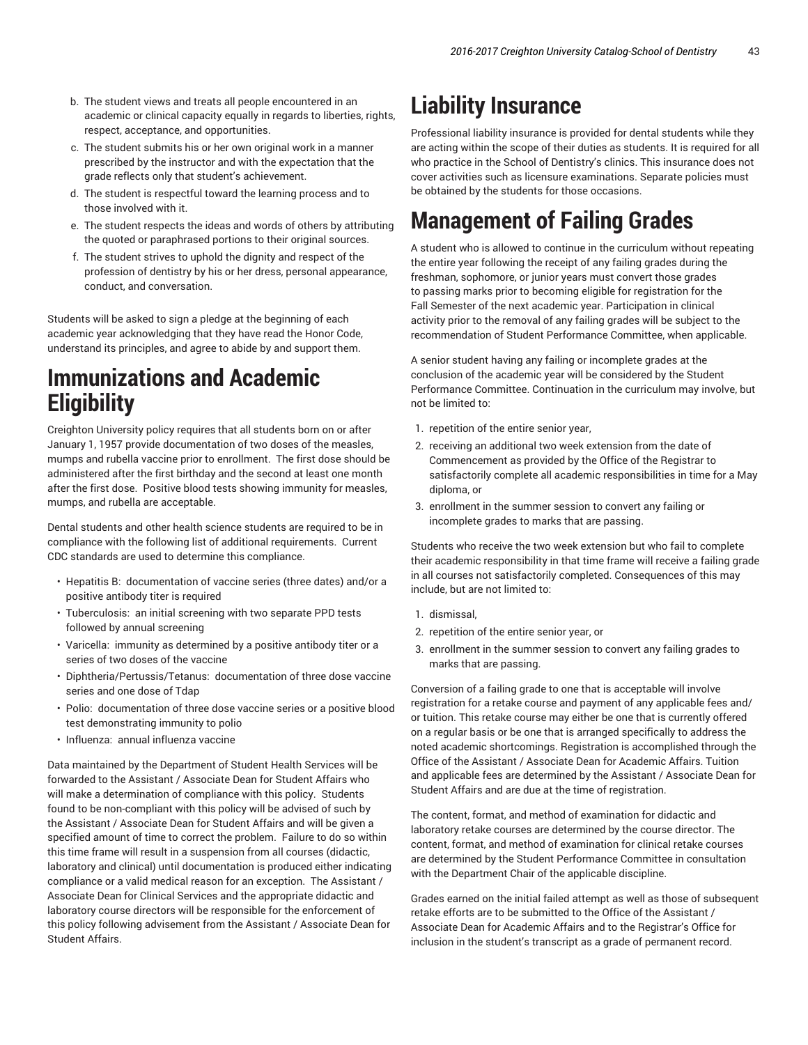- b. The student views and treats all people encountered in an academic or clinical capacity equally in regards to liberties, rights, respect, acceptance, and opportunities.
- c. The student submits his or her own original work in a manner prescribed by the instructor and with the expectation that the grade reflects only that student's achievement.
- d. The student is respectful toward the learning process and to those involved with it.
- e. The student respects the ideas and words of others by attributing the quoted or paraphrased portions to their original sources.
- f. The student strives to uphold the dignity and respect of the profession of dentistry by his or her dress, personal appearance, conduct, and conversation.

Students will be asked to sign a pledge at the beginning of each academic year acknowledging that they have read the Honor Code, understand its principles, and agree to abide by and support them.

# **Immunizations and Academic Eligibility**

Creighton University policy requires that all students born on or after January 1, 1957 provide documentation of two doses of the measles, mumps and rubella vaccine prior to enrollment. The first dose should be administered after the first birthday and the second at least one month after the first dose. Positive blood tests showing immunity for measles, mumps, and rubella are acceptable.

Dental students and other health science students are required to be in compliance with the following list of additional requirements. Current CDC standards are used to determine this compliance.

- Hepatitis B: documentation of vaccine series (three dates) and/or a positive antibody titer is required
- Tuberculosis: an initial screening with two separate PPD tests followed by annual screening
- Varicella: immunity as determined by a positive antibody titer or a series of two doses of the vaccine
- Diphtheria/Pertussis/Tetanus: documentation of three dose vaccine series and one dose of Tdap
- Polio: documentation of three dose vaccine series or a positive blood test demonstrating immunity to polio
- Influenza: annual influenza vaccine

Data maintained by the Department of Student Health Services will be forwarded to the Assistant / Associate Dean for Student Affairs who will make a determination of compliance with this policy. Students found to be non-compliant with this policy will be advised of such by the Assistant / Associate Dean for Student Affairs and will be given a specified amount of time to correct the problem. Failure to do so within this time frame will result in a suspension from all courses (didactic, laboratory and clinical) until documentation is produced either indicating compliance or a valid medical reason for an exception. The Assistant / Associate Dean for Clinical Services and the appropriate didactic and laboratory course directors will be responsible for the enforcement of this policy following advisement from the Assistant / Associate Dean for Student Affairs.

# **Liability Insurance**

Professional liability insurance is provided for dental students while they are acting within the scope of their duties as students. It is required for all who practice in the School of Dentistry's clinics. This insurance does not cover activities such as licensure examinations. Separate policies must be obtained by the students for those occasions.

# **Management of Failing Grades**

A student who is allowed to continue in the curriculum without repeating the entire year following the receipt of any failing grades during the freshman, sophomore, or junior years must convert those grades to passing marks prior to becoming eligible for registration for the Fall Semester of the next academic year. Participation in clinical activity prior to the removal of any failing grades will be subject to the recommendation of Student Performance Committee, when applicable.

A senior student having any failing or incomplete grades at the conclusion of the academic year will be considered by the Student Performance Committee. Continuation in the curriculum may involve, but not be limited to:

- 1. repetition of the entire senior year,
- 2. receiving an additional two week extension from the date of Commencement as provided by the Office of the Registrar to satisfactorily complete all academic responsibilities in time for a May diploma, or
- 3. enrollment in the summer session to convert any failing or incomplete grades to marks that are passing.

Students who receive the two week extension but who fail to complete their academic responsibility in that time frame will receive a failing grade in all courses not satisfactorily completed. Consequences of this may include, but are not limited to:

- 1. dismissal,
- 2. repetition of the entire senior year, or
- 3. enrollment in the summer session to convert any failing grades to marks that are passing.

Conversion of a failing grade to one that is acceptable will involve registration for a retake course and payment of any applicable fees and/ or tuition. This retake course may either be one that is currently offered on a regular basis or be one that is arranged specifically to address the noted academic shortcomings. Registration is accomplished through the Office of the Assistant / Associate Dean for Academic Affairs. Tuition and applicable fees are determined by the Assistant / Associate Dean for Student Affairs and are due at the time of registration.

The content, format, and method of examination for didactic and laboratory retake courses are determined by the course director. The content, format, and method of examination for clinical retake courses are determined by the Student Performance Committee in consultation with the Department Chair of the applicable discipline.

Grades earned on the initial failed attempt as well as those of subsequent retake efforts are to be submitted to the Office of the Assistant / Associate Dean for Academic Affairs and to the Registrar's Office for inclusion in the student's transcript as a grade of permanent record.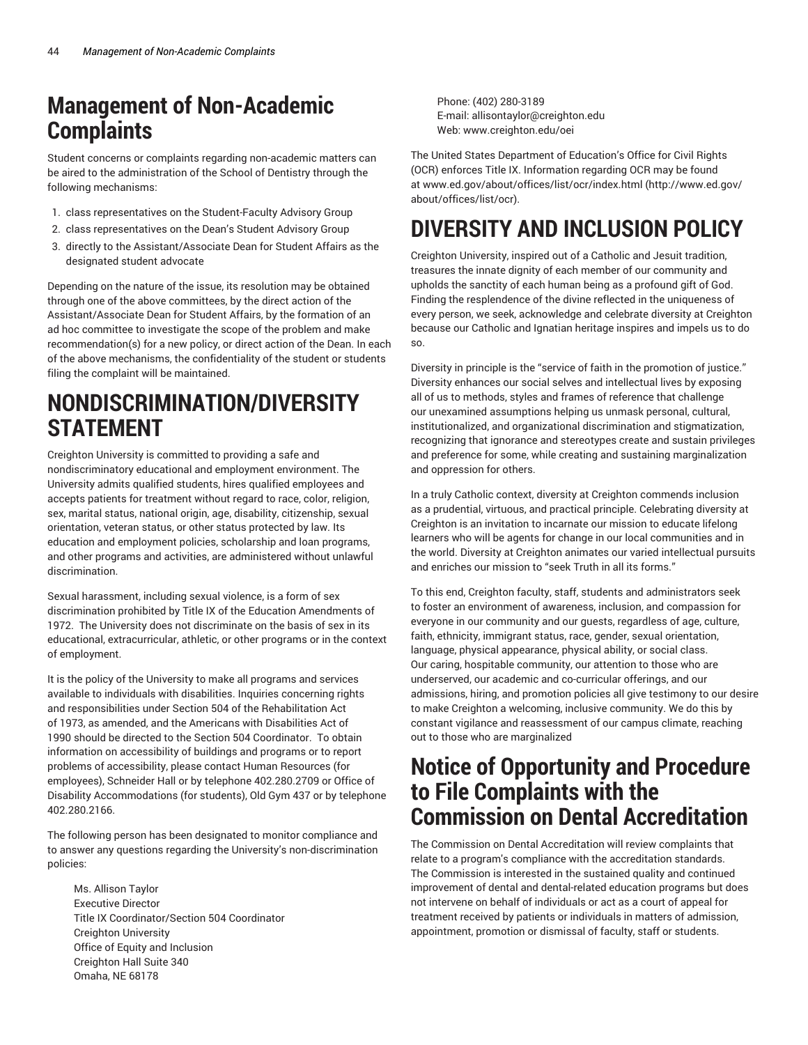# **Management of Non-Academic Complaints**

Student concerns or complaints regarding non-academic matters can be aired to the administration of the School of Dentistry through the following mechanisms:

- 1. class representatives on the Student-Faculty Advisory Group
- 2. class representatives on the Dean's Student Advisory Group
- 3. directly to the Assistant/Associate Dean for Student Affairs as the designated student advocate

Depending on the nature of the issue, its resolution may be obtained through one of the above committees, by the direct action of the Assistant/Associate Dean for Student Affairs, by the formation of an ad hoc committee to investigate the scope of the problem and make recommendation(s) for a new policy, or direct action of the Dean. In each of the above mechanisms, the confidentiality of the student or students filing the complaint will be maintained.

# **NONDISCRIMINATION/DIVERSITY STATEMENT**

Creighton University is committed to providing a safe and nondiscriminatory educational and employment environment. The University admits qualified students, hires qualified employees and accepts patients for treatment without regard to race, color, religion, sex, marital status, national origin, age, disability, citizenship, sexual orientation, veteran status, or other status protected by law. Its education and employment policies, scholarship and loan programs, and other programs and activities, are administered without unlawful discrimination.

Sexual harassment, including sexual violence, is a form of sex discrimination prohibited by Title IX of the Education Amendments of 1972. The University does not discriminate on the basis of sex in its educational, extracurricular, athletic, or other programs or in the context of employment.

It is the policy of the University to make all programs and services available to individuals with disabilities. Inquiries concerning rights and responsibilities under Section 504 of the Rehabilitation Act of 1973, as amended, and the Americans with Disabilities Act of 1990 should be directed to the Section 504 Coordinator. To obtain information on accessibility of buildings and programs or to report problems of accessibility, please contact Human Resources (for employees), Schneider Hall or by telephone 402.280.2709 or Office of Disability Accommodations (for students), Old Gym 437 or by telephone 402.280.2166.

The following person has been designated to monitor compliance and to answer any questions regarding the University's non-discrimination policies:

Ms. Allison Taylor Executive Director Title IX Coordinator/Section 504 Coordinator Creighton University Office of Equity and Inclusion Creighton Hall Suite 340 Omaha, NE 68178

Phone: (402) 280-3189 E-mail: allisontaylor@creighton.edu Web: www.creighton.edu/oei

The United States Department of Education's Office for Civil Rights (OCR) enforces Title IX. Information regarding OCR may be found at www.ed.gov/about/offices/list/ocr/index.html (http://www.ed.gov/ about/offices/list/ocr).

# **DIVERSITY AND INCLUSION POLICY**

Creighton University, inspired out of a Catholic and Jesuit tradition, treasures the innate dignity of each member of our community and upholds the sanctity of each human being as a profound gift of God. Finding the resplendence of the divine reflected in the uniqueness of every person, we seek, acknowledge and celebrate diversity at Creighton because our Catholic and Ignatian heritage inspires and impels us to do so.

Diversity in principle is the "service of faith in the promotion of justice." Diversity enhances our social selves and intellectual lives by exposing all of us to methods, styles and frames of reference that challenge our unexamined assumptions helping us unmask personal, cultural, institutionalized, and organizational discrimination and stigmatization, recognizing that ignorance and stereotypes create and sustain privileges and preference for some, while creating and sustaining marginalization and oppression for others.

In a truly Catholic context, diversity at Creighton commends inclusion as a prudential, virtuous, and practical principle. Celebrating diversity at Creighton is an invitation to incarnate our mission to educate lifelong learners who will be agents for change in our local communities and in the world. Diversity at Creighton animates our varied intellectual pursuits and enriches our mission to "seek Truth in all its forms."

To this end, Creighton faculty, staff, students and administrators seek to foster an environment of awareness, inclusion, and compassion for everyone in our community and our guests, regardless of age, culture, faith, ethnicity, immigrant status, race, gender, sexual orientation, language, physical appearance, physical ability, or social class. Our caring, hospitable community, our attention to those who are underserved, our academic and co-curricular offerings, and our admissions, hiring, and promotion policies all give testimony to our desire to make Creighton a welcoming, inclusive community. We do this by constant vigilance and reassessment of our campus climate, reaching out to those who are marginalized

# **Notice of Opportunity and Procedure to File Complaints with the Commission on Dental Accreditation**

The Commission on Dental Accreditation will review complaints that relate to a program's compliance with the accreditation standards. The Commission is interested in the sustained quality and continued improvement of dental and dental-related education programs but does not intervene on behalf of individuals or act as a court of appeal for treatment received by patients or individuals in matters of admission, appointment, promotion or dismissal of faculty, staff or students.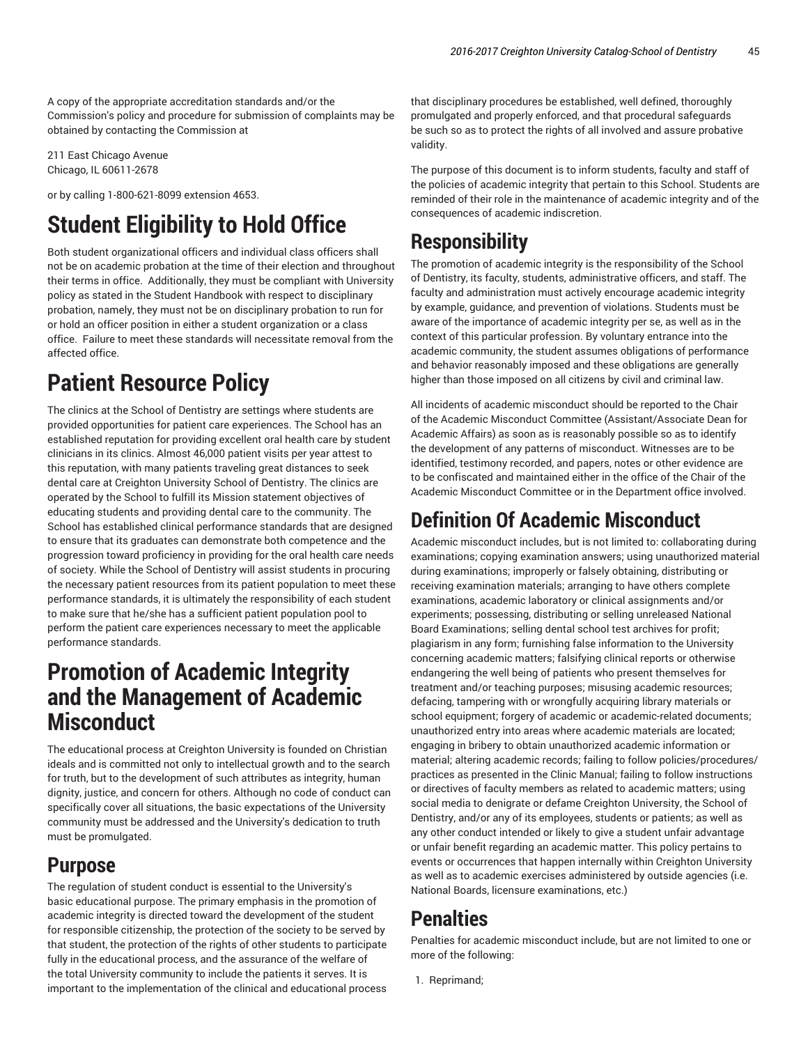A copy of the appropriate accreditation standards and/or the Commission's policy and procedure for submission of complaints may be obtained by contacting the Commission at

211 East Chicago Avenue Chicago, IL 60611-2678

or by calling 1-800-621-8099 extension 4653.

# **Student Eligibility to Hold Office**

Both student organizational officers and individual class officers shall not be on academic probation at the time of their election and throughout their terms in office. Additionally, they must be compliant with University policy as stated in the Student Handbook with respect to disciplinary probation, namely, they must not be on disciplinary probation to run for or hold an officer position in either a student organization or a class office. Failure to meet these standards will necessitate removal from the affected office.

# **Patient Resource Policy**

The clinics at the School of Dentistry are settings where students are provided opportunities for patient care experiences. The School has an established reputation for providing excellent oral health care by student clinicians in its clinics. Almost 46,000 patient visits per year attest to this reputation, with many patients traveling great distances to seek dental care at Creighton University School of Dentistry. The clinics are operated by the School to fulfill its Mission statement objectives of educating students and providing dental care to the community. The School has established clinical performance standards that are designed to ensure that its graduates can demonstrate both competence and the progression toward proficiency in providing for the oral health care needs of society. While the School of Dentistry will assist students in procuring the necessary patient resources from its patient population to meet these performance standards, it is ultimately the responsibility of each student to make sure that he/she has a sufficient patient population pool to perform the patient care experiences necessary to meet the applicable performance standards.

# **Promotion of Academic Integrity and the Management of Academic Misconduct**

The educational process at Creighton University is founded on Christian ideals and is committed not only to intellectual growth and to the search for truth, but to the development of such attributes as integrity, human dignity, justice, and concern for others. Although no code of conduct can specifically cover all situations, the basic expectations of the University community must be addressed and the University's dedication to truth must be promulgated.

## **Purpose**

The regulation of student conduct is essential to the University's basic educational purpose. The primary emphasis in the promotion of academic integrity is directed toward the development of the student for responsible citizenship, the protection of the society to be served by that student, the protection of the rights of other students to participate fully in the educational process, and the assurance of the welfare of the total University community to include the patients it serves. It is important to the implementation of the clinical and educational process that disciplinary procedures be established, well defined, thoroughly promulgated and properly enforced, and that procedural safeguards be such so as to protect the rights of all involved and assure probative validity.

The purpose of this document is to inform students, faculty and staff of the policies of academic integrity that pertain to this School. Students are reminded of their role in the maintenance of academic integrity and of the consequences of academic indiscretion.

## **Responsibility**

The promotion of academic integrity is the responsibility of the School of Dentistry, its faculty, students, administrative officers, and staff. The faculty and administration must actively encourage academic integrity by example, guidance, and prevention of violations. Students must be aware of the importance of academic integrity per se, as well as in the context of this particular profession. By voluntary entrance into the academic community, the student assumes obligations of performance and behavior reasonably imposed and these obligations are generally higher than those imposed on all citizens by civil and criminal law.

All incidents of academic misconduct should be reported to the Chair of the Academic Misconduct Committee (Assistant/Associate Dean for Academic Affairs) as soon as is reasonably possible so as to identify the development of any patterns of misconduct. Witnesses are to be identified, testimony recorded, and papers, notes or other evidence are to be confiscated and maintained either in the office of the Chair of the Academic Misconduct Committee or in the Department office involved.

## **Definition Of Academic Misconduct**

Academic misconduct includes, but is not limited to: collaborating during examinations; copying examination answers; using unauthorized material during examinations; improperly or falsely obtaining, distributing or receiving examination materials; arranging to have others complete examinations, academic laboratory or clinical assignments and/or experiments; possessing, distributing or selling unreleased National Board Examinations; selling dental school test archives for profit; plagiarism in any form; furnishing false information to the University concerning academic matters; falsifying clinical reports or otherwise endangering the well being of patients who present themselves for treatment and/or teaching purposes; misusing academic resources; defacing, tampering with or wrongfully acquiring library materials or school equipment; forgery of academic or academic-related documents; unauthorized entry into areas where academic materials are located; engaging in bribery to obtain unauthorized academic information or material; altering academic records; failing to follow policies/procedures/ practices as presented in the Clinic Manual; failing to follow instructions or directives of faculty members as related to academic matters; using social media to denigrate or defame Creighton University, the School of Dentistry, and/or any of its employees, students or patients; as well as any other conduct intended or likely to give a student unfair advantage or unfair benefit regarding an academic matter. This policy pertains to events or occurrences that happen internally within Creighton University as well as to academic exercises administered by outside agencies (i.e. National Boards, licensure examinations, etc.)

## **Penalties**

Penalties for academic misconduct include, but are not limited to one or more of the following:

1. Reprimand;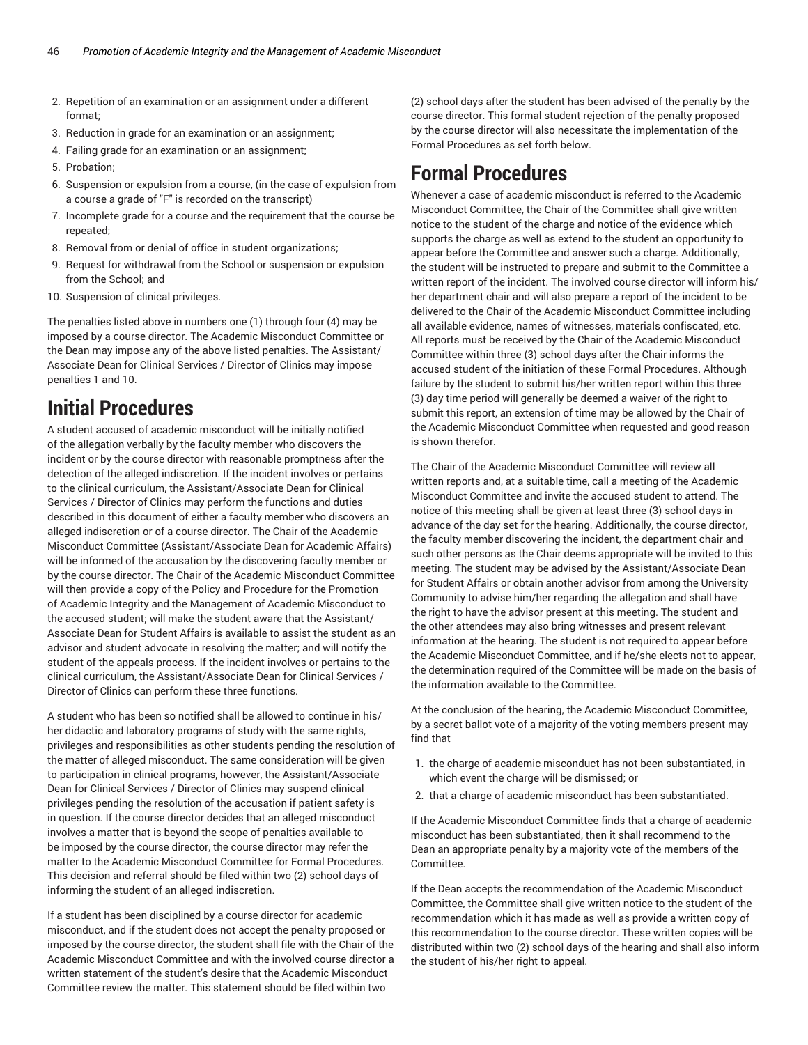- 2. Repetition of an examination or an assignment under a different format;
- 3. Reduction in grade for an examination or an assignment;
- 4. Failing grade for an examination or an assignment;
- 5. Probation;
- 6. Suspension or expulsion from a course, (in the case of expulsion from a course a grade of "F" is recorded on the transcript)
- 7. Incomplete grade for a course and the requirement that the course be repeated;
- 8. Removal from or denial of office in student organizations;
- 9. Request for withdrawal from the School or suspension or expulsion from the School; and
- 10. Suspension of clinical privileges.

The penalties listed above in numbers one (1) through four (4) may be imposed by a course director. The Academic Misconduct Committee or the Dean may impose any of the above listed penalties. The Assistant/ Associate Dean for Clinical Services / Director of Clinics may impose penalties 1 and 10.

## **Initial Procedures**

A student accused of academic misconduct will be initially notified of the allegation verbally by the faculty member who discovers the incident or by the course director with reasonable promptness after the detection of the alleged indiscretion. If the incident involves or pertains to the clinical curriculum, the Assistant/Associate Dean for Clinical Services / Director of Clinics may perform the functions and duties described in this document of either a faculty member who discovers an alleged indiscretion or of a course director. The Chair of the Academic Misconduct Committee (Assistant/Associate Dean for Academic Affairs) will be informed of the accusation by the discovering faculty member or by the course director. The Chair of the Academic Misconduct Committee will then provide a copy of the Policy and Procedure for the Promotion of Academic Integrity and the Management of Academic Misconduct to the accused student; will make the student aware that the Assistant/ Associate Dean for Student Affairs is available to assist the student as an advisor and student advocate in resolving the matter; and will notify the student of the appeals process. If the incident involves or pertains to the clinical curriculum, the Assistant/Associate Dean for Clinical Services / Director of Clinics can perform these three functions.

A student who has been so notified shall be allowed to continue in his/ her didactic and laboratory programs of study with the same rights, privileges and responsibilities as other students pending the resolution of the matter of alleged misconduct. The same consideration will be given to participation in clinical programs, however, the Assistant/Associate Dean for Clinical Services / Director of Clinics may suspend clinical privileges pending the resolution of the accusation if patient safety is in question. If the course director decides that an alleged misconduct involves a matter that is beyond the scope of penalties available to be imposed by the course director, the course director may refer the matter to the Academic Misconduct Committee for Formal Procedures. This decision and referral should be filed within two (2) school days of informing the student of an alleged indiscretion.

If a student has been disciplined by a course director for academic misconduct, and if the student does not accept the penalty proposed or imposed by the course director, the student shall file with the Chair of the Academic Misconduct Committee and with the involved course director a written statement of the student's desire that the Academic Misconduct Committee review the matter. This statement should be filed within two

(2) school days after the student has been advised of the penalty by the course director. This formal student rejection of the penalty proposed by the course director will also necessitate the implementation of the Formal Procedures as set forth below.

## **Formal Procedures**

Whenever a case of academic misconduct is referred to the Academic Misconduct Committee, the Chair of the Committee shall give written notice to the student of the charge and notice of the evidence which supports the charge as well as extend to the student an opportunity to appear before the Committee and answer such a charge. Additionally, the student will be instructed to prepare and submit to the Committee a written report of the incident. The involved course director will inform his/ her department chair and will also prepare a report of the incident to be delivered to the Chair of the Academic Misconduct Committee including all available evidence, names of witnesses, materials confiscated, etc. All reports must be received by the Chair of the Academic Misconduct Committee within three (3) school days after the Chair informs the accused student of the initiation of these Formal Procedures. Although failure by the student to submit his/her written report within this three (3) day time period will generally be deemed a waiver of the right to submit this report, an extension of time may be allowed by the Chair of the Academic Misconduct Committee when requested and good reason is shown therefor.

The Chair of the Academic Misconduct Committee will review all written reports and, at a suitable time, call a meeting of the Academic Misconduct Committee and invite the accused student to attend. The notice of this meeting shall be given at least three (3) school days in advance of the day set for the hearing. Additionally, the course director, the faculty member discovering the incident, the department chair and such other persons as the Chair deems appropriate will be invited to this meeting. The student may be advised by the Assistant/Associate Dean for Student Affairs or obtain another advisor from among the University Community to advise him/her regarding the allegation and shall have the right to have the advisor present at this meeting. The student and the other attendees may also bring witnesses and present relevant information at the hearing. The student is not required to appear before the Academic Misconduct Committee, and if he/she elects not to appear, the determination required of the Committee will be made on the basis of the information available to the Committee.

At the conclusion of the hearing, the Academic Misconduct Committee, by a secret ballot vote of a majority of the voting members present may find that

- 1. the charge of academic misconduct has not been substantiated, in which event the charge will be dismissed; or
- 2. that a charge of academic misconduct has been substantiated.

If the Academic Misconduct Committee finds that a charge of academic misconduct has been substantiated, then it shall recommend to the Dean an appropriate penalty by a majority vote of the members of the Committee.

If the Dean accepts the recommendation of the Academic Misconduct Committee, the Committee shall give written notice to the student of the recommendation which it has made as well as provide a written copy of this recommendation to the course director. These written copies will be distributed within two (2) school days of the hearing and shall also inform the student of his/her right to appeal.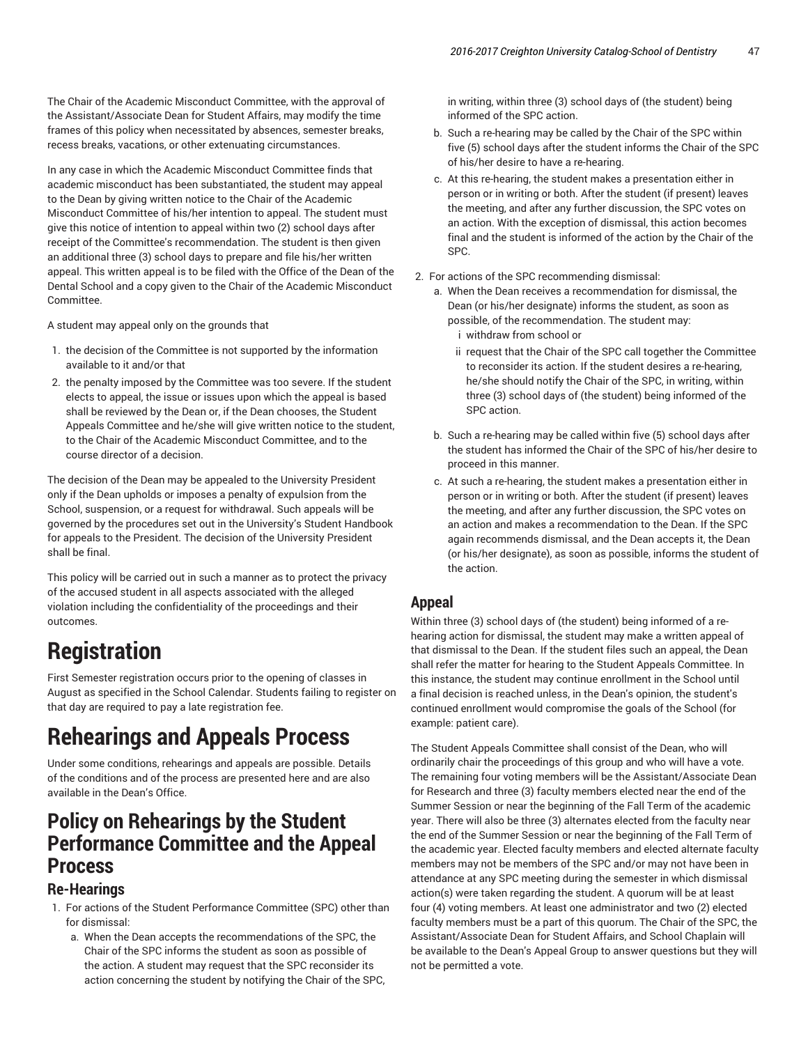The Chair of the Academic Misconduct Committee, with the approval of the Assistant/Associate Dean for Student Affairs, may modify the time frames of this policy when necessitated by absences, semester breaks, recess breaks, vacations, or other extenuating circumstances.

In any case in which the Academic Misconduct Committee finds that academic misconduct has been substantiated, the student may appeal to the Dean by giving written notice to the Chair of the Academic Misconduct Committee of his/her intention to appeal. The student must give this notice of intention to appeal within two (2) school days after receipt of the Committee's recommendation. The student is then given an additional three (3) school days to prepare and file his/her written appeal. This written appeal is to be filed with the Office of the Dean of the Dental School and a copy given to the Chair of the Academic Misconduct Committee.

A student may appeal only on the grounds that

- 1. the decision of the Committee is not supported by the information available to it and/or that
- 2. the penalty imposed by the Committee was too severe. If the student elects to appeal, the issue or issues upon which the appeal is based shall be reviewed by the Dean or, if the Dean chooses, the Student Appeals Committee and he/she will give written notice to the student, to the Chair of the Academic Misconduct Committee, and to the course director of a decision.

The decision of the Dean may be appealed to the University President only if the Dean upholds or imposes a penalty of expulsion from the School, suspension, or a request for withdrawal. Such appeals will be governed by the procedures set out in the University's Student Handbook for appeals to the President. The decision of the University President shall be final.

This policy will be carried out in such a manner as to protect the privacy of the accused student in all aspects associated with the alleged violation including the confidentiality of the proceedings and their outcomes.

# **Registration**

First Semester registration occurs prior to the opening of classes in August as specified in the School Calendar. Students failing to register on that day are required to pay a late registration fee.

# **Rehearings and Appeals Process**

Under some conditions, rehearings and appeals are possible. Details of the conditions and of the process are presented here and are also available in the Dean's Office.

## **Policy on Rehearings by the Student Performance Committee and the Appeal Process**

### **Re-Hearings**

- 1. For actions of the Student Performance Committee (SPC) other than for dismissal:
	- a. When the Dean accepts the recommendations of the SPC, the Chair of the SPC informs the student as soon as possible of the action. A student may request that the SPC reconsider its action concerning the student by notifying the Chair of the SPC,

in writing, within three (3) school days of (the student) being informed of the SPC action.

- b. Such a re-hearing may be called by the Chair of the SPC within five (5) school days after the student informs the Chair of the SPC of his/her desire to have a re-hearing.
- c. At this re-hearing, the student makes a presentation either in person or in writing or both. After the student (if present) leaves the meeting, and after any further discussion, the SPC votes on an action. With the exception of dismissal, this action becomes final and the student is informed of the action by the Chair of the SPC.
- 2. For actions of the SPC recommending dismissal:
	- a. When the Dean receives a recommendation for dismissal, the Dean (or his/her designate) informs the student, as soon as possible, of the recommendation. The student may: i withdraw from school or
		- ii request that the Chair of the SPC call together the Committee to reconsider its action. If the student desires a re-hearing, he/she should notify the Chair of the SPC, in writing, within three (3) school days of (the student) being informed of the SPC action.
	- b. Such a re-hearing may be called within five (5) school days after the student has informed the Chair of the SPC of his/her desire to proceed in this manner.
	- c. At such a re-hearing, the student makes a presentation either in person or in writing or both. After the student (if present) leaves the meeting, and after any further discussion, the SPC votes on an action and makes a recommendation to the Dean. If the SPC again recommends dismissal, and the Dean accepts it, the Dean (or his/her designate), as soon as possible, informs the student of the action.

## **Appeal**

Within three (3) school days of (the student) being informed of a rehearing action for dismissal, the student may make a written appeal of that dismissal to the Dean. If the student files such an appeal, the Dean shall refer the matter for hearing to the Student Appeals Committee. In this instance, the student may continue enrollment in the School until a final decision is reached unless, in the Dean's opinion, the student's continued enrollment would compromise the goals of the School (for example: patient care).

The Student Appeals Committee shall consist of the Dean, who will ordinarily chair the proceedings of this group and who will have a vote. The remaining four voting members will be the Assistant/Associate Dean for Research and three (3) faculty members elected near the end of the Summer Session or near the beginning of the Fall Term of the academic year. There will also be three (3) alternates elected from the faculty near the end of the Summer Session or near the beginning of the Fall Term of the academic year. Elected faculty members and elected alternate faculty members may not be members of the SPC and/or may not have been in attendance at any SPC meeting during the semester in which dismissal action(s) were taken regarding the student. A quorum will be at least four (4) voting members. At least one administrator and two (2) elected faculty members must be a part of this quorum. The Chair of the SPC, the Assistant/Associate Dean for Student Affairs, and School Chaplain will be available to the Dean's Appeal Group to answer questions but they will not be permitted a vote.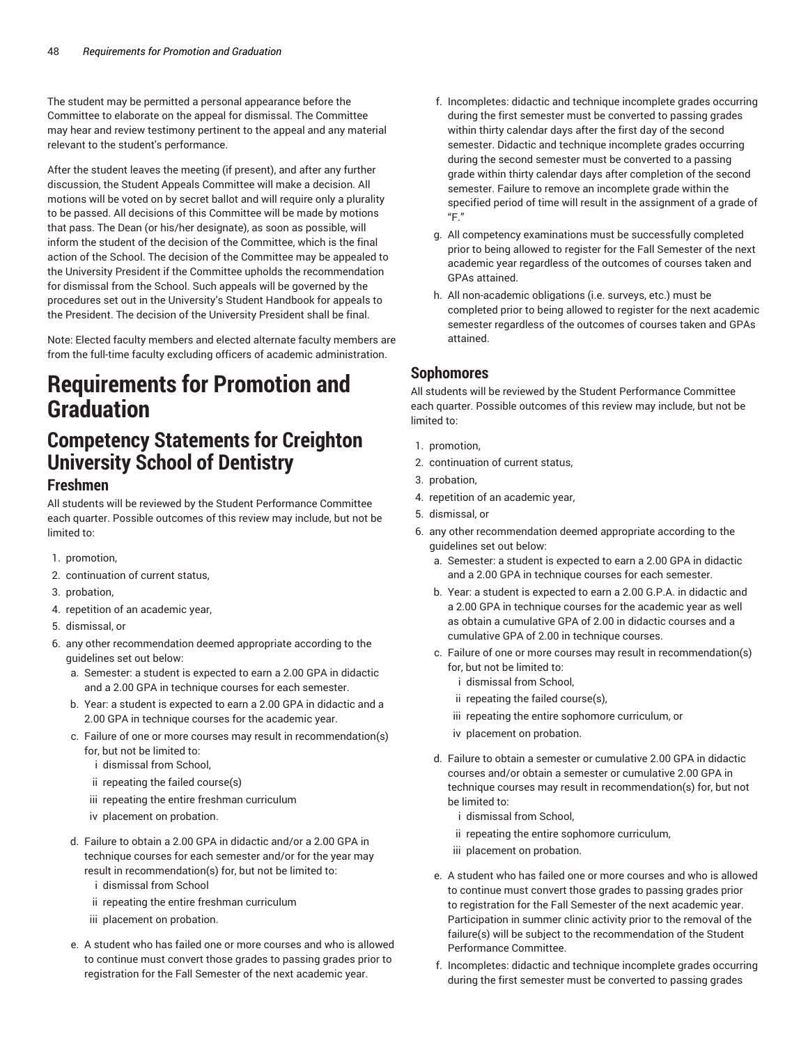The student may be permitted a personal appearance before the Committee to elaborate on the appeal for dismissal. The Committee may hear and review testimony pertinent to the appeal and any material relevant to the student's performance.

After the student leaves the meeting (if present), and after any further discussion, the Student Appeals Committee will make a decision. All motions will be voted on by secret ballot and will require only a plurality to be passed. All decisions of this Committee will be made by motions that pass. The Dean (or his/her designate), as soon as possible, will inform the student of the decision of the Committee, which is the final action of the School. The decision of the Committee may be appealed to the University President if the Committee upholds the recommendation for dismissal from the School. Such appeals will be governed by the procedures set out in the University's Student Handbook for appeals to the President. The decision of the University President shall be final.

Note: Elected faculty members and elected alternate faculty members are from the full-time faculty excluding officers of academic administration.

# **Requirements for Promotion and Graduation**

## **Competency Statements for Creighton University School of Dentistry**

### **Freshmen**

All students will be reviewed by the Student Performance Committee each quarter. Possible outcomes of this review may include, but not be limited to:

- 1. promotion,
- 2. continuation of current status,
- 3. probation,
- 4. repetition of an academic year,
- 5. dismissal, or
- 6. any other recommendation deemed appropriate according to the guidelines set out below:
	- a. Semester: a student is expected to earn a 2.00 GPA in didactic and a 2.00 GPA in technique courses for each semester.
	- b. Year: a student is expected to earn a 2.00 GPA in didactic and a 2.00 GPA in technique courses for the academic year.
	- c. Failure of one or more courses may result in recommendation(s) for, but not be limited to:
		- i dismissal from School,
		- ii repeating the failed course(s)
		- iii repeating the entire freshman curriculum
		- iv placement on probation.
	- d. Failure to obtain a 2.00 GPA in didactic and/or a 2.00 GPA in technique courses for each semester and/or for the year may result in recommendation(s) for, but not be limited to:
		- i dismissal from School
		- ii repeating the entire freshman curriculum
		- iii placement on probation.
	- e. A student who has failed one or more courses and who is allowed to continue must convert those grades to passing grades prior to registration for the Fall Semester of the next academic year.
- f. Incompletes: didactic and technique incomplete grades occurring during the first semester must be converted to passing grades within thirty calendar days after the first day of the second semester. Didactic and technique incomplete grades occurring during the second semester must be converted to a passing grade within thirty calendar days after completion of the second semester. Failure to remove an incomplete grade within the specified period of time will result in the assignment of a grade of "F."
- g. All competency examinations must be successfully completed prior to being allowed to register for the Fall Semester of the next academic year regardless of the outcomes of courses taken and GPAs attained.
- h. All non-academic obligations (i.e. surveys, etc.) must be completed prior to being allowed to register for the next academic semester regardless of the outcomes of courses taken and GPAs attained.

## **Sophomores**

All students will be reviewed by the Student Performance Committee each quarter. Possible outcomes of this review may include, but not be limited to:

- 1. promotion,
- 2. continuation of current status,
- 3. probation,
- 4. repetition of an academic year,
- 5. dismissal, or
- 6. any other recommendation deemed appropriate according to the guidelines set out below:
	- a. Semester: a student is expected to earn a 2.00 GPA in didactic and a 2.00 GPA in technique courses for each semester.
	- b. Year: a student is expected to earn a 2.00 G.P.A. in didactic and a 2.00 GPA in technique courses for the academic year as well as obtain a cumulative GPA of 2.00 in didactic courses and a cumulative GPA of 2.00 in technique courses.
	- c. Failure of one or more courses may result in recommendation(s) for, but not be limited to:
		- i dismissal from School,
		- ii repeating the failed course(s),
		- iii repeating the entire sophomore curriculum, or
		- iv placement on probation.
	- d. Failure to obtain a semester or cumulative 2.00 GPA in didactic courses and/or obtain a semester or cumulative 2.00 GPA in technique courses may result in recommendation(s) for, but not be limited to:
		- i dismissal from School,
		- ii repeating the entire sophomore curriculum,
		- iii placement on probation.
	- e. A student who has failed one or more courses and who is allowed to continue must convert those grades to passing grades prior to registration for the Fall Semester of the next academic year. Participation in summer clinic activity prior to the removal of the failure(s) will be subject to the recommendation of the Student Performance Committee.
	- f. Incompletes: didactic and technique incomplete grades occurring during the first semester must be converted to passing grades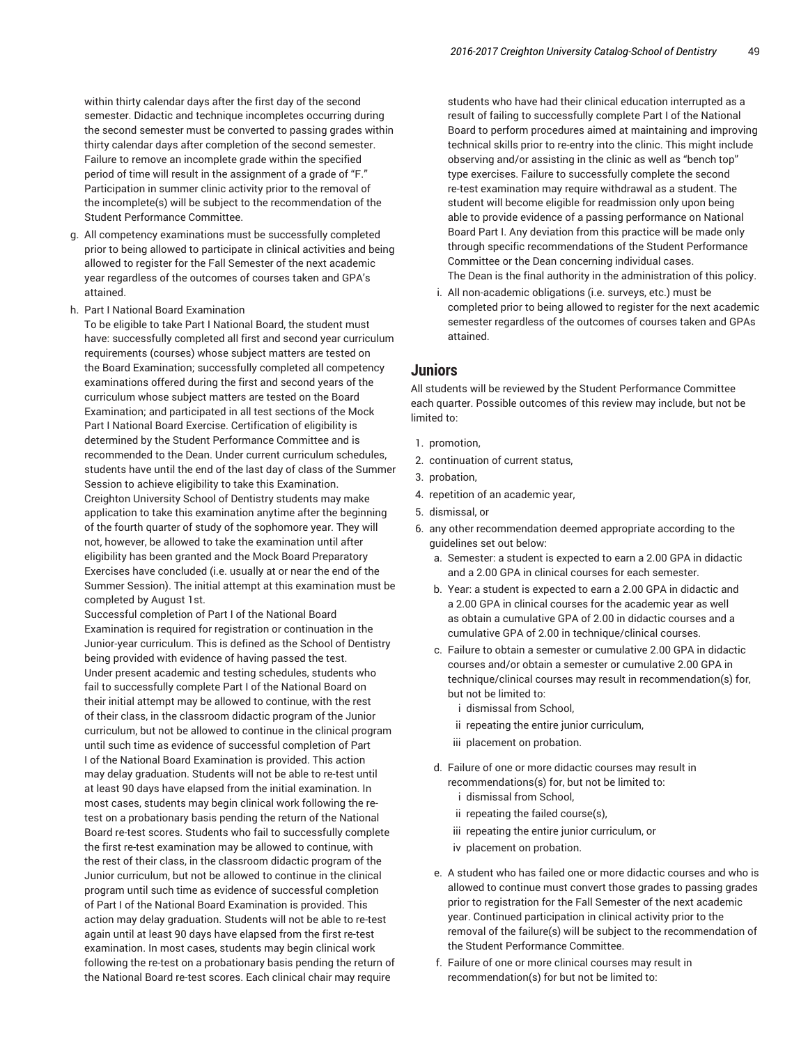within thirty calendar days after the first day of the second semester. Didactic and technique incompletes occurring during the second semester must be converted to passing grades within thirty calendar days after completion of the second semester. Failure to remove an incomplete grade within the specified period of time will result in the assignment of a grade of "F." Participation in summer clinic activity prior to the removal of the incomplete(s) will be subject to the recommendation of the Student Performance Committee.

- g. All competency examinations must be successfully completed prior to being allowed to participate in clinical activities and being allowed to register for the Fall Semester of the next academic year regardless of the outcomes of courses taken and GPA's attained.
- h. Part I National Board Examination

To be eligible to take Part I National Board, the student must have: successfully completed all first and second year curriculum requirements (courses) whose subject matters are tested on the Board Examination; successfully completed all competency examinations offered during the first and second years of the curriculum whose subject matters are tested on the Board Examination; and participated in all test sections of the Mock Part I National Board Exercise. Certification of eligibility is determined by the Student Performance Committee and is recommended to the Dean. Under current curriculum schedules, students have until the end of the last day of class of the Summer Session to achieve eligibility to take this Examination. Creighton University School of Dentistry students may make application to take this examination anytime after the beginning of the fourth quarter of study of the sophomore year. They will not, however, be allowed to take the examination until after eligibility has been granted and the Mock Board Preparatory Exercises have concluded (i.e. usually at or near the end of the Summer Session). The initial attempt at this examination must be completed by August 1st.

Successful completion of Part I of the National Board Examination is required for registration or continuation in the Junior-year curriculum. This is defined as the School of Dentistry being provided with evidence of having passed the test. Under present academic and testing schedules, students who fail to successfully complete Part I of the National Board on their initial attempt may be allowed to continue, with the rest of their class, in the classroom didactic program of the Junior curriculum, but not be allowed to continue in the clinical program until such time as evidence of successful completion of Part I of the National Board Examination is provided. This action may delay graduation. Students will not be able to re-test until at least 90 days have elapsed from the initial examination. In most cases, students may begin clinical work following the retest on a probationary basis pending the return of the National Board re-test scores. Students who fail to successfully complete the first re-test examination may be allowed to continue, with the rest of their class, in the classroom didactic program of the Junior curriculum, but not be allowed to continue in the clinical program until such time as evidence of successful completion of Part I of the National Board Examination is provided. This action may delay graduation. Students will not be able to re-test again until at least 90 days have elapsed from the first re-test examination. In most cases, students may begin clinical work following the re-test on a probationary basis pending the return of the National Board re-test scores. Each clinical chair may require

students who have had their clinical education interrupted as a result of failing to successfully complete Part I of the National Board to perform procedures aimed at maintaining and improving technical skills prior to re-entry into the clinic. This might include observing and/or assisting in the clinic as well as "bench top" type exercises. Failure to successfully complete the second re-test examination may require withdrawal as a student. The student will become eligible for readmission only upon being able to provide evidence of a passing performance on National Board Part I. Any deviation from this practice will be made only through specific recommendations of the Student Performance Committee or the Dean concerning individual cases. The Dean is the final authority in the administration of this policy.

i. All non-academic obligations (i.e. surveys, etc.) must be completed prior to being allowed to register for the next academic semester regardless of the outcomes of courses taken and GPAs attained.

### **Juniors**

All students will be reviewed by the Student Performance Committee each quarter. Possible outcomes of this review may include, but not be limited to:

- 1. promotion,
- 2. continuation of current status,
- 3. probation,
- 4. repetition of an academic year,
- 5. dismissal, or
- 6. any other recommendation deemed appropriate according to the guidelines set out below:
	- a. Semester: a student is expected to earn a 2.00 GPA in didactic and a 2.00 GPA in clinical courses for each semester.
	- b. Year: a student is expected to earn a 2.00 GPA in didactic and a 2.00 GPA in clinical courses for the academic year as well as obtain a cumulative GPA of 2.00 in didactic courses and a cumulative GPA of 2.00 in technique/clinical courses.
	- c. Failure to obtain a semester or cumulative 2.00 GPA in didactic courses and/or obtain a semester or cumulative 2.00 GPA in technique/clinical courses may result in recommendation(s) for, but not be limited to:
		- i dismissal from School,
		- ii repeating the entire junior curriculum,
		- iii placement on probation.
	- d. Failure of one or more didactic courses may result in recommendations(s) for, but not be limited to:
		- i dismissal from School,
		- ii repeating the failed course(s),
		- iii repeating the entire junior curriculum, or
		- iv placement on probation.
	- e. A student who has failed one or more didactic courses and who is allowed to continue must convert those grades to passing grades prior to registration for the Fall Semester of the next academic year. Continued participation in clinical activity prior to the removal of the failure(s) will be subject to the recommendation of the Student Performance Committee.
	- f. Failure of one or more clinical courses may result in recommendation(s) for but not be limited to: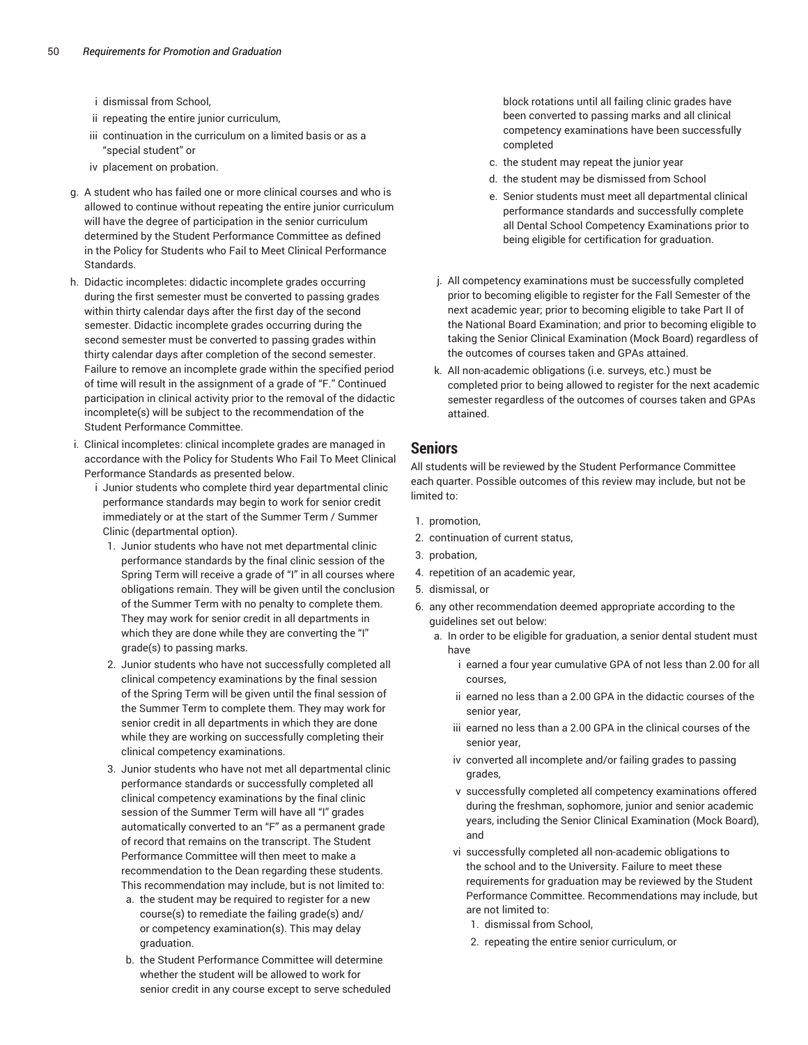- i dismissal from School,
- ii repeating the entire junior curriculum,
- iii continuation in the curriculum on a limited basis or as a "special student" or
- iv placement on probation.
- g. A student who has failed one or more clinical courses and who is allowed to continue without repeating the entire junior curriculum will have the degree of participation in the senior curriculum determined by the Student Performance Committee as defined in the Policy for Students who Fail to Meet Clinical Performance Standards.
- h. Didactic incompletes: didactic incomplete grades occurring during the first semester must be converted to passing grades within thirty calendar days after the first day of the second semester. Didactic incomplete grades occurring during the second semester must be converted to passing grades within thirty calendar days after completion of the second semester. Failure to remove an incomplete grade within the specified period of time will result in the assignment of a grade of "F." Continued participation in clinical activity prior to the removal of the didactic incomplete(s) will be subject to the recommendation of the Student Performance Committee.
- i. Clinical incompletes: clinical incomplete grades are managed in accordance with the Policy for Students Who Fail To Meet Clinical Performance Standards as presented below.
	- i Junior students who complete third year departmental clinic performance standards may begin to work for senior credit immediately or at the start of the Summer Term / Summer Clinic (departmental option).
		- 1. Junior students who have not met departmental clinic performance standards by the final clinic session of the Spring Term will receive a grade of "I" in all courses where obligations remain. They will be given until the conclusion of the Summer Term with no penalty to complete them. They may work for senior credit in all departments in which they are done while they are converting the "I" grade(s) to passing marks.
		- 2. Junior students who have not successfully completed all clinical competency examinations by the final session of the Spring Term will be given until the final session of the Summer Term to complete them. They may work for senior credit in all departments in which they are done while they are working on successfully completing their clinical competency examinations.
		- 3. Junior students who have not met all departmental clinic performance standards or successfully completed all clinical competency examinations by the final clinic session of the Summer Term will have all "I" grades automatically converted to an "F" as a permanent grade of record that remains on the transcript. The Student Performance Committee will then meet to make a recommendation to the Dean regarding these students. This recommendation may include, but is not limited to:
			- a. the student may be required to register for a new course(s) to remediate the failing grade(s) and/ or competency examination(s). This may delay graduation.
			- b. the Student Performance Committee will determine whether the student will be allowed to work for senior credit in any course except to serve scheduled

block rotations until all failing clinic grades have been converted to passing marks and all clinical competency examinations have been successfully completed

- c. the student may repeat the junior year
- d. the student may be dismissed from School
- e. Senior students must meet all departmental clinical performance standards and successfully complete all Dental School Competency Examinations prior to being eligible for certification for graduation.
- j. All competency examinations must be successfully completed prior to becoming eligible to register for the Fall Semester of the next academic year; prior to becoming eligible to take Part II of the National Board Examination; and prior to becoming eligible to taking the Senior Clinical Examination (Mock Board) regardless of the outcomes of courses taken and GPAs attained.
- k. All non-academic obligations (i.e. surveys, etc.) must be completed prior to being allowed to register for the next academic semester regardless of the outcomes of courses taken and GPAs attained.

### **Seniors**

All students will be reviewed by the Student Performance Committee each quarter. Possible outcomes of this review may include, but not be limited to:

- 1. promotion,
- 2. continuation of current status,
- 3. probation,
- 4. repetition of an academic year,
- 5. dismissal, or
- 6. any other recommendation deemed appropriate according to the guidelines set out below:
	- a. In order to be eligible for graduation, a senior dental student must have
		- i earned a four year cumulative GPA of not less than 2.00 for all courses,
		- ii earned no less than a 2.00 GPA in the didactic courses of the senior year,
		- iii earned no less than a 2.00 GPA in the clinical courses of the senior year,
		- iv converted all incomplete and/or failing grades to passing grades,
		- v successfully completed all competency examinations offered during the freshman, sophomore, junior and senior academic years, including the Senior Clinical Examination (Mock Board), and
		- vi successfully completed all non-academic obligations to the school and to the University. Failure to meet these requirements for graduation may be reviewed by the Student Performance Committee. Recommendations may include, but are not limited to:
			- 1. dismissal from School,
			- 2. repeating the entire senior curriculum, or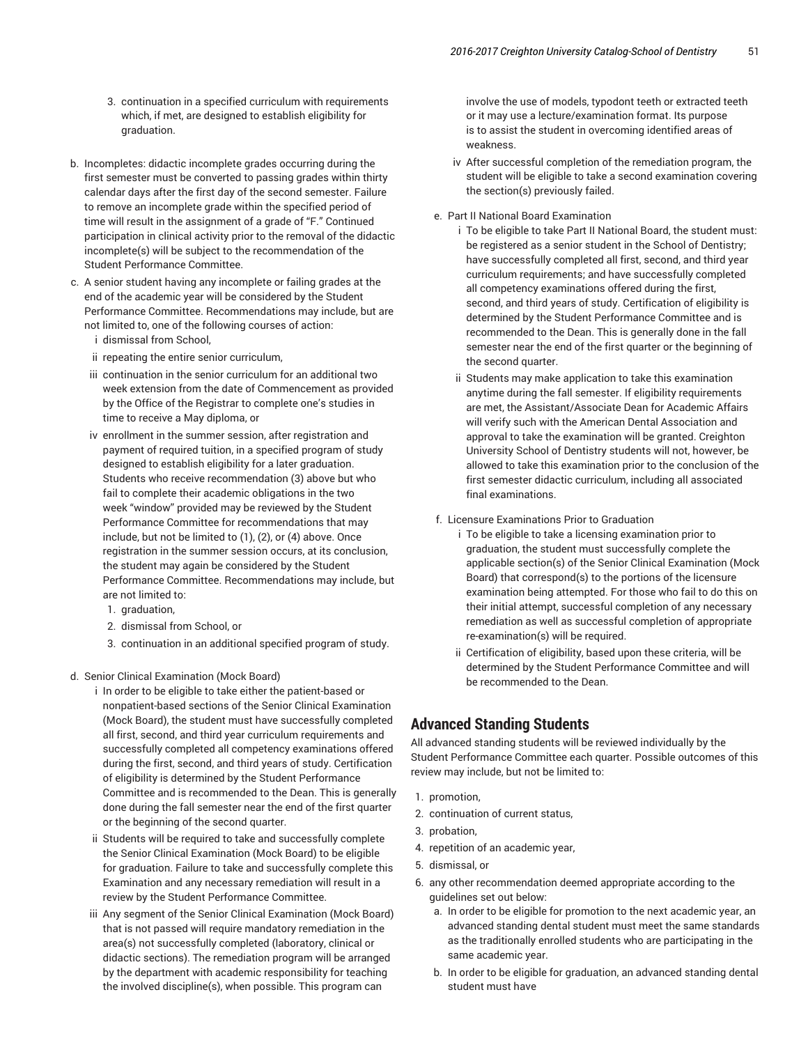- 3. continuation in a specified curriculum with requirements which, if met, are designed to establish eligibility for graduation.
- b. Incompletes: didactic incomplete grades occurring during the first semester must be converted to passing grades within thirty calendar days after the first day of the second semester. Failure to remove an incomplete grade within the specified period of time will result in the assignment of a grade of "F." Continued participation in clinical activity prior to the removal of the didactic incomplete(s) will be subject to the recommendation of the Student Performance Committee.
- c. A senior student having any incomplete or failing grades at the end of the academic year will be considered by the Student Performance Committee. Recommendations may include, but are not limited to, one of the following courses of action:
	- i dismissal from School,
	- ii repeating the entire senior curriculum,
	- iii continuation in the senior curriculum for an additional two week extension from the date of Commencement as provided by the Office of the Registrar to complete one's studies in time to receive a May diploma, or
	- iv enrollment in the summer session, after registration and payment of required tuition, in a specified program of study designed to establish eligibility for a later graduation. Students who receive recommendation (3) above but who fail to complete their academic obligations in the two week "window" provided may be reviewed by the Student Performance Committee for recommendations that may include, but not be limited to (1), (2), or (4) above. Once registration in the summer session occurs, at its conclusion, the student may again be considered by the Student Performance Committee. Recommendations may include, but are not limited to:
		- 1. graduation,
		- 2. dismissal from School, or
		- 3. continuation in an additional specified program of study.
- d. Senior Clinical Examination (Mock Board)
	- i In order to be eligible to take either the patient-based or nonpatient-based sections of the Senior Clinical Examination (Mock Board), the student must have successfully completed all first, second, and third year curriculum requirements and successfully completed all competency examinations offered during the first, second, and third years of study. Certification of eligibility is determined by the Student Performance Committee and is recommended to the Dean. This is generally done during the fall semester near the end of the first quarter or the beginning of the second quarter.
	- ii Students will be required to take and successfully complete the Senior Clinical Examination (Mock Board) to be eligible for graduation. Failure to take and successfully complete this Examination and any necessary remediation will result in a review by the Student Performance Committee.
	- iii Any segment of the Senior Clinical Examination (Mock Board) that is not passed will require mandatory remediation in the area(s) not successfully completed (laboratory, clinical or didactic sections). The remediation program will be arranged by the department with academic responsibility for teaching the involved discipline(s), when possible. This program can

involve the use of models, typodont teeth or extracted teeth or it may use a lecture/examination format. Its purpose is to assist the student in overcoming identified areas of weakness.

- iv After successful completion of the remediation program, the student will be eligible to take a second examination covering the section(s) previously failed.
- e. Part II National Board Examination
	- i To be eligible to take Part II National Board, the student must: be registered as a senior student in the School of Dentistry; have successfully completed all first, second, and third year curriculum requirements; and have successfully completed all competency examinations offered during the first, second, and third years of study. Certification of eligibility is determined by the Student Performance Committee and is recommended to the Dean. This is generally done in the fall semester near the end of the first quarter or the beginning of the second quarter.
	- ii Students may make application to take this examination anytime during the fall semester. If eligibility requirements are met, the Assistant/Associate Dean for Academic Affairs will verify such with the American Dental Association and approval to take the examination will be granted. Creighton University School of Dentistry students will not, however, be allowed to take this examination prior to the conclusion of the first semester didactic curriculum, including all associated final examinations.
- f. Licensure Examinations Prior to Graduation
	- i To be eligible to take a licensing examination prior to graduation, the student must successfully complete the applicable section(s) of the Senior Clinical Examination (Mock Board) that correspond(s) to the portions of the licensure examination being attempted. For those who fail to do this on their initial attempt, successful completion of any necessary remediation as well as successful completion of appropriate re-examination(s) will be required.
	- ii Certification of eligibility, based upon these criteria, will be determined by the Student Performance Committee and will be recommended to the Dean.

### **Advanced Standing Students**

All advanced standing students will be reviewed individually by the Student Performance Committee each quarter. Possible outcomes of this review may include, but not be limited to:

- 1. promotion,
- 2. continuation of current status,
- 3. probation,
- 4. repetition of an academic year,
- 5. dismissal, or
- 6. any other recommendation deemed appropriate according to the guidelines set out below:
	- a. In order to be eligible for promotion to the next academic year, an advanced standing dental student must meet the same standards as the traditionally enrolled students who are participating in the same academic year.
	- b. In order to be eligible for graduation, an advanced standing dental student must have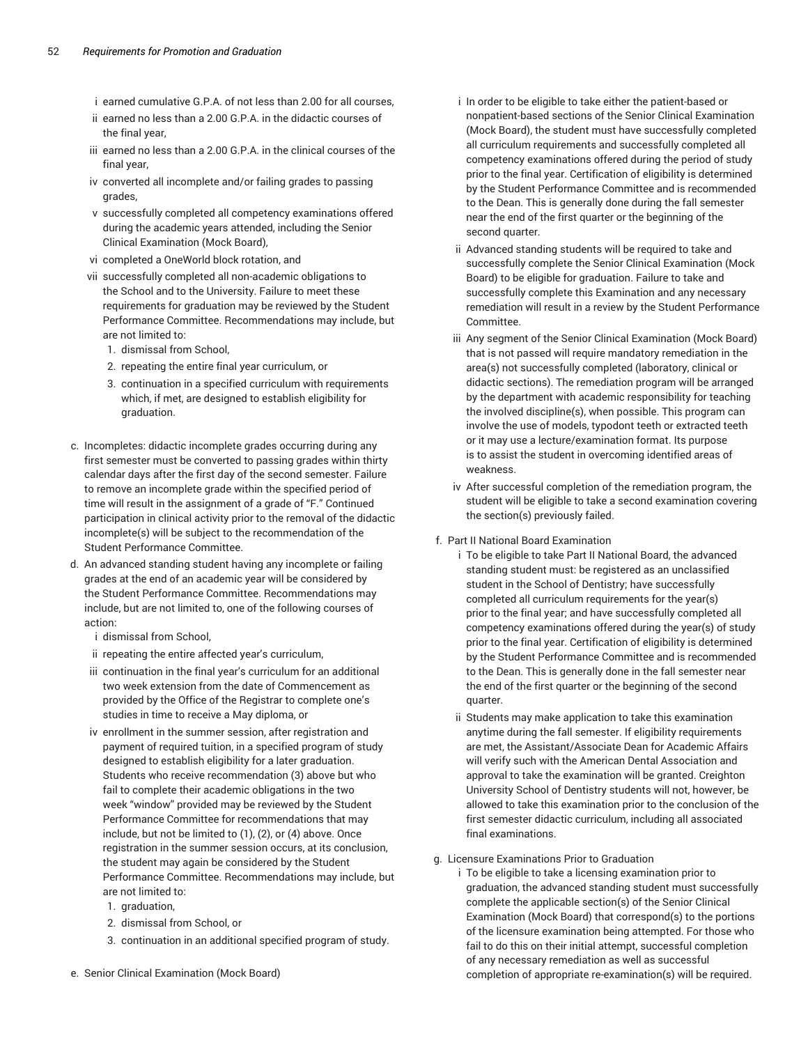- i earned cumulative G.P.A. of not less than 2.00 for all courses,
- ii earned no less than a 2.00 G.P.A. in the didactic courses of the final year,
- iii earned no less than a 2.00 G.P.A. in the clinical courses of the final year,
- iv converted all incomplete and/or failing grades to passing grades,
- v successfully completed all competency examinations offered during the academic years attended, including the Senior Clinical Examination (Mock Board),
- vi completed a OneWorld block rotation, and
- vii successfully completed all non-academic obligations to the School and to the University. Failure to meet these requirements for graduation may be reviewed by the Student Performance Committee. Recommendations may include, but are not limited to:
	- 1. dismissal from School,
	- 2. repeating the entire final year curriculum, or
	- 3. continuation in a specified curriculum with requirements which, if met, are designed to establish eligibility for graduation.
- c. Incompletes: didactic incomplete grades occurring during any first semester must be converted to passing grades within thirty calendar days after the first day of the second semester. Failure to remove an incomplete grade within the specified period of time will result in the assignment of a grade of "F." Continued participation in clinical activity prior to the removal of the didactic incomplete(s) will be subject to the recommendation of the Student Performance Committee.
- d. An advanced standing student having any incomplete or failing grades at the end of an academic year will be considered by the Student Performance Committee. Recommendations may include, but are not limited to, one of the following courses of action:
	- i dismissal from School,
	- ii repeating the entire affected year's curriculum,
	- iii continuation in the final year's curriculum for an additional two week extension from the date of Commencement as provided by the Office of the Registrar to complete one's studies in time to receive a May diploma, or
	- iv enrollment in the summer session, after registration and payment of required tuition, in a specified program of study designed to establish eligibility for a later graduation. Students who receive recommendation (3) above but who fail to complete their academic obligations in the two week "window" provided may be reviewed by the Student Performance Committee for recommendations that may include, but not be limited to (1), (2), or (4) above. Once registration in the summer session occurs, at its conclusion, the student may again be considered by the Student Performance Committee. Recommendations may include, but are not limited to:
		- 1. graduation,
		- 2. dismissal from School, or
		- 3. continuation in an additional specified program of study.
- e. Senior Clinical Examination (Mock Board)
- i In order to be eligible to take either the patient-based or nonpatient-based sections of the Senior Clinical Examination (Mock Board), the student must have successfully completed all curriculum requirements and successfully completed all competency examinations offered during the period of study prior to the final year. Certification of eligibility is determined by the Student Performance Committee and is recommended to the Dean. This is generally done during the fall semester near the end of the first quarter or the beginning of the second quarter.
- ii Advanced standing students will be required to take and successfully complete the Senior Clinical Examination (Mock Board) to be eligible for graduation. Failure to take and successfully complete this Examination and any necessary remediation will result in a review by the Student Performance Committee.
- iii Any segment of the Senior Clinical Examination (Mock Board) that is not passed will require mandatory remediation in the area(s) not successfully completed (laboratory, clinical or didactic sections). The remediation program will be arranged by the department with academic responsibility for teaching the involved discipline(s), when possible. This program can involve the use of models, typodont teeth or extracted teeth or it may use a lecture/examination format. Its purpose is to assist the student in overcoming identified areas of weakness.
- iv After successful completion of the remediation program, the student will be eligible to take a second examination covering the section(s) previously failed.

#### f. Part II National Board Examination

- i To be eligible to take Part II National Board, the advanced standing student must: be registered as an unclassified student in the School of Dentistry; have successfully completed all curriculum requirements for the year(s) prior to the final year; and have successfully completed all competency examinations offered during the year(s) of study prior to the final year. Certification of eligibility is determined by the Student Performance Committee and is recommended to the Dean. This is generally done in the fall semester near the end of the first quarter or the beginning of the second quarter.
- ii Students may make application to take this examination anytime during the fall semester. If eligibility requirements are met, the Assistant/Associate Dean for Academic Affairs will verify such with the American Dental Association and approval to take the examination will be granted. Creighton University School of Dentistry students will not, however, be allowed to take this examination prior to the conclusion of the first semester didactic curriculum, including all associated final examinations.

#### g. Licensure Examinations Prior to Graduation

i To be eligible to take a licensing examination prior to graduation, the advanced standing student must successfully complete the applicable section(s) of the Senior Clinical Examination (Mock Board) that correspond(s) to the portions of the licensure examination being attempted. For those who fail to do this on their initial attempt, successful completion of any necessary remediation as well as successful completion of appropriate re-examination(s) will be required.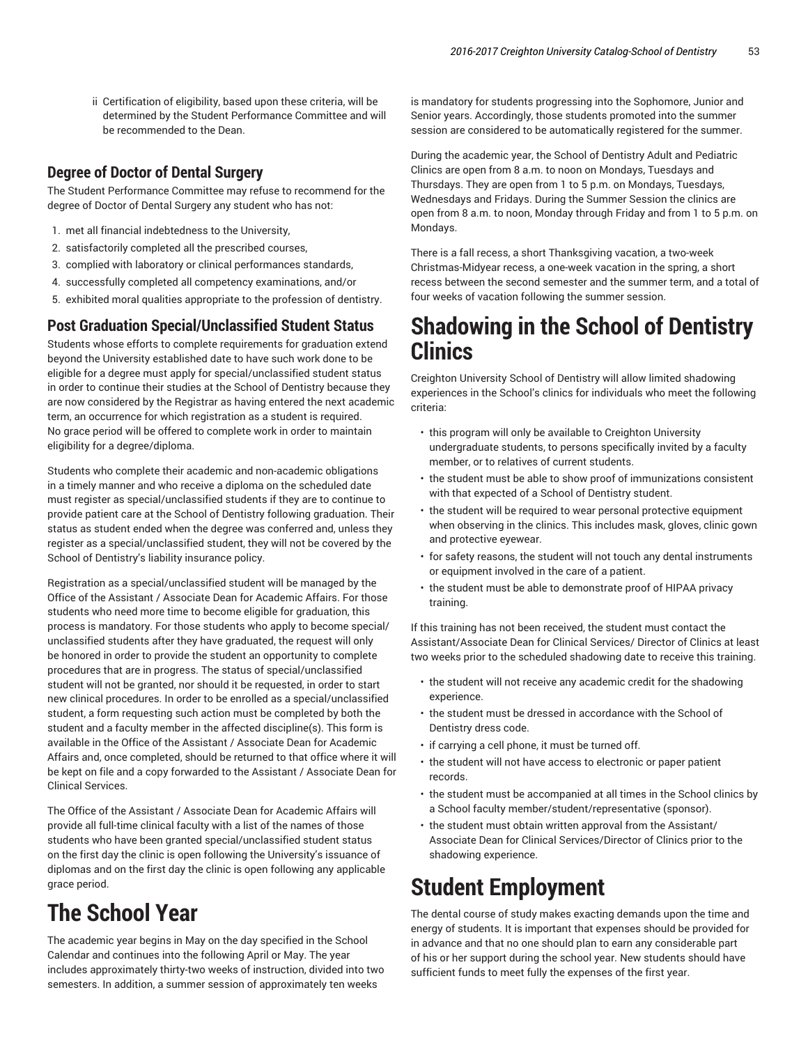ii Certification of eligibility, based upon these criteria, will be determined by the Student Performance Committee and will be recommended to the Dean.

## **Degree of Doctor of Dental Surgery**

The Student Performance Committee may refuse to recommend for the degree of Doctor of Dental Surgery any student who has not:

- 1. met all financial indebtedness to the University,
- 2. satisfactorily completed all the prescribed courses,
- 3. complied with laboratory or clinical performances standards,
- 4. successfully completed all competency examinations, and/or
- 5. exhibited moral qualities appropriate to the profession of dentistry.

## **Post Graduation Special/Unclassified Student Status**

Students whose efforts to complete requirements for graduation extend beyond the University established date to have such work done to be eligible for a degree must apply for special/unclassified student status in order to continue their studies at the School of Dentistry because they are now considered by the Registrar as having entered the next academic term, an occurrence for which registration as a student is required. No grace period will be offered to complete work in order to maintain eligibility for a degree/diploma.

Students who complete their academic and non-academic obligations in a timely manner and who receive a diploma on the scheduled date must register as special/unclassified students if they are to continue to provide patient care at the School of Dentistry following graduation. Their status as student ended when the degree was conferred and, unless they register as a special/unclassified student, they will not be covered by the School of Dentistry's liability insurance policy.

Registration as a special/unclassified student will be managed by the Office of the Assistant / Associate Dean for Academic Affairs. For those students who need more time to become eligible for graduation, this process is mandatory. For those students who apply to become special/ unclassified students after they have graduated, the request will only be honored in order to provide the student an opportunity to complete procedures that are in progress. The status of special/unclassified student will not be granted, nor should it be requested, in order to start new clinical procedures. In order to be enrolled as a special/unclassified student, a form requesting such action must be completed by both the student and a faculty member in the affected discipline(s). This form is available in the Office of the Assistant / Associate Dean for Academic Affairs and, once completed, should be returned to that office where it will be kept on file and a copy forwarded to the Assistant / Associate Dean for Clinical Services.

The Office of the Assistant / Associate Dean for Academic Affairs will provide all full-time clinical faculty with a list of the names of those students who have been granted special/unclassified student status on the first day the clinic is open following the University's issuance of diplomas and on the first day the clinic is open following any applicable grace period.

# **The School Year**

The academic year begins in May on the day specified in the School Calendar and continues into the following April or May. The year includes approximately thirty-two weeks of instruction, divided into two semesters. In addition, a summer session of approximately ten weeks

is mandatory for students progressing into the Sophomore, Junior and Senior years. Accordingly, those students promoted into the summer session are considered to be automatically registered for the summer.

During the academic year, the School of Dentistry Adult and Pediatric Clinics are open from 8 a.m. to noon on Mondays, Tuesdays and Thursdays. They are open from 1 to 5 p.m. on Mondays, Tuesdays, Wednesdays and Fridays. During the Summer Session the clinics are open from 8 a.m. to noon, Monday through Friday and from 1 to 5 p.m. on Mondays.

There is a fall recess, a short Thanksgiving vacation, a two-week Christmas-Midyear recess, a one-week vacation in the spring, a short recess between the second semester and the summer term, and a total of four weeks of vacation following the summer session.

# **Shadowing in the School of Dentistry Clinics**

Creighton University School of Dentistry will allow limited shadowing experiences in the School's clinics for individuals who meet the following criteria:

- this program will only be available to Creighton University undergraduate students, to persons specifically invited by a faculty member, or to relatives of current students.
- the student must be able to show proof of immunizations consistent with that expected of a School of Dentistry student.
- the student will be required to wear personal protective equipment when observing in the clinics. This includes mask, gloves, clinic gown and protective eyewear.
- for safety reasons, the student will not touch any dental instruments or equipment involved in the care of a patient.
- the student must be able to demonstrate proof of HIPAA privacy training.

If this training has not been received, the student must contact the Assistant/Associate Dean for Clinical Services/ Director of Clinics at least two weeks prior to the scheduled shadowing date to receive this training.

- the student will not receive any academic credit for the shadowing experience.
- the student must be dressed in accordance with the School of Dentistry dress code.
- if carrying a cell phone, it must be turned off.
- the student will not have access to electronic or paper patient records.
- the student must be accompanied at all times in the School clinics by a School faculty member/student/representative (sponsor).
- the student must obtain written approval from the Assistant/ Associate Dean for Clinical Services/Director of Clinics prior to the shadowing experience.

# **Student Employment**

The dental course of study makes exacting demands upon the time and energy of students. It is important that expenses should be provided for in advance and that no one should plan to earn any considerable part of his or her support during the school year. New students should have sufficient funds to meet fully the expenses of the first year.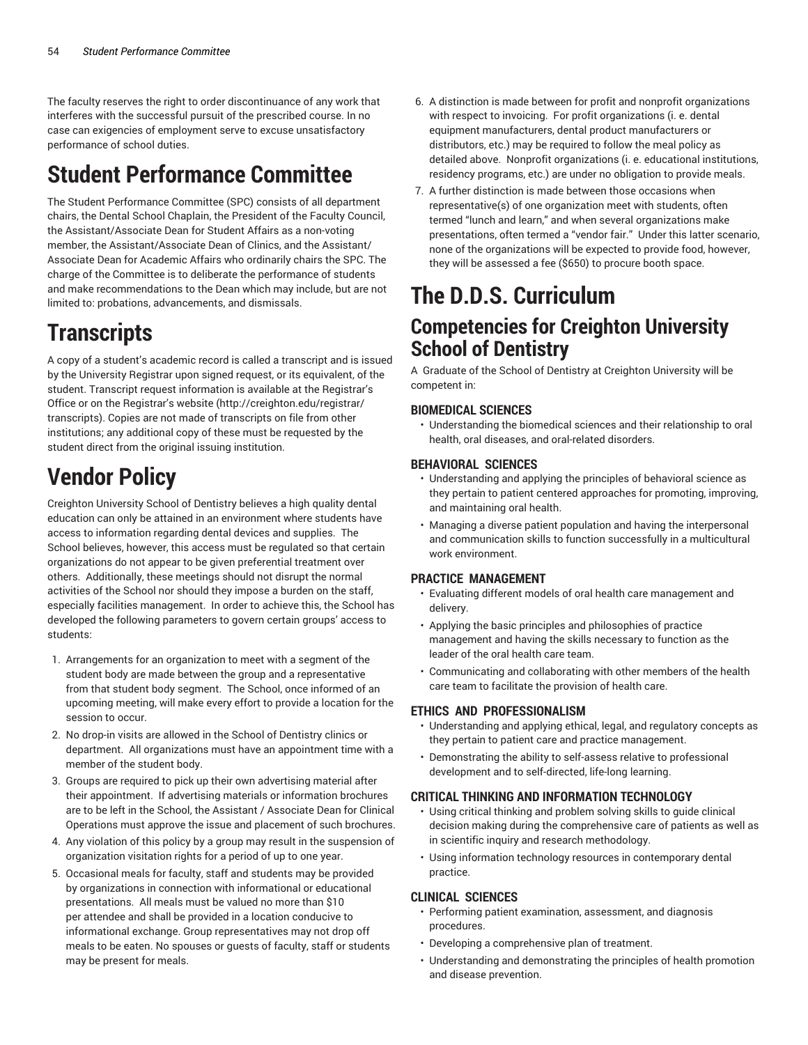The faculty reserves the right to order discontinuance of any work that interferes with the successful pursuit of the prescribed course. In no case can exigencies of employment serve to excuse unsatisfactory performance of school duties.

# **Student Performance Committee**

The Student Performance Committee (SPC) consists of all department chairs, the Dental School Chaplain, the President of the Faculty Council, the Assistant/Associate Dean for Student Affairs as a non-voting member, the Assistant/Associate Dean of Clinics, and the Assistant/ Associate Dean for Academic Affairs who ordinarily chairs the SPC. The charge of the Committee is to deliberate the performance of students and make recommendations to the Dean which may include, but are not limited to: probations, advancements, and dismissals.

# **Transcripts**

A copy of a student's academic record is called a transcript and is issued by the University Registrar upon signed request, or its equivalent, of the student. Transcript request information is available at the Registrar's Office or on the Registrar's website (http://creighton.edu/registrar/ transcripts). Copies are not made of transcripts on file from other institutions; any additional copy of these must be requested by the student direct from the original issuing institution.

# **Vendor Policy**

Creighton University School of Dentistry believes a high quality dental education can only be attained in an environment where students have access to information regarding dental devices and supplies. The School believes, however, this access must be regulated so that certain organizations do not appear to be given preferential treatment over others. Additionally, these meetings should not disrupt the normal activities of the School nor should they impose a burden on the staff, especially facilities management. In order to achieve this, the School has developed the following parameters to govern certain groups' access to students:

- 1. Arrangements for an organization to meet with a segment of the student body are made between the group and a representative from that student body segment. The School, once informed of an upcoming meeting, will make every effort to provide a location for the session to occur.
- 2. No drop-in visits are allowed in the School of Dentistry clinics or department. All organizations must have an appointment time with a member of the student body.
- 3. Groups are required to pick up their own advertising material after their appointment. If advertising materials or information brochures are to be left in the School, the Assistant / Associate Dean for Clinical Operations must approve the issue and placement of such brochures.
- 4. Any violation of this policy by a group may result in the suspension of organization visitation rights for a period of up to one year.
- 5. Occasional meals for faculty, staff and students may be provided by organizations in connection with informational or educational presentations. All meals must be valued no more than \$10 per attendee and shall be provided in a location conducive to informational exchange. Group representatives may not drop off meals to be eaten. No spouses or guests of faculty, staff or students may be present for meals.
- 6. A distinction is made between for profit and nonprofit organizations with respect to invoicing. For profit organizations (i. e. dental equipment manufacturers, dental product manufacturers or distributors, etc.) may be required to follow the meal policy as detailed above. Nonprofit organizations (i. e. educational institutions, residency programs, etc.) are under no obligation to provide meals.
- 7. A further distinction is made between those occasions when representative(s) of one organization meet with students, often termed "lunch and learn," and when several organizations make presentations, often termed a "vendor fair." Under this latter scenario, none of the organizations will be expected to provide food, however, they will be assessed a fee (\$650) to procure booth space.

# **The D.D.S. Curriculum**

## **Competencies for Creighton University School of Dentistry**

A Graduate of the School of Dentistry at Creighton University will be competent in:

### **BIOMEDICAL SCIENCES**

• Understanding the biomedical sciences and their relationship to oral health, oral diseases, and oral-related disorders.

### **BEHAVIORAL SCIENCES**

- Understanding and applying the principles of behavioral science as they pertain to patient centered approaches for promoting, improving, and maintaining oral health.
- Managing a diverse patient population and having the interpersonal and communication skills to function successfully in a multicultural work environment.

### **PRACTICE MANAGEMENT**

- Evaluating different models of oral health care management and delivery.
- Applying the basic principles and philosophies of practice management and having the skills necessary to function as the leader of the oral health care team.
- Communicating and collaborating with other members of the health care team to facilitate the provision of health care.

### **ETHICS AND PROFESSIONALISM**

- Understanding and applying ethical, legal, and regulatory concepts as they pertain to patient care and practice management.
- Demonstrating the ability to self-assess relative to professional development and to self-directed, life-long learning.

### **CRITICAL THINKING AND INFORMATION TECHNOLOGY**

- Using critical thinking and problem solving skills to guide clinical decision making during the comprehensive care of patients as well as in scientific inquiry and research methodology.
- Using information technology resources in contemporary dental practice.

### **CLINICAL SCIENCES**

- Performing patient examination, assessment, and diagnosis procedures.
- Developing a comprehensive plan of treatment.
- Understanding and demonstrating the principles of health promotion and disease prevention.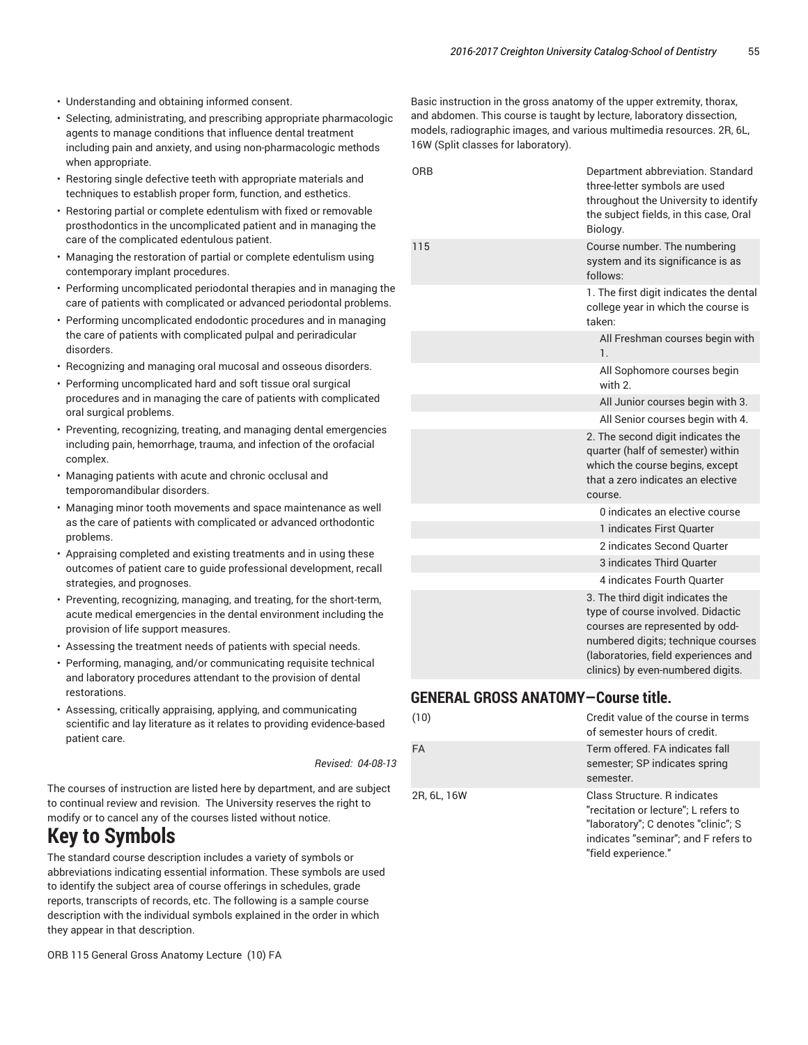- Understanding and obtaining informed consent.
- Selecting, administrating, and prescribing appropriate pharmacologic agents to manage conditions that influence dental treatment including pain and anxiety, and using non-pharmacologic methods when appropriate.
- Restoring single defective teeth with appropriate materials and techniques to establish proper form, function, and esthetics.
- Restoring partial or complete edentulism with fixed or removable prosthodontics in the uncomplicated patient and in managing the care of the complicated edentulous patient.
- Managing the restoration of partial or complete edentulism using contemporary implant procedures.
- Performing uncomplicated periodontal therapies and in managing the care of patients with complicated or advanced periodontal problems.
- Performing uncomplicated endodontic procedures and in managing the care of patients with complicated pulpal and periradicular disorders.
- Recognizing and managing oral mucosal and osseous disorders.
- Performing uncomplicated hard and soft tissue oral surgical procedures and in managing the care of patients with complicated oral surgical problems.
- Preventing, recognizing, treating, and managing dental emergencies including pain, hemorrhage, trauma, and infection of the orofacial complex.
- Managing patients with acute and chronic occlusal and temporomandibular disorders.
- Managing minor tooth movements and space maintenance as well as the care of patients with complicated or advanced orthodontic problems.
- Appraising completed and existing treatments and in using these outcomes of patient care to guide professional development, recall strategies, and prognoses.
- Preventing, recognizing, managing, and treating, for the short-term, acute medical emergencies in the dental environment including the provision of life support measures.
- Assessing the treatment needs of patients with special needs.
- Performing, managing, and/or communicating requisite technical and laboratory procedures attendant to the provision of dental restorations.
- Assessing, critically appraising, applying, and communicating scientific and lay literature as it relates to providing evidence-based patient care.

*Revised: 04-08-13*

The courses of instruction are listed here by department, and are subject to continual review and revision. The University reserves the right to modify or to cancel any of the courses listed without notice.

## **Key to Symbols**

The standard course description includes a variety of symbols or abbreviations indicating essential information. These symbols are used to identify the subject area of course offerings in schedules, grade reports, transcripts of records, etc. The following is a sample course description with the individual symbols explained in the order in which they appear in that description.

ORB 115 General Gross Anatomy Lecture (10) FA

Basic instruction in the gross anatomy of the upper extremity, thorax, and abdomen. This course is taught by lecture, laboratory dissection, models, radiographic images, and various multimedia resources. 2R, 6L, 16W (Split classes for laboratory).

| ORB | Department abbreviation. Standard<br>three-letter symbols are used<br>throughout the University to identify<br>the subject fields, in this case, Oral<br>Biology.                                                           |
|-----|-----------------------------------------------------------------------------------------------------------------------------------------------------------------------------------------------------------------------------|
| 115 | Course number. The numbering<br>system and its significance is as<br>follows:                                                                                                                                               |
|     | 1. The first digit indicates the dental<br>college year in which the course is<br>taken:                                                                                                                                    |
|     | All Freshman courses begin with<br>1.                                                                                                                                                                                       |
|     | All Sophomore courses begin<br>with 2                                                                                                                                                                                       |
|     | All Junior courses begin with 3.                                                                                                                                                                                            |
|     | All Senior courses begin with 4.                                                                                                                                                                                            |
|     | 2. The second digit indicates the<br>quarter (half of semester) within<br>which the course begins, except<br>that a zero indicates an elective<br>course.                                                                   |
|     | 0 indicates an elective course                                                                                                                                                                                              |
|     | 1 indicates First Quarter                                                                                                                                                                                                   |
|     | 2 indicates Second Quarter                                                                                                                                                                                                  |
|     | 3 indicates Third Quarter                                                                                                                                                                                                   |
|     | 4 indicates Fourth Quarter                                                                                                                                                                                                  |
|     | 3. The third digit indicates the<br>type of course involved. Didactic<br>courses are represented by odd-<br>numbered digits; technique courses<br>(laboratories, field experiences and<br>clinics) by even-numbered digits. |

## **GENERAL GROSS ANATOMY—Course title.**

| (10)        | Credit value of the course in terms<br>of semester hours of credit.                                                                                                        |
|-------------|----------------------------------------------------------------------------------------------------------------------------------------------------------------------------|
| <b>FA</b>   | Term offered. FA indicates fall<br>semester; SP indicates spring<br>semester.                                                                                              |
| 2R, 6L, 16W | Class Structure. R indicates<br>"recitation or lecture"; L refers to<br>"laboratory"; C denotes "clinic"; S<br>indicates "seminar"; and F refers to<br>"field experience." |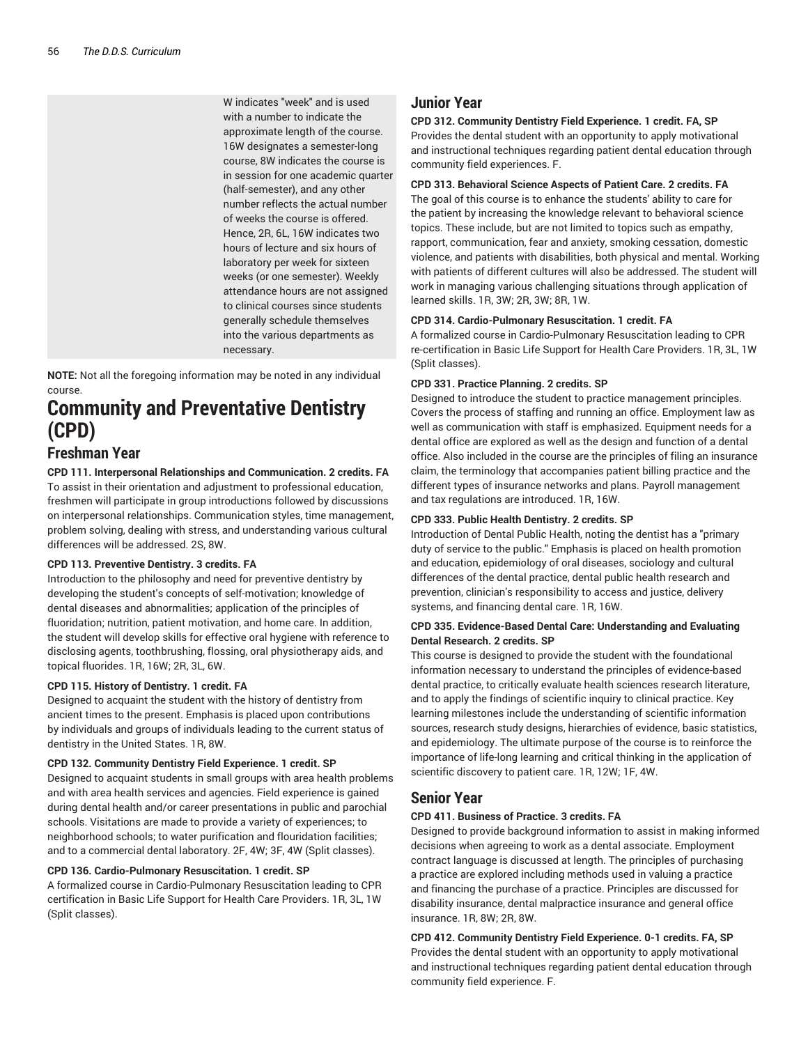W indicates "week" and is used with a number to indicate the approximate length of the course. 16W designates a semester-long course, 8W indicates the course is in session for one academic quarter (half-semester), and any other number reflects the actual number of weeks the course is offered. Hence, 2R, 6L, 16W indicates two hours of lecture and six hours of laboratory per week for sixteen weeks (or one semester). Weekly attendance hours are not assigned to clinical courses since students generally schedule themselves into the various departments as necessary.

**NOTE:** Not all the foregoing information may be noted in any individual course.

## **Community and Preventative Dentistry (CPD)**

## **Freshman Year**

**CPD 111. Interpersonal Relationships and Communication. 2 credits. FA** To assist in their orientation and adjustment to professional education, freshmen will participate in group introductions followed by discussions on interpersonal relationships. Communication styles, time management, problem solving, dealing with stress, and understanding various cultural differences will be addressed. 2S, 8W.

#### **CPD 113. Preventive Dentistry. 3 credits. FA**

Introduction to the philosophy and need for preventive dentistry by developing the student's concepts of self-motivation; knowledge of dental diseases and abnormalities; application of the principles of fluoridation; nutrition, patient motivation, and home care. In addition, the student will develop skills for effective oral hygiene with reference to disclosing agents, toothbrushing, flossing, oral physiotherapy aids, and topical fluorides. 1R, 16W; 2R, 3L, 6W.

#### **CPD 115. History of Dentistry. 1 credit. FA**

Designed to acquaint the student with the history of dentistry from ancient times to the present. Emphasis is placed upon contributions by individuals and groups of individuals leading to the current status of dentistry in the United States. 1R, 8W.

#### **CPD 132. Community Dentistry Field Experience. 1 credit. SP**

Designed to acquaint students in small groups with area health problems and with area health services and agencies. Field experience is gained during dental health and/or career presentations in public and parochial schools. Visitations are made to provide a variety of experiences; to neighborhood schools; to water purification and flouridation facilities; and to a commercial dental laboratory. 2F, 4W; 3F, 4W (Split classes).

#### **CPD 136. Cardio-Pulmonary Resuscitation. 1 credit. SP**

A formalized course in Cardio-Pulmonary Resuscitation leading to CPR certification in Basic Life Support for Health Care Providers. 1R, 3L, 1W (Split classes).

## **Junior Year**

#### **CPD 312. Community Dentistry Field Experience. 1 credit. FA, SP**

Provides the dental student with an opportunity to apply motivational and instructional techniques regarding patient dental education through community field experiences. F.

#### **CPD 313. Behavioral Science Aspects of Patient Care. 2 credits. FA**

The goal of this course is to enhance the students' ability to care for the patient by increasing the knowledge relevant to behavioral science topics. These include, but are not limited to topics such as empathy, rapport, communication, fear and anxiety, smoking cessation, domestic violence, and patients with disabilities, both physical and mental. Working with patients of different cultures will also be addressed. The student will work in managing various challenging situations through application of learned skills. 1R, 3W; 2R, 3W; 8R, 1W.

#### **CPD 314. Cardio-Pulmonary Resuscitation. 1 credit. FA**

A formalized course in Cardio-Pulmonary Resuscitation leading to CPR re-certification in Basic Life Support for Health Care Providers. 1R, 3L, 1W (Split classes).

#### **CPD 331. Practice Planning. 2 credits. SP**

Designed to introduce the student to practice management principles. Covers the process of staffing and running an office. Employment law as well as communication with staff is emphasized. Equipment needs for a dental office are explored as well as the design and function of a dental office. Also included in the course are the principles of filing an insurance claim, the terminology that accompanies patient billing practice and the different types of insurance networks and plans. Payroll management and tax regulations are introduced. 1R, 16W.

#### **CPD 333. Public Health Dentistry. 2 credits. SP**

Introduction of Dental Public Health, noting the dentist has a "primary duty of service to the public." Emphasis is placed on health promotion and education, epidemiology of oral diseases, sociology and cultural differences of the dental practice, dental public health research and prevention, clinician's responsibility to access and justice, delivery systems, and financing dental care. 1R, 16W.

#### **CPD 335. Evidence-Based Dental Care: Understanding and Evaluating Dental Research. 2 credits. SP**

This course is designed to provide the student with the foundational information necessary to understand the principles of evidence-based dental practice, to critically evaluate health sciences research literature, and to apply the findings of scientific inquiry to clinical practice. Key learning milestones include the understanding of scientific information sources, research study designs, hierarchies of evidence, basic statistics, and epidemiology. The ultimate purpose of the course is to reinforce the importance of life-long learning and critical thinking in the application of scientific discovery to patient care. 1R, 12W; 1F, 4W.

### **Senior Year**

#### **CPD 411. Business of Practice. 3 credits. FA**

Designed to provide background information to assist in making informed decisions when agreeing to work as a dental associate. Employment contract language is discussed at length. The principles of purchasing a practice are explored including methods used in valuing a practice and financing the purchase of a practice. Principles are discussed for disability insurance, dental malpractice insurance and general office insurance. 1R, 8W; 2R, 8W.

**CPD 412. Community Dentistry Field Experience. 0-1 credits. FA, SP** Provides the dental student with an opportunity to apply motivational and instructional techniques regarding patient dental education through community field experience. F.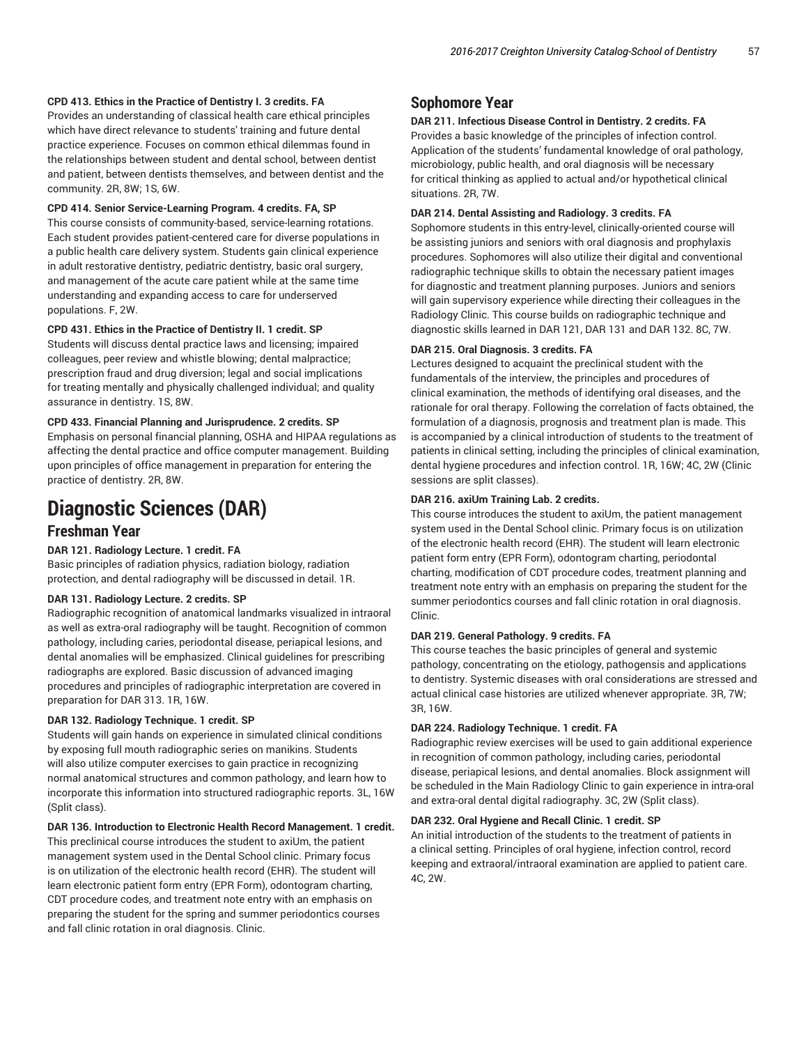#### **CPD 413. Ethics in the Practice of Dentistry I. 3 credits. FA**

Provides an understanding of classical health care ethical principles which have direct relevance to students' training and future dental practice experience. Focuses on common ethical dilemmas found in the relationships between student and dental school, between dentist and patient, between dentists themselves, and between dentist and the community. 2R, 8W; 1S, 6W.

#### **CPD 414. Senior Service-Learning Program. 4 credits. FA, SP**

This course consists of community-based, service-learning rotations. Each student provides patient-centered care for diverse populations in a public health care delivery system. Students gain clinical experience in adult restorative dentistry, pediatric dentistry, basic oral surgery, and management of the acute care patient while at the same time understanding and expanding access to care for underserved populations. F, 2W.

#### **CPD 431. Ethics in the Practice of Dentistry II. 1 credit. SP**

Students will discuss dental practice laws and licensing; impaired colleagues, peer review and whistle blowing; dental malpractice; prescription fraud and drug diversion; legal and social implications for treating mentally and physically challenged individual; and quality assurance in dentistry. 1S, 8W.

#### **CPD 433. Financial Planning and Jurisprudence. 2 credits. SP**

Emphasis on personal financial planning, OSHA and HIPAA regulations as affecting the dental practice and office computer management. Building upon principles of office management in preparation for entering the practice of dentistry. 2R, 8W.

## **Diagnostic Sciences (DAR)**

## **Freshman Year**

#### **DAR 121. Radiology Lecture. 1 credit. FA**

Basic principles of radiation physics, radiation biology, radiation protection, and dental radiography will be discussed in detail. 1R.

#### **DAR 131. Radiology Lecture. 2 credits. SP**

Radiographic recognition of anatomical landmarks visualized in intraoral as well as extra-oral radiography will be taught. Recognition of common pathology, including caries, periodontal disease, periapical lesions, and dental anomalies will be emphasized. Clinical guidelines for prescribing radiographs are explored. Basic discussion of advanced imaging procedures and principles of radiographic interpretation are covered in preparation for DAR 313. 1R, 16W.

#### **DAR 132. Radiology Technique. 1 credit. SP**

Students will gain hands on experience in simulated clinical conditions by exposing full mouth radiographic series on manikins. Students will also utilize computer exercises to gain practice in recognizing normal anatomical structures and common pathology, and learn how to incorporate this information into structured radiographic reports. 3L, 16W (Split class).

#### **DAR 136. Introduction to Electronic Health Record Management. 1 credit.**

This preclinical course introduces the student to axiUm, the patient management system used in the Dental School clinic. Primary focus is on utilization of the electronic health record (EHR). The student will learn electronic patient form entry (EPR Form), odontogram charting, CDT procedure codes, and treatment note entry with an emphasis on preparing the student for the spring and summer periodontics courses and fall clinic rotation in oral diagnosis. Clinic.

### **Sophomore Year**

#### **DAR 211. Infectious Disease Control in Dentistry. 2 credits. FA**

Provides a basic knowledge of the principles of infection control. Application of the students' fundamental knowledge of oral pathology, microbiology, public health, and oral diagnosis will be necessary for critical thinking as applied to actual and/or hypothetical clinical situations. 2R, 7W.

#### **DAR 214. Dental Assisting and Radiology. 3 credits. FA**

Sophomore students in this entry-level, clinically-oriented course will be assisting juniors and seniors with oral diagnosis and prophylaxis procedures. Sophomores will also utilize their digital and conventional radiographic technique skills to obtain the necessary patient images for diagnostic and treatment planning purposes. Juniors and seniors will gain supervisory experience while directing their colleagues in the Radiology Clinic. This course builds on radiographic technique and diagnostic skills learned in DAR 121, DAR 131 and DAR 132. 8C, 7W.

#### **DAR 215. Oral Diagnosis. 3 credits. FA**

Lectures designed to acquaint the preclinical student with the fundamentals of the interview, the principles and procedures of clinical examination, the methods of identifying oral diseases, and the rationale for oral therapy. Following the correlation of facts obtained, the formulation of a diagnosis, prognosis and treatment plan is made. This is accompanied by a clinical introduction of students to the treatment of patients in clinical setting, including the principles of clinical examination, dental hygiene procedures and infection control. 1R, 16W; 4C, 2W (Clinic sessions are split classes).

#### **DAR 216. axiUm Training Lab. 2 credits.**

This course introduces the student to axiUm, the patient management system used in the Dental School clinic. Primary focus is on utilization of the electronic health record (EHR). The student will learn electronic patient form entry (EPR Form), odontogram charting, periodontal charting, modification of CDT procedure codes, treatment planning and treatment note entry with an emphasis on preparing the student for the summer periodontics courses and fall clinic rotation in oral diagnosis. Clinic.

#### **DAR 219. General Pathology. 9 credits. FA**

This course teaches the basic principles of general and systemic pathology, concentrating on the etiology, pathogensis and applications to dentistry. Systemic diseases with oral considerations are stressed and actual clinical case histories are utilized whenever appropriate. 3R, 7W; 3R, 16W.

#### **DAR 224. Radiology Technique. 1 credit. FA**

Radiographic review exercises will be used to gain additional experience in recognition of common pathology, including caries, periodontal disease, periapical lesions, and dental anomalies. Block assignment will be scheduled in the Main Radiology Clinic to gain experience in intra-oral and extra-oral dental digital radiography. 3C, 2W (Split class).

#### **DAR 232. Oral Hygiene and Recall Clinic. 1 credit. SP**

An initial introduction of the students to the treatment of patients in a clinical setting. Principles of oral hygiene, infection control, record keeping and extraoral/intraoral examination are applied to patient care. 4C, 2W.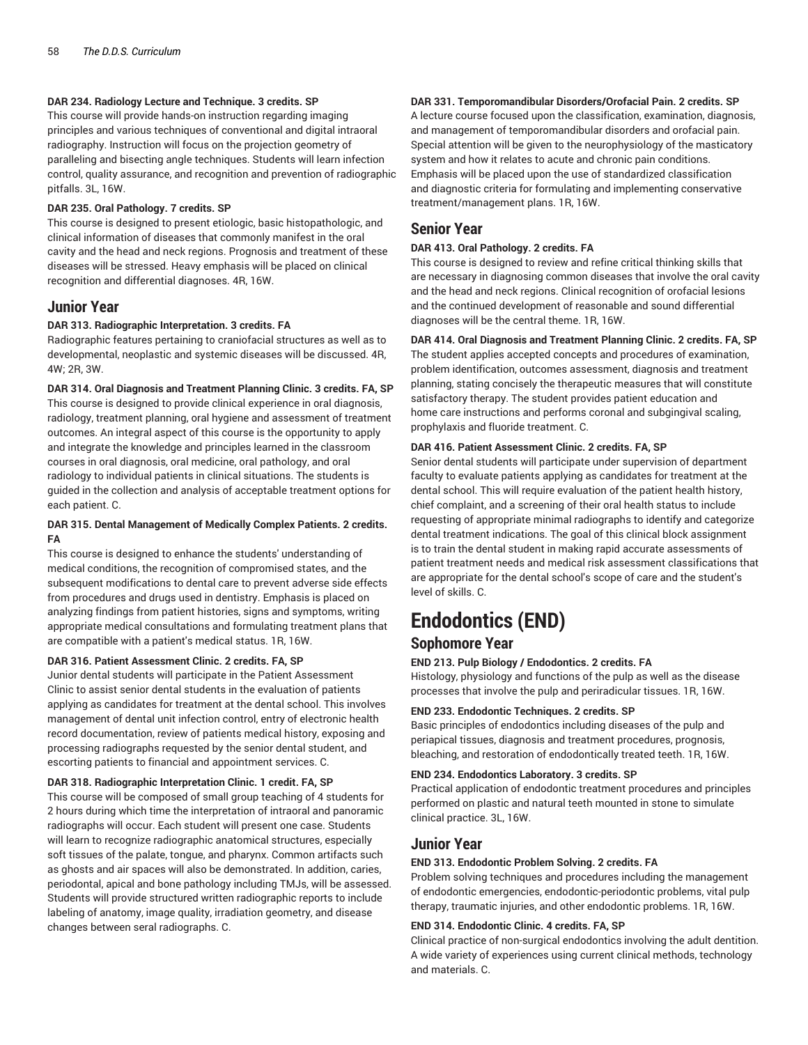#### **DAR 234. Radiology Lecture and Technique. 3 credits. SP**

This course will provide hands-on instruction regarding imaging principles and various techniques of conventional and digital intraoral radiography. Instruction will focus on the projection geometry of paralleling and bisecting angle techniques. Students will learn infection control, quality assurance, and recognition and prevention of radiographic pitfalls. 3L, 16W.

#### **DAR 235. Oral Pathology. 7 credits. SP**

This course is designed to present etiologic, basic histopathologic, and clinical information of diseases that commonly manifest in the oral cavity and the head and neck regions. Prognosis and treatment of these diseases will be stressed. Heavy emphasis will be placed on clinical recognition and differential diagnoses. 4R, 16W.

### **Junior Year**

#### **DAR 313. Radiographic Interpretation. 3 credits. FA**

Radiographic features pertaining to craniofacial structures as well as to developmental, neoplastic and systemic diseases will be discussed. 4R, 4W; 2R, 3W.

#### **DAR 314. Oral Diagnosis and Treatment Planning Clinic. 3 credits. FA, SP**

This course is designed to provide clinical experience in oral diagnosis, radiology, treatment planning, oral hygiene and assessment of treatment outcomes. An integral aspect of this course is the opportunity to apply and integrate the knowledge and principles learned in the classroom courses in oral diagnosis, oral medicine, oral pathology, and oral radiology to individual patients in clinical situations. The students is guided in the collection and analysis of acceptable treatment options for each patient. C.

#### **DAR 315. Dental Management of Medically Complex Patients. 2 credits. FA**

This course is designed to enhance the students' understanding of medical conditions, the recognition of compromised states, and the subsequent modifications to dental care to prevent adverse side effects from procedures and drugs used in dentistry. Emphasis is placed on analyzing findings from patient histories, signs and symptoms, writing appropriate medical consultations and formulating treatment plans that are compatible with a patient's medical status. 1R, 16W.

#### **DAR 316. Patient Assessment Clinic. 2 credits. FA, SP**

Junior dental students will participate in the Patient Assessment Clinic to assist senior dental students in the evaluation of patients applying as candidates for treatment at the dental school. This involves management of dental unit infection control, entry of electronic health record documentation, review of patients medical history, exposing and processing radiographs requested by the senior dental student, and escorting patients to financial and appointment services. C.

#### **DAR 318. Radiographic Interpretation Clinic. 1 credit. FA, SP**

This course will be composed of small group teaching of 4 students for 2 hours during which time the interpretation of intraoral and panoramic radiographs will occur. Each student will present one case. Students will learn to recognize radiographic anatomical structures, especially soft tissues of the palate, tongue, and pharynx. Common artifacts such as ghosts and air spaces will also be demonstrated. In addition, caries, periodontal, apical and bone pathology including TMJs, will be assessed. Students will provide structured written radiographic reports to include labeling of anatomy, image quality, irradiation geometry, and disease changes between seral radiographs. C.

#### **DAR 331. Temporomandibular Disorders/Orofacial Pain. 2 credits. SP**

A lecture course focused upon the classification, examination, diagnosis, and management of temporomandibular disorders and orofacial pain. Special attention will be given to the neurophysiology of the masticatory system and how it relates to acute and chronic pain conditions. Emphasis will be placed upon the use of standardized classification and diagnostic criteria for formulating and implementing conservative treatment/management plans. 1R, 16W.

### **Senior Year**

#### **DAR 413. Oral Pathology. 2 credits. FA**

This course is designed to review and refine critical thinking skills that are necessary in diagnosing common diseases that involve the oral cavity and the head and neck regions. Clinical recognition of orofacial lesions and the continued development of reasonable and sound differential diagnoses will be the central theme. 1R, 16W.

#### **DAR 414. Oral Diagnosis and Treatment Planning Clinic. 2 credits. FA, SP**

The student applies accepted concepts and procedures of examination, problem identification, outcomes assessment, diagnosis and treatment planning, stating concisely the therapeutic measures that will constitute satisfactory therapy. The student provides patient education and home care instructions and performs coronal and subgingival scaling, prophylaxis and fluoride treatment. C.

#### **DAR 416. Patient Assessment Clinic. 2 credits. FA, SP**

Senior dental students will participate under supervision of department faculty to evaluate patients applying as candidates for treatment at the dental school. This will require evaluation of the patient health history, chief complaint, and a screening of their oral health status to include requesting of appropriate minimal radiographs to identify and categorize dental treatment indications. The goal of this clinical block assignment is to train the dental student in making rapid accurate assessments of patient treatment needs and medical risk assessment classifications that are appropriate for the dental school's scope of care and the student's level of skills. C.

# **Endodontics (END)**

### **Sophomore Year**

#### **END 213. Pulp Biology / Endodontics. 2 credits. FA**

Histology, physiology and functions of the pulp as well as the disease processes that involve the pulp and periradicular tissues. 1R, 16W.

#### **END 233. Endodontic Techniques. 2 credits. SP**

Basic principles of endodontics including diseases of the pulp and periapical tissues, diagnosis and treatment procedures, prognosis, bleaching, and restoration of endodontically treated teeth. 1R, 16W.

#### **END 234. Endodontics Laboratory. 3 credits. SP**

Practical application of endodontic treatment procedures and principles performed on plastic and natural teeth mounted in stone to simulate clinical practice. 3L, 16W.

## **Junior Year**

#### **END 313. Endodontic Problem Solving. 2 credits. FA**

Problem solving techniques and procedures including the management of endodontic emergencies, endodontic-periodontic problems, vital pulp therapy, traumatic injuries, and other endodontic problems. 1R, 16W.

#### **END 314. Endodontic Clinic. 4 credits. FA, SP**

Clinical practice of non-surgical endodontics involving the adult dentition. A wide variety of experiences using current clinical methods, technology and materials. C.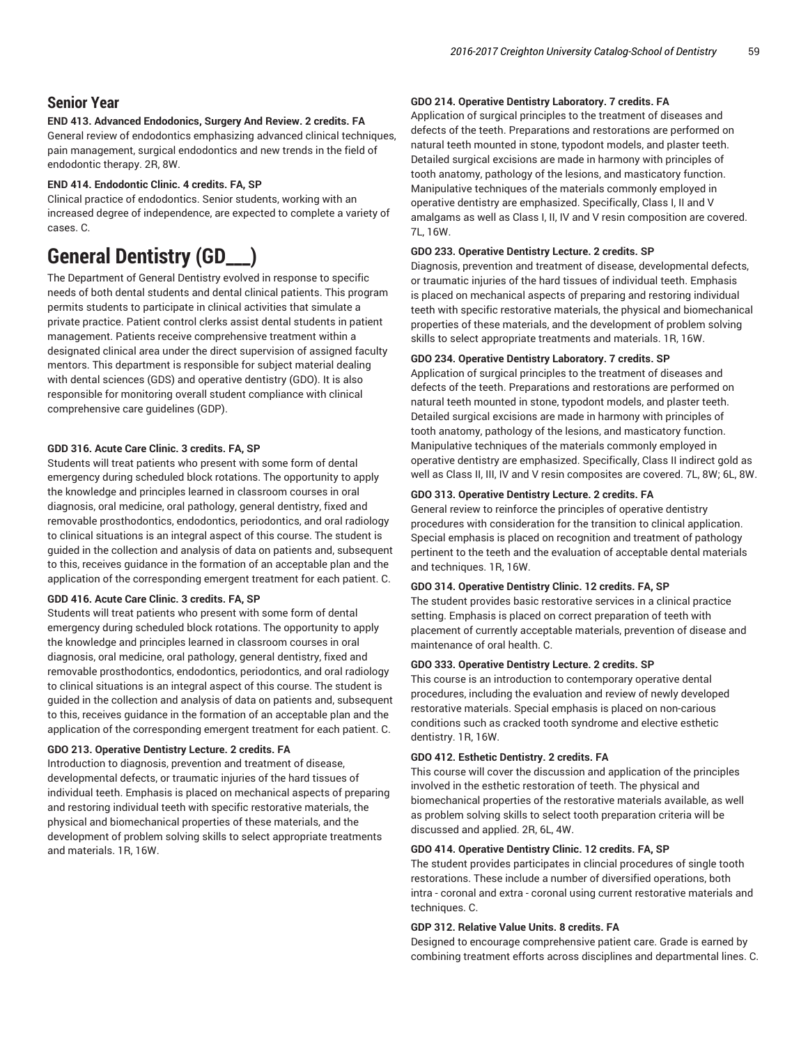## **Senior Year**

#### **END 413. Advanced Endodonics, Surgery And Review. 2 credits. FA**

General review of endodontics emphasizing advanced clinical techniques, pain management, surgical endodontics and new trends in the field of endodontic therapy. 2R, 8W.

#### **END 414. Endodontic Clinic. 4 credits. FA, SP**

Clinical practice of endodontics. Senior students, working with an increased degree of independence, are expected to complete a variety of cases. C.

## **General Dentistry (GD\_\_\_)**

The Department of General Dentistry evolved in response to specific needs of both dental students and dental clinical patients. This program permits students to participate in clinical activities that simulate a private practice. Patient control clerks assist dental students in patient management. Patients receive comprehensive treatment within a designated clinical area under the direct supervision of assigned faculty mentors. This department is responsible for subject material dealing with dental sciences (GDS) and operative dentistry (GDO). It is also responsible for monitoring overall student compliance with clinical comprehensive care guidelines (GDP).

#### **GDD 316. Acute Care Clinic. 3 credits. FA, SP**

Students will treat patients who present with some form of dental emergency during scheduled block rotations. The opportunity to apply the knowledge and principles learned in classroom courses in oral diagnosis, oral medicine, oral pathology, general dentistry, fixed and removable prosthodontics, endodontics, periodontics, and oral radiology to clinical situations is an integral aspect of this course. The student is guided in the collection and analysis of data on patients and, subsequent to this, receives guidance in the formation of an acceptable plan and the application of the corresponding emergent treatment for each patient. C.

#### **GDD 416. Acute Care Clinic. 3 credits. FA, SP**

Students will treat patients who present with some form of dental emergency during scheduled block rotations. The opportunity to apply the knowledge and principles learned in classroom courses in oral diagnosis, oral medicine, oral pathology, general dentistry, fixed and removable prosthodontics, endodontics, periodontics, and oral radiology to clinical situations is an integral aspect of this course. The student is guided in the collection and analysis of data on patients and, subsequent to this, receives guidance in the formation of an acceptable plan and the application of the corresponding emergent treatment for each patient. C.

#### **GDO 213. Operative Dentistry Lecture. 2 credits. FA**

Introduction to diagnosis, prevention and treatment of disease, developmental defects, or traumatic injuries of the hard tissues of individual teeth. Emphasis is placed on mechanical aspects of preparing and restoring individual teeth with specific restorative materials, the physical and biomechanical properties of these materials, and the development of problem solving skills to select appropriate treatments and materials. 1R, 16W.

#### **GDO 214. Operative Dentistry Laboratory. 7 credits. FA**

Application of surgical principles to the treatment of diseases and defects of the teeth. Preparations and restorations are performed on natural teeth mounted in stone, typodont models, and plaster teeth. Detailed surgical excisions are made in harmony with principles of tooth anatomy, pathology of the lesions, and masticatory function. Manipulative techniques of the materials commonly employed in operative dentistry are emphasized. Specifically, Class I, II and V amalgams as well as Class I, II, IV and V resin composition are covered. 7L, 16W.

#### **GDO 233. Operative Dentistry Lecture. 2 credits. SP**

Diagnosis, prevention and treatment of disease, developmental defects, or traumatic injuries of the hard tissues of individual teeth. Emphasis is placed on mechanical aspects of preparing and restoring individual teeth with specific restorative materials, the physical and biomechanical properties of these materials, and the development of problem solving skills to select appropriate treatments and materials. 1R, 16W.

#### **GDO 234. Operative Dentistry Laboratory. 7 credits. SP**

Application of surgical principles to the treatment of diseases and defects of the teeth. Preparations and restorations are performed on natural teeth mounted in stone, typodont models, and plaster teeth. Detailed surgical excisions are made in harmony with principles of tooth anatomy, pathology of the lesions, and masticatory function. Manipulative techniques of the materials commonly employed in operative dentistry are emphasized. Specifically, Class II indirect gold as well as Class II, III, IV and V resin composites are covered. 7L, 8W; 6L, 8W.

#### **GDO 313. Operative Dentistry Lecture. 2 credits. FA**

General review to reinforce the principles of operative dentistry procedures with consideration for the transition to clinical application. Special emphasis is placed on recognition and treatment of pathology pertinent to the teeth and the evaluation of acceptable dental materials and techniques. 1R, 16W.

#### **GDO 314. Operative Dentistry Clinic. 12 credits. FA, SP**

The student provides basic restorative services in a clinical practice setting. Emphasis is placed on correct preparation of teeth with placement of currently acceptable materials, prevention of disease and maintenance of oral health. C.

#### **GDO 333. Operative Dentistry Lecture. 2 credits. SP**

This course is an introduction to contemporary operative dental procedures, including the evaluation and review of newly developed restorative materials. Special emphasis is placed on non-carious conditions such as cracked tooth syndrome and elective esthetic dentistry. 1R, 16W.

#### **GDO 412. Esthetic Dentistry. 2 credits. FA**

This course will cover the discussion and application of the principles involved in the esthetic restoration of teeth. The physical and biomechanical properties of the restorative materials available, as well as problem solving skills to select tooth preparation criteria will be discussed and applied. 2R, 6L, 4W.

#### **GDO 414. Operative Dentistry Clinic. 12 credits. FA, SP**

The student provides participates in clincial procedures of single tooth restorations. These include a number of diversified operations, both intra - coronal and extra - coronal using current restorative materials and techniques. C.

#### **GDP 312. Relative Value Units. 8 credits. FA**

Designed to encourage comprehensive patient care. Grade is earned by combining treatment efforts across disciplines and departmental lines. C.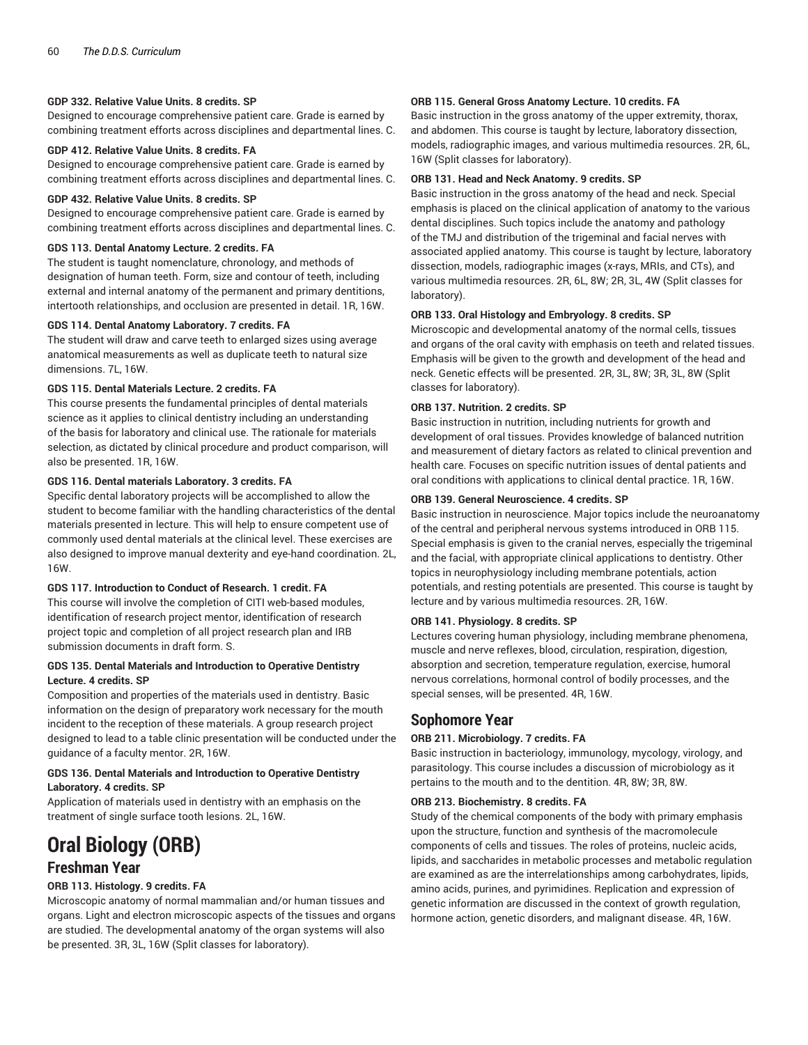#### **GDP 332. Relative Value Units. 8 credits. SP**

Designed to encourage comprehensive patient care. Grade is earned by combining treatment efforts across disciplines and departmental lines. C.

#### **GDP 412. Relative Value Units. 8 credits. FA**

Designed to encourage comprehensive patient care. Grade is earned by combining treatment efforts across disciplines and departmental lines. C.

#### **GDP 432. Relative Value Units. 8 credits. SP**

Designed to encourage comprehensive patient care. Grade is earned by combining treatment efforts across disciplines and departmental lines. C.

#### **GDS 113. Dental Anatomy Lecture. 2 credits. FA**

The student is taught nomenclature, chronology, and methods of designation of human teeth. Form, size and contour of teeth, including external and internal anatomy of the permanent and primary dentitions, intertooth relationships, and occlusion are presented in detail. 1R, 16W.

#### **GDS 114. Dental Anatomy Laboratory. 7 credits. FA**

The student will draw and carve teeth to enlarged sizes using average anatomical measurements as well as duplicate teeth to natural size dimensions. 7L, 16W.

#### **GDS 115. Dental Materials Lecture. 2 credits. FA**

This course presents the fundamental principles of dental materials science as it applies to clinical dentistry including an understanding of the basis for laboratory and clinical use. The rationale for materials selection, as dictated by clinical procedure and product comparison, will also be presented. 1R, 16W.

#### **GDS 116. Dental materials Laboratory. 3 credits. FA**

Specific dental laboratory projects will be accomplished to allow the student to become familiar with the handling characteristics of the dental materials presented in lecture. This will help to ensure competent use of commonly used dental materials at the clinical level. These exercises are also designed to improve manual dexterity and eye-hand coordination. 2L, 16W.

#### **GDS 117. Introduction to Conduct of Research. 1 credit. FA**

This course will involve the completion of CITI web-based modules, identification of research project mentor, identification of research project topic and completion of all project research plan and IRB submission documents in draft form. S.

#### **GDS 135. Dental Materials and Introduction to Operative Dentistry Lecture. 4 credits. SP**

Composition and properties of the materials used in dentistry. Basic information on the design of preparatory work necessary for the mouth incident to the reception of these materials. A group research project designed to lead to a table clinic presentation will be conducted under the guidance of a faculty mentor. 2R, 16W.

#### **GDS 136. Dental Materials and Introduction to Operative Dentistry Laboratory. 4 credits. SP**

Application of materials used in dentistry with an emphasis on the treatment of single surface tooth lesions. 2L, 16W.

# **Oral Biology (ORB)**

### **Freshman Year**

#### **ORB 113. Histology. 9 credits. FA**

Microscopic anatomy of normal mammalian and/or human tissues and organs. Light and electron microscopic aspects of the tissues and organs are studied. The developmental anatomy of the organ systems will also be presented. 3R, 3L, 16W (Split classes for laboratory).

#### **ORB 115. General Gross Anatomy Lecture. 10 credits. FA**

Basic instruction in the gross anatomy of the upper extremity, thorax, and abdomen. This course is taught by lecture, laboratory dissection, models, radiographic images, and various multimedia resources. 2R, 6L, 16W (Split classes for laboratory).

#### **ORB 131. Head and Neck Anatomy. 9 credits. SP**

Basic instruction in the gross anatomy of the head and neck. Special emphasis is placed on the clinical application of anatomy to the various dental disciplines. Such topics include the anatomy and pathology of the TMJ and distribution of the trigeminal and facial nerves with associated applied anatomy. This course is taught by lecture, laboratory dissection, models, radiographic images (x-rays, MRIs, and CTs), and various multimedia resources. 2R, 6L, 8W; 2R, 3L, 4W (Split classes for laboratory).

#### **ORB 133. Oral Histology and Embryology. 8 credits. SP**

Microscopic and developmental anatomy of the normal cells, tissues and organs of the oral cavity with emphasis on teeth and related tissues. Emphasis will be given to the growth and development of the head and neck. Genetic effects will be presented. 2R, 3L, 8W; 3R, 3L, 8W (Split classes for laboratory).

#### **ORB 137. Nutrition. 2 credits. SP**

Basic instruction in nutrition, including nutrients for growth and development of oral tissues. Provides knowledge of balanced nutrition and measurement of dietary factors as related to clinical prevention and health care. Focuses on specific nutrition issues of dental patients and oral conditions with applications to clinical dental practice. 1R, 16W.

#### **ORB 139. General Neuroscience. 4 credits. SP**

Basic instruction in neuroscience. Major topics include the neuroanatomy of the central and peripheral nervous systems introduced in ORB 115. Special emphasis is given to the cranial nerves, especially the trigeminal and the facial, with appropriate clinical applications to dentistry. Other topics in neurophysiology including membrane potentials, action potentials, and resting potentials are presented. This course is taught by lecture and by various multimedia resources. 2R, 16W.

#### **ORB 141. Physiology. 8 credits. SP**

Lectures covering human physiology, including membrane phenomena, muscle and nerve reflexes, blood, circulation, respiration, digestion, absorption and secretion, temperature regulation, exercise, humoral nervous correlations, hormonal control of bodily processes, and the special senses, will be presented. 4R, 16W.

### **Sophomore Year**

#### **ORB 211. Microbiology. 7 credits. FA**

Basic instruction in bacteriology, immunology, mycology, virology, and parasitology. This course includes a discussion of microbiology as it pertains to the mouth and to the dentition. 4R, 8W; 3R, 8W.

#### **ORB 213. Biochemistry. 8 credits. FA**

Study of the chemical components of the body with primary emphasis upon the structure, function and synthesis of the macromolecule components of cells and tissues. The roles of proteins, nucleic acids, lipids, and saccharides in metabolic processes and metabolic regulation are examined as are the interrelationships among carbohydrates, lipids, amino acids, purines, and pyrimidines. Replication and expression of genetic information are discussed in the context of growth regulation, hormone action, genetic disorders, and malignant disease. 4R, 16W.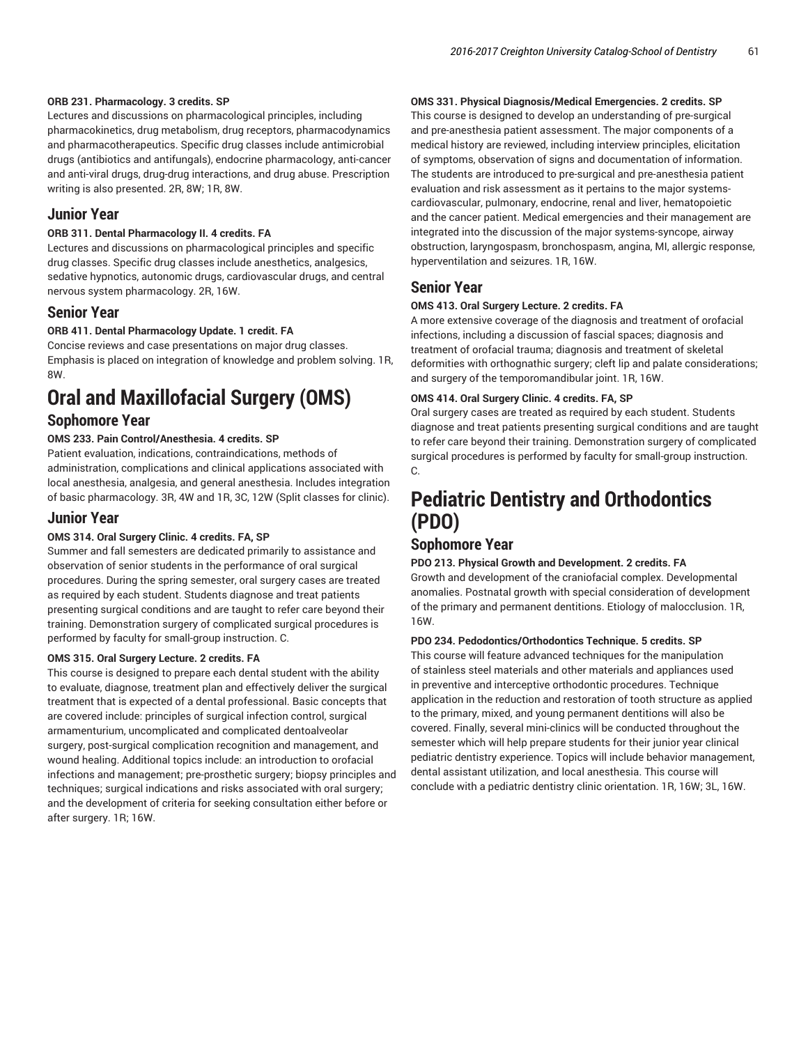#### **ORB 231. Pharmacology. 3 credits. SP**

Lectures and discussions on pharmacological principles, including pharmacokinetics, drug metabolism, drug receptors, pharmacodynamics and pharmacotherapeutics. Specific drug classes include antimicrobial drugs (antibiotics and antifungals), endocrine pharmacology, anti-cancer and anti-viral drugs, drug-drug interactions, and drug abuse. Prescription writing is also presented. 2R, 8W; 1R, 8W.

#### **Junior Year**

#### **ORB 311. Dental Pharmacology II. 4 credits. FA**

Lectures and discussions on pharmacological principles and specific drug classes. Specific drug classes include anesthetics, analgesics, sedative hypnotics, autonomic drugs, cardiovascular drugs, and central nervous system pharmacology. 2R, 16W.

### **Senior Year**

#### **ORB 411. Dental Pharmacology Update. 1 credit. FA**

Concise reviews and case presentations on major drug classes. Emphasis is placed on integration of knowledge and problem solving. 1R, 8W.

## **Oral and Maxillofacial Surgery (OMS)**

### **Sophomore Year**

#### **OMS 233. Pain Control/Anesthesia. 4 credits. SP**

Patient evaluation, indications, contraindications, methods of administration, complications and clinical applications associated with local anesthesia, analgesia, and general anesthesia. Includes integration of basic pharmacology. 3R, 4W and 1R, 3C, 12W (Split classes for clinic).

### **Junior Year**

#### **OMS 314. Oral Surgery Clinic. 4 credits. FA, SP**

Summer and fall semesters are dedicated primarily to assistance and observation of senior students in the performance of oral surgical procedures. During the spring semester, oral surgery cases are treated as required by each student. Students diagnose and treat patients presenting surgical conditions and are taught to refer care beyond their training. Demonstration surgery of complicated surgical procedures is performed by faculty for small-group instruction. C.

#### **OMS 315. Oral Surgery Lecture. 2 credits. FA**

This course is designed to prepare each dental student with the ability to evaluate, diagnose, treatment plan and effectively deliver the surgical treatment that is expected of a dental professional. Basic concepts that are covered include: principles of surgical infection control, surgical armamenturium, uncomplicated and complicated dentoalveolar surgery, post-surgical complication recognition and management, and wound healing. Additional topics include: an introduction to orofacial infections and management; pre-prosthetic surgery; biopsy principles and techniques; surgical indications and risks associated with oral surgery; and the development of criteria for seeking consultation either before or after surgery. 1R; 16W.

#### **OMS 331. Physical Diagnosis/Medical Emergencies. 2 credits. SP**

This course is designed to develop an understanding of pre-surgical and pre-anesthesia patient assessment. The major components of a medical history are reviewed, including interview principles, elicitation of symptoms, observation of signs and documentation of information. The students are introduced to pre-surgical and pre-anesthesia patient evaluation and risk assessment as it pertains to the major systemscardiovascular, pulmonary, endocrine, renal and liver, hematopoietic and the cancer patient. Medical emergencies and their management are integrated into the discussion of the major systems-syncope, airway obstruction, laryngospasm, bronchospasm, angina, MI, allergic response, hyperventilation and seizures. 1R, 16W.

## **Senior Year**

#### **OMS 413. Oral Surgery Lecture. 2 credits. FA**

A more extensive coverage of the diagnosis and treatment of orofacial infections, including a discussion of fascial spaces; diagnosis and treatment of orofacial trauma; diagnosis and treatment of skeletal deformities with orthognathic surgery; cleft lip and palate considerations; and surgery of the temporomandibular joint. 1R, 16W.

#### **OMS 414. Oral Surgery Clinic. 4 credits. FA, SP**

Oral surgery cases are treated as required by each student. Students diagnose and treat patients presenting surgical conditions and are taught to refer care beyond their training. Demonstration surgery of complicated surgical procedures is performed by faculty for small-group instruction. C.

## **Pediatric Dentistry and Orthodontics (PDO)**

## **Sophomore Year**

#### **PDO 213. Physical Growth and Development. 2 credits. FA**

Growth and development of the craniofacial complex. Developmental anomalies. Postnatal growth with special consideration of development of the primary and permanent dentitions. Etiology of malocclusion. 1R, 16W.

#### **PDO 234. Pedodontics/Orthodontics Technique. 5 credits. SP**

This course will feature advanced techniques for the manipulation of stainless steel materials and other materials and appliances used in preventive and interceptive orthodontic procedures. Technique application in the reduction and restoration of tooth structure as applied to the primary, mixed, and young permanent dentitions will also be covered. Finally, several mini-clinics will be conducted throughout the semester which will help prepare students for their junior year clinical pediatric dentistry experience. Topics will include behavior management, dental assistant utilization, and local anesthesia. This course will conclude with a pediatric dentistry clinic orientation. 1R, 16W; 3L, 16W.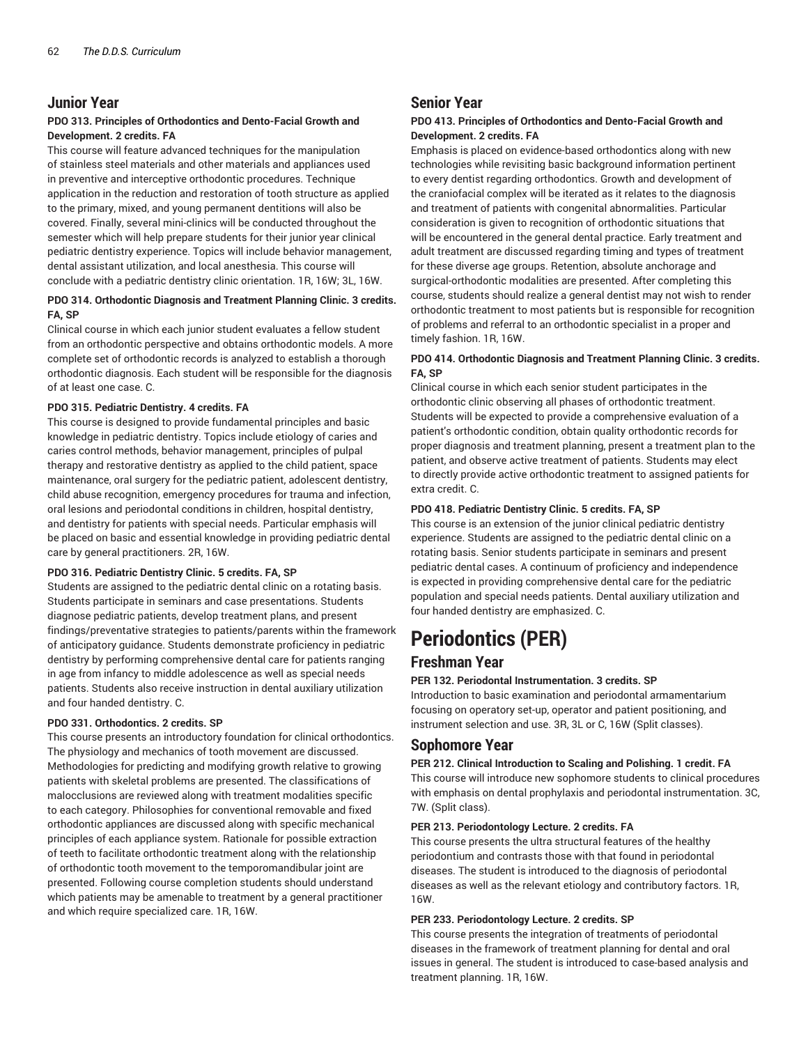## **Junior Year**

#### **PDO 313. Principles of Orthodontics and Dento-Facial Growth and Development. 2 credits. FA**

This course will feature advanced techniques for the manipulation of stainless steel materials and other materials and appliances used in preventive and interceptive orthodontic procedures. Technique application in the reduction and restoration of tooth structure as applied to the primary, mixed, and young permanent dentitions will also be covered. Finally, several mini-clinics will be conducted throughout the semester which will help prepare students for their junior year clinical pediatric dentistry experience. Topics will include behavior management, dental assistant utilization, and local anesthesia. This course will conclude with a pediatric dentistry clinic orientation. 1R, 16W; 3L, 16W.

#### **PDO 314. Orthodontic Diagnosis and Treatment Planning Clinic. 3 credits. FA, SP**

Clinical course in which each junior student evaluates a fellow student from an orthodontic perspective and obtains orthodontic models. A more complete set of orthodontic records is analyzed to establish a thorough orthodontic diagnosis. Each student will be responsible for the diagnosis of at least one case. C.

#### **PDO 315. Pediatric Dentistry. 4 credits. FA**

This course is designed to provide fundamental principles and basic knowledge in pediatric dentistry. Topics include etiology of caries and caries control methods, behavior management, principles of pulpal therapy and restorative dentistry as applied to the child patient, space maintenance, oral surgery for the pediatric patient, adolescent dentistry, child abuse recognition, emergency procedures for trauma and infection, oral lesions and periodontal conditions in children, hospital dentistry, and dentistry for patients with special needs. Particular emphasis will be placed on basic and essential knowledge in providing pediatric dental care by general practitioners. 2R, 16W.

#### **PDO 316. Pediatric Dentistry Clinic. 5 credits. FA, SP**

Students are assigned to the pediatric dental clinic on a rotating basis. Students participate in seminars and case presentations. Students diagnose pediatric patients, develop treatment plans, and present findings/preventative strategies to patients/parents within the framework of anticipatory guidance. Students demonstrate proficiency in pediatric dentistry by performing comprehensive dental care for patients ranging in age from infancy to middle adolescence as well as special needs patients. Students also receive instruction in dental auxiliary utilization and four handed dentistry. C.

#### **PDO 331. Orthodontics. 2 credits. SP**

This course presents an introductory foundation for clinical orthodontics. The physiology and mechanics of tooth movement are discussed. Methodologies for predicting and modifying growth relative to growing patients with skeletal problems are presented. The classifications of malocclusions are reviewed along with treatment modalities specific to each category. Philosophies for conventional removable and fixed orthodontic appliances are discussed along with specific mechanical principles of each appliance system. Rationale for possible extraction of teeth to facilitate orthodontic treatment along with the relationship of orthodontic tooth movement to the temporomandibular joint are presented. Following course completion students should understand which patients may be amenable to treatment by a general practitioner and which require specialized care. 1R, 16W.

## **Senior Year**

#### **PDO 413. Principles of Orthodontics and Dento-Facial Growth and Development. 2 credits. FA**

Emphasis is placed on evidence-based orthodontics along with new technologies while revisiting basic background information pertinent to every dentist regarding orthodontics. Growth and development of the craniofacial complex will be iterated as it relates to the diagnosis and treatment of patients with congenital abnormalities. Particular consideration is given to recognition of orthodontic situations that will be encountered in the general dental practice. Early treatment and adult treatment are discussed regarding timing and types of treatment for these diverse age groups. Retention, absolute anchorage and surgical-orthodontic modalities are presented. After completing this course, students should realize a general dentist may not wish to render orthodontic treatment to most patients but is responsible for recognition of problems and referral to an orthodontic specialist in a proper and timely fashion. 1R, 16W.

#### **PDO 414. Orthodontic Diagnosis and Treatment Planning Clinic. 3 credits. FA, SP**

Clinical course in which each senior student participates in the orthodontic clinic observing all phases of orthodontic treatment. Students will be expected to provide a comprehensive evaluation of a patient's orthodontic condition, obtain quality orthodontic records for proper diagnosis and treatment planning, present a treatment plan to the patient, and observe active treatment of patients. Students may elect to directly provide active orthodontic treatment to assigned patients for extra credit. C.

#### **PDO 418. Pediatric Dentistry Clinic. 5 credits. FA, SP**

This course is an extension of the junior clinical pediatric dentistry experience. Students are assigned to the pediatric dental clinic on a rotating basis. Senior students participate in seminars and present pediatric dental cases. A continuum of proficiency and independence is expected in providing comprehensive dental care for the pediatric population and special needs patients. Dental auxiliary utilization and four handed dentistry are emphasized. C.

# **Periodontics (PER)**

### **Freshman Year**

#### **PER 132. Periodontal Instrumentation. 3 credits. SP**

Introduction to basic examination and periodontal armamentarium focusing on operatory set-up, operator and patient positioning, and instrument selection and use. 3R, 3L or C, 16W (Split classes).

### **Sophomore Year**

**PER 212. Clinical Introduction to Scaling and Polishing. 1 credit. FA** This course will introduce new sophomore students to clinical procedures with emphasis on dental prophylaxis and periodontal instrumentation. 3C, 7W. (Split class).

#### **PER 213. Periodontology Lecture. 2 credits. FA**

This course presents the ultra structural features of the healthy periodontium and contrasts those with that found in periodontal diseases. The student is introduced to the diagnosis of periodontal diseases as well as the relevant etiology and contributory factors. 1R, 16W.

#### **PER 233. Periodontology Lecture. 2 credits. SP**

This course presents the integration of treatments of periodontal diseases in the framework of treatment planning for dental and oral issues in general. The student is introduced to case-based analysis and treatment planning. 1R, 16W.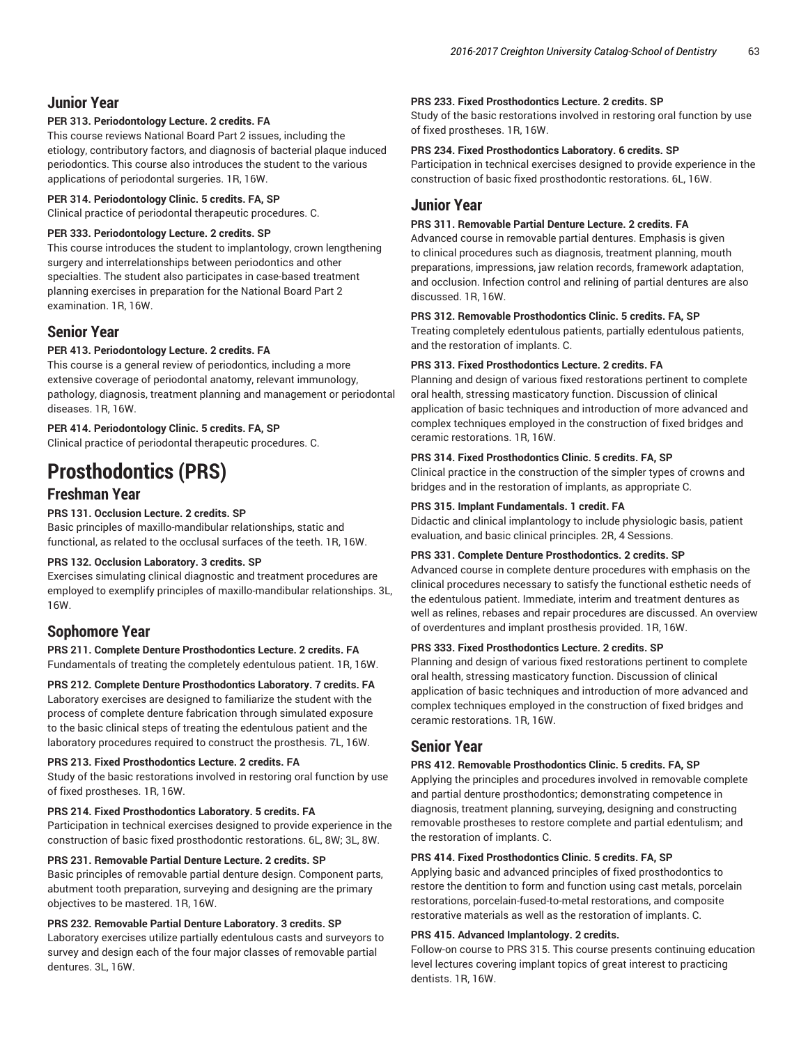## **Junior Year**

#### **PER 313. Periodontology Lecture. 2 credits. FA**

This course reviews National Board Part 2 issues, including the etiology, contributory factors, and diagnosis of bacterial plaque induced periodontics. This course also introduces the student to the various applications of periodontal surgeries. 1R, 16W.

#### **PER 314. Periodontology Clinic. 5 credits. FA, SP**

Clinical practice of periodontal therapeutic procedures. C.

#### **PER 333. Periodontology Lecture. 2 credits. SP**

This course introduces the student to implantology, crown lengthening surgery and interrelationships between periodontics and other specialties. The student also participates in case-based treatment planning exercises in preparation for the National Board Part 2 examination. 1R, 16W.

## **Senior Year**

#### **PER 413. Periodontology Lecture. 2 credits. FA**

This course is a general review of periodontics, including a more extensive coverage of periodontal anatomy, relevant immunology, pathology, diagnosis, treatment planning and management or periodontal diseases. 1R, 16W.

#### **PER 414. Periodontology Clinic. 5 credits. FA, SP**

Clinical practice of periodontal therapeutic procedures. C.

# **Prosthodontics (PRS)**

## **Freshman Year**

#### **PRS 131. Occlusion Lecture. 2 credits. SP**

Basic principles of maxillo-mandibular relationships, static and functional, as related to the occlusal surfaces of the teeth. 1R, 16W.

#### **PRS 132. Occlusion Laboratory. 3 credits. SP**

Exercises simulating clinical diagnostic and treatment procedures are employed to exemplify principles of maxillo-mandibular relationships. 3L, 16W.

### **Sophomore Year**

**PRS 211. Complete Denture Prosthodontics Lecture. 2 credits. FA** Fundamentals of treating the completely edentulous patient. 1R, 16W.

**PRS 212. Complete Denture Prosthodontics Laboratory. 7 credits. FA** Laboratory exercises are designed to familiarize the student with the process of complete denture fabrication through simulated exposure to the basic clinical steps of treating the edentulous patient and the laboratory procedures required to construct the prosthesis. 7L, 16W.

#### **PRS 213. Fixed Prosthodontics Lecture. 2 credits. FA**

Study of the basic restorations involved in restoring oral function by use of fixed prostheses. 1R, 16W.

#### **PRS 214. Fixed Prosthodontics Laboratory. 5 credits. FA**

Participation in technical exercises designed to provide experience in the construction of basic fixed prosthodontic restorations. 6L, 8W; 3L, 8W.

#### **PRS 231. Removable Partial Denture Lecture. 2 credits. SP**

Basic principles of removable partial denture design. Component parts, abutment tooth preparation, surveying and designing are the primary objectives to be mastered. 1R, 16W.

### **PRS 232. Removable Partial Denture Laboratory. 3 credits. SP**

Laboratory exercises utilize partially edentulous casts and surveyors to survey and design each of the four major classes of removable partial dentures. 3L, 16W.

#### **PRS 233. Fixed Prosthodontics Lecture. 2 credits. SP**

Study of the basic restorations involved in restoring oral function by use of fixed prostheses. 1R, 16W.

#### **PRS 234. Fixed Prosthodontics Laboratory. 6 credits. SP**

Participation in technical exercises designed to provide experience in the construction of basic fixed prosthodontic restorations. 6L, 16W.

## **Junior Year**

#### **PRS 311. Removable Partial Denture Lecture. 2 credits. FA**

Advanced course in removable partial dentures. Emphasis is given to clinical procedures such as diagnosis, treatment planning, mouth preparations, impressions, jaw relation records, framework adaptation, and occlusion. Infection control and relining of partial dentures are also discussed. 1R, 16W.

#### **PRS 312. Removable Prosthodontics Clinic. 5 credits. FA, SP**

Treating completely edentulous patients, partially edentulous patients, and the restoration of implants. C.

#### **PRS 313. Fixed Prosthodontics Lecture. 2 credits. FA**

Planning and design of various fixed restorations pertinent to complete oral health, stressing masticatory function. Discussion of clinical application of basic techniques and introduction of more advanced and complex techniques employed in the construction of fixed bridges and ceramic restorations. 1R, 16W.

#### **PRS 314. Fixed Prosthodontics Clinic. 5 credits. FA, SP**

Clinical practice in the construction of the simpler types of crowns and bridges and in the restoration of implants, as appropriate C.

#### **PRS 315. Implant Fundamentals. 1 credit. FA**

Didactic and clinical implantology to include physiologic basis, patient evaluation, and basic clinical principles. 2R, 4 Sessions.

#### **PRS 331. Complete Denture Prosthodontics. 2 credits. SP**

Advanced course in complete denture procedures with emphasis on the clinical procedures necessary to satisfy the functional esthetic needs of the edentulous patient. Immediate, interim and treatment dentures as well as relines, rebases and repair procedures are discussed. An overview of overdentures and implant prosthesis provided. 1R, 16W.

#### **PRS 333. Fixed Prosthodontics Lecture. 2 credits. SP**

Planning and design of various fixed restorations pertinent to complete oral health, stressing masticatory function. Discussion of clinical application of basic techniques and introduction of more advanced and complex techniques employed in the construction of fixed bridges and ceramic restorations. 1R, 16W.

### **Senior Year**

#### **PRS 412. Removable Prosthodontics Clinic. 5 credits. FA, SP**

Applying the principles and procedures involved in removable complete and partial denture prosthodontics; demonstrating competence in diagnosis, treatment planning, surveying, designing and constructing removable prostheses to restore complete and partial edentulism; and the restoration of implants. C.

#### **PRS 414. Fixed Prosthodontics Clinic. 5 credits. FA, SP**

Applying basic and advanced principles of fixed prosthodontics to restore the dentition to form and function using cast metals, porcelain restorations, porcelain-fused-to-metal restorations, and composite restorative materials as well as the restoration of implants. C.

#### **PRS 415. Advanced Implantology. 2 credits.**

Follow-on course to PRS 315. This course presents continuing education level lectures covering implant topics of great interest to practicing dentists. 1R, 16W.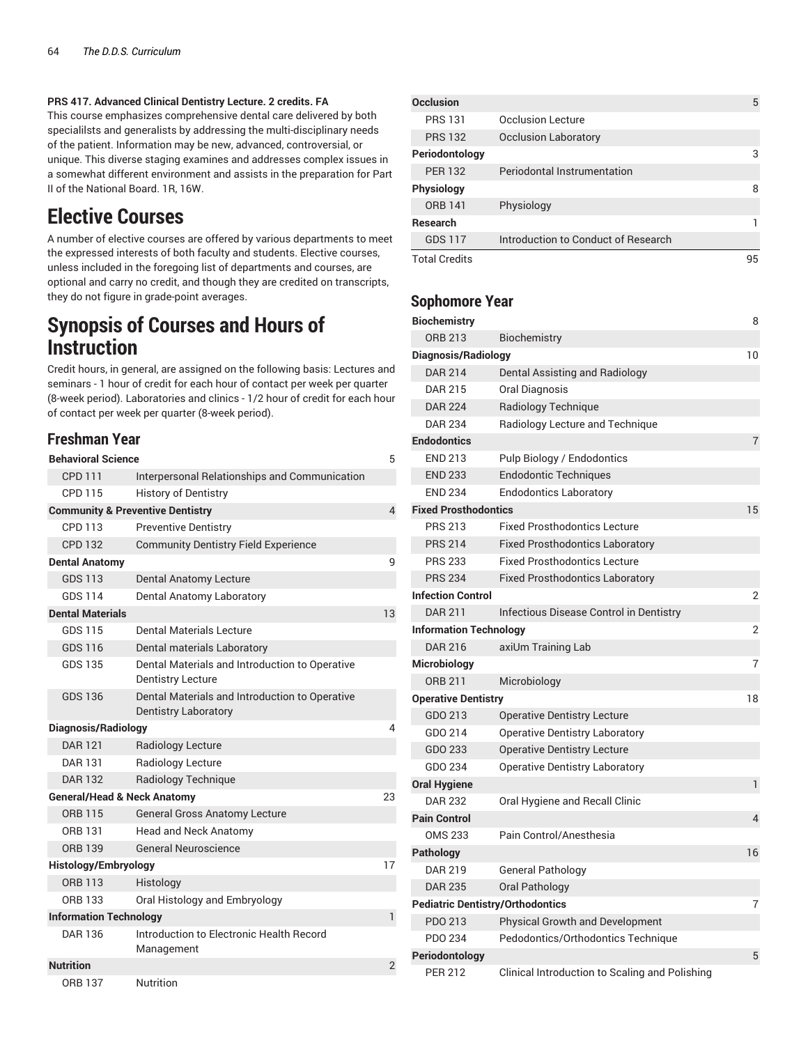#### **PRS 417. Advanced Clinical Dentistry Lecture. 2 credits. FA**

This course emphasizes comprehensive dental care delivered by both specialilsts and generalists by addressing the multi-disciplinary needs of the patient. Information may be new, advanced, controversial, or unique. This diverse staging examines and addresses complex issues in a somewhat different environment and assists in the preparation for Part II of the National Board. 1R, 16W.

## **Elective Courses**

A number of elective courses are offered by various departments to meet the expressed interests of both faculty and students. Elective courses, unless included in the foregoing list of departments and courses, are optional and carry no credit, and though they are credited on transcripts, they do not figure in grade-point averages.

## **Synopsis of Courses and Hours of Instruction**

Credit hours, in general, are assigned on the following basis: Lectures and seminars - 1 hour of credit for each hour of contact per week per quarter (8-week period). Laboratories and clinics - 1/2 hour of credit for each hour of contact per week per quarter (8-week period).

## **Freshman Year**

| <b>Behavioral Science</b>              |                                                                               | 5  |
|----------------------------------------|-------------------------------------------------------------------------------|----|
| <b>CPD 111</b>                         | Interpersonal Relationships and Communication                                 |    |
| CPD 115                                | <b>History of Dentistry</b>                                                   |    |
|                                        | <b>Community &amp; Preventive Dentistry</b>                                   | 4  |
| CPD 113                                | <b>Preventive Dentistry</b>                                                   |    |
| <b>CPD 132</b>                         | <b>Community Dentistry Field Experience</b>                                   |    |
| <b>Dental Anatomy</b>                  |                                                                               | q  |
| <b>GDS 113</b>                         | <b>Dental Anatomy Lecture</b>                                                 |    |
| <b>GDS 114</b>                         | Dental Anatomy Laboratory                                                     |    |
| <b>Dental Materials</b>                |                                                                               | 13 |
| GDS 115                                | <b>Dental Materials Lecture</b>                                               |    |
| GDS 116                                | Dental materials Laboratory                                                   |    |
| <b>GDS 135</b>                         | Dental Materials and Introduction to Operative<br><b>Dentistry Lecture</b>    |    |
| GDS 136                                | Dental Materials and Introduction to Operative<br><b>Dentistry Laboratory</b> |    |
| Diagnosis/Radiology                    |                                                                               | 4  |
| <b>DAR 121</b>                         | <b>Radiology Lecture</b>                                                      |    |
| <b>DAR 131</b>                         | Radiology Lecture                                                             |    |
| <b>DAR 132</b>                         | Radiology Technique                                                           |    |
| <b>General/Head &amp; Neck Anatomy</b> |                                                                               | 23 |
| <b>ORB 115</b>                         | <b>General Gross Anatomy Lecture</b>                                          |    |
| ORB 131                                | <b>Head and Neck Anatomy</b>                                                  |    |
| <b>ORB 139</b>                         | General Neuroscience                                                          |    |
| <b>Histology/Embryology</b>            |                                                                               | 17 |
| ORB 113                                | Histology                                                                     |    |
| ORB 133                                | Oral Histology and Embryology                                                 |    |
| <b>Information Technology</b>          |                                                                               | 1  |
| DAR 136                                | Introduction to Electronic Health Record<br>Management                        |    |
| <b>Nutrition</b>                       |                                                                               | 2  |
| ORB 137                                | Nutrition                                                                     |    |

| <b>Occlusion</b>     |                                     | 5  |
|----------------------|-------------------------------------|----|
| <b>PRS 131</b>       | <b>Occlusion Lecture</b>            |    |
| <b>PRS 132</b>       | <b>Occlusion Laboratory</b>         |    |
| Periodontology       |                                     | 3  |
| <b>PER 132</b>       | Periodontal Instrumentation         |    |
| Physiology           |                                     | 8  |
| <b>ORB 141</b>       | Physiology                          |    |
| <b>Research</b>      |                                     |    |
| <b>GDS 117</b>       | Introduction to Conduct of Research |    |
| <b>Total Credits</b> |                                     | 95 |

## **Sophomore Year**

| <b>Biochemistry</b>                     |                                                | 8              |
|-----------------------------------------|------------------------------------------------|----------------|
| <b>ORB 213</b>                          | Biochemistry                                   |                |
| Diagnosis/Radiology                     |                                                | 10             |
| <b>DAR 214</b>                          | Dental Assisting and Radiology                 |                |
| <b>DAR 215</b>                          | <b>Oral Diagnosis</b>                          |                |
| <b>DAR 224</b>                          | Radiology Technique                            |                |
| <b>DAR 234</b>                          | Radiology Lecture and Technique                |                |
| <b>Endodontics</b>                      |                                                | $\overline{7}$ |
| <b>END 213</b>                          | Pulp Biology / Endodontics                     |                |
| <b>END 233</b>                          | <b>Endodontic Techniques</b>                   |                |
| <b>END 234</b>                          | <b>Endodontics Laboratory</b>                  |                |
| <b>Fixed Prosthodontics</b>             |                                                | 15             |
| <b>PRS 213</b>                          | <b>Fixed Prosthodontics Lecture</b>            |                |
| <b>PRS 214</b>                          | <b>Fixed Prosthodontics Laboratory</b>         |                |
| <b>PRS 233</b>                          | <b>Fixed Prosthodontics Lecture</b>            |                |
| <b>PRS 234</b>                          | <b>Fixed Prosthodontics Laboratory</b>         |                |
| <b>Infection Control</b>                |                                                | $\overline{2}$ |
| <b>DAR 211</b>                          | Infectious Disease Control in Dentistry        |                |
| <b>Information Technology</b>           |                                                | $\overline{2}$ |
| <b>DAR 216</b>                          | axiUm Training Lab                             |                |
| Microbiology                            |                                                | $\overline{7}$ |
| <b>ORB 211</b>                          | Microbiology                                   |                |
| <b>Operative Dentistry</b>              |                                                | 18             |
| GDO 213                                 | <b>Operative Dentistry Lecture</b>             |                |
| GDO 214                                 | <b>Operative Dentistry Laboratory</b>          |                |
| GDO 233                                 | <b>Operative Dentistry Lecture</b>             |                |
| GDO 234                                 | <b>Operative Dentistry Laboratory</b>          |                |
| <b>Oral Hygiene</b>                     |                                                | 1              |
| <b>DAR 232</b>                          | Oral Hygiene and Recall Clinic                 |                |
| <b>Pain Control</b>                     |                                                | $\overline{4}$ |
| <b>OMS 233</b>                          | Pain Control/Anesthesia                        |                |
| Pathology                               |                                                | 16             |
| <b>DAR 219</b>                          | <b>General Pathology</b>                       |                |
| <b>DAR 235</b>                          | Oral Pathology                                 |                |
| <b>Pediatric Dentistry/Orthodontics</b> |                                                | $\overline{7}$ |
| PDO 213                                 | Physical Growth and Development                |                |
| PDO 234                                 | Pedodontics/Orthodontics Technique             |                |
| Periodontology                          |                                                | 5              |
| <b>PER 212</b>                          | Clinical Introduction to Scaling and Polishing |                |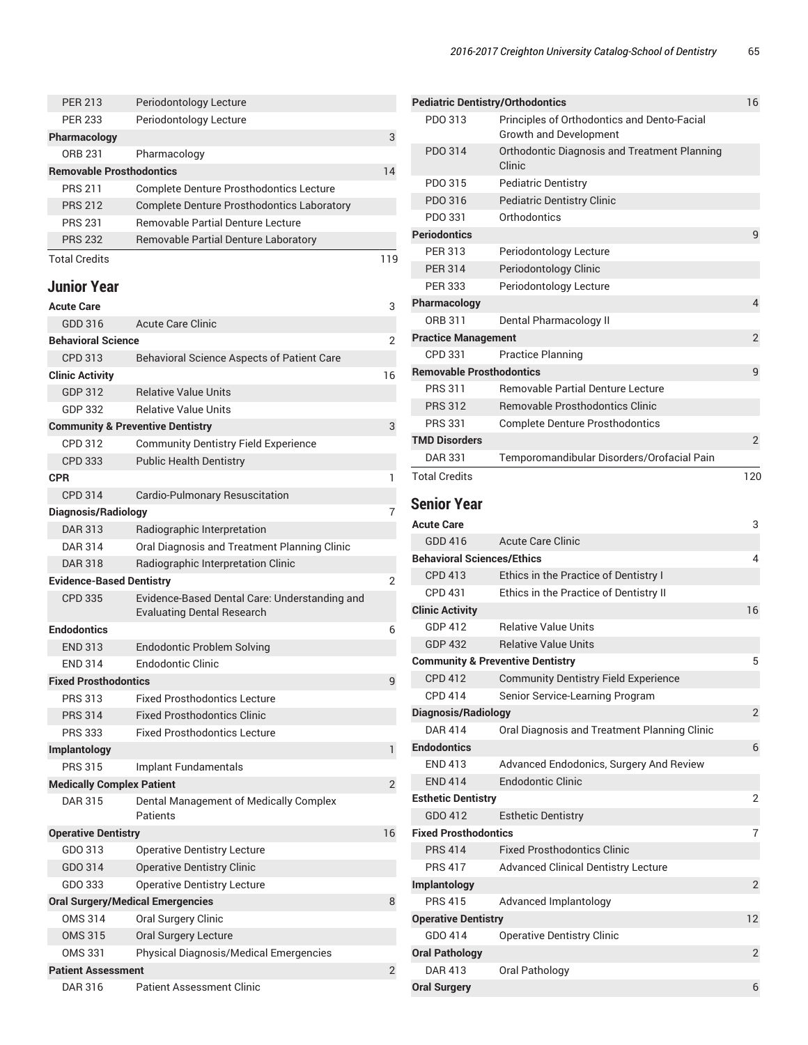| <b>PER 213</b>                   | Periodontology Lecture                                                             |                |
|----------------------------------|------------------------------------------------------------------------------------|----------------|
| <b>PER 233</b>                   | Periodontology Lecture                                                             |                |
| Pharmacology                     |                                                                                    | 3              |
| <b>ORB 231</b>                   | Pharmacology                                                                       |                |
| <b>Removable Prosthodontics</b>  |                                                                                    | 14             |
| <b>PRS 211</b>                   | <b>Complete Denture Prosthodontics Lecture</b>                                     |                |
| <b>PRS 212</b>                   | <b>Complete Denture Prosthodontics Laboratory</b>                                  |                |
| <b>PRS 231</b>                   | <b>Removable Partial Denture Lecture</b>                                           |                |
| <b>PRS 232</b>                   | <b>Removable Partial Denture Laboratory</b>                                        |                |
| <b>Total Credits</b>             |                                                                                    | 119            |
| <b>Junior Year</b>               |                                                                                    |                |
| <b>Acute Care</b>                |                                                                                    | 3              |
| GDD 316                          | <b>Acute Care Clinic</b>                                                           |                |
| <b>Behavioral Science</b>        |                                                                                    | 2              |
| CPD 313                          | <b>Behavioral Science Aspects of Patient Care</b>                                  |                |
| <b>Clinic Activity</b>           |                                                                                    | 16             |
| GDP 312                          | <b>Relative Value Units</b>                                                        |                |
| GDP 332                          | <b>Relative Value Units</b>                                                        |                |
|                                  | <b>Community &amp; Preventive Dentistry</b>                                        | 3              |
| CPD 312                          | <b>Community Dentistry Field Experience</b>                                        |                |
| CPD 333                          | <b>Public Health Dentistry</b>                                                     |                |
| <b>CPR</b>                       |                                                                                    | 1              |
| <b>CPD 314</b>                   | Cardio-Pulmonary Resuscitation                                                     |                |
| Diagnosis/Radiology              |                                                                                    | 7              |
| <b>DAR 313</b>                   | Radiographic Interpretation                                                        |                |
| <b>DAR 314</b>                   | Oral Diagnosis and Treatment Planning Clinic                                       |                |
| <b>DAR 318</b>                   | Radiographic Interpretation Clinic                                                 |                |
| <b>Evidence-Based Dentistry</b>  |                                                                                    | $\overline{2}$ |
| <b>CPD 335</b>                   | Evidence-Based Dental Care: Understanding and<br><b>Evaluating Dental Research</b> |                |
| <b>Endodontics</b>               |                                                                                    | 6              |
| <b>END 313</b>                   | <b>Endodontic Problem Solving</b>                                                  |                |
| <b>END 314</b>                   | <b>Endodontic Clinic</b>                                                           |                |
| <b>Fixed Prosthodontics</b>      |                                                                                    | 9              |
| <b>PRS 313</b>                   | <b>Fixed Prosthodontics Lecture</b>                                                |                |
| <b>PRS 314</b>                   | <b>Fixed Prosthodontics Clinic</b>                                                 |                |
| <b>PRS 333</b>                   | <b>Fixed Prosthodontics Lecture</b>                                                |                |
| Implantology                     |                                                                                    | 1              |
| <b>PRS 315</b>                   | Implant Fundamentals                                                               |                |
| <b>Medically Complex Patient</b> |                                                                                    | 2              |
| <b>DAR 315</b>                   | Dental Management of Medically Complex                                             |                |
|                                  | Patients                                                                           |                |
| <b>Operative Dentistry</b>       |                                                                                    | 16             |
| GDO 313                          | <b>Operative Dentistry Lecture</b>                                                 |                |
| GDO 314                          | <b>Operative Dentistry Clinic</b>                                                  |                |
| GDO 333                          | <b>Operative Dentistry Lecture</b>                                                 |                |
|                                  | <b>Oral Surgery/Medical Emergencies</b>                                            | 8              |
| <b>OMS 314</b>                   | Oral Surgery Clinic                                                                |                |
| <b>OMS 315</b>                   | Oral Surgery Lecture                                                               |                |
| <b>OMS 331</b>                   | Physical Diagnosis/Medical Emergencies                                             |                |
| <b>Patient Assessment</b>        |                                                                                    | 2              |
| DAR 316                          | <b>Patient Assessment Clinic</b>                                                   |                |

| <b>Pediatric Dentistry/Orthodontics</b>     |                                                                              | 16             |
|---------------------------------------------|------------------------------------------------------------------------------|----------------|
| PDO 313                                     | Principles of Orthodontics and Dento-Facial<br><b>Growth and Development</b> |                |
| PDO 314                                     | Orthodontic Diagnosis and Treatment Planning<br>Clinic                       |                |
| PDO 315                                     | <b>Pediatric Dentistry</b>                                                   |                |
| PDO 316                                     | <b>Pediatric Dentistry Clinic</b>                                            |                |
| PDO 331                                     | Orthodontics                                                                 |                |
| <b>Periodontics</b>                         |                                                                              | 9              |
| PFR 313                                     | Periodontology Lecture                                                       |                |
| <b>PER 314</b>                              | Periodontology Clinic                                                        |                |
| <b>PER 333</b>                              | Periodontology Lecture                                                       |                |
| Pharmacology                                |                                                                              | 4              |
| ORB 311                                     | Dental Pharmacology II                                                       |                |
| <b>Practice Management</b>                  |                                                                              | $\overline{2}$ |
| CPD 331                                     | <b>Practice Planning</b>                                                     |                |
| <b>Removable Prosthodontics</b>             |                                                                              | 9              |
| <b>PRS 311</b>                              | Removable Partial Denture Lecture                                            |                |
| <b>PRS 312</b>                              | <b>Removable Prosthodontics Clinic</b>                                       |                |
| <b>PRS 331</b>                              | <b>Complete Denture Prosthodontics</b>                                       |                |
| <b>TMD Disorders</b>                        |                                                                              | 2              |
| <b>DAR 331</b>                              | Temporomandibular Disorders/Orofacial Pain                                   |                |
| <b>Total Credits</b>                        |                                                                              | 120            |
| <b>Senior Year</b>                          |                                                                              |                |
| <b>Acute Care</b>                           |                                                                              | 3              |
| GDD 416                                     | <b>Acute Care Clinic</b>                                                     |                |
| <b>Behavioral Sciences/Ethics</b>           |                                                                              | 4              |
| <b>CPD 413</b>                              | Ethics in the Practice of Dentistry I                                        |                |
| <b>CPD 431</b>                              | Ethics in the Practice of Dentistry II                                       |                |
| <b>Clinic Activity</b>                      |                                                                              | 16             |
| GDP 412                                     | <b>Relative Value Units</b>                                                  |                |
| <b>GDP 432</b>                              | <b>Relative Value Units</b>                                                  |                |
| <b>Community &amp; Preventive Dentistry</b> |                                                                              | 5              |
| <b>CPD 412</b>                              | <b>Community Dentistry Field Experience</b>                                  |                |
| CPD 414                                     | Senior Service-Learning Program                                              |                |
| <b>Diagnosis/Radiology</b>                  |                                                                              | $\overline{2}$ |
| <b>DAR 414</b>                              | Oral Diagnosis and Treatment Planning Clinic                                 |                |
| <b>Endodontics</b>                          |                                                                              | 6              |
| <b>END 413</b>                              | Advanced Endodonics, Surgery And Review                                      |                |
| <b>END 414</b>                              | <b>Endodontic Clinic</b>                                                     |                |
| <b>Esthetic Dentistry</b>                   |                                                                              | 2              |
| GDO 412                                     | <b>Esthetic Dentistry</b>                                                    |                |
| <b>Fixed Prosthodontics</b>                 |                                                                              | 7              |
| <b>PRS 414</b>                              | <b>Fixed Prosthodontics Clinic</b>                                           |                |
| <b>PRS 417</b>                              | <b>Advanced Clinical Dentistry Lecture</b>                                   |                |
| Implantology                                |                                                                              | $\sqrt{2}$     |
| <b>PRS 415</b>                              | Advanced Implantology                                                        |                |
| <b>Operative Dentistry</b>                  |                                                                              | 12             |
| GDO 414                                     | <b>Operative Dentistry Clinic</b>                                            |                |
| <b>Oral Pathology</b>                       |                                                                              | 2              |
| <b>DAR 413</b>                              | Oral Pathology                                                               |                |
| <b>Oral Surgery</b>                         |                                                                              | 6              |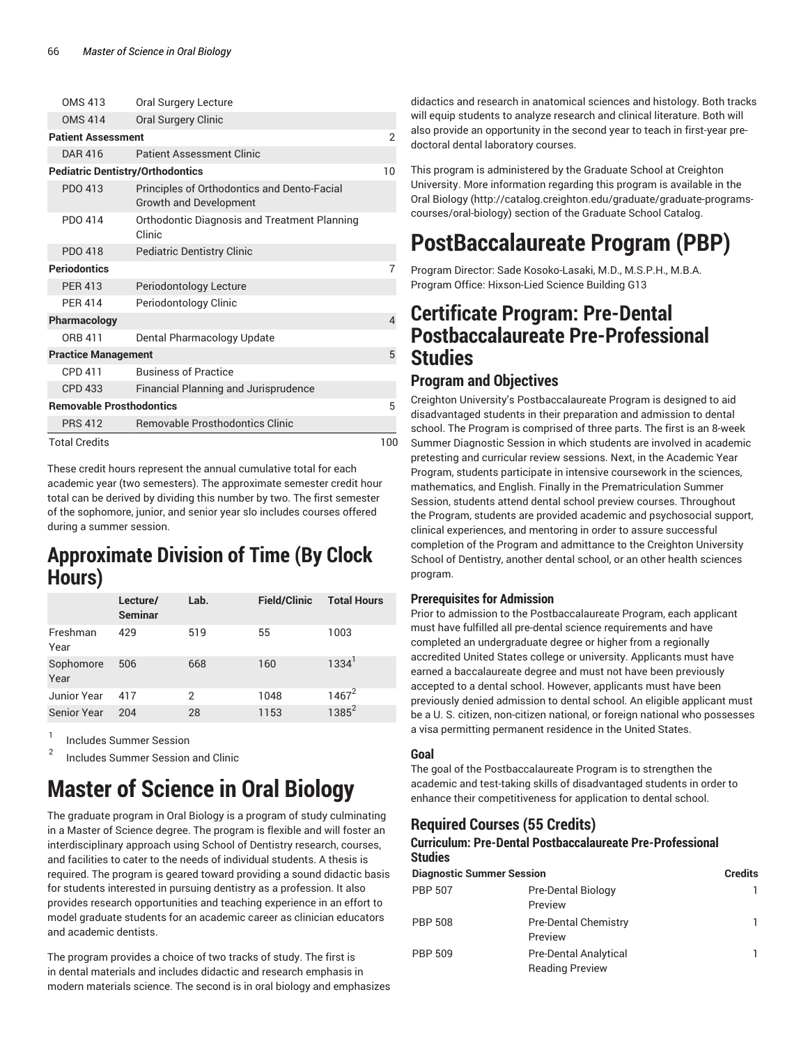| <b>OMS 413</b>                          | Oral Surgery Lecture                                                         |     |
|-----------------------------------------|------------------------------------------------------------------------------|-----|
| <b>OMS 414</b>                          | Oral Surgery Clinic                                                          |     |
| <b>Patient Assessment</b>               |                                                                              | 2   |
| DAR 416                                 | <b>Patient Assessment Clinic</b>                                             |     |
| <b>Pediatric Dentistry/Orthodontics</b> |                                                                              | 10  |
| PDO 413                                 | Principles of Orthodontics and Dento-Facial<br><b>Growth and Development</b> |     |
| PDO 414                                 | Orthodontic Diagnosis and Treatment Planning<br>Clinic                       |     |
| PDO 418                                 | <b>Pediatric Dentistry Clinic</b>                                            |     |
| <b>Periodontics</b>                     |                                                                              | 7   |
| <b>PER 413</b>                          | Periodontology Lecture                                                       |     |
| <b>PFR 414</b>                          | Periodontology Clinic                                                        |     |
| Pharmacology                            |                                                                              | 4   |
| ORB 411                                 | Dental Pharmacology Update                                                   |     |
| <b>Practice Management</b>              |                                                                              | 5   |
| CPD 411                                 | <b>Business of Practice</b>                                                  |     |
| <b>CPD 433</b>                          | Financial Planning and Jurisprudence                                         |     |
| <b>Removable Prosthodontics</b>         |                                                                              | 5   |
| <b>PRS 412</b>                          | <b>Removable Prosthodontics Clinic</b>                                       |     |
| <b>Total Credits</b>                    |                                                                              | 100 |

These credit hours represent the annual cumulative total for each academic year (two semesters). The approximate semester credit hour total can be derived by dividing this number by two. The first semester of the sophomore, junior, and senior year slo includes courses offered during a summer session.

## **Approximate Division of Time (By Clock Hours)**

|                    | Lecture/<br><b>Seminar</b> | Lab. | <b>Field/Clinic</b> | <b>Total Hours</b>  |
|--------------------|----------------------------|------|---------------------|---------------------|
| Freshman<br>Year   | 429                        | 519  | 55                  | 1003                |
| Sophomore<br>Year  | 506                        | 668  | 160                 | $1334$ <sup>1</sup> |
| Junior Year        | 417                        | 2    | 1048                | $1467^2$            |
| <b>Senior Year</b> | 204                        | 28   | 1153                | $1385^2$            |

1 Includes Summer Session

2 Includes Summer Session and Clinic

# **Master of Science in Oral Biology**

The graduate program in Oral Biology is a program of study culminating in a Master of Science degree. The program is flexible and will foster an interdisciplinary approach using School of Dentistry research, courses, and facilities to cater to the needs of individual students. A thesis is required. The program is geared toward providing a sound didactic basis for students interested in pursuing dentistry as a profession. It also provides research opportunities and teaching experience in an effort to model graduate students for an academic career as clinician educators and academic dentists.

The program provides a choice of two tracks of study. The first is in dental materials and includes didactic and research emphasis in modern materials science. The second is in oral biology and emphasizes

didactics and research in anatomical sciences and histology. Both tracks will equip students to analyze research and clinical literature. Both will also provide an opportunity in the second year to teach in first-year predoctoral dental laboratory courses.

This program is administered by the Graduate School at Creighton University. More information regarding this program is available in the Oral Biology (http://catalog.creighton.edu/graduate/graduate-programscourses/oral-biology) section of the Graduate School Catalog.

# **PostBaccalaureate Program (PBP)**

Program Director: Sade Kosoko-Lasaki, M.D., M.S.P.H., M.B.A. Program Office: Hixson-Lied Science Building G13

## **Certificate Program: Pre-Dental Postbaccalaureate Pre-Professional Studies**

## **Program and Objectives**

Creighton University's Postbaccalaureate Program is designed to aid disadvantaged students in their preparation and admission to dental school. The Program is comprised of three parts. The first is an 8-week Summer Diagnostic Session in which students are involved in academic pretesting and curricular review sessions. Next, in the Academic Year Program, students participate in intensive coursework in the sciences, mathematics, and English. Finally in the Prematriculation Summer Session, students attend dental school preview courses. Throughout the Program, students are provided academic and psychosocial support, clinical experiences, and mentoring in order to assure successful completion of the Program and admittance to the Creighton University School of Dentistry, another dental school, or an other health sciences program.

### **Prerequisites for Admission**

Prior to admission to the Postbaccalaureate Program, each applicant must have fulfilled all pre-dental science requirements and have completed an undergraduate degree or higher from a regionally accredited United States college or university. Applicants must have earned a baccalaureate degree and must not have been previously accepted to a dental school. However, applicants must have been previously denied admission to dental school. An eligible applicant must be a U. S. citizen, non-citizen national, or foreign national who possesses a visa permitting permanent residence in the United States.

### **Goal**

The goal of the Postbaccalaureate Program is to strengthen the academic and test-taking skills of disadvantaged students in order to enhance their competitiveness for application to dental school.

## **Required Courses (55 Credits)**

#### **Curriculum: Pre-Dental Postbaccalaureate Pre-Professional Studies**

| <b>Diagnostic Summer Session</b> | <b>Credits</b>                                         |    |
|----------------------------------|--------------------------------------------------------|----|
| <b>PBP 507</b>                   | Pre-Dental Biology<br>Preview                          | ı  |
| PBP 508                          | <b>Pre-Dental Chemistry</b><br>Preview                 | 1. |
| PBP 509                          | <b>Pre-Dental Analytical</b><br><b>Reading Preview</b> | 1  |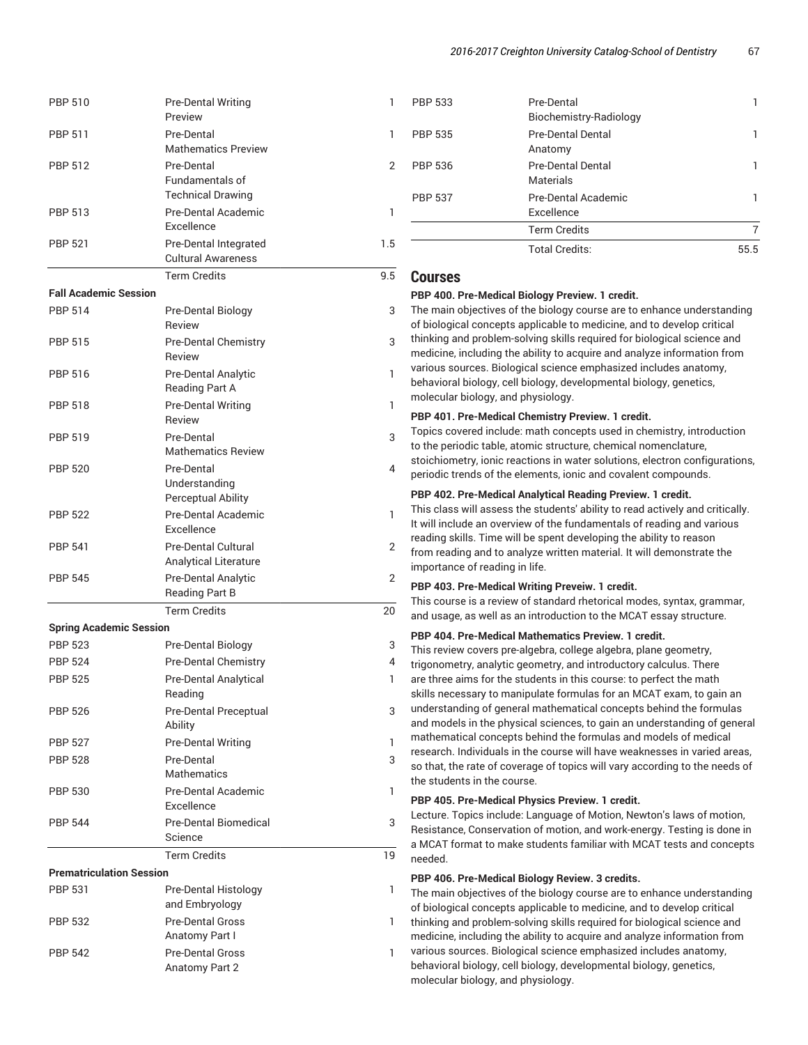| <b>PBP 510</b>                  | <b>Pre-Dental Writing</b><br>Preview                       | 1   | <b>PBP 533</b>                                                                                                                                                                                                                                                                                                                            | Pre-Dental<br>Biochemistry-Radiology                                                                                                           | 1              |  |
|---------------------------------|------------------------------------------------------------|-----|-------------------------------------------------------------------------------------------------------------------------------------------------------------------------------------------------------------------------------------------------------------------------------------------------------------------------------------------|------------------------------------------------------------------------------------------------------------------------------------------------|----------------|--|
| <b>PBP 511</b>                  | Pre-Dental<br><b>Mathematics Preview</b>                   |     | <b>PBP 535</b>                                                                                                                                                                                                                                                                                                                            | Pre-Dental Dental<br>Anatomy                                                                                                                   | 1              |  |
| <b>PBP 512</b>                  | Pre-Dental<br>Fundamentals of                              | 2   | <b>PBP 536</b>                                                                                                                                                                                                                                                                                                                            | Pre-Dental Dental<br><b>Materials</b>                                                                                                          | 1.             |  |
|                                 | <b>Technical Drawing</b>                                   |     | <b>PBP 537</b>                                                                                                                                                                                                                                                                                                                            | <b>Pre-Dental Academic</b>                                                                                                                     | 1              |  |
| <b>PBP 513</b>                  | Pre-Dental Academic<br>Excellence                          | 1   |                                                                                                                                                                                                                                                                                                                                           | Excellence<br><b>Term Credits</b>                                                                                                              | $\overline{7}$ |  |
| <b>PBP 521</b>                  | Pre-Dental Integrated<br><b>Cultural Awareness</b>         | 1.5 |                                                                                                                                                                                                                                                                                                                                           | <b>Total Credits:</b>                                                                                                                          | 55.5           |  |
|                                 | <b>Term Credits</b>                                        | 9.5 | <b>Courses</b>                                                                                                                                                                                                                                                                                                                            |                                                                                                                                                |                |  |
| <b>Fall Academic Session</b>    |                                                            |     |                                                                                                                                                                                                                                                                                                                                           | PBP 400. Pre-Medical Biology Preview. 1 credit.                                                                                                |                |  |
| <b>PBP 514</b>                  | Pre-Dental Biology                                         | 3   | The main objectives of the biology course are to enhance understanding                                                                                                                                                                                                                                                                    |                                                                                                                                                |                |  |
|                                 | Review                                                     |     |                                                                                                                                                                                                                                                                                                                                           | of biological concepts applicable to medicine, and to develop critical                                                                         |                |  |
| <b>PBP 515</b>                  | <b>Pre-Dental Chemistry</b><br>Review                      | 3   | thinking and problem-solving skills required for biological science and<br>medicine, including the ability to acquire and analyze information from<br>various sources. Biological science emphasized includes anatomy,<br>behavioral biology, cell biology, developmental biology, genetics,                                              |                                                                                                                                                |                |  |
| <b>PBP 516</b>                  | Pre-Dental Analytic<br><b>Reading Part A</b>               | 1   |                                                                                                                                                                                                                                                                                                                                           |                                                                                                                                                |                |  |
| <b>PBP 518</b>                  | <b>Pre-Dental Writing</b><br>Review                        | 1   | molecular biology, and physiology.<br>PBP 401. Pre-Medical Chemistry Preview. 1 credit.                                                                                                                                                                                                                                                   |                                                                                                                                                |                |  |
| <b>PBP 519</b>                  | Pre-Dental                                                 | 3   | Topics covered include: math concepts used in chemistry, introduction                                                                                                                                                                                                                                                                     |                                                                                                                                                |                |  |
|                                 | <b>Mathematics Review</b>                                  |     | to the periodic table, atomic structure, chemical nomenclature,<br>stoichiometry, ionic reactions in water solutions, electron configurations,                                                                                                                                                                                            |                                                                                                                                                |                |  |
| <b>PBP 520</b>                  | Pre-Dental<br>Understanding                                | 4   | periodic trends of the elements, ionic and covalent compounds.                                                                                                                                                                                                                                                                            |                                                                                                                                                |                |  |
|                                 | Perceptual Ability                                         |     | PBP 402. Pre-Medical Analytical Reading Preview. 1 credit.                                                                                                                                                                                                                                                                                |                                                                                                                                                |                |  |
| <b>PBP 522</b>                  | <b>Pre-Dental Academic</b><br>Excellence                   | 1   | This class will assess the students' ability to read actively and critically.<br>It will include an overview of the fundamentals of reading and various<br>reading skills. Time will be spent developing the ability to reason<br>from reading and to analyze written material. It will demonstrate the<br>importance of reading in life. |                                                                                                                                                |                |  |
| <b>PBP 541</b>                  | <b>Pre-Dental Cultural</b><br><b>Analytical Literature</b> | 2   |                                                                                                                                                                                                                                                                                                                                           |                                                                                                                                                |                |  |
| <b>PBP 545</b>                  | <b>Pre-Dental Analytic</b>                                 | 2   |                                                                                                                                                                                                                                                                                                                                           |                                                                                                                                                |                |  |
|                                 | <b>Reading Part B</b>                                      |     | PBP 403. Pre-Medical Writing Preveiw. 1 credit.<br>This course is a review of standard rhetorical modes, syntax, grammar,                                                                                                                                                                                                                 |                                                                                                                                                |                |  |
|                                 | <b>Term Credits</b>                                        | 20  |                                                                                                                                                                                                                                                                                                                                           | and usage, as well as an introduction to the MCAT essay structure.                                                                             |                |  |
| <b>Spring Academic Session</b>  |                                                            |     |                                                                                                                                                                                                                                                                                                                                           | PBP 404. Pre-Medical Mathematics Preview. 1 credit.                                                                                            |                |  |
| <b>PBP 523</b>                  | Pre-Dental Biology                                         | 3   |                                                                                                                                                                                                                                                                                                                                           | This review covers pre-algebra, college algebra, plane geometry,                                                                               |                |  |
| <b>PBP 524</b>                  | <b>Pre-Dental Chemistry</b>                                | 4   |                                                                                                                                                                                                                                                                                                                                           | trigonometry, analytic geometry, and introductory calculus. There                                                                              |                |  |
| <b>PBP 525</b>                  | <b>Pre-Dental Analytical</b><br>Reading                    |     |                                                                                                                                                                                                                                                                                                                                           | are three aims for the students in this course: to perfect the math<br>skills necessary to manipulate formulas for an MCAT exam, to gain an    |                |  |
| <b>PBP 526</b>                  | Pre-Dental Preceptual<br>Ability                           | 3   |                                                                                                                                                                                                                                                                                                                                           | understanding of general mathematical concepts behind the formulas<br>and models in the physical sciences, to gain an understanding of general |                |  |
| <b>PBP 527</b>                  | <b>Pre-Dental Writing</b>                                  | ı   |                                                                                                                                                                                                                                                                                                                                           | mathematical concepts behind the formulas and models of medical                                                                                |                |  |
| <b>PBP 528</b>                  | Pre-Dental                                                 | 3   | research. Individuals in the course will have weaknesses in varied areas,<br>so that, the rate of coverage of topics will vary according to the needs of                                                                                                                                                                                  |                                                                                                                                                |                |  |
|                                 | <b>Mathematics</b>                                         |     | the students in the course.                                                                                                                                                                                                                                                                                                               |                                                                                                                                                |                |  |
| <b>PBP 530</b>                  | Pre-Dental Academic<br>Excellence                          | 1   |                                                                                                                                                                                                                                                                                                                                           | PBP 405. Pre-Medical Physics Preview. 1 credit.                                                                                                |                |  |
| <b>PBP 544</b>                  | <b>Pre-Dental Biomedical</b><br>Science                    | 3   | Lecture. Topics include: Language of Motion, Newton's laws of motion,<br>Resistance, Conservation of motion, and work-energy. Testing is done in                                                                                                                                                                                          |                                                                                                                                                |                |  |
|                                 | <b>Term Credits</b>                                        | 19  | needed.                                                                                                                                                                                                                                                                                                                                   | a MCAT format to make students familiar with MCAT tests and concepts                                                                           |                |  |
| <b>Prematriculation Session</b> |                                                            |     |                                                                                                                                                                                                                                                                                                                                           |                                                                                                                                                |                |  |
| <b>PBP 531</b>                  | Pre-Dental Histology                                       | 1   |                                                                                                                                                                                                                                                                                                                                           | PBP 406. Pre-Medical Biology Review. 3 credits.<br>The main objectives of the biology course are to enhance understanding                      |                |  |
|                                 | and Embryology                                             |     |                                                                                                                                                                                                                                                                                                                                           | of biological concepts applicable to medicine, and to develop critical                                                                         |                |  |
| <b>PBP 532</b>                  | <b>Pre-Dental Gross</b>                                    | 1   | thinking and problem-solving skills required for biological science and                                                                                                                                                                                                                                                                   |                                                                                                                                                |                |  |
|                                 | Anatomy Part I                                             |     | medicine, including the ability to acquire and analyze information from                                                                                                                                                                                                                                                                   |                                                                                                                                                |                |  |
| <b>PBP 542</b>                  | <b>Pre-Dental Gross</b><br>Anatomy Part 2                  | 1   | various sources. Biological science emphasized includes anatomy,<br>behavioral biology, cell biology, developmental biology, genetics,<br>molecular biology, and physiology.                                                                                                                                                              |                                                                                                                                                |                |  |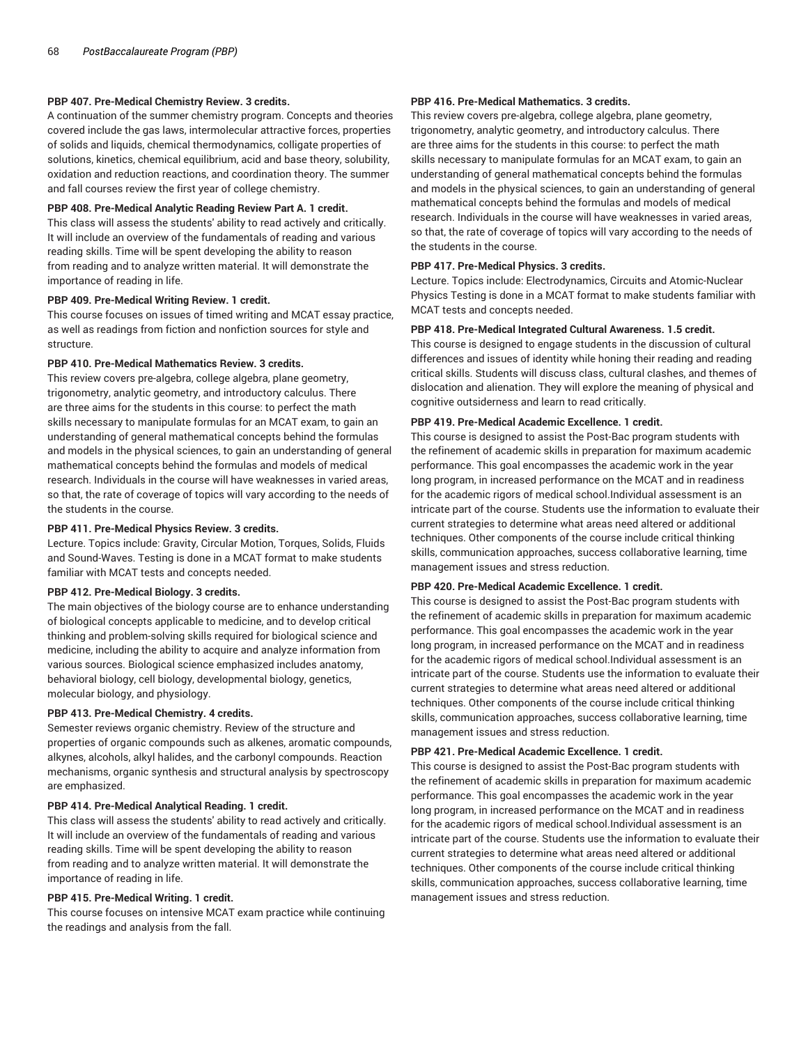#### **PBP 407. Pre-Medical Chemistry Review. 3 credits.**

A continuation of the summer chemistry program. Concepts and theories covered include the gas laws, intermolecular attractive forces, properties of solids and liquids, chemical thermodynamics, colligate properties of solutions, kinetics, chemical equilibrium, acid and base theory, solubility, oxidation and reduction reactions, and coordination theory. The summer and fall courses review the first year of college chemistry.

#### **PBP 408. Pre-Medical Analytic Reading Review Part A. 1 credit.**

This class will assess the students' ability to read actively and critically. It will include an overview of the fundamentals of reading and various reading skills. Time will be spent developing the ability to reason from reading and to analyze written material. It will demonstrate the importance of reading in life.

#### **PBP 409. Pre-Medical Writing Review. 1 credit.**

This course focuses on issues of timed writing and MCAT essay practice, as well as readings from fiction and nonfiction sources for style and structure.

#### **PBP 410. Pre-Medical Mathematics Review. 3 credits.**

This review covers pre-algebra, college algebra, plane geometry, trigonometry, analytic geometry, and introductory calculus. There are three aims for the students in this course: to perfect the math skills necessary to manipulate formulas for an MCAT exam, to gain an understanding of general mathematical concepts behind the formulas and models in the physical sciences, to gain an understanding of general mathematical concepts behind the formulas and models of medical research. Individuals in the course will have weaknesses in varied areas, so that, the rate of coverage of topics will vary according to the needs of the students in the course.

#### **PBP 411. Pre-Medical Physics Review. 3 credits.**

Lecture. Topics include: Gravity, Circular Motion, Torques, Solids, Fluids and Sound-Waves. Testing is done in a MCAT format to make students familiar with MCAT tests and concepts needed.

#### **PBP 412. Pre-Medical Biology. 3 credits.**

The main objectives of the biology course are to enhance understanding of biological concepts applicable to medicine, and to develop critical thinking and problem-solving skills required for biological science and medicine, including the ability to acquire and analyze information from various sources. Biological science emphasized includes anatomy, behavioral biology, cell biology, developmental biology, genetics, molecular biology, and physiology.

#### **PBP 413. Pre-Medical Chemistry. 4 credits.**

Semester reviews organic chemistry. Review of the structure and properties of organic compounds such as alkenes, aromatic compounds, alkynes, alcohols, alkyl halides, and the carbonyl compounds. Reaction mechanisms, organic synthesis and structural analysis by spectroscopy are emphasized.

#### **PBP 414. Pre-Medical Analytical Reading. 1 credit.**

This class will assess the students' ability to read actively and critically. It will include an overview of the fundamentals of reading and various reading skills. Time will be spent developing the ability to reason from reading and to analyze written material. It will demonstrate the importance of reading in life.

#### **PBP 415. Pre-Medical Writing. 1 credit.**

This course focuses on intensive MCAT exam practice while continuing the readings and analysis from the fall.

#### **PBP 416. Pre-Medical Mathematics. 3 credits.**

This review covers pre-algebra, college algebra, plane geometry, trigonometry, analytic geometry, and introductory calculus. There are three aims for the students in this course: to perfect the math skills necessary to manipulate formulas for an MCAT exam, to gain an understanding of general mathematical concepts behind the formulas and models in the physical sciences, to gain an understanding of general mathematical concepts behind the formulas and models of medical research. Individuals in the course will have weaknesses in varied areas, so that, the rate of coverage of topics will vary according to the needs of the students in the course.

#### **PBP 417. Pre-Medical Physics. 3 credits.**

Lecture. Topics include: Electrodynamics, Circuits and Atomic-Nuclear Physics Testing is done in a MCAT format to make students familiar with MCAT tests and concepts needed.

#### **PBP 418. Pre-Medical Integrated Cultural Awareness. 1.5 credit.**

This course is designed to engage students in the discussion of cultural differences and issues of identity while honing their reading and reading critical skills. Students will discuss class, cultural clashes, and themes of dislocation and alienation. They will explore the meaning of physical and cognitive outsiderness and learn to read critically.

#### **PBP 419. Pre-Medical Academic Excellence. 1 credit.**

This course is designed to assist the Post-Bac program students with the refinement of academic skills in preparation for maximum academic performance. This goal encompasses the academic work in the year long program, in increased performance on the MCAT and in readiness for the academic rigors of medical school.Individual assessment is an intricate part of the course. Students use the information to evaluate their current strategies to determine what areas need altered or additional techniques. Other components of the course include critical thinking skills, communication approaches, success collaborative learning, time management issues and stress reduction.

#### **PBP 420. Pre-Medical Academic Excellence. 1 credit.**

This course is designed to assist the Post-Bac program students with the refinement of academic skills in preparation for maximum academic performance. This goal encompasses the academic work in the year long program, in increased performance on the MCAT and in readiness for the academic rigors of medical school.Individual assessment is an intricate part of the course. Students use the information to evaluate their current strategies to determine what areas need altered or additional techniques. Other components of the course include critical thinking skills, communication approaches, success collaborative learning, time management issues and stress reduction.

#### **PBP 421. Pre-Medical Academic Excellence. 1 credit.**

This course is designed to assist the Post-Bac program students with the refinement of academic skills in preparation for maximum academic performance. This goal encompasses the academic work in the year long program, in increased performance on the MCAT and in readiness for the academic rigors of medical school.Individual assessment is an intricate part of the course. Students use the information to evaluate their current strategies to determine what areas need altered or additional techniques. Other components of the course include critical thinking skills, communication approaches, success collaborative learning, time management issues and stress reduction.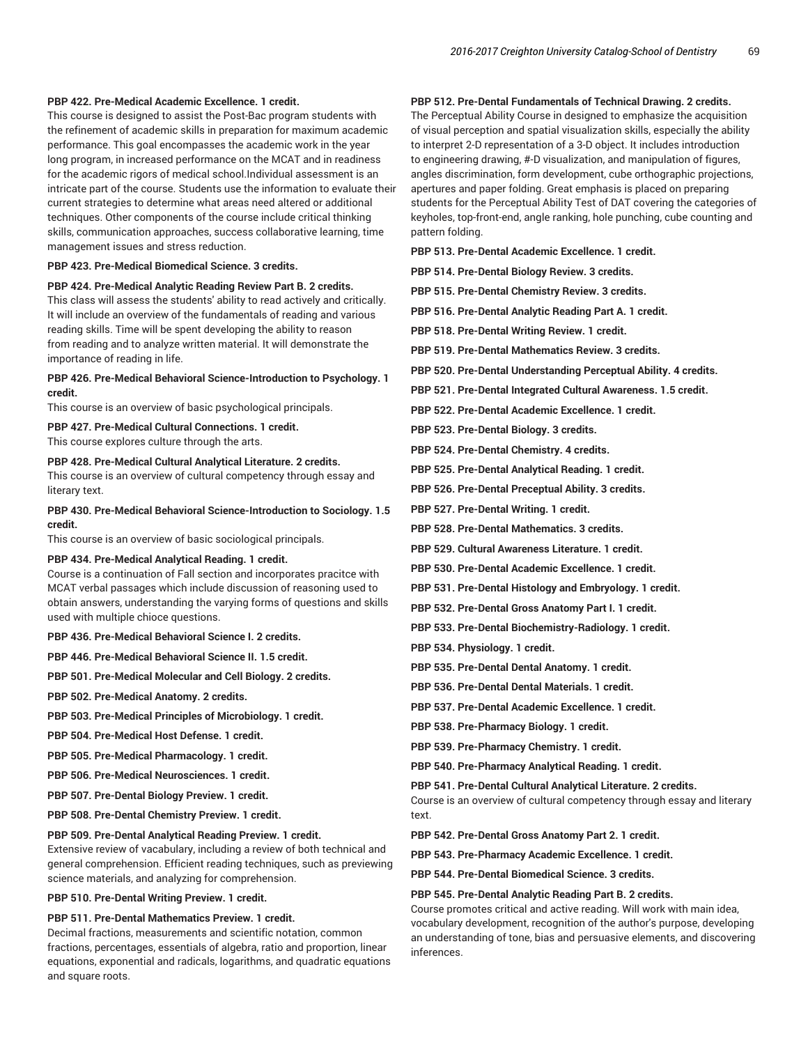#### **PBP 422. Pre-Medical Academic Excellence. 1 credit.**

This course is designed to assist the Post-Bac program students with the refinement of academic skills in preparation for maximum academic performance. This goal encompasses the academic work in the year long program, in increased performance on the MCAT and in readiness for the academic rigors of medical school.Individual assessment is an intricate part of the course. Students use the information to evaluate their current strategies to determine what areas need altered or additional techniques. Other components of the course include critical thinking skills, communication approaches, success collaborative learning, time management issues and stress reduction.

**PBP 423. Pre-Medical Biomedical Science. 3 credits.**

#### **PBP 424. Pre-Medical Analytic Reading Review Part B. 2 credits.**

This class will assess the students' ability to read actively and critically. It will include an overview of the fundamentals of reading and various reading skills. Time will be spent developing the ability to reason from reading and to analyze written material. It will demonstrate the importance of reading in life.

#### **PBP 426. Pre-Medical Behavioral Science-Introduction to Psychology. 1 credit.**

This course is an overview of basic psychological principals.

**PBP 427. Pre-Medical Cultural Connections. 1 credit.** This course explores culture through the arts.

**PBP 428. Pre-Medical Cultural Analytical Literature. 2 credits.**

This course is an overview of cultural competency through essay and literary text.

**PBP 430. Pre-Medical Behavioral Science-Introduction to Sociology. 1.5 credit.**

This course is an overview of basic sociological principals.

#### **PBP 434. Pre-Medical Analytical Reading. 1 credit.**

Course is a continuation of Fall section and incorporates pracitce with MCAT verbal passages which include discussion of reasoning used to obtain answers, understanding the varying forms of questions and skills used with multiple chioce questions.

**PBP 436. Pre-Medical Behavioral Science I. 2 credits.**

**PBP 446. Pre-Medical Behavioral Science II. 1.5 credit.**

**PBP 501. Pre-Medical Molecular and Cell Biology. 2 credits.**

**PBP 502. Pre-Medical Anatomy. 2 credits.**

**PBP 503. Pre-Medical Principles of Microbiology. 1 credit.**

**PBP 504. Pre-Medical Host Defense. 1 credit.**

**PBP 505. Pre-Medical Pharmacology. 1 credit.**

**PBP 506. Pre-Medical Neurosciences. 1 credit.**

**PBP 507. Pre-Dental Biology Preview. 1 credit.**

**PBP 508. Pre-Dental Chemistry Preview. 1 credit.**

#### **PBP 509. Pre-Dental Analytical Reading Preview. 1 credit.**

Extensive review of vacabulary, including a review of both technical and general comprehension. Efficient reading techniques, such as previewing science materials, and analyzing for comprehension.

**PBP 510. Pre-Dental Writing Preview. 1 credit.**

#### **PBP 511. Pre-Dental Mathematics Preview. 1 credit.**

Decimal fractions, measurements and scientific notation, common fractions, percentages, essentials of algebra, ratio and proportion, linear equations, exponential and radicals, logarithms, and quadratic equations and square roots.

#### **PBP 512. Pre-Dental Fundamentals of Technical Drawing. 2 credits.**

The Perceptual Ability Course in designed to emphasize the acquisition of visual perception and spatial visualization skills, especially the ability to interpret 2-D representation of a 3-D object. It includes introduction to engineering drawing, #-D visualization, and manipulation of figures, angles discrimination, form development, cube orthographic projections, apertures and paper folding. Great emphasis is placed on preparing students for the Perceptual Ability Test of DAT covering the categories of keyholes, top-front-end, angle ranking, hole punching, cube counting and pattern folding.

**PBP 513. Pre-Dental Academic Excellence. 1 credit.**

- **PBP 514. Pre-Dental Biology Review. 3 credits.**
- **PBP 515. Pre-Dental Chemistry Review. 3 credits.**
- **PBP 516. Pre-Dental Analytic Reading Part A. 1 credit.**
- **PBP 518. Pre-Dental Writing Review. 1 credit.**
- **PBP 519. Pre-Dental Mathematics Review. 3 credits.**
- **PBP 520. Pre-Dental Understanding Perceptual Ability. 4 credits.**
- **PBP 521. Pre-Dental Integrated Cultural Awareness. 1.5 credit.**
- **PBP 522. Pre-Dental Academic Excellence. 1 credit.**
- **PBP 523. Pre-Dental Biology. 3 credits.**
- **PBP 524. Pre-Dental Chemistry. 4 credits.**
- **PBP 525. Pre-Dental Analytical Reading. 1 credit.**
- **PBP 526. Pre-Dental Preceptual Ability. 3 credits.**
- **PBP 527. Pre-Dental Writing. 1 credit.**
- **PBP 528. Pre-Dental Mathematics. 3 credits.**
- **PBP 529. Cultural Awareness Literature. 1 credit.**
- **PBP 530. Pre-Dental Academic Excellence. 1 credit.**
- **PBP 531. Pre-Dental Histology and Embryology. 1 credit.**
- **PBP 532. Pre-Dental Gross Anatomy Part I. 1 credit.**
- **PBP 533. Pre-Dental Biochemistry-Radiology. 1 credit.**
- **PBP 534. Physiology. 1 credit.**
- **PBP 535. Pre-Dental Dental Anatomy. 1 credit.**
- **PBP 536. Pre-Dental Dental Materials. 1 credit.**
- **PBP 537. Pre-Dental Academic Excellence. 1 credit.**
- **PBP 538. Pre-Pharmacy Biology. 1 credit.**
- **PBP 539. Pre-Pharmacy Chemistry. 1 credit.**
- **PBP 540. Pre-Pharmacy Analytical Reading. 1 credit.**
- **PBP 541. Pre-Dental Cultural Analytical Literature. 2 credits.**

Course is an overview of cultural competency through essay and literary text.

**PBP 542. Pre-Dental Gross Anatomy Part 2. 1 credit.**

**PBP 543. Pre-Pharmacy Academic Excellence. 1 credit.**

**PBP 544. Pre-Dental Biomedical Science. 3 credits.**

#### **PBP 545. Pre-Dental Analytic Reading Part B. 2 credits.**

Course promotes critical and active reading. Will work with main idea, vocabulary development, recognition of the author's purpose, developing an understanding of tone, bias and persuasive elements, and discovering inferences.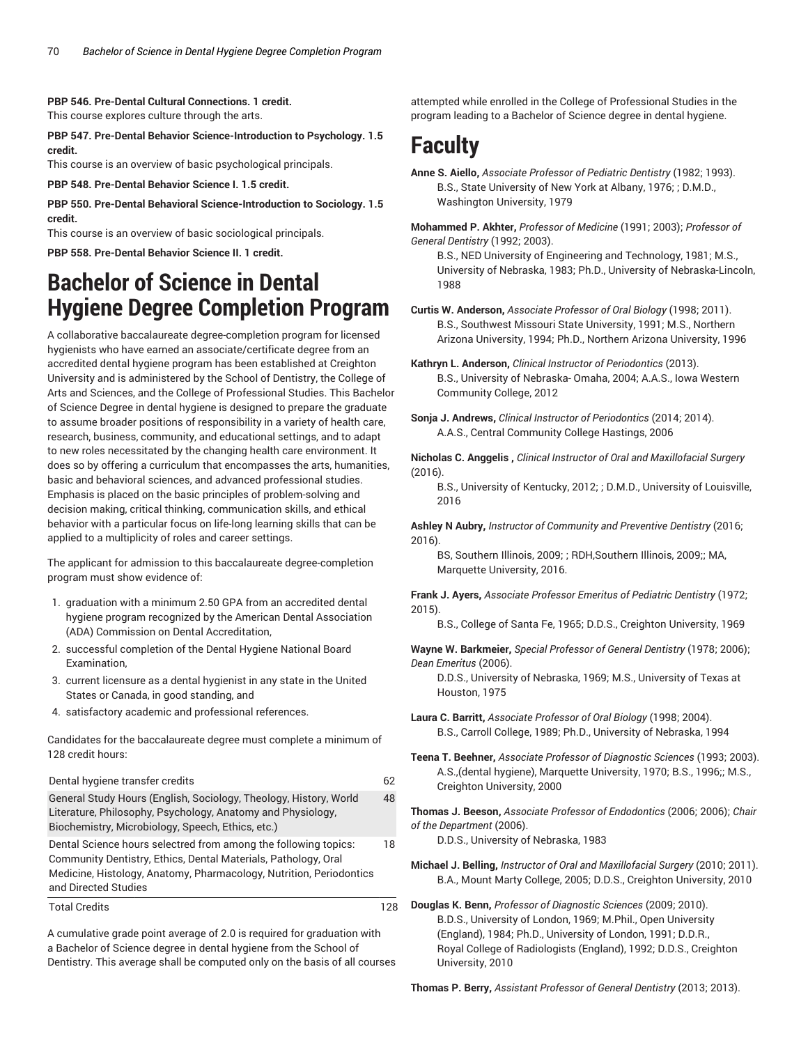#### **PBP 546. Pre-Dental Cultural Connections. 1 credit.**

This course explores culture through the arts.

**PBP 547. Pre-Dental Behavior Science-Introduction to Psychology. 1.5 credit.**

This course is an overview of basic psychological principals.

**PBP 548. Pre-Dental Behavior Science I. 1.5 credit.**

**PBP 550. Pre-Dental Behavioral Science-Introduction to Sociology. 1.5 credit.**

This course is an overview of basic sociological principals.

**PBP 558. Pre-Dental Behavior Science II. 1 credit.**

# **Bachelor of Science in Dental Hygiene Degree Completion Program**

A collaborative baccalaureate degree-completion program for licensed hygienists who have earned an associate/certificate degree from an accredited dental hygiene program has been established at Creighton University and is administered by the School of Dentistry, the College of Arts and Sciences, and the College of Professional Studies. This Bachelor of Science Degree in dental hygiene is designed to prepare the graduate to assume broader positions of responsibility in a variety of health care, research, business, community, and educational settings, and to adapt to new roles necessitated by the changing health care environment. It does so by offering a curriculum that encompasses the arts, humanities, basic and behavioral sciences, and advanced professional studies. Emphasis is placed on the basic principles of problem-solving and decision making, critical thinking, communication skills, and ethical behavior with a particular focus on life-long learning skills that can be applied to a multiplicity of roles and career settings.

The applicant for admission to this baccalaureate degree-completion program must show evidence of:

- 1. graduation with a minimum 2.50 GPA from an accredited dental hygiene program recognized by the American Dental Association (ADA) Commission on Dental Accreditation,
- 2. successful completion of the Dental Hygiene National Board Examination,
- 3. current licensure as a dental hygienist in any state in the United States or Canada, in good standing, and
- 4. satisfactory academic and professional references.

Candidates for the baccalaureate degree must complete a minimum of 128 credit hours:

| Dental hygiene transfer credits                                                                                                                                                                                                  | 62 |
|----------------------------------------------------------------------------------------------------------------------------------------------------------------------------------------------------------------------------------|----|
| General Study Hours (English, Sociology, Theology, History, World<br>Literature, Philosophy, Psychology, Anatomy and Physiology,<br>Biochemistry, Microbiology, Speech, Ethics, etc.)                                            | 48 |
| Dental Science hours selectred from among the following topics:<br>Community Dentistry, Ethics, Dental Materials, Pathology, Oral<br>Medicine, Histology, Anatomy, Pharmacology, Nutrition, Periodontics<br>and Directed Studies | 18 |
| <b>Total Credits</b>                                                                                                                                                                                                             | 28 |

A cumulative grade point average of 2.0 is required for graduation with a Bachelor of Science degree in dental hygiene from the School of Dentistry. This average shall be computed only on the basis of all courses

attempted while enrolled in the College of Professional Studies in the program leading to a Bachelor of Science degree in dental hygiene.

# **Faculty**

**Anne S. Aiello,** *Associate Professor of Pediatric Dentistry* (1982; 1993). B.S., State University of New York at Albany, 1976; ; D.M.D., Washington University, 1979

**Mohammed P. Akhter,** *Professor of Medicine* (1991; 2003); *Professor of General Dentistry* (1992; 2003).

B.S., NED University of Engineering and Technology, 1981; M.S., University of Nebraska, 1983; Ph.D., University of Nebraska-Lincoln, 1988

**Curtis W. Anderson,** *Associate Professor of Oral Biology* (1998; 2011). B.S., Southwest Missouri State University, 1991; M.S., Northern Arizona University, 1994; Ph.D., Northern Arizona University, 1996

**Kathryn L. Anderson,** *Clinical Instructor of Periodontics* (2013). B.S., University of Nebraska- Omaha, 2004; A.A.S., Iowa Western Community College, 2012

**Sonja J. Andrews,** *Clinical Instructor of Periodontics* (2014; 2014). A.A.S., Central Community College Hastings, 2006

**Nicholas C. Anggelis ,** *Clinical Instructor of Oral and Maxillofacial Surgery* (2016).

B.S., University of Kentucky, 2012; ; D.M.D., University of Louisville, 2016

**Ashley N Aubry,** *Instructor of Community and Preventive Dentistry* (2016; 2016).

BS, Southern Illinois, 2009; ; RDH,Southern Illinois, 2009;; MA, Marquette University, 2016.

**Frank J. Ayers,** *Associate Professor Emeritus of Pediatric Dentistry* (1972; 2015).

B.S., College of Santa Fe, 1965; D.D.S., Creighton University, 1969

**Wayne W. Barkmeier,** *Special Professor of General Dentistry* (1978; 2006); *Dean Emeritus* (2006).

D.D.S., University of Nebraska, 1969; M.S., University of Texas at Houston, 1975

- **Laura C. Barritt,** *Associate Professor of Oral Biology* (1998; 2004). B.S., Carroll College, 1989; Ph.D., University of Nebraska, 1994
- **Teena T. Beehner,** *Associate Professor of Diagnostic Sciences* (1993; 2003). A.S.,(dental hygiene), Marquette University, 1970; B.S., 1996;; M.S., Creighton University, 2000

**Thomas J. Beeson,** *Associate Professor of Endodontics* (2006; 2006); *Chair of the Department* (2006).

D.D.S., University of Nebraska, 1983

- **Michael J. Belling,** *Instructor of Oral and Maxillofacial Surgery* (2010; 2011). B.A., Mount Marty College, 2005; D.D.S., Creighton University, 2010
- **Douglas K. Benn,** *Professor of Diagnostic Sciences* (2009; 2010). B.D.S., University of London, 1969; M.Phil., Open University (England), 1984; Ph.D., University of London, 1991; D.D.R., Royal College of Radiologists (England), 1992; D.D.S., Creighton University, 2010

**Thomas P. Berry,** *Assistant Professor of General Dentistry* (2013; 2013).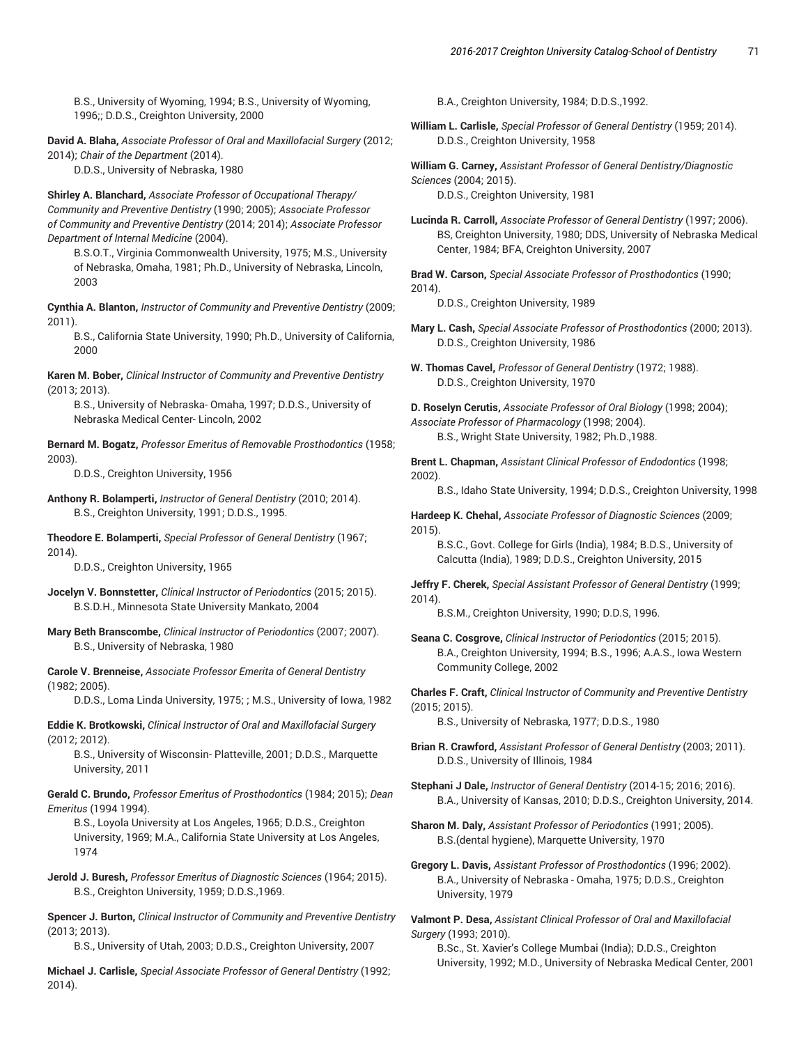B.S., University of Wyoming, 1994; B.S., University of Wyoming, 1996;; D.D.S., Creighton University, 2000

**David A. Blaha,** *Associate Professor of Oral and Maxillofacial Surgery* (2012; 2014); *Chair of the Department* (2014).

D.D.S., University of Nebraska, 1980

**Shirley A. Blanchard,** *Associate Professor of Occupational Therapy/ Community and Preventive Dentistry* (1990; 2005); *Associate Professor of Community and Preventive Dentistry* (2014; 2014); *Associate Professor Department of Internal Medicine* (2004).

B.S.O.T., Virginia Commonwealth University, 1975; M.S., University of Nebraska, Omaha, 1981; Ph.D., University of Nebraska, Lincoln, 2003

**Cynthia A. Blanton,** *Instructor of Community and Preventive Dentistry* (2009; 2011).

B.S., California State University, 1990; Ph.D., University of California, 2000

**Karen M. Bober,** *Clinical Instructor of Community and Preventive Dentistry* (2013; 2013).

B.S., University of Nebraska- Omaha, 1997; D.D.S., University of Nebraska Medical Center- Lincoln, 2002

**Bernard M. Bogatz,** *Professor Emeritus of Removable Prosthodontics* (1958; 2003).

D.D.S., Creighton University, 1956

**Anthony R. Bolamperti,** *Instructor of General Dentistry* (2010; 2014). B.S., Creighton University, 1991; D.D.S., 1995.

**Theodore E. Bolamperti,** *Special Professor of General Dentistry* (1967; 2014).

D.D.S., Creighton University, 1965

- **Jocelyn V. Bonnstetter,** *Clinical Instructor of Periodontics* (2015; 2015). B.S.D.H., Minnesota State University Mankato, 2004
- **Mary Beth Branscombe,** *Clinical Instructor of Periodontics* (2007; 2007). B.S., University of Nebraska, 1980

**Carole V. Brenneise,** *Associate Professor Emerita of General Dentistry* (1982; 2005).

D.D.S., Loma Linda University, 1975; ; M.S., University of Iowa, 1982

**Eddie K. Brotkowski,** *Clinical Instructor of Oral and Maxillofacial Surgery* (2012; 2012).

B.S., University of Wisconsin- Platteville, 2001; D.D.S., Marquette University, 2011

**Gerald C. Brundo,** *Professor Emeritus of Prosthodontics* (1984; 2015); *Dean Emeritus* (1994 1994).

B.S., Loyola University at Los Angeles, 1965; D.D.S., Creighton University, 1969; M.A., California State University at Los Angeles, 1974

**Jerold J. Buresh,** *Professor Emeritus of Diagnostic Sciences* (1964; 2015). B.S., Creighton University, 1959; D.D.S.,1969.

**Spencer J. Burton,** *Clinical Instructor of Community and Preventive Dentistry* (2013; 2013).

B.S., University of Utah, 2003; D.D.S., Creighton University, 2007

**Michael J. Carlisle,** *Special Associate Professor of General Dentistry* (1992; 2014).

B.A., Creighton University, 1984; D.D.S.,1992.

**William L. Carlisle,** *Special Professor of General Dentistry* (1959; 2014). D.D.S., Creighton University, 1958

**William G. Carney,** *Assistant Professor of General Dentistry/Diagnostic Sciences* (2004; 2015). D.D.S., Creighton University, 1981

**Lucinda R. Carroll,** *Associate Professor of General Dentistry* (1997; 2006). BS, Creighton University, 1980; DDS, University of Nebraska Medical Center, 1984; BFA, Creighton University, 2007

**Brad W. Carson,** *Special Associate Professor of Prosthodontics* (1990; 2014).

D.D.S., Creighton University, 1989

**Mary L. Cash,** *Special Associate Professor of Prosthodontics* (2000; 2013). D.D.S., Creighton University, 1986

**W. Thomas Cavel,** *Professor of General Dentistry* (1972; 1988). D.D.S., Creighton University, 1970

**D. Roselyn Cerutis,** *Associate Professor of Oral Biology* (1998; 2004); *Associate Professor of Pharmacology* (1998; 2004). B.S., Wright State University, 1982; Ph.D.,1988.

**Brent L. Chapman,** *Assistant Clinical Professor of Endodontics* (1998; 2002).

B.S., Idaho State University, 1994; D.D.S., Creighton University, 1998

**Hardeep K. Chehal,** *Associate Professor of Diagnostic Sciences* (2009; 2015).

B.S.C., Govt. College for Girls (India), 1984; B.D.S., University of Calcutta (India), 1989; D.D.S., Creighton University, 2015

**Jeffry F. Cherek,** *Special Assistant Professor of General Dentistry* (1999; 2014).

B.S.M., Creighton University, 1990; D.D.S, 1996.

**Seana C. Cosgrove,** *Clinical Instructor of Periodontics* (2015; 2015). B.A., Creighton University, 1994; B.S., 1996; A.A.S., Iowa Western Community College, 2002

**Charles F. Craft,** *Clinical Instructor of Community and Preventive Dentistry* (2015; 2015).

B.S., University of Nebraska, 1977; D.D.S., 1980

**Brian R. Crawford,** *Assistant Professor of General Dentistry* (2003; 2011). D.D.S., University of Illinois, 1984

**Stephani J Dale,** *Instructor of General Dentistry* (2014-15; 2016; 2016). B.A., University of Kansas, 2010; D.D.S., Creighton University, 2014.

**Sharon M. Daly,** *Assistant Professor of Periodontics* (1991; 2005). B.S.(dental hygiene), Marquette University, 1970

**Gregory L. Davis,** *Assistant Professor of Prosthodontics* (1996; 2002). B.A., University of Nebraska - Omaha, 1975; D.D.S., Creighton University, 1979

**Valmont P. Desa,** *Assistant Clinical Professor of Oral and Maxillofacial Surgery* (1993; 2010).

B.Sc., St. Xavier's College Mumbai (India); D.D.S., Creighton University, 1992; M.D., University of Nebraska Medical Center, 2001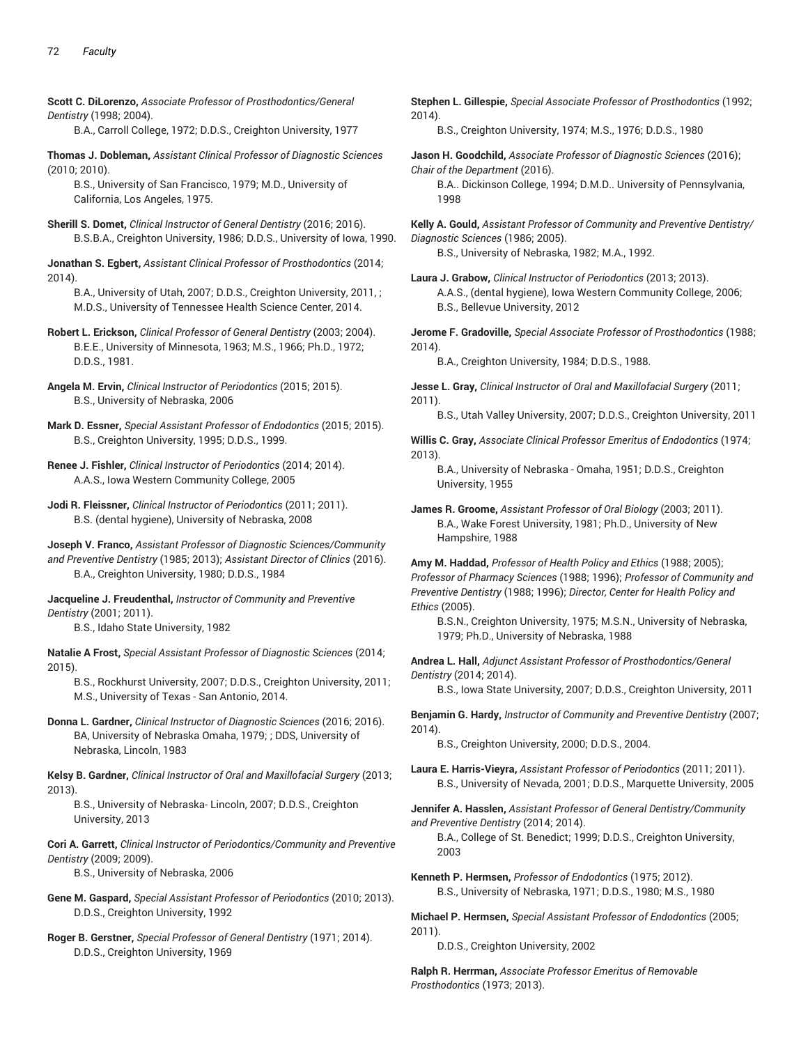**Scott C. DiLorenzo,** *Associate Professor of Prosthodontics/General Dentistry* (1998; 2004).

B.A., Carroll College, 1972; D.D.S., Creighton University, 1977

**Thomas J. Dobleman,** *Assistant Clinical Professor of Diagnostic Sciences* (2010; 2010).

B.S., University of San Francisco, 1979; M.D., University of California, Los Angeles, 1975.

**Sherill S. Domet,** *Clinical Instructor of General Dentistry* (2016; 2016). B.S.B.A., Creighton University, 1986; D.D.S., University of Iowa, 1990.

**Jonathan S. Egbert,** *Assistant Clinical Professor of Prosthodontics* (2014; 2014).

- B.A., University of Utah, 2007; D.D.S., Creighton University, 2011, ; M.D.S., University of Tennessee Health Science Center, 2014.
- **Robert L. Erickson,** *Clinical Professor of General Dentistry* (2003; 2004). B.E.E., University of Minnesota, 1963; M.S., 1966; Ph.D., 1972; D.D.S., 1981.
- **Angela M. Ervin,** *Clinical Instructor of Periodontics* (2015; 2015). B.S., University of Nebraska, 2006
- **Mark D. Essner,** *Special Assistant Professor of Endodontics* (2015; 2015). B.S., Creighton University, 1995; D.D.S., 1999.
- **Renee J. Fishler,** *Clinical Instructor of Periodontics* (2014; 2014). A.A.S., Iowa Western Community College, 2005
- **Jodi R. Fleissner,** *Clinical Instructor of Periodontics* (2011; 2011). B.S. (dental hygiene), University of Nebraska, 2008
- **Joseph V. Franco,** *Assistant Professor of Diagnostic Sciences/Community and Preventive Dentistry* (1985; 2013); *Assistant Director of Clinics* (2016). B.A., Creighton University, 1980; D.D.S., 1984

**Jacqueline J. Freudenthal,** *Instructor of Community and Preventive Dentistry* (2001; 2011).

B.S., Idaho State University, 1982

**Natalie A Frost,** *Special Assistant Professor of Diagnostic Sciences* (2014; 2015).

- B.S., Rockhurst University, 2007; D.D.S., Creighton University, 2011; M.S., University of Texas - San Antonio, 2014.
- **Donna L. Gardner,** *Clinical Instructor of Diagnostic Sciences* (2016; 2016). BA, University of Nebraska Omaha, 1979; ; DDS, University of Nebraska, Lincoln, 1983

**Kelsy B. Gardner,** *Clinical Instructor of Oral and Maxillofacial Surgery* (2013; 2013).

B.S., University of Nebraska- Lincoln, 2007; D.D.S., Creighton University, 2013

**Cori A. Garrett,** *Clinical Instructor of Periodontics/Community and Preventive Dentistry* (2009; 2009).

B.S., University of Nebraska, 2006

- **Gene M. Gaspard,** *Special Assistant Professor of Periodontics* (2010; 2013). D.D.S., Creighton University, 1992
- **Roger B. Gerstner,** *Special Professor of General Dentistry* (1971; 2014). D.D.S., Creighton University, 1969

**Stephen L. Gillespie,** *Special Associate Professor of Prosthodontics* (1992; 2014). B.S., Creighton University, 1974; M.S., 1976; D.D.S., 1980 **Jason H. Goodchild,** *Associate Professor of Diagnostic Sciences* (2016); *Chair of the Department* (2016). B.A.. Dickinson College, 1994; D.M.D.. University of Pennsylvania, 1998 **Kelly A. Gould,** *Assistant Professor of Community and Preventive Dentistry/ Diagnostic Sciences* (1986; 2005). B.S., University of Nebraska, 1982; M.A., 1992. **Laura J. Grabow,** *Clinical Instructor of Periodontics* (2013; 2013). A.A.S., (dental hygiene), Iowa Western Community College, 2006; B.S., Bellevue University, 2012 **Jerome F. Gradoville,** *Special Associate Professor of Prosthodontics* (1988; 2014). B.A., Creighton University, 1984; D.D.S., 1988. **Jesse L. Gray,** *Clinical Instructor of Oral and Maxillofacial Surgery* (2011; 2011). B.S., Utah Valley University, 2007; D.D.S., Creighton University, 2011 **Willis C. Gray,** *Associate Clinical Professor Emeritus of Endodontics* (1974; 2013). B.A., University of Nebraska - Omaha, 1951; D.D.S., Creighton University, 1955 **James R. Groome,** *Assistant Professor of Oral Biology* (2003; 2011). B.A., Wake Forest University, 1981; Ph.D., University of New Hampshire, 1988 **Amy M. Haddad,** *Professor of Health Policy and Ethics* (1988; 2005); *Professor of Pharmacy Sciences* (1988; 1996); *Professor of Community and Preventive Dentistry* (1988; 1996); *Director, Center for Health Policy and Ethics* (2005). B.S.N., Creighton University, 1975; M.S.N., University of Nebraska, 1979; Ph.D., University of Nebraska, 1988 **Andrea L. Hall,** *Adjunct Assistant Professor of Prosthodontics/General Dentistry* (2014; 2014). B.S., Iowa State University, 2007; D.D.S., Creighton University, 2011 **Benjamin G. Hardy,** *Instructor of Community and Preventive Dentistry* (2007; 2014). B.S., Creighton University, 2000; D.D.S., 2004. **Laura E. Harris-Vieyra,** *Assistant Professor of Periodontics* (2011; 2011).

B.S., University of Nevada, 2001; D.D.S., Marquette University, 2005

**Jennifer A. Hasslen,** *Assistant Professor of General Dentistry/Community and Preventive Dentistry* (2014; 2014).

B.A., College of St. Benedict; 1999; D.D.S., Creighton University, 2003

**Kenneth P. Hermsen,** *Professor of Endodontics* (1975; 2012). B.S., University of Nebraska, 1971; D.D.S., 1980; M.S., 1980

**Michael P. Hermsen,** *Special Assistant Professor of Endodontics* (2005; 2011).

D.D.S., Creighton University, 2002

**Ralph R. Herrman,** *Associate Professor Emeritus of Removable Prosthodontics* (1973; 2013).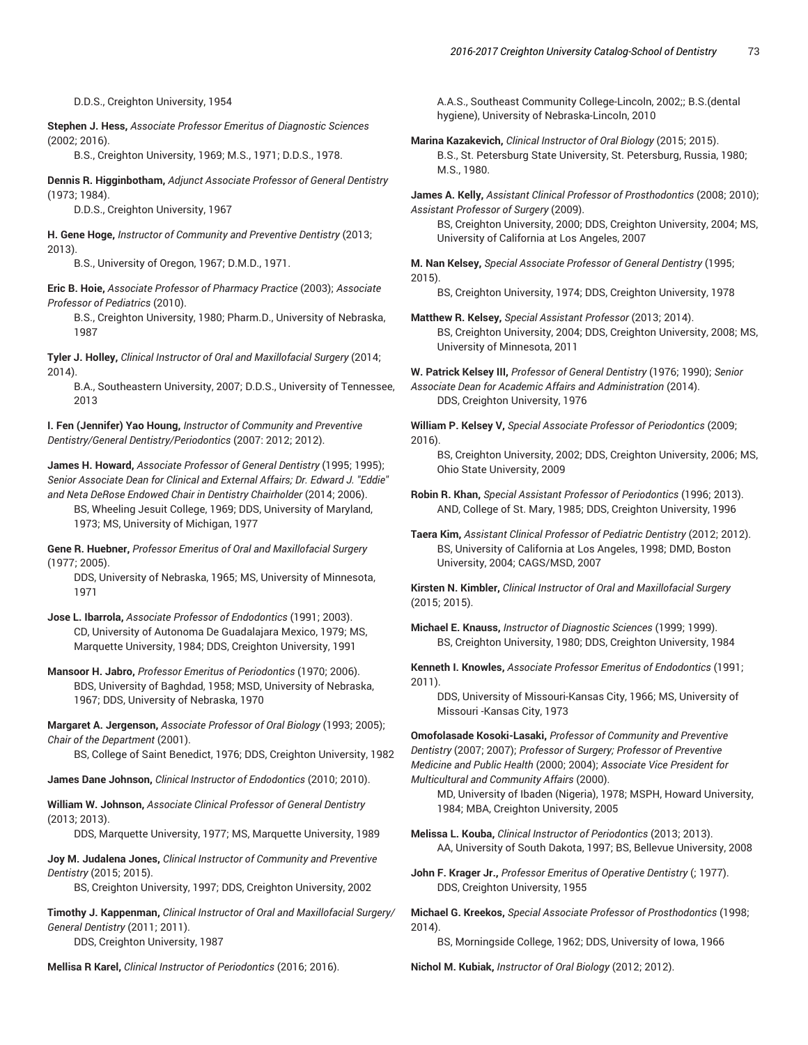D.D.S., Creighton University, 1954

**Stephen J. Hess,** *Associate Professor Emeritus of Diagnostic Sciences* (2002; 2016).

B.S., Creighton University, 1969; M.S., 1971; D.D.S., 1978.

**Dennis R. Higginbotham,** *Adjunct Associate Professor of General Dentistry* (1973; 1984).

D.D.S., Creighton University, 1967

**H. Gene Hoge,** *Instructor of Community and Preventive Dentistry* (2013; 2013).

B.S., University of Oregon, 1967; D.M.D., 1971.

**Eric B. Hoie,** *Associate Professor of Pharmacy Practice* (2003); *Associate Professor of Pediatrics* (2010).

B.S., Creighton University, 1980; Pharm.D., University of Nebraska, 1987

**Tyler J. Holley,** *Clinical Instructor of Oral and Maxillofacial Surgery* (2014; 2014).

B.A., Southeastern University, 2007; D.D.S., University of Tennessee, 2013

**I. Fen (Jennifer) Yao Houng,** *Instructor of Community and Preventive Dentistry/General Dentistry/Periodontics* (2007: 2012; 2012).

**James H. Howard,** *Associate Professor of General Dentistry* (1995; 1995); *Senior Associate Dean for Clinical and External Affairs; Dr. Edward J. "Eddie" and Neta DeRose Endowed Chair in Dentistry Chairholder* (2014; 2006). BS, Wheeling Jesuit College, 1969; DDS, University of Maryland,

1973; MS, University of Michigan, 1977

**Gene R. Huebner,** *Professor Emeritus of Oral and Maxillofacial Surgery* (1977; 2005).

DDS, University of Nebraska, 1965; MS, University of Minnesota, 1971

**Jose L. Ibarrola,** *Associate Professor of Endodontics* (1991; 2003). CD, University of Autonoma De Guadalajara Mexico, 1979; MS, Marquette University, 1984; DDS, Creighton University, 1991

**Mansoor H. Jabro,** *Professor Emeritus of Periodontics* (1970; 2006). BDS, University of Baghdad, 1958; MSD, University of Nebraska, 1967; DDS, University of Nebraska, 1970

**Margaret A. Jergenson,** *Associate Professor of Oral Biology* (1993; 2005); *Chair of the Department* (2001).

BS, College of Saint Benedict, 1976; DDS, Creighton University, 1982

**James Dane Johnson,** *Clinical Instructor of Endodontics* (2010; 2010).

**William W. Johnson,** *Associate Clinical Professor of General Dentistry* (2013; 2013).

DDS, Marquette University, 1977; MS, Marquette University, 1989

**Joy M. Judalena Jones,** *Clinical Instructor of Community and Preventive Dentistry* (2015; 2015).

BS, Creighton University, 1997; DDS, Creighton University, 2002

**Timothy J. Kappenman,** *Clinical Instructor of Oral and Maxillofacial Surgery/ General Dentistry* (2011; 2011). DDS, Creighton University, 1987

**Mellisa R Karel,** *Clinical Instructor of Periodontics* (2016; 2016).

A.A.S., Southeast Community College-Lincoln, 2002;; B.S.(dental hygiene), University of Nebraska-Lincoln, 2010

**Marina Kazakevich,** *Clinical Instructor of Oral Biology* (2015; 2015). B.S., St. Petersburg State University, St. Petersburg, Russia, 1980; M.S., 1980.

**James A. Kelly,** *Assistant Clinical Professor of Prosthodontics* (2008; 2010); *Assistant Professor of Surgery* (2009). BS, Creighton University, 2000; DDS, Creighton University, 2004; MS, University of California at Los Angeles, 2007

**M. Nan Kelsey,** *Special Associate Professor of General Dentistry* (1995; 2015).

BS, Creighton University, 1974; DDS, Creighton University, 1978

**Matthew R. Kelsey,** *Special Assistant Professor* (2013; 2014). BS, Creighton University, 2004; DDS, Creighton University, 2008; MS, University of Minnesota, 2011

**W. Patrick Kelsey III,** *Professor of General Dentistry* (1976; 1990); *Senior Associate Dean for Academic Affairs and Administration* (2014). DDS, Creighton University, 1976

**William P. Kelsey V,** *Special Associate Professor of Periodontics* (2009; 2016).

BS, Creighton University, 2002; DDS, Creighton University, 2006; MS, Ohio State University, 2009

**Robin R. Khan,** *Special Assistant Professor of Periodontics* (1996; 2013). AND, College of St. Mary, 1985; DDS, Creighton University, 1996

**Taera Kim,** *Assistant Clinical Professor of Pediatric Dentistry* (2012; 2012). BS, University of California at Los Angeles, 1998; DMD, Boston University, 2004; CAGS/MSD, 2007

**Kirsten N. Kimbler,** *Clinical Instructor of Oral and Maxillofacial Surgery* (2015; 2015).

**Michael E. Knauss,** *Instructor of Diagnostic Sciences* (1999; 1999). BS, Creighton University, 1980; DDS, Creighton University, 1984

**Kenneth I. Knowles,** *Associate Professor Emeritus of Endodontics* (1991; 2011).

DDS, University of Missouri-Kansas City, 1966; MS, University of Missouri -Kansas City, 1973

**Omofolasade Kosoki-Lasaki,** *Professor of Community and Preventive Dentistry* (2007; 2007); *Professor of Surgery; Professor of Preventive Medicine and Public Health* (2000; 2004); *Associate Vice President for Multicultural and Community Affairs* (2000).

MD, University of Ibaden (Nigeria), 1978; MSPH, Howard University, 1984; MBA, Creighton University, 2005

**Melissa L. Kouba,** *Clinical Instructor of Periodontics* (2013; 2013). AA, University of South Dakota, 1997; BS, Bellevue University, 2008

**John F. Krager Jr.,** *Professor Emeritus of Operative Dentistry* (; 1977). DDS, Creighton University, 1955

**Michael G. Kreekos,** *Special Associate Professor of Prosthodontics* (1998; 2014).

BS, Morningside College, 1962; DDS, University of Iowa, 1966

**Nichol M. Kubiak,** *Instructor of Oral Biology* (2012; 2012).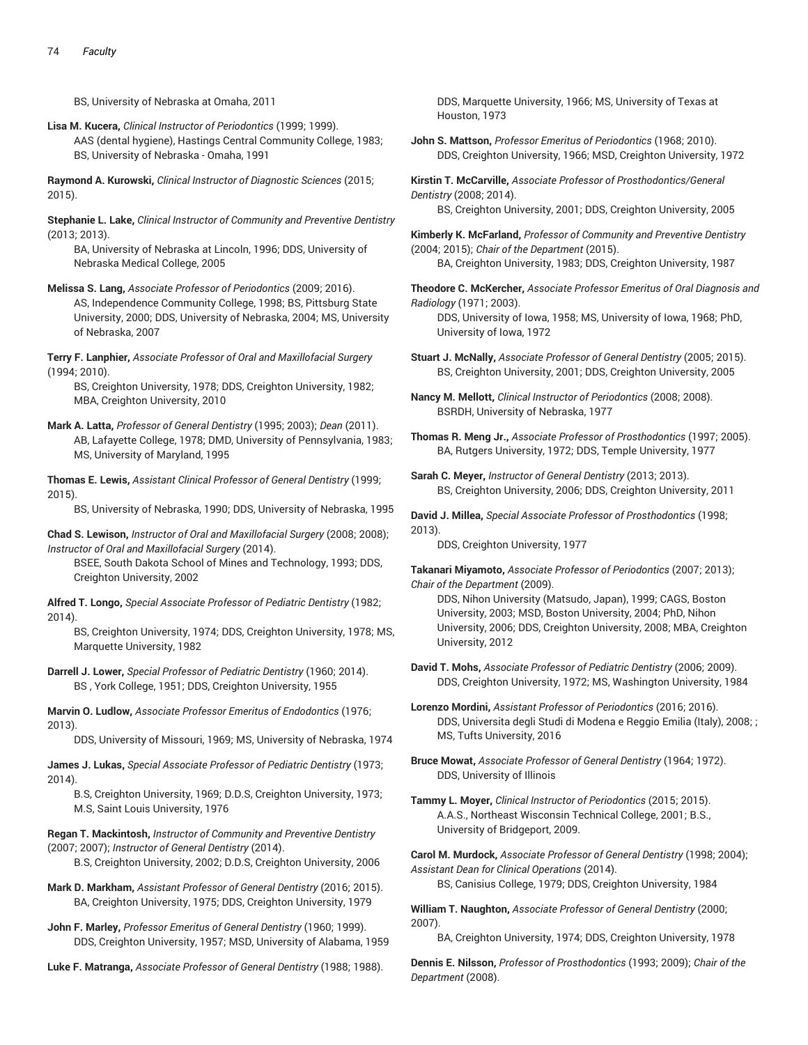BS, University of Nebraska at Omaha, 2011

**Lisa M. Kucera,** *Clinical Instructor of Periodontics* (1999; 1999). AAS (dental hygiene), Hastings Central Community College, 1983; BS, University of Nebraska - Omaha, 1991

**Raymond A. Kurowski,** *Clinical Instructor of Diagnostic Sciences* (2015; 2015).

**Stephanie L. Lake,** *Clinical Instructor of Community and Preventive Dentistry* (2013; 2013).

BA, University of Nebraska at Lincoln, 1996; DDS, University of Nebraska Medical College, 2005

- **Melissa S. Lang,** *Associate Professor of Periodontics* (2009; 2016). AS, Independence Community College, 1998; BS, Pittsburg State University, 2000; DDS, University of Nebraska, 2004; MS, University of Nebraska, 2007
- **Terry F. Lanphier,** *Associate Professor of Oral and Maxillofacial Surgery* (1994; 2010).

BS, Creighton University, 1978; DDS, Creighton University, 1982; MBA, Creighton University, 2010

**Mark A. Latta,** *Professor of General Dentistry* (1995; 2003); *Dean* (2011). AB, Lafayette College, 1978; DMD, University of Pennsylvania, 1983; MS, University of Maryland, 1995

**Thomas E. Lewis,** *Assistant Clinical Professor of General Dentistry* (1999; 2015).

BS, University of Nebraska, 1990; DDS, University of Nebraska, 1995

**Chad S. Lewison,** *Instructor of Oral and Maxillofacial Surgery* (2008; 2008); *Instructor of Oral and Maxillofacial Surgery* (2014).

BSEE, South Dakota School of Mines and Technology, 1993; DDS, Creighton University, 2002

**Alfred T. Longo,** *Special Associate Professor of Pediatric Dentistry* (1982; 2014).

BS, Creighton University, 1974; DDS, Creighton University, 1978; MS, Marquette University, 1982

**Darrell J. Lower,** *Special Professor of Pediatric Dentistry* (1960; 2014). BS , York College, 1951; DDS, Creighton University, 1955

**Marvin O. Ludlow,** *Associate Professor Emeritus of Endodontics* (1976; 2013).

DDS, University of Missouri, 1969; MS, University of Nebraska, 1974

**James J. Lukas,** *Special Associate Professor of Pediatric Dentistry* (1973; 2014).

B.S, Creighton University, 1969; D.D.S, Creighton University, 1973; M.S, Saint Louis University, 1976

**Regan T. Mackintosh,** *Instructor of Community and Preventive Dentistry* (2007; 2007); *Instructor of General Dentistry* (2014).

- B.S, Creighton University, 2002; D.D.S, Creighton University, 2006
- **Mark D. Markham,** *Assistant Professor of General Dentistry* (2016; 2015). BA, Creighton University, 1975; DDS, Creighton University, 1979
- **John F. Marley,** *Professor Emeritus of General Dentistry* (1960; 1999). DDS, Creighton University, 1957; MSD, University of Alabama, 1959

**Luke F. Matranga,** *Associate Professor of General Dentistry* (1988; 1988).

DDS, Marquette University, 1966; MS, University of Texas at Houston, 1973

**John S. Mattson,** *Professor Emeritus of Periodontics* (1968; 2010). DDS, Creighton University, 1966; MSD, Creighton University, 1972

**Kirstin T. McCarville,** *Associate Professor of Prosthodontics/General Dentistry* (2008; 2014).

BS, Creighton University, 2001; DDS, Creighton University, 2005

**Kimberly K. McFarland,** *Professor of Community and Preventive Dentistry* (2004; 2015); *Chair of the Department* (2015). BA, Creighton University, 1983; DDS, Creighton University, 1987

**Theodore C. McKercher,** *Associate Professor Emeritus of Oral Diagnosis and Radiology* (1971; 2003). DDS, University of Iowa, 1958; MS, University of Iowa, 1968; PhD,

University of Iowa, 1972

**Stuart J. McNally,** *Associate Professor of General Dentistry* (2005; 2015). BS, Creighton University, 2001; DDS, Creighton University, 2005

**Nancy M. Mellott,** *Clinical Instructor of Periodontics* (2008; 2008). BSRDH, University of Nebraska, 1977

**Thomas R. Meng Jr.,** *Associate Professor of Prosthodontics* (1997; 2005). BA, Rutgers University, 1972; DDS, Temple University, 1977

**Sarah C. Meyer,** *Instructor of General Dentistry* (2013; 2013). BS, Creighton University, 2006; DDS, Creighton University, 2011

**David J. Millea,** *Special Associate Professor of Prosthodontics* (1998; 2013).

DDS, Creighton University, 1977

**Takanari Miyamoto,** *Associate Professor of Periodontics* (2007; 2013); *Chair of the Department* (2009).

DDS, Nihon University (Matsudo, Japan), 1999; CAGS, Boston University, 2003; MSD, Boston University, 2004; PhD, Nihon University, 2006; DDS, Creighton University, 2008; MBA, Creighton University, 2012

**David T. Mohs,** *Associate Professor of Pediatric Dentistry* (2006; 2009). DDS, Creighton University, 1972; MS, Washington University, 1984

**Lorenzo Mordini,** *Assistant Professor of Periodontics* (2016; 2016). DDS, Universita degli Studi di Modena e Reggio Emilia (Italy), 2008; ; MS, Tufts University, 2016

**Bruce Mowat,** *Associate Professor of General Dentistry* (1964; 1972). DDS, University of Illinois

**Tammy L. Moyer,** *Clinical Instructor of Periodontics* (2015; 2015). A.A.S., Northeast Wisconsin Technical College, 2001; B.S., University of Bridgeport, 2009.

**Carol M. Murdock,** *Associate Professor of General Dentistry* (1998; 2004); *Assistant Dean for Clinical Operations* (2014).

BS, Canisius College, 1979; DDS, Creighton University, 1984

**William T. Naughton,** *Associate Professor of General Dentistry* (2000; 2007).

BA, Creighton University, 1974; DDS, Creighton University, 1978

**Dennis E. Nilsson,** *Professor of Prosthodontics* (1993; 2009); *Chair of the Department* (2008).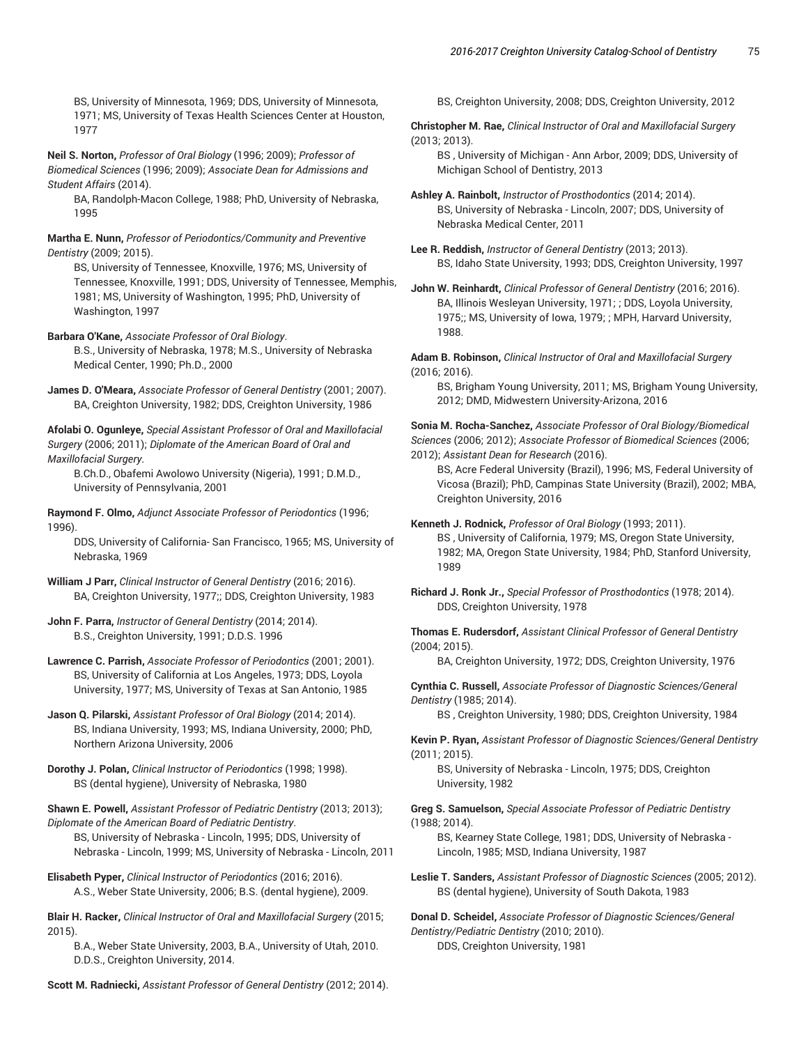BS, University of Minnesota, 1969; DDS, University of Minnesota, 1971; MS, University of Texas Health Sciences Center at Houston, 1977

**Neil S. Norton,** *Professor of Oral Biology* (1996; 2009); *Professor of Biomedical Sciences* (1996; 2009); *Associate Dean for Admissions and Student Affairs* (2014).

BA, Randolph-Macon College, 1988; PhD, University of Nebraska, 1995

**Martha E. Nunn,** *Professor of Periodontics/Community and Preventive Dentistry* (2009; 2015).

BS, University of Tennessee, Knoxville, 1976; MS, University of Tennessee, Knoxville, 1991; DDS, University of Tennessee, Memphis, 1981; MS, University of Washington, 1995; PhD, University of Washington, 1997

**Barbara O'Kane,** *Associate Professor of Oral Biology*. B.S., University of Nebraska, 1978; M.S., University of Nebraska Medical Center, 1990; Ph.D., 2000

**James D. O'Meara,** *Associate Professor of General Dentistry* (2001; 2007). BA, Creighton University, 1982; DDS, Creighton University, 1986

**Afolabi O. Ogunleye,** *Special Assistant Professor of Oral and Maxillofacial Surgery* (2006; 2011); *Diplomate of the American Board of Oral and Maxillofacial Surgery*.

B.Ch.D., Obafemi Awolowo University (Nigeria), 1991; D.M.D., University of Pennsylvania, 2001

**Raymond F. Olmo,** *Adjunct Associate Professor of Periodontics* (1996; 1996).

DDS, University of California- San Francisco, 1965; MS, University of Nebraska, 1969

**William J Parr,** *Clinical Instructor of General Dentistry* (2016; 2016). BA, Creighton University, 1977;; DDS, Creighton University, 1983

**John F. Parra,** *Instructor of General Dentistry* (2014; 2014). B.S., Creighton University, 1991; D.D.S. 1996

**Lawrence C. Parrish,** *Associate Professor of Periodontics* (2001; 2001). BS, University of California at Los Angeles, 1973; DDS, Loyola University, 1977; MS, University of Texas at San Antonio, 1985

**Jason Q. Pilarski,** *Assistant Professor of Oral Biology* (2014; 2014). BS, Indiana University, 1993; MS, Indiana University, 2000; PhD, Northern Arizona University, 2006

**Dorothy J. Polan,** *Clinical Instructor of Periodontics* (1998; 1998). BS (dental hygiene), University of Nebraska, 1980

**Shawn E. Powell,** *Assistant Professor of Pediatric Dentistry* (2013; 2013); *Diplomate of the American Board of Pediatric Dentistry*. BS, University of Nebraska - Lincoln, 1995; DDS, University of Nebraska - Lincoln, 1999; MS, University of Nebraska - Lincoln, 2011

**Elisabeth Pyper,** *Clinical Instructor of Periodontics* (2016; 2016). A.S., Weber State University, 2006; B.S. (dental hygiene), 2009.

**Blair H. Racker,** *Clinical Instructor of Oral and Maxillofacial Surgery* (2015; 2015).

B.A., Weber State University, 2003, B.A., University of Utah, 2010. D.D.S., Creighton University, 2014.

**Scott M. Radniecki,** *Assistant Professor of General Dentistry* (2012; 2014).

BS, Creighton University, 2008; DDS, Creighton University, 2012

**Christopher M. Rae,** *Clinical Instructor of Oral and Maxillofacial Surgery* (2013; 2013).

BS , University of Michigan - Ann Arbor, 2009; DDS, University of Michigan School of Dentistry, 2013

**Ashley A. Rainbolt,** *Instructor of Prosthodontics* (2014; 2014). BS, University of Nebraska - Lincoln, 2007; DDS, University of Nebraska Medical Center, 2011

**Lee R. Reddish,** *Instructor of General Dentistry* (2013; 2013). BS, Idaho State University, 1993; DDS, Creighton University, 1997

**John W. Reinhardt,** *Clinical Professor of General Dentistry* (2016; 2016). BA, Illinois Wesleyan University, 1971; ; DDS, Loyola University, 1975;; MS, University of Iowa, 1979; ; MPH, Harvard University, 1988.

**Adam B. Robinson,** *Clinical Instructor of Oral and Maxillofacial Surgery* (2016; 2016).

BS, Brigham Young University, 2011; MS, Brigham Young University, 2012; DMD, Midwestern University-Arizona, 2016

**Sonia M. Rocha-Sanchez,** *Associate Professor of Oral Biology/Biomedical Sciences* (2006; 2012); *Associate Professor of Biomedical Sciences* (2006; 2012); *Assistant Dean for Research* (2016).

BS, Acre Federal University (Brazil), 1996; MS, Federal University of Vicosa (Brazil); PhD, Campinas State University (Brazil), 2002; MBA, Creighton University, 2016

**Kenneth J. Rodnick,** *Professor of Oral Biology* (1993; 2011). BS , University of California, 1979; MS, Oregon State University, 1982; MA, Oregon State University, 1984; PhD, Stanford University, 1989

**Richard J. Ronk Jr.,** *Special Professor of Prosthodontics* (1978; 2014). DDS, Creighton University, 1978

**Thomas E. Rudersdorf,** *Assistant Clinical Professor of General Dentistry* (2004; 2015).

BA, Creighton University, 1972; DDS, Creighton University, 1976

**Cynthia C. Russell,** *Associate Professor of Diagnostic Sciences/General Dentistry* (1985; 2014).

BS , Creighton University, 1980; DDS, Creighton University, 1984

**Kevin P. Ryan,** *Assistant Professor of Diagnostic Sciences/General Dentistry* (2011; 2015).

BS, University of Nebraska - Lincoln, 1975; DDS, Creighton University, 1982

**Greg S. Samuelson,** *Special Associate Professor of Pediatric Dentistry* (1988; 2014).

BS, Kearney State College, 1981; DDS, University of Nebraska - Lincoln, 1985; MSD, Indiana University, 1987

**Leslie T. Sanders,** *Assistant Professor of Diagnostic Sciences* (2005; 2012). BS (dental hygiene), University of South Dakota, 1983

**Donal D. Scheidel,** *Associate Professor of Diagnostic Sciences/General Dentistry/Pediatric Dentistry* (2010; 2010). DDS, Creighton University, 1981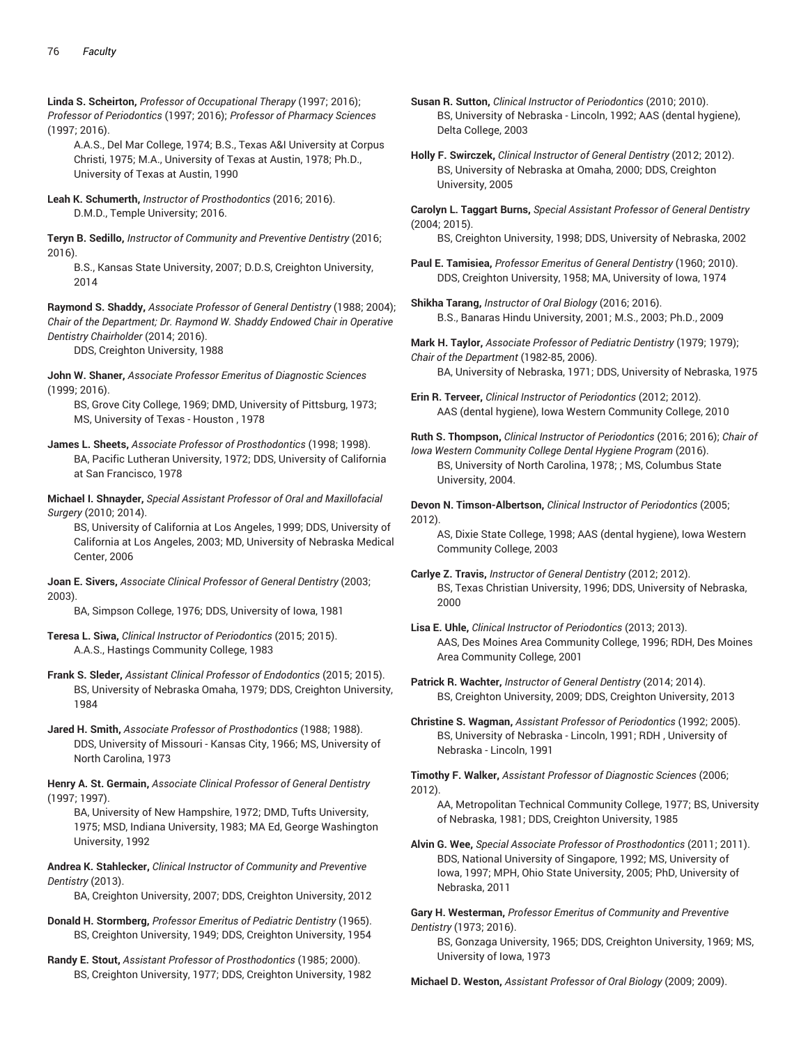**Linda S. Scheirton,** *Professor of Occupational Therapy* (1997; 2016); *Professor of Periodontics* (1997; 2016); *Professor of Pharmacy Sciences* (1997; 2016).

A.A.S., Del Mar College, 1974; B.S., Texas A&I University at Corpus Christi, 1975; M.A., University of Texas at Austin, 1978; Ph.D., University of Texas at Austin, 1990

**Leah K. Schumerth,** *Instructor of Prosthodontics* (2016; 2016). D.M.D., Temple University; 2016.

**Teryn B. Sedillo,** *Instructor of Community and Preventive Dentistry* (2016; 2016).

B.S., Kansas State University, 2007; D.D.S, Creighton University, 2014

**Raymond S. Shaddy,** *Associate Professor of General Dentistry* (1988; 2004); *Chair of the Department; Dr. Raymond W. Shaddy Endowed Chair in Operative Dentistry Chairholder* (2014; 2016).

DDS, Creighton University, 1988

**John W. Shaner,** *Associate Professor Emeritus of Diagnostic Sciences* (1999; 2016).

BS, Grove City College, 1969; DMD, University of Pittsburg, 1973; MS, University of Texas - Houston , 1978

**James L. Sheets,** *Associate Professor of Prosthodontics* (1998; 1998). BA, Pacific Lutheran University, 1972; DDS, University of California at San Francisco, 1978

**Michael I. Shnayder,** *Special Assistant Professor of Oral and Maxillofacial Surgery* (2010; 2014).

BS, University of California at Los Angeles, 1999; DDS, University of California at Los Angeles, 2003; MD, University of Nebraska Medical Center, 2006

**Joan E. Sivers,** *Associate Clinical Professor of General Dentistry* (2003; 2003).

BA, Simpson College, 1976; DDS, University of Iowa, 1981

- **Teresa L. Siwa,** *Clinical Instructor of Periodontics* (2015; 2015). A.A.S., Hastings Community College, 1983
- **Frank S. Sleder,** *Assistant Clinical Professor of Endodontics* (2015; 2015). BS, University of Nebraska Omaha, 1979; DDS, Creighton University, 1984

**Jared H. Smith,** *Associate Professor of Prosthodontics* (1988; 1988). DDS, University of Missouri - Kansas City, 1966; MS, University of North Carolina, 1973

**Henry A. St. Germain,** *Associate Clinical Professor of General Dentistry* (1997; 1997).

BA, University of New Hampshire, 1972; DMD, Tufts University, 1975; MSD, Indiana University, 1983; MA Ed, George Washington University, 1992

**Andrea K. Stahlecker,** *Clinical Instructor of Community and Preventive Dentistry* (2013).

BA, Creighton University, 2007; DDS, Creighton University, 2012

**Donald H. Stormberg,** *Professor Emeritus of Pediatric Dentistry* (1965). BS, Creighton University, 1949; DDS, Creighton University, 1954

**Randy E. Stout,** *Assistant Professor of Prosthodontics* (1985; 2000). BS, Creighton University, 1977; DDS, Creighton University, 1982 **Susan R. Sutton,** *Clinical Instructor of Periodontics* (2010; 2010). BS, University of Nebraska - Lincoln, 1992; AAS (dental hygiene), Delta College, 2003

**Holly F. Swirczek,** *Clinical Instructor of General Dentistry* (2012; 2012). BS, University of Nebraska at Omaha, 2000; DDS, Creighton University, 2005

**Carolyn L. Taggart Burns,** *Special Assistant Professor of General Dentistry* (2004; 2015).

BS, Creighton University, 1998; DDS, University of Nebraska, 2002

- **Paul E. Tamisiea,** *Professor Emeritus of General Dentistry* (1960; 2010). DDS, Creighton University, 1958; MA, University of Iowa, 1974
- **Shikha Tarang,** *Instructor of Oral Biology* (2016; 2016). B.S., Banaras Hindu University, 2001; M.S., 2003; Ph.D., 2009

**Mark H. Taylor,** *Associate Professor of Pediatric Dentistry* (1979; 1979); *Chair of the Department* (1982-85, 2006). BA, University of Nebraska, 1971; DDS, University of Nebraska, 1975

**Erin R. Terveer,** *Clinical Instructor of Periodontics* (2012; 2012). AAS (dental hygiene), Iowa Western Community College, 2010

**Ruth S. Thompson,** *Clinical Instructor of Periodontics* (2016; 2016); *Chair of*

*Iowa Western Community College Dental Hygiene Program* (2016). BS, University of North Carolina, 1978; ; MS, Columbus State University, 2004.

**Devon N. Timson-Albertson,** *Clinical Instructor of Periodontics* (2005; 2012).

AS, Dixie State College, 1998; AAS (dental hygiene), Iowa Western Community College, 2003

**Carlye Z. Travis,** *Instructor of General Dentistry* (2012; 2012). BS, Texas Christian University, 1996; DDS, University of Nebraska, 2000

**Lisa E. Uhle,** *Clinical Instructor of Periodontics* (2013; 2013). AAS, Des Moines Area Community College, 1996; RDH, Des Moines Area Community College, 2001

**Patrick R. Wachter,** *Instructor of General Dentistry* (2014; 2014). BS, Creighton University, 2009; DDS, Creighton University, 2013

**Christine S. Wagman,** *Assistant Professor of Periodontics* (1992; 2005). BS, University of Nebraska - Lincoln, 1991; RDH , University of Nebraska - Lincoln, 1991

**Timothy F. Walker,** *Assistant Professor of Diagnostic Sciences* (2006; 2012).

AA, Metropolitan Technical Community College, 1977; BS, University of Nebraska, 1981; DDS, Creighton University, 1985

**Alvin G. Wee,** *Special Associate Professor of Prosthodontics* (2011; 2011). BDS, National University of Singapore, 1992; MS, University of Iowa, 1997; MPH, Ohio State University, 2005; PhD, University of Nebraska, 2011

**Gary H. Westerman,** *Professor Emeritus of Community and Preventive Dentistry* (1973; 2016).

BS, Gonzaga University, 1965; DDS, Creighton University, 1969; MS, University of Iowa, 1973

**Michael D. Weston,** *Assistant Professor of Oral Biology* (2009; 2009).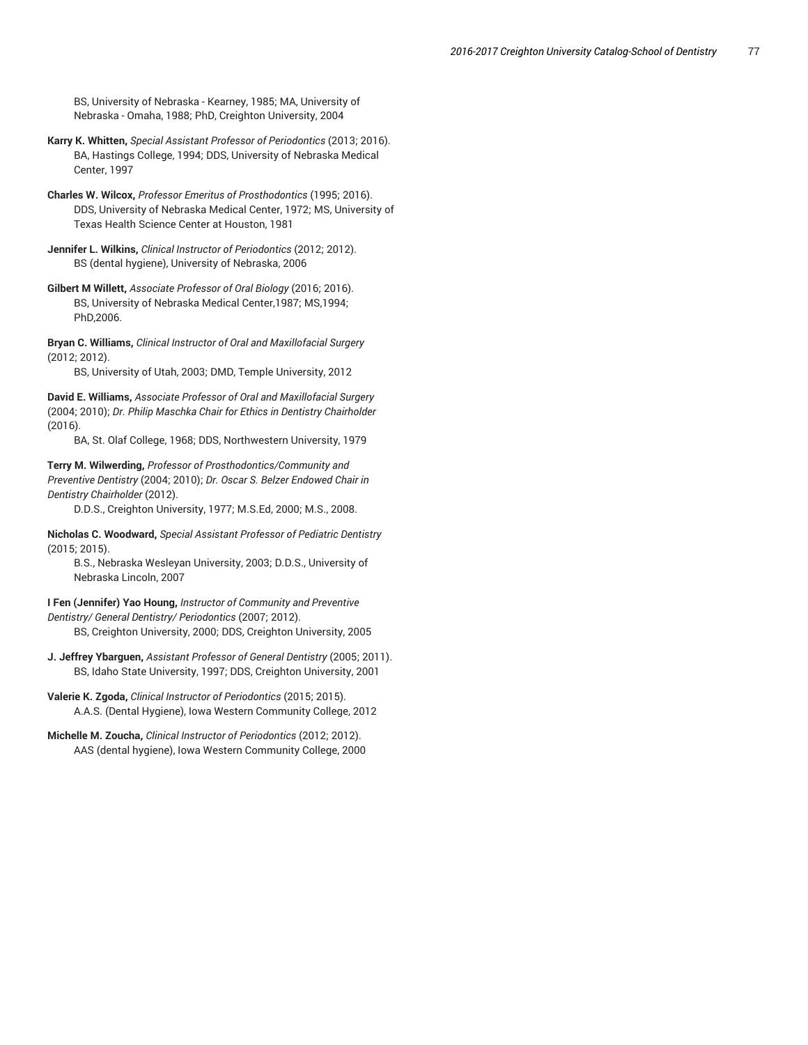BS, University of Nebraska - Kearney, 1985; MA, University of Nebraska - Omaha, 1988; PhD, Creighton University, 2004

- **Karry K. Whitten,** *Special Assistant Professor of Periodontics* (2013; 2016). BA, Hastings College, 1994; DDS, University of Nebraska Medical Center, 1997
- **Charles W. Wilcox,** *Professor Emeritus of Prosthodontics* (1995; 2016). DDS, University of Nebraska Medical Center, 1972; MS, University of Texas Health Science Center at Houston, 1981
- **Jennifer L. Wilkins,** *Clinical Instructor of Periodontics* (2012; 2012). BS (dental hygiene), University of Nebraska, 2006
- **Gilbert M Willett,** *Associate Professor of Oral Biology* (2016; 2016). BS, University of Nebraska Medical Center,1987; MS,1994; PhD,2006.

**Bryan C. Williams,** *Clinical Instructor of Oral and Maxillofacial Surgery* (2012; 2012).

BS, University of Utah, 2003; DMD, Temple University, 2012

**David E. Williams,** *Associate Professor of Oral and Maxillofacial Surgery* (2004; 2010); *Dr. Philip Maschka Chair for Ethics in Dentistry Chairholder* (2016).

BA, St. Olaf College, 1968; DDS, Northwestern University, 1979

**Terry M. Wilwerding,** *Professor of Prosthodontics/Community and Preventive Dentistry* (2004; 2010); *Dr. Oscar S. Belzer Endowed Chair in Dentistry Chairholder* (2012).

D.D.S., Creighton University, 1977; M.S.Ed, 2000; M.S., 2008.

**Nicholas C. Woodward,** *Special Assistant Professor of Pediatric Dentistry* (2015; 2015).

B.S., Nebraska Wesleyan University, 2003; D.D.S., University of Nebraska Lincoln, 2007

**I Fen (Jennifer) Yao Houng,** *Instructor of Community and Preventive Dentistry/ General Dentistry/ Periodontics* (2007; 2012). BS, Creighton University, 2000; DDS, Creighton University, 2005

- **J. Jeffrey Ybarguen,** *Assistant Professor of General Dentistry* (2005; 2011). BS, Idaho State University, 1997; DDS, Creighton University, 2001
- **Valerie K. Zgoda,** *Clinical Instructor of Periodontics* (2015; 2015). A.A.S. (Dental Hygiene), Iowa Western Community College, 2012
- **Michelle M. Zoucha,** *Clinical Instructor of Periodontics* (2012; 2012). AAS (dental hygiene), Iowa Western Community College, 2000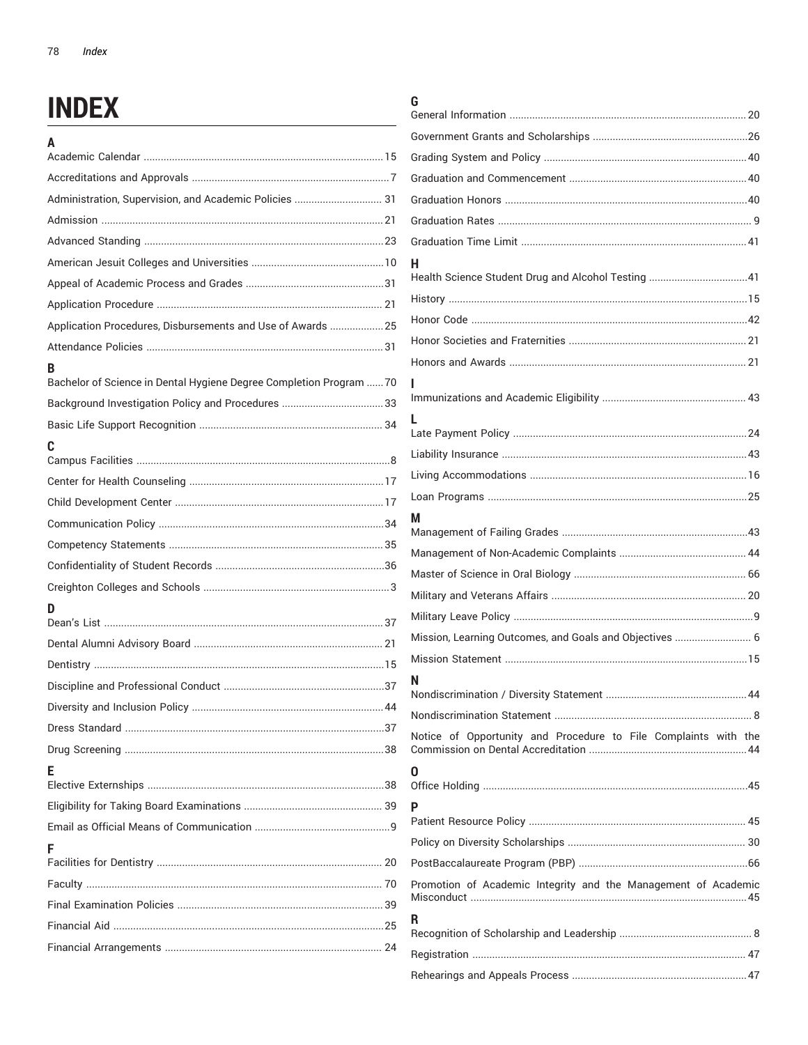## **INDEX**

| A                                                                   |
|---------------------------------------------------------------------|
|                                                                     |
| Administration, Supervision, and Academic Policies  31              |
|                                                                     |
|                                                                     |
|                                                                     |
|                                                                     |
|                                                                     |
| Application Procedures, Disbursements and Use of Awards  25         |
|                                                                     |
| в                                                                   |
| Bachelor of Science in Dental Hygiene Degree Completion Program  70 |
|                                                                     |
|                                                                     |
| C                                                                   |
|                                                                     |
|                                                                     |
|                                                                     |
|                                                                     |
|                                                                     |
|                                                                     |
| D                                                                   |
|                                                                     |
|                                                                     |
|                                                                     |
|                                                                     |
|                                                                     |
|                                                                     |
| F                                                                   |
|                                                                     |
|                                                                     |
| F                                                                   |
|                                                                     |
|                                                                     |
|                                                                     |
|                                                                     |
|                                                                     |

## G

| н                                                               |  |
|-----------------------------------------------------------------|--|
| Health Science Student Drug and Alcohol Testing 41              |  |
|                                                                 |  |
|                                                                 |  |
|                                                                 |  |
|                                                                 |  |
|                                                                 |  |
| L.                                                              |  |
|                                                                 |  |
|                                                                 |  |
|                                                                 |  |
|                                                                 |  |
| м                                                               |  |
|                                                                 |  |
|                                                                 |  |
|                                                                 |  |
|                                                                 |  |
| Mission, Learning Outcomes, and Goals and Objectives  6         |  |
|                                                                 |  |
| N                                                               |  |
|                                                                 |  |
| Notice of Opportunity and Procedure to File Complaints with the |  |
| O                                                               |  |
| P                                                               |  |
|                                                                 |  |
|                                                                 |  |
| Promotion of Academic Integrity and the Management of Academic  |  |
| R                                                               |  |
|                                                                 |  |
|                                                                 |  |